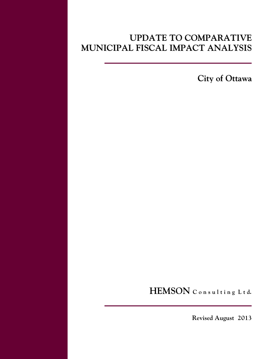# **UPDATE TO COMPARATIVE MUNICIPAL FISCAL IMPACT ANALYSIS**

**City of Ottawa**

**HEMSON C o n s u l t i n g L t d.**

 **Revised August 2013**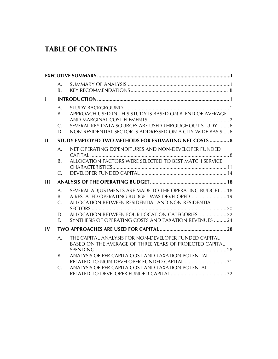# **TABLE OF CONTENTS**

|              | А.<br>B.                |                                                                                                                   |  |
|--------------|-------------------------|-------------------------------------------------------------------------------------------------------------------|--|
| $\mathbf{I}$ |                         |                                                                                                                   |  |
|              | A.<br>Β.<br>$C_{\cdot}$ | APPROACH USED IN THIS STUDY IS BASED ON BLEND OF AVERAGE<br>SEVERAL KEY DATA SOURCES ARE USED THROUGHOUT STUDY 6  |  |
|              | D.                      | NON-RESIDENTIAL SECTOR IS ADDRESSED ON A CITY-WIDE BASIS 6                                                        |  |
| $\mathbf{I}$ |                         | STUDY EMPLOYED TWO METHODS FOR ESTIMATING NET COSTS  8                                                            |  |
|              | A.                      | NET OPERATING EXPENDITURES AND NON-DEVELOPER FUNDED                                                               |  |
|              | Β.                      | ALLOCATION FACTORS WERE SELECTED TO BEST MATCH SERVICE                                                            |  |
|              | $\mathcal{C}$ .         |                                                                                                                   |  |
| Ш            |                         |                                                                                                                   |  |
|              | A.<br>Β.<br>C.          | SEVERAL ADJUSTMENTS ARE MADE TO THE OPERATING BUDGET  18<br>ALLOCATION BETWEEN RESIDENTIAL AND NON-RESIDENTIAL    |  |
|              |                         |                                                                                                                   |  |
|              | D.<br>Е.                | ALLOCATION BETWEEN FOUR LOCATION CATEGORIES  22<br>SYNTHESIS OF OPERATING COSTS AND TAXATION REVENUES 24          |  |
| IV           |                         |                                                                                                                   |  |
|              | A.                      | THE CAPITAL ANALYSIS FOR NON-DEVELOPER FUNDED CAPITAL<br>BASED ON THE AVERAGE OF THREE YEARS OF PROJECTED CAPITAL |  |
|              |                         |                                                                                                                   |  |
|              | Β.                      | ANALYSIS OF PER CAPITA COST AND TAXATION POTENTIAL                                                                |  |
|              | C.                      | RELATED TO NON-DEVELOPER FUNDED CAPITAL 31<br>ANALYSIS OF PER CAPITA COST AND TAXATION POTENTAL                   |  |
|              |                         |                                                                                                                   |  |

 $=$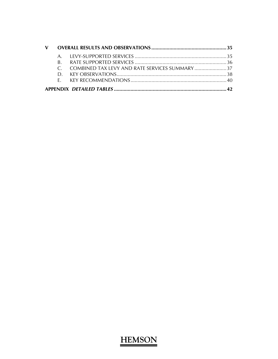|  | C. COMBINED TAX LEVY AND RATE SERVICES SUMMARY |  |
|--|------------------------------------------------|--|
|  |                                                |  |
|  |                                                |  |
|  |                                                |  |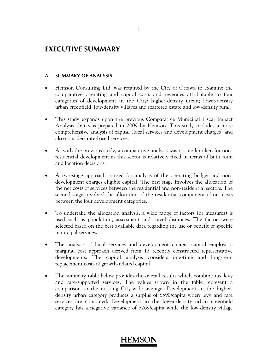### **A. SUMMARY OF ANALYSIS**

- Hemson Consulting Ltd. was retained by the City of Ottawa to examine the comparative operating and capital costs and revenues attributable to four categories of development in the City: higher-density urban; lower-density urban greenfield; low-density villages and scattered estate and low-density rural.
- This study expands upon the previous Comparative Municipal Fiscal Impact Analysis that was prepared in 2009 by Hemson. This study includes a more comprehensive analysis of capital (local services and development charges) and also considers rate-based services.
- As with the previous study, a comparative analysis was not undertaken for nonresidential development as this sector is relatively fixed in terms of built form and location decisions.
- A two-stage approach is used for analysis of the operating budget and nondevelopment charges eligible capital. The first stage involves the allocation of the net costs of services between the residential and non-residential sectors. The second stage involved the allocation of the residential component of net costs between the four development categories.
- To undertake the allocation analysis, a wide range of factors (or measures) is used such as population, assessment and travel distances. The factors were selected based on the best available data regarding the use or benefit of specific municipal services.
- The analysis of local services and development charges capital employs a marginal cost approach derived from 13 recently constructed representative developments. The capital analysis considers one-time and long-term replacement costs of growth-related capital.
- The summary table below provides the overall results which combine tax levy and rate-supported services. The values shown in the table represent a comparison to the existing City-wide average. Development in the higherdensity urban category produces a surplus of \$590/capita when levy and rate services are combined. Development in the lower-density urban greenfield category has a negative variance of \$269/capita while the low-density village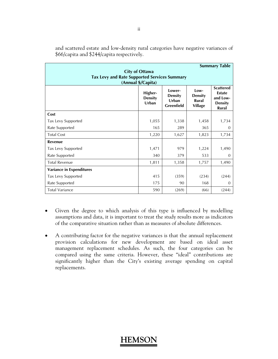| <b>Summary Table</b><br><b>City of Ottawa</b><br><b>Tax Levy and Rate Supported Services Summary</b><br>(Annual \$/Capita) |                                    |                                                        |                                                   |                                                                                 |  |  |  |  |
|----------------------------------------------------------------------------------------------------------------------------|------------------------------------|--------------------------------------------------------|---------------------------------------------------|---------------------------------------------------------------------------------|--|--|--|--|
|                                                                                                                            | Higher-<br><b>Density</b><br>Urban | Lower-<br><b>Density</b><br>Urban<br><b>Greenfield</b> | Low-<br><b>Density</b><br>Rural<br><b>Village</b> | <b>Scattered</b><br><b>Estate</b><br>and Low-<br><b>Density</b><br><b>Rural</b> |  |  |  |  |
| Cost                                                                                                                       |                                    |                                                        |                                                   |                                                                                 |  |  |  |  |
| Tax Levy Supported                                                                                                         | 1,055                              | 1,338                                                  | 1,458                                             | 1,734                                                                           |  |  |  |  |
| Rate Supported                                                                                                             | 165                                | 289                                                    | 365                                               | $\Omega$                                                                        |  |  |  |  |
| <b>Total Cost</b>                                                                                                          | 1,220                              | 1,627                                                  | 1,823                                             | 1,734                                                                           |  |  |  |  |
| Revenue                                                                                                                    |                                    |                                                        |                                                   |                                                                                 |  |  |  |  |
| Tax Levy Supported                                                                                                         | 1,471                              | 979                                                    | 1,224                                             | 1,490                                                                           |  |  |  |  |
| Rate Supported                                                                                                             | 340                                | 379                                                    | 533                                               | $\Omega$                                                                        |  |  |  |  |
| <b>Total Revenue</b>                                                                                                       | 1,811                              | 1,358                                                  | 1,757                                             | 1,490                                                                           |  |  |  |  |
| <b>Variance in Expenditures</b>                                                                                            |                                    |                                                        |                                                   |                                                                                 |  |  |  |  |
| Tax Levy Supported                                                                                                         | 415                                | (359)                                                  | (234)                                             | (244)                                                                           |  |  |  |  |
| Rate Supported                                                                                                             | 175                                | 90                                                     | 168                                               | $\Omega$                                                                        |  |  |  |  |
| <b>Total Variance</b>                                                                                                      | 590                                | (269)                                                  | (66)                                              | (244)                                                                           |  |  |  |  |

and scattered estate and low-density rural categories have negative variances of \$66/capita and \$244/capita respectively.

- Given the degree to which analysis of this type is influenced by modelling assumptions and data, it is important to treat the study results more as indicators of the comparative situation rather than as measures of absolute differences.
- A contributing factor for the negative variances is that the annual replacement provision calculations for new development are based on ideal asset management replacement schedules. As such, the four categories can be compared using the same criteria. However, these "ideal" contributions are significantly higher than the City's existing average spending on capital replacements.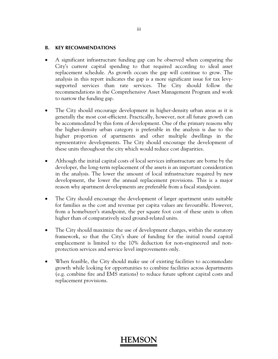#### **B. KEY RECOMMENDATIONS**

- A significant infrastructure funding gap can be observed when comparing the City's current capital spending to that required according to ideal asset replacement schedule. As growth occurs the gap will continue to grow. The analysis in this report indicates the gap is a more significant issue for tax levysupported services than rate services. The City should follow the recommendations in the Comprehensive Asset Management Program and work to narrow the funding gap.
- The City should encourage development in higher-density urban areas as it is generally the most cost-efficient. Practically, however, not all future growth can be accommodated by this form of development. One of the primary reasons why the higher-density urban category is preferable in the analysis is due to the higher proportion of apartments and other multiple dwellings in the representative developments. The City should encourage the development of these units throughout the city which would reduce cost disparities.
- Although the initial capital costs of local services infrastructure are borne by the developer, the long-term replacement of the assets is an important consideration in the analysis. The lower the amount of local infrastructure required by new development, the lower the annual replacement provisions. This is a major reason why apartment developments are preferable from a fiscal standpoint.
- The City should encourage the development of larger apartment units suitable for families as the cost and revenue per capita values are favourable. However, from a homebuyer's standpoint, the per square foot cost of these units is often higher than of comparatively sized ground-related units.
- The City should maximize the use of development charges, within the statutory framework, so that the City's share of funding for the initial round capital emplacement is limited to the 10% deduction for non-engineered and nonprotection services and service level improvements only.
- When feasible, the City should make use of existing facilities to accommodate growth while looking for opportunities to combine facilities across departments (e.g. combine fire and EMS stations) to reduce future upfront capital costs and replacement provisions.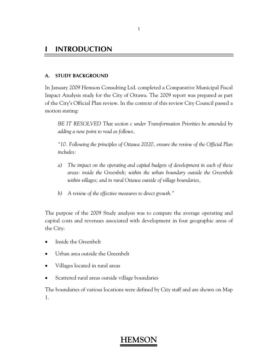### **I INTRODUCTION**

### **A. STUDY BACKGROUND**

In January 2009 Hemson Consulting Ltd. completed a Comparative Municipal Fiscal Impact Analysis study for the City of Ottawa. The 2009 report was prepared as part of the City's Official Plan review. In the context of this review City Council passed a motion stating:

*BE IT RESOLVED That section c under Transformation Priorities be amended by adding a new point to read as follows,* 

*"10. Following the principles of Ottawa 20/20, ensure the review of the Official Plan includes:* 

- *a) The impact on the operating and capital budgets of development in each of these areas: inside the Greenbelt; within the urban boundary outside the Greenbelt within villages; and in rural Ottawa outside of village boundaries,*
- *b) A review of the effective measures to direct growth."*

The purpose of the 2009 Study analysis was to compare the average operating and capital costs and revenues associated with development in four geographic areas of the City:

- Inside the Greenbelt
- Urban area outside the Greenbelt
- Villages located in rural areas
- Scattered rural areas outside village boundaries

The boundaries of various locations were defined by City staff and are shown on Map 1.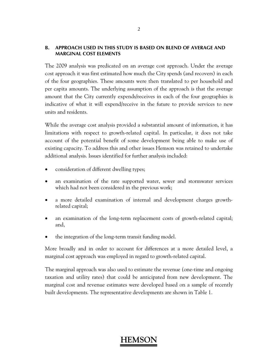### **B. APPROACH USED IN THIS STUDY IS BASED ON BLEND OF AVERAGE AND MARGINAL COST ELEMENTS**

The 2009 analysis was predicated on an average cost approach. Under the average cost approach it was first estimated how much the City spends (and recovers) in each of the four geographies. These amounts were then translated to per household and per capita amounts. The underlying assumption of the approach is that the average amount that the City currently expends/receives in each of the four geographies is indicative of what it will expend/receive in the future to provide services to new units and residents.

While the average cost analysis provided a substantial amount of information, it has limitations with respect to growth-related capital. In particular, it does not take account of the potential benefit of some development being able to make use of existing capacity. To address this and other issues Hemson was retained to undertake additional analysis. Issues identified for further analysis included:

- consideration of different dwelling types;
- an examination of the rate supported water, sewer and stormwater services which had not been considered in the previous work;
- a more detailed examination of internal and development charges growthrelated capital;
- an examination of the long-term replacement costs of growth-related capital; and,
- the integration of the long-term transit funding model.

More broadly and in order to account for differences at a more detailed level, a marginal cost approach was employed in regard to growth-related capital.

The marginal approach was also used to estimate the revenue (one-time and ongoing taxation and utility rates) that could be anticipated from new development. The marginal cost and revenue estimates were developed based on a sample of recently built developments. The representative developments are shown in Table 1.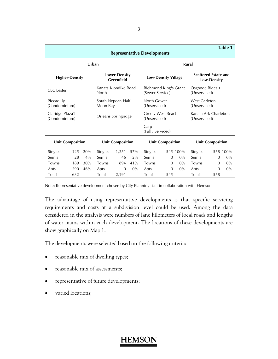| Table 1<br><b>Representative Developments</b> |                         |     |                                           |                               |                                   |                                          |                            |                                       |                                |                                                   |          |
|-----------------------------------------------|-------------------------|-----|-------------------------------------------|-------------------------------|-----------------------------------|------------------------------------------|----------------------------|---------------------------------------|--------------------------------|---------------------------------------------------|----------|
| Urban                                         |                         |     |                                           |                               |                                   | Rural                                    |                            |                                       |                                |                                                   |          |
| <b>Higher-Density</b>                         |                         |     | <b>Lower-Density</b><br><b>Greenfield</b> |                               |                                   |                                          | <b>Low-Density Village</b> |                                       |                                | <b>Scattered Estate and</b><br><b>Low-Density</b> |          |
| <b>CLC</b> Lester                             |                         |     | Kanata Klondike Road<br>North             |                               |                                   | Richmond King's Grant<br>(Sewer Service) |                            |                                       | Osgoode Rideau<br>(Unserviced) |                                                   |          |
| Piccadilly                                    | (Condominium)           |     |                                           | South Nepean Half<br>Moon Bay |                                   | North Gower<br>(Unserviced)              |                            | West Carleton<br>(Unserviced)         |                                |                                                   |          |
| Claridge Plaza1<br>(Condominium)              |                         |     | Orleans Springridge                       |                               | Greely West Beach<br>(Unserviced) |                                          |                            | Kanata Ark-Charlebois<br>(Unserviced) |                                |                                                   |          |
|                                               |                         |     |                                           |                               |                                   | Carp<br>(Fully Serviced)                 |                            |                                       |                                |                                                   |          |
|                                               | <b>Unit Composition</b> |     | <b>Unit Composition</b>                   |                               |                                   | <b>Unit Composition</b>                  |                            |                                       | <b>Unit Composition</b>        |                                                   |          |
| Singles                                       | 125                     | 20% | Singles                                   | 1.251                         | 57%                               | Singles                                  |                            | 545 100%                              | Singles                        |                                                   | 558 100% |
| Semis                                         | 28                      | 4%  | Semis                                     | 46                            | 2%                                | Semis                                    | $\Omega$                   | $0\%$                                 | Semis                          | 0                                                 | $0\%$    |
| Towns                                         | 189                     | 30% | 41%<br>Towns<br>894                       |                               | Towns                             | $\Omega$                                 | $0\%$                      | Towns                                 | $\Omega$                       | $0\%$                                             |          |
| Apts.                                         | 290                     | 46% | Apts.                                     | $\Omega$                      | $0\%$                             | Apts.                                    | $\Omega$                   | $0\%$                                 | Apts.                          | $\Omega$                                          | $0\%$    |
| Total                                         | 632                     |     | Total                                     | 2,191                         |                                   | Total                                    | 545                        |                                       | Total                          | 558                                               |          |

Note: Representative development chosen by City Planning staff in collaboration with Hemson

The advantage of using representative developments is that specific servicing requirements and costs at a subdivision level could be used. Among the data considered in the analysis were numbers of lane kilometers of local roads and lengths of water mains within each development. The locations of these developments are show graphically on Map 1.

The developments were selected based on the following criteria:

- reasonable mix of dwelling types;
- reasonable mix of assessments;
- representative of future developments;
- varied locations;

#### 3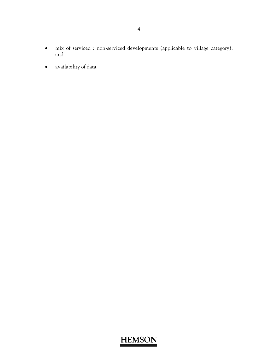- mix of serviced : non-serviced developments (applicable to village category); and
- availability of data.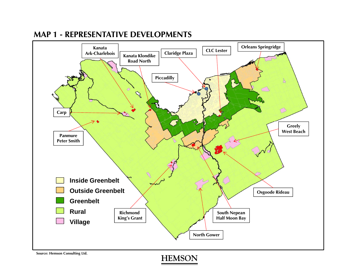

# **MAP 1 - REPRESENTATIVE DEVELOPMENTS**

**Source: Hemson Consulting Ltd.**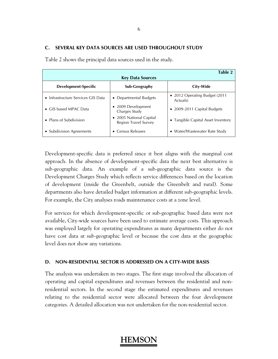### **C. SEVERAL KEY DATA SOURCES ARE USED THROUGHOUT STUDY**

| Table 2<br><b>Key Data Sources</b>         |                                                 |                                            |  |  |  |  |  |  |  |
|--------------------------------------------|-------------------------------------------------|--------------------------------------------|--|--|--|--|--|--|--|
| Development-Specific                       | Sub-Geography                                   | City-Wide                                  |  |  |  |  |  |  |  |
| $\bullet$ Infrastructure Services GIS Data | • Departmental Budgets                          | • 2012 Operating Budget (2011)<br>Actuals) |  |  |  |  |  |  |  |
| • GIS based MPAC Data                      | • 2009 Development<br>Charges Study             | $\bullet$ 2009-2011 Capital Budgets        |  |  |  |  |  |  |  |
| • Plans of Subdivision                     | • 2005 National Capital<br>Region Travel Survey | • Tangible Capital Asset Inventory         |  |  |  |  |  |  |  |
| • Subdivision Agreements                   | Census Releases<br>$\bullet$                    | • Water/Wastewater Rate Study              |  |  |  |  |  |  |  |

Table 2 shows the principal data sources used in the study.

Development-specific data is preferred since it best aligns with the marginal cost approach. In the absence of development-specific data the next best alternative is sub-geographic data. An example of a sub-geographic data source is the Development Charges Study which reflects service differences based on the location of development (inside the Greenbelt, outside the Greenbelt and rural). Some departments also have detailed budget information at different sub-geographic levels. For example, the City analyses roads maintenance costs at a zone level.

For services for which development-specific or sub-geographic based data were not available, City-wide sources have been used to estimate average costs. This approach was employed largely for operating expenditures as many departments either do not have cost data at sub-geographic level or because the cost data at the geographic level does not show any variations.

### **D. NON-RESIDENTIAL SECTOR IS ADDRESSED ON A CITY-WIDE BASIS**

The analysis was undertaken in two stages. The first stage involved the allocation of operating and capital expenditures and revenues between the residential and nonresidential sectors. In the second stage the estimated expenditures and revenues relating to the residential sector were allocated between the four development categories. A detailed allocation was not undertaken for the non-residential sector.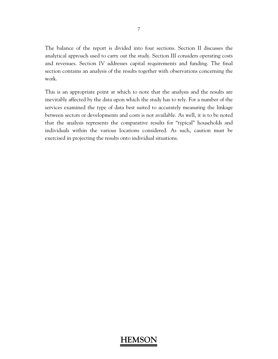The balance of the report is divided into four sections. Section II discusses the analytical approach used to carry out the study. Section III considers operating costs and revenues. Section IV addresses capital requirements and funding. The final section contains an analysis of the results together with observations concerning the work.

This is an appropriate point at which to note that the analysis and the results are inevitably affected by the data upon which the study has to rely. For a number of the services examined the type of data best suited to accurately measuring the linkage between sectors or developments and costs is not available. As well, it is to be noted that the analysis represents the comparative results for "typical" households and individuals within the various locations considered. As such, caution must be exercised in projecting the results onto individual situations.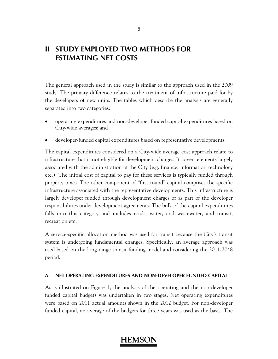# **II STUDY EMPLOYED TWO METHODS FOR ESTIMATING NET COSTS**

The general approach used in the study is similar to the approach used in the 2009 study. The primary difference relates to the treatment of infrastructure paid for by the developers of new units. The tables which describe the analysis are generally separated into two categories:

- operating expenditures and non-developer funded capital expenditures based on City-wide averages; and
- developer-funded capital expenditures based on representative developments.

The capital expenditures considered on a City-wide average cost approach relate to infrastructure that is not eligible for development charges. It covers elements largely associated with the administration of the City (e.g. finance, information technology etc.). The initial cost of capital to pay for these services is typically funded through property taxes. The other component of "first round" capital comprises the specific infrastructure associated with the representative developments. This infrastructure is largely developer funded through development charges or as part of the developer responsibilities under development agreements. The bulk of the capital expenditures falls into this category and includes roads, water, and wastewater, and transit, recreation etc.

A service-specific allocation method was used for transit because the City's transit system is undergoing fundamental changes. Specifically, an average approach was used based on the long-range transit funding model and considering the 2011-2048 period.

### **A. NET OPERATING EXPENDITURES AND NON-DEVELOPER FUNDED CAPITAL**

As is illustrated on Figure 1, the analysis of the operating and the non-developer funded capital budgets was undertaken in two stages. Net operating expenditures were based on 2011 actual amounts shown in the 2012 budget. For non-developer funded capital, an average of the budgets for three years was used as the basis. The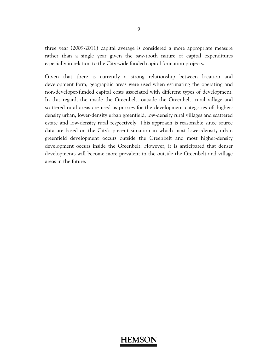three year (2009-2011) capital average is considered a more appropriate measure rather than a single year given the saw-tooth nature of capital expenditures especially in relation to the City-wide funded capital formation projects.

Given that there is currently a strong relationship between location and development form, geographic areas were used when estimating the operating and non-developer-funded capital costs associated with different types of development. In this regard, the inside the Greenbelt, outside the Greenbelt, rural village and scattered rural areas are used as proxies for the development categories of: higherdensity urban, lower-density urban greenfield, low-density rural villages and scattered estate and low-density rural respectively. This approach is reasonable since source data are based on the City's present situation in which most lower-density urban greenfield development occurs outside the Greenbelt and most higher-density development occurs inside the Greenbelt. However, it is anticipated that denser developments will become more prevalent in the outside the Greenbelt and village areas in the future.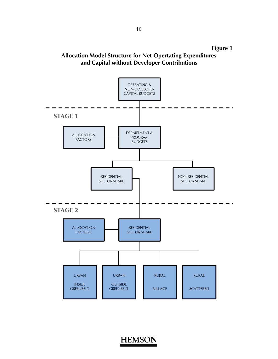

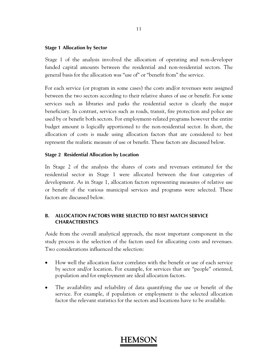#### **Stage 1 Allocation by Sector**

Stage 1 of the analysis involved the allocation of operating and non-developer funded capital amounts between the residential and non-residential sectors. The general basis for the allocation was "use of" or "benefit from" the service.

For each service (or program in some cases) the costs and/or revenues were assigned between the two sectors according to their relative shares of use or benefit. For some services such as libraries and parks the residential sector is clearly the major beneficiary. In contrast, services such as roads, transit, fire protection and police are used by or benefit both sectors. For employment-related programs however the entire budget amount is logically apportioned to the non-residential sector. In short, the allocation of costs is made using allocation factors that are considered to best represent the realistic measure of use or benefit. These factors are discussed below.

#### **Stage 2 Residential Allocation by Location**

In Stage 2 of the analysis the shares of costs and revenues estimated for the residential sector in Stage 1 were allocated between the four categories of development. As in Stage 1, allocation factors representing measures of relative use or benefit of the various municipal services and programs were selected. These factors are discussed below.

### **B. ALLOCATION FACTORS WERE SELECTED TO BEST MATCH SERVICE CHARACTERISTICS**

Aside from the overall analytical approach, the most important component in the study process is the selection of the factors used for allocating costs and revenues. Two considerations influenced the selection:

- How well the allocation factor correlates with the benefit or use of each service by sector and/or location. For example, for services that are "people" oriented, population and for employment are ideal allocation factors.
- The availability and reliability of data quantifying the use or benefit of the service. For example, if population or employment is the selected allocation factor the relevant statistics for the sectors and locations have to be available.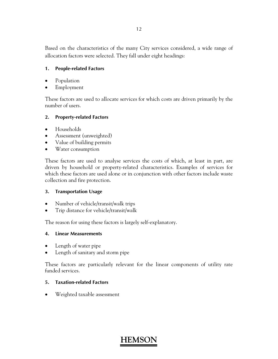Based on the characteristics of the many City services considered, a wide range of allocation factors were selected. They fall under eight headings:

### **1. People-related Factors**

- Population
- Employment

These factors are used to allocate services for which costs are driven primarily by the number of users.

### **2. Property-related Factors**

- Households
- Assessment (unweighted)
- Value of building permits
- Water consumption

These factors are used to analyse services the costs of which, at least in part, are driven by household or property-related characteristics. Examples of services for which these factors are used alone or in conjunction with other factors include waste collection and fire protection.

### **3. Transportation Usage**

- Number of vehicle/transit/walk trips
- Trip distance for vehicle/transit/walk

The reason for using these factors is largely self-explanatory.

### **4. Linear Measurements**

- Length of water pipe
- Length of sanitary and storm pipe

These factors are particularly relevant for the linear components of utility rate funded services.

### **5. Taxation-related Factors**

Weighted taxable assessment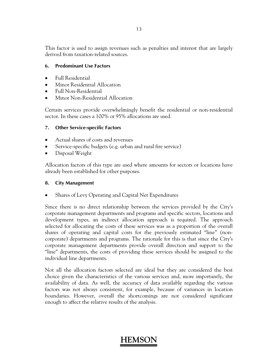This factor is used to assign revenues such as penalties and interest that are largely derived from taxation-related sources.

### **6. Predominant Use Factors**

- Full Residential
- Minor Residential Allocation
- Full Non-Residential
- Minor Non-Residential Allocation

Certain services provide overwhelmingly benefit the residential or non-residential sector. In these cases a 100% or 95% allocations are used.

### **7. Other Service-specific Factors**

- Actual shares of costs and revenues
- Service-specific budgets (e.g. urban and rural fire service)
- Disposal Weight

Allocation factors of this type are used where amounts for sectors or locations have already been established for other purposes.

### **8. City Management**

• Shares of Levy Operating and Capital Net Expenditures

Since there is no direct relationship between the services provided by the City's corporate management departments and programs and specific sectors, locations and development types, an indirect allocation approach is required. The approach selected for allocating the costs of these services was as a proportion of the overall shares of operating and capital costs for the previously estimated "line" (noncorporate) departments and programs. The rationale for this is that since the City's corporate management departments provide overall direction and support to the "line" departments, the costs of providing these services should be assigned to the individual line departments.

Not all the allocation factors selected are ideal but they are considered the best choice given the characteristics of the various services and, more importantly, the availability of data. As well, the accuracy of data available regarding the various factors was not always consistent, for example, because of variances in location boundaries. However, overall the shortcomings are not considered significant enough to affect the relative results of the analysis.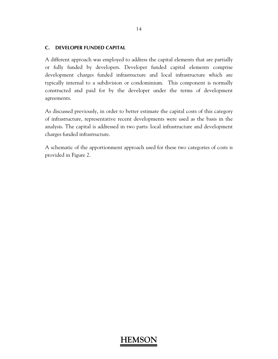### **C. DEVELOPER FUNDED CAPITAL**

A different approach was employed to address the capital elements that are partially or fully funded by developers. Developer funded capital elements comprise development charges funded infrastructure and local infrastructure which are typically internal to a subdivision or condominium. This component is normally constructed and paid for by the developer under the terms of development agreements.

As discussed previously, in order to better estimate the capital costs of this category of infrastructure, representative recent developments were used as the basis in the analysis. The capital is addressed in two parts: local infrastructure and development charges funded infrastructure.

A schematic of the apportionment approach used for these two categories of costs is provided in Figure 2.

#### 14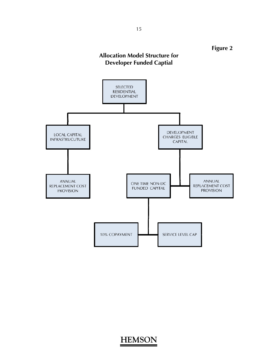

**Figure 2** 



**HEMSON**

15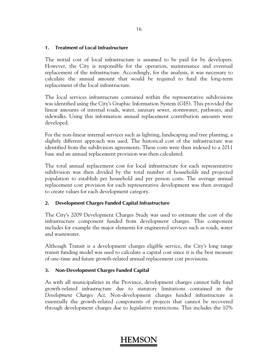### **1. Treatment of Local Infrastructure**

The initial cost of local infrastructure is assumed to be paid for by developers. However, the City is responsible for the operation, maintenance and eventual replacement of the infrastructure. Accordingly, for the analysis, it was necessary to calculate the annual amount that would be required to fund the long-term replacement of the local infrastructure.

The local services infrastructure contained within the representative subdivisions was identified using the City's Graphic Information System (GIS). This provided the linear amounts of internal roads, water, sanitary sewer, stormwater, pathways, and sidewalks. Using this information annual replacement contribution amounts were developed.

For the non-linear internal services such as lighting, landscaping and tree planting, a slightly different approach was used. The historical cost of the infrastructure was identified from the subdivision agreements. These costs were then indexed to a 2011 base and an annual replacement provision was then calculated.

The total annual replacement cost for local infrastructure for each representative subdivision was then divided by the total number of households and projected population to establish per household and per person costs. The average annual replacement cost provision for each representative development was then averaged to create values for each development category.

### **2. Development Charges Funded Capital Infrastructure**

The City's 2009 Development Charges Study was used to estimate the cost of the infrastructure component funded from development charges. This component includes for example the major elements for engineered services such as roads, water and wastewater.

Although Transit is a development charges eligible service, the City's long range transit funding model was used to calculate a capital cost since it is the best measure of one-time and future growth-related annual replacement cost provisions.

#### **3. Non-Development Charges Funded Capital**

As with all municipalities in the Province, development charges cannot fully fund growth-related infrastructure due to statutory limitations contained in the *Development Charges Act*. Non-development charges funded infrastructure is essentially the growth-related components of projects that cannot be recovered through development charges due to legislative restrictions. This includes the 10%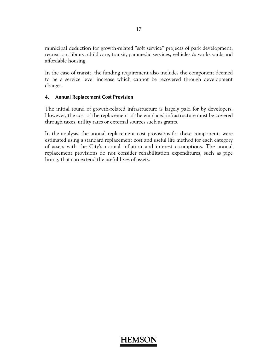municipal deduction for growth-related "soft service" projects of park development, recreation, library, child care, transit, paramedic services, vehicles & works yards and affordable housing.

In the case of transit, the funding requirement also includes the component deemed to be a service level increase which cannot be recovered through development charges.

### **4. Annual Replacement Cost Provision**

The initial round of growth-related infrastructure is largely paid for by developers. However, the cost of the replacement of the emplaced infrastructure must be covered through taxes, utility rates or external sources such as grants.

In the analysis, the annual replacement cost provisions for these components were estimated using a standard replacement cost and useful life method for each category of assets with the City's normal inflation and interest assumptions. The annual replacement provisions do not consider rehabilitation expenditures, such as pipe lining, that can extend the useful lives of assets.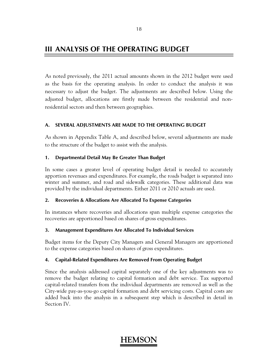### **III ANALYSIS OF THE OPERATING BUDGET**

As noted previously, the 2011 actual amounts shown in the 2012 budget were used as the basis for the operating analysis. In order to conduct the analysis it was necessary to adjust the budget. The adjustments are described below. Using the adjusted budget, allocations are firstly made between the residential and nonresidential sectors and then between geographies.

### **A. SEVERAL ADJUSTMENTS ARE MADE TO THE OPERATING BUDGET**

As shown in Appendix Table A, and described below, several adjustments are made to the structure of the budget to assist with the analysis.

### **1. Departmental Detail May Be Greater Than Budget**

In some cases a greater level of operating budget detail is needed to accurately apportion revenues and expenditures. For example, the roads budget is separated into winter and summer, and road and sidewalk categories. These additional data was provided by the individual departments. Either 2011 or 2010 actuals are used.

### **2. Recoveries & Allocations Are Allocated To Expense Categories**

In instances where recoveries and allocations span multiple expense categories the recoveries are apportioned based on shares of gross expenditures.

### **3. Management Expenditures Are Allocated To Individual Services**

Budget items for the Deputy City Managers and General Managers are apportioned to the expense categories based on shares of gross expenditures.

### **4. Capital-Related Expenditures Are Removed From Operating Budget**

Since the analysis addressed capital separately one of the key adjustments was to remove the budget relating to capital formation and debt service. Tax supported capital-related transfers from the individual departments are removed as well as the City-wide pay-as-you-go capital formation and debt servicing costs. Capital costs are added back into the analysis in a subsequent step which is described in detail in Section IV.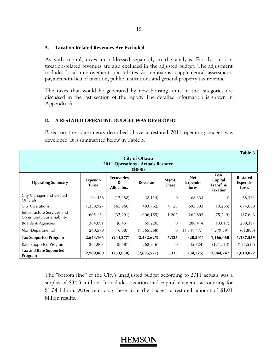#### **5. Taxation-Related Revenues Are Excluded**

As with capital, taxes are addressed separately in the analysis. For this reason, taxation-related revenues are also excluded in the adjusted budget. The adjustment includes local improvement tax rebates & remissions, supplemental assessment, payments-in-lieu of taxation, public institutions and general property tax revenue.

The taxes that would be generated by new housing units in the categories are discussed in the last section of the report. The detailed information is shown in Appendix A.

#### **B. A RESTATED OPERATING BUDGET WAS DEVELOPED**

Based on the adjustments described above a restated 2011 operating budget was developed. It is summarized below in Table 3.

|                                                                              |                   |                                      |               |                       |                                 |                                                        | Table 3                              |  |  |  |  |
|------------------------------------------------------------------------------|-------------------|--------------------------------------|---------------|-----------------------|---------------------------------|--------------------------------------------------------|--------------------------------------|--|--|--|--|
| <b>City of Ottawa</b><br><b>2011 Operations - Actuals Restated</b><br>(5000) |                   |                                      |               |                       |                                 |                                                        |                                      |  |  |  |  |
| <b>Operating Summary</b>                                                     | Expendi-<br>tures | <b>Recoveries</b><br>&<br>Allocatns. | Revenue       | Mgmt.<br><b>Share</b> | <b>Net</b><br>Expendi-<br>tures | <b>Less</b><br>Capital<br>Transf. &<br><b>Taxation</b> | <b>Restated</b><br>Expendi-<br>tures |  |  |  |  |
| City Manager and Elected<br>Officials                                        | 94,436            | (17,988)                             | (8, 114)      | $\overline{0}$        | 68,334                          | $\Omega$                                               | 68,334                               |  |  |  |  |
| <b>City Operations</b>                                                       | 1,338,927         | (165, 960)                           | (483, 762)    | 4,128                 | 693,333                         | (19, 265)                                              | 674,068                              |  |  |  |  |
| Infrastructure Services and<br>Community Sustainability                      | 605,134           | (37, 291)                            | (306, 155)    | 1,207                 | 262,895                         | (75, 249)                                              | 187,646                              |  |  |  |  |
| Boards & Agencies                                                            | 364,091           | (6, 451)                             | (69, 226)     | $\overline{0}$        | 288,414                         | (19,017)                                               | 269,397                              |  |  |  |  |
| Non-Departmental                                                             | 240,578           | (16,687)                             | (1, 565, 368) | $\overline{0}$        | (1,341,477)                     | 1,279,591                                              | (61, 886)                            |  |  |  |  |
| <b>Tax Supported Program</b>                                                 | 2,643,166         | (244, 377)                           | (2,432,625)   | 5,335                 | (28, 501)                       | 1,166,060                                              | 1,137,559                            |  |  |  |  |
| Rate Supported Program                                                       | 265,903           | (8,681)                              | (262, 946)    | $\mathbf{0}$          | (5,724)                         | (121, 813)                                             | (127, 537)                           |  |  |  |  |
| <b>Tax and Rate Supported</b><br>Program                                     | 2,909,069         | (253,058)                            | (2,695,571)   | 5,335                 | (34, 225)                       | 1,044,247                                              | 1,010,022                            |  |  |  |  |

The "bottom line" of the City's unadjusted budget according to 2011 actuals was a surplus of \$34.3 million. It includes taxation and capital elements accounting for \$1.04 billion. After removing these from the budget, a restated amount of \$1.01 billion results.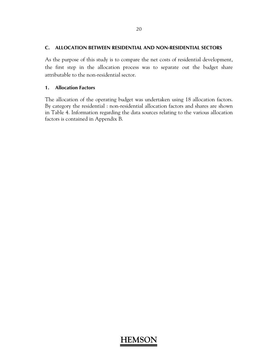#### **C. ALLOCATION BETWEEN RESIDENTIAL AND NON-RESIDENTIAL SECTORS**

As the purpose of this study is to compare the net costs of residential development, the first step in the allocation process was to separate out the budget share attributable to the non-residential sector.

#### **1. Allocation Factors**

The allocation of the operating budget was undertaken using 18 allocation factors. By category the residential : non-residential allocation factors and shares are shown in Table 4. Information regarding the data sources relating to the various allocation factors is contained in Appendix B.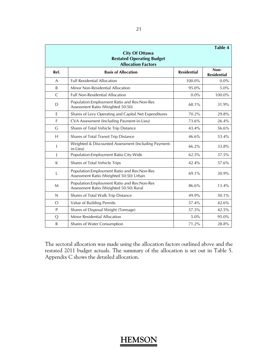|              | <b>City Of Ottawa</b><br><b>Restated Operating Budget</b><br><b>Allocation Factors</b>   |                    | Table 4                    |
|--------------|------------------------------------------------------------------------------------------|--------------------|----------------------------|
| Ref.         | <b>Basis of Allocation</b>                                                               | <b>Residential</b> | Non-<br><b>Residential</b> |
| A            | <b>Full Residential Allocation</b>                                                       | 100.0%             | $0.0\%$                    |
| B            | Minor Non-Residential Allocation                                                         | 95.0%              | $5.0\%$                    |
| $\mathsf{C}$ | <b>Full Non-Residential Allocation</b>                                                   | $0.0\%$            | 100.0%                     |
| D            | Population: Employment Ratio and Res: Non-Res<br>Assessment Ratio (Weighted 50:50)       | 68.1%              | 31.9%                      |
| E            | Shares of Levy Operating and Capital Net Expenditures                                    | 70.2%              | 29.8%                      |
| F            | CVA Assessment (Including Payment-in-Lieu)                                               | 73.6%              | 26.4%                      |
| G            | Shares of Total Vehicle Trip Distance                                                    | 43.4%              | 56.6%                      |
| H            | Shares of Total Transit Trip Distance                                                    | 46.6%              | 53.4%                      |
| $\mathbf{I}$ | Weighted & Discounted Assessment (Including Payment-<br>in-Lieu)                         | 66.2%              | 33.8%                      |
| $\mathsf{I}$ | Population: Employment Ratio City-Wide                                                   | 62.5%              | 37.5%                      |
| K            | Shares of Total Vehicle Trips                                                            | 42.4%              | 57.6%                      |
| L            | Population: Employment Ratio and Res: Non-Res<br>Assessment Ratio (Weighted 50:50) Urban | 69.1%              | 30.9%                      |
| M            | Population: Employment Ratio and Res: Non-Res<br>Assessment Ratio (Weighted 50:50) Rural | 86.6%              | 13.4%                      |
| $\mathsf{N}$ | Shares of Total Walk Trip Distance                                                       | 49.9%              | 50.1%                      |
| $\circ$      | Value of Building Permits                                                                | 57.4%              | 42.6%                      |
| P            | Shares of Disposal Weight (Tonnage)                                                      | 57.5%              | 42.5%                      |
| Q            | Minor Residential Allocation                                                             | 5.0%               | 95.0%                      |
| $\mathsf{R}$ | Shares of Water Consumption                                                              | 71.2%              | 28.8%                      |

The sectoral allocation was made using the allocation factors outlined above and the restated 2011 budget actuals. The summary of the allocation is set out in Table 5. Appendix C shows the detailed allocation.

#### 21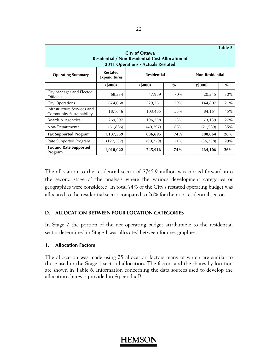| Table 5<br><b>City of Ottawa</b><br><b>Residential / Non-Residential Cost Allocation of</b><br>2011 Operations - Actuals Restated |                                        |                    |            |                        |      |  |  |  |  |  |  |
|-----------------------------------------------------------------------------------------------------------------------------------|----------------------------------------|--------------------|------------|------------------------|------|--|--|--|--|--|--|
| <b>Operating Summary</b>                                                                                                          | <b>Restated</b><br><b>Expenditures</b> | <b>Residential</b> |            | <b>Non-Residential</b> |      |  |  |  |  |  |  |
|                                                                                                                                   | (5000)                                 | (5000)             | $\%$       | (5000)                 | $\%$ |  |  |  |  |  |  |
| City Manager and Elected<br><b>Officials</b>                                                                                      | 68,334                                 | 47,989             | 70%        | 20,345                 | 30%  |  |  |  |  |  |  |
| <b>City Operations</b>                                                                                                            | 674,068                                | 529,261            | 79%        | 144,807                | 21%  |  |  |  |  |  |  |
| Infrastructure Services and<br>Community Sustainability                                                                           | 187,646                                | 103,485            | 55%        | 84,161                 | 45%  |  |  |  |  |  |  |
| Boards & Agencies                                                                                                                 | 269,397                                | 196,258            | 73%        | 73,139                 | 27%  |  |  |  |  |  |  |
| Non-Departmental                                                                                                                  | (61, 886)                              | (40, 297)          | 65%        | (21, 589)              | 35%  |  |  |  |  |  |  |
| <b>Tax Supported Program</b>                                                                                                      | 1,137,559                              | 836,695            | 74%        | 300,864                | 26%  |  |  |  |  |  |  |
| Rate Supported Program                                                                                                            | (127, 537)                             | (90, 779)          | 71%        | (36, 758)              | 29%  |  |  |  |  |  |  |
| <b>Tax and Rate Supported</b><br>Program                                                                                          | 1,010,022                              | 745,916            | <b>74%</b> | 264,106                | 26%  |  |  |  |  |  |  |

The allocation to the residential sector of \$745.9 million was carried forward into the second stage of the analysis where the various development categories or geographies were considered. In total 74% of the City's restated operating budget was allocated to the residential sector compared to 26% for the non-residential sector.

### **D. ALLOCATION BETWEEN FOUR LOCATION CATEGORIES**

In Stage 2 the portion of the net operating budget attributable to the residential sector determined in Stage 1 was allocated between four geographies.

### **1. Allocation Factors**

The allocation was made using 25 allocation factors many of which are similar to those used in the Stage 1 sectoral allocation. The factors and the shares by location are shown in Table 6. Information concerning the data sources used to develop the allocation shares is provided in Appendix B.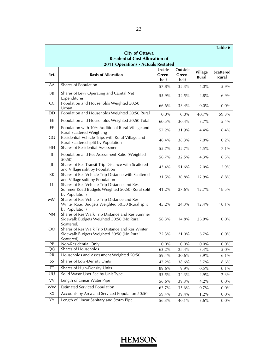|                 |                                                                                                                  |                          |                           |                         | Table 6                   |
|-----------------|------------------------------------------------------------------------------------------------------------------|--------------------------|---------------------------|-------------------------|---------------------------|
|                 | <b>City of Ottawa</b>                                                                                            |                          |                           |                         |                           |
|                 | <b>Residential Cost Allocation of</b>                                                                            |                          |                           |                         |                           |
|                 | <b>2011 Operations - Actuals Restated</b>                                                                        |                          |                           |                         |                           |
| Ref.            | <b>Basis of Allocation</b>                                                                                       | Inside<br>Green-<br>belt | Outside<br>Green-<br>belt | <b>Village</b><br>Rural | <b>Scattered</b><br>Rural |
| AA              | Shares of Population                                                                                             | 57.8%                    | 32.3%                     | 4.0%                    | 5.9%                      |
| <b>BB</b>       | Shares of Levy Operating and Capital Net<br>Expenditures                                                         | 55.9%                    | 32.5%                     | 4.8%                    | $6.9\%$                   |
| CC              | Population and Households Weighted 50:50<br>Urban                                                                | 66.6%                    | 33.4%                     | $0.0\%$                 | $0.0\%$                   |
| DD              | Population and Households Weighted 50:50 Rural                                                                   | $0.0\%$                  | $0.0\%$                   | 40.7%                   | 59.3%                     |
| EE              | Population and Households Weighted 50:50 Total                                                                   | 60.5%                    | 30.4%                     | 3.7%                    | 5.4%                      |
| FF              | Population with 10% Additional Rural Village and<br>Rural Scattered Weighting                                    | 57.2%                    | 31.9%                     | 4.4%                    | 6.4%                      |
| GG              | Residential Vehicle Trips with Rural Village and<br>Rural Scattered split by Population                          | 46.4%                    | 36.3%                     | $7.0\%$                 | 10.2%                     |
| $\overline{HH}$ | <b>Shares of Residential Assessment</b>                                                                          | 55.7%                    | 32.7%                     | 4.5%                    | 7.1%                      |
| $\mathbf{II}$   | Population and Res Assessment Ratio (Weighted<br>50:50                                                           | 56.7%                    | 32.5%                     | 4.3%                    | 6.5%                      |
| JJ              | Shares of Res Transit Trip Distance with Scattered<br>and Village split by Population                            | 43.4%                    | 51.6%                     | 2.0%                    | 2.9%                      |
| KK              | Shares of Res Vehicle Trip Distance with Scattered<br>and Village split by Population                            | 31.5%                    | 36.8%                     | 12.9%                   | 18.8%                     |
| LL              | Shares of Res Vehicle Trip Distance and Res<br>Summer Road Budgets Weighted 50:50 (Rural split<br>by Population) | 41.2%                    | 27.6%                     | 12.7%                   | 18.5%                     |
| <b>MM</b>       | Shares of Res Vehicle Trip Distance and Res<br>Winter Road Budgets Weighted 50:50 (Rural split<br>by Population) | 45.2%                    | 24.3%                     | 12.4%                   | 18.1%                     |
| NN              | Shares of Res Walk Trip Distance and Res Summer<br>Sidewalk Budgets Weighted 50:50 (No Rural<br>Scattered)       | 58.3%                    | 14.8%                     | 26.9%                   | $0.0\%$                   |
| $\overline{O}O$ | Shares of Res Walk Trip Distance and Res Winter<br>Sidewalk Budgets Weighted 50:50 (No Rural<br>Scattered)       | 72.3%                    | 21.0%                     | 6.7%                    | $0.0\%$                   |
| PP              | Non-Residential Only                                                                                             | $0.0\%$                  | $0.0\%$                   | $0.0\%$                 | $0.0\%$                   |
| QQ              | Shares of Households                                                                                             | 63.2%                    | 28.4%                     | 3.4%                    | 5.0%                      |
| <b>RR</b>       | Households and Assessment Weighted 50:50                                                                         | 59.4%                    | 30.6%                     | $3.9\%$                 | $6.1\%$                   |
| SS              | Shares of Low-Density Units                                                                                      | 47.2%                    | 38.6%                     | 5.7%                    | $8.6\%$                   |
| <b>TT</b>       | Shares of High-Density Units                                                                                     | 89.6%                    | 9.9%                      | 0.5%                    | 0.1%                      |
| UU              | Solid Waste User Fee by Unit Type                                                                                | 53.5%                    | 34.3%                     | 4.9%                    | 7.3%                      |
| VV              | Length of Linear Water Pipe                                                                                      | 56.6%                    | 39.3%                     | 4.2%                    | $0.0\%$                   |
| <b>WW</b>       | <b>Estimated Serviced Population</b>                                                                             | 63.7%                    | 35.6%                     | $0.7\%$                 | $0.0\%$                   |
| XX              | Accounts by Area and Serviced Population 50:50                                                                   | 59.4%                    | 39.4%                     | 1.2%                    | $0.0\%$                   |
| YY              | Length of Linear Sanitary and Storm Pipe                                                                         | 56.3%                    | 40.1%                     | 3.6%                    | $0.0\%$                   |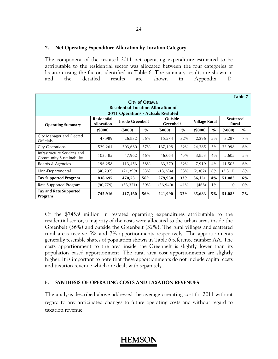#### **2. Net Operating Expenditure Allocation by Location Category**

The component of the restated 2011 net operating expenditure estimated to be attributable to the residential sector was allocated between the four categories of location using the factors identified in Table 6. The summary results are shown in and the detailed results are shown in Appendix D.

| Table 7                                                            |                                         |                         |      |                                    |      |                      |       |                           |       |  |  |  |
|--------------------------------------------------------------------|-----------------------------------------|-------------------------|------|------------------------------------|------|----------------------|-------|---------------------------|-------|--|--|--|
| <b>City of Ottawa</b><br><b>Residential Location Allocation of</b> |                                         |                         |      |                                    |      |                      |       |                           |       |  |  |  |
| <b>2011 Operations - Actuals Restated</b>                          |                                         |                         |      |                                    |      |                      |       |                           |       |  |  |  |
| <b>Operating Summary</b>                                           | <b>Residential</b><br><b>Allocation</b> | <b>Inside Greenbelt</b> |      | <b>Outside</b><br><b>Greenbelt</b> |      | <b>Village Rural</b> |       | <b>Scattered</b><br>Rural |       |  |  |  |
|                                                                    | (5000)                                  | (5000)                  | $\%$ | (5000)                             | $\%$ | (\$000)              | $\%$  | (\$000)                   | $\%$  |  |  |  |
| City Manager and Elected<br><b>Officials</b>                       | 47,989                                  | 26,832                  | 56%  | 15,574                             | 32%  | 2,296                | 5%    | 3,287                     | $7\%$ |  |  |  |
| <b>City Operations</b>                                             | 529,261                                 | 303,680                 | 57%  | 167,198                            | 32%  | 24,385               | 5%    | 33,998                    | 6%    |  |  |  |
| Infrastructure Services and<br>Community Sustainability            | 103,485                                 | 47,962                  | 46%  | 46,064                             | 45%  | 3,853                | 4%    | 5,605                     | $5\%$ |  |  |  |
| Boards & Agencies                                                  | 196,258                                 | 113,456                 | 58%  | 63,379                             | 32%  | 7,919                | 4%    | 11,503                    | $6\%$ |  |  |  |
| Non-Departmental                                                   | (40, 297)                               | (21, 399)               | 53%  | (13, 284)                          | 33%  | (2,302)              | 6%    | (3, 311)                  | 8%    |  |  |  |
| <b>Tax Supported Program</b>                                       | 836,695                                 | 470,531                 | 56%  | 279,930                            | 33%  | 36,151               | 4%    | 51,083                    | $6\%$ |  |  |  |
| Rate Supported Program                                             | (90, 779)                               | (53, 371)               | 59%  | (36, 940)                          | 41%  | (468)                | $1\%$ | $\Omega$                  | $0\%$ |  |  |  |
| <b>Tax and Rate Supported</b><br>Program                           | 745,916                                 | 417,160                 | 56%  | 241,990                            | 32%  | 35,683               | $5\%$ | 51,083                    | $7\%$ |  |  |  |

Of the \$745.9 million in restated operating expenditures attributable to the residential sector, a majority of the costs were allocated to the urban areas inside the Greenbelt (56%) and outside the Greenbelt (32%). The rural villages and scattered rural areas receive 5% and 7% apportionments respectively. The apportionments generally resemble shares of population shown in Table 6 reference number AA. The costs apportionment to the area inside the Greenbelt is slightly lower than its population based apportionment. The rural area cost apportionments are slightly higher. It is important to note that these apportionments do not include capital costs and taxation revenue which are dealt with separately.

#### **E. SYNTHESIS OF OPERATING COSTS AND TAXATION REVENUES**

The analysis described above addressed the average operating cost for 2011 without regard to any anticipated changes to future operating costs and without regard to taxation revenue.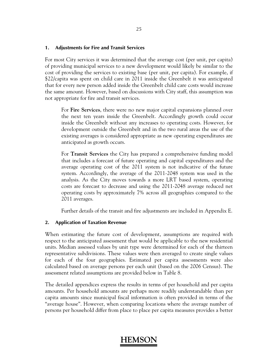#### **1. Adjustments for Fire and Transit Services**

For most City services it was determined that the average cost (per unit, per capita) of providing municipal services to a new development would likely be similar to the cost of providing the services to existing base (per unit, per capita). For example, if \$22/capita was spent on child care in 2011 inside the Greenbelt it was anticipated that for every new person added inside the Greenbelt child care costs would increase the same amount. However, based on discussions with City staff, this assumption was not appropriate for fire and transit services.

For **Fire Services**, there were no new major capital expansions planned over the next ten years inside the Greenbelt. Accordingly growth could occur inside the Greenbelt without any increases to operating costs. However, for development outside the Greenbelt and in the two rural areas the use of the existing averages is considered appropriate as new operating expenditures are anticipated as growth occurs.

For **Transit Services** the City has prepared a comprehensive funding model that includes a forecast of future operating and capital expenditures and the average operating cost of the 2011 system is not indicative of the future system. Accordingly, the average of the 2011-2048 system was used in the analysis. As the City moves towards a more LRT based system, operating costs are forecast to decrease and using the 2011-2048 average reduced net operating costs by approximately 7% across all geographies compared to the 2011 averages.

Further details of the transit and fire adjustments are included in Appendix E.

### **2. Application of Taxation Revenue**

When estimating the future cost of development, assumptions are required with respect to the anticipated assessment that would be applicable to the new residential units. Median assessed values by unit type were determined for each of the thirteen representative subdivisions. These values were then averaged to create single values for each of the four geographies. Estimated per capita assessments were also calculated based on average persons per each unit (based on the 2006 Census). The assessment related assumptions are provided below in Table 8.

The detailed appendices express the results in terms of per household and per capita amounts. Per household amounts are perhaps more readily understandable than per capita amounts since municipal fiscal information is often provided in terms of the "average house". However, when comparing locations where the average number of persons per household differ from place to place per capita measures provides a better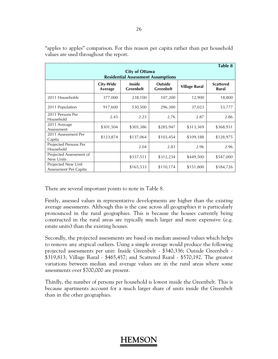|                                                                    |                      |                                   |                                    |                      | Table 8                          |  |  |  |  |  |  |  |
|--------------------------------------------------------------------|----------------------|-----------------------------------|------------------------------------|----------------------|----------------------------------|--|--|--|--|--|--|--|
| <b>City of Ottawa</b><br><b>Residential Assessment Assumptions</b> |                      |                                   |                                    |                      |                                  |  |  |  |  |  |  |  |
|                                                                    | City-Wide<br>Average | <b>Inside</b><br><b>Greenbelt</b> | <b>Outside</b><br><b>Greenbelt</b> | <b>Village Rural</b> | <b>Scattered</b><br><b>Rural</b> |  |  |  |  |  |  |  |
| 2011 Households                                                    | 377,000              | 238,100                           | 107,200                            | 12,900               | 18,800                           |  |  |  |  |  |  |  |
| 2011 Population                                                    | 917,600              | 530,500                           | 296,300                            | 37,023               | 53,777                           |  |  |  |  |  |  |  |
| 2011 Persons Per<br>Household                                      | 2.43                 | 2.23                              | 2.76                               | 2.87                 | 2.86                             |  |  |  |  |  |  |  |
| 2011 Average<br>Assessment                                         | \$301,504            | \$305,386                         | \$285,947                          | \$313,369            | \$368,931                        |  |  |  |  |  |  |  |
| 2011 Assessment Per<br>Capita                                      | \$123,874            | \$137,064                         | \$103,454                          | \$109,188            | \$128,975                        |  |  |  |  |  |  |  |
| Projected Persons Per<br>Household                                 |                      | 2.04                              | 2.83                               | 2.96                 | 2.96                             |  |  |  |  |  |  |  |
| Projected Assessment of<br>New Units                               |                      | \$337,511                         | \$312,234                          | \$449,500            | \$547,000                        |  |  |  |  |  |  |  |
| Projected New Unit<br>Assessment Per Capita                        |                      | \$165,533                         | \$110,174                          | \$151,800            | \$184,726                        |  |  |  |  |  |  |  |

"apples to apples" comparison. For this reason per capita rather than per household values are used throughout the report.

There are several important points to note in Table 8.

Firstly, assessed values in representative developments are higher than the existing average assessments. Although this is the case across all geographies it is particularly pronounced in the rural geographies. This is because the houses currently being constructed in the rural areas are typically much larger and more expensive (e.g. estate units) than the existing houses.

Secondly, the projected assessments are based on median assessed values which helps to remove any atypical outliers. Using a simple average would produce the following projected assessments per unit: Inside Greenbelt - \$340,336; Outside Greenbelt - \$319,813; Village Rural - \$465,457; and Scattered Rural - \$570,192. The greatest variations between median and average values are in the rural areas where some assessments over \$700,000 are present.

Thirdly, the number of persons per household is lowest inside the Greenbelt. This is because apartments account for a much larger share of units inside the Greenbelt than in the other geographies.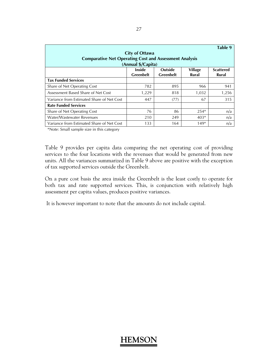| Table 9<br><b>City of Ottawa</b><br><b>Comparative Net Operating Cost and Assessment Analysis</b><br>(Annual \$/Capita)  |       |      |        |       |  |  |  |  |  |  |
|--------------------------------------------------------------------------------------------------------------------------|-------|------|--------|-------|--|--|--|--|--|--|
| <b>Village</b><br><b>Outside</b><br>Inside<br><b>Scattered</b><br><b>Greenbelt</b><br><b>Greenbelt</b><br>Rural<br>Rural |       |      |        |       |  |  |  |  |  |  |
| <b>Tax Funded Services</b>                                                                                               |       |      |        |       |  |  |  |  |  |  |
| Share of Net Operating Cost                                                                                              | 782   | 895  | 966    | 941   |  |  |  |  |  |  |
| Assessment Based Share of Net Cost                                                                                       | 1,229 | 818  | 1,032  | 1,256 |  |  |  |  |  |  |
| Variance from Estimated Share of Net Cost                                                                                | 447   | (77) | 67     | 315   |  |  |  |  |  |  |
| <b>Rate Funded Services</b>                                                                                              |       |      |        |       |  |  |  |  |  |  |
| Share of Net Operating Cost                                                                                              | 76    | 86   | $254*$ | n/a   |  |  |  |  |  |  |
| Water/Wastewater Revenues                                                                                                | 210   | 249  | $403*$ | n/a   |  |  |  |  |  |  |
| Variance from Estimated Share of Net Cost                                                                                | 133   | 164  | $149*$ | n/a   |  |  |  |  |  |  |

\*Note: Small sample size in this category

Table 9 provides per capita data comparing the net operating cost of providing services to the four locations with the revenues that would be generated from new units. All the variances summarized in Table 9 above are positive with the exception of tax supported services outside the Greenbelt.

On a pure cost basis the area inside the Greenbelt is the least costly to operate for both tax and rate supported services. This, is conjunction with relatively high assessment per capita values, produces positive variances.

It is however important to note that the amounts do not include capital.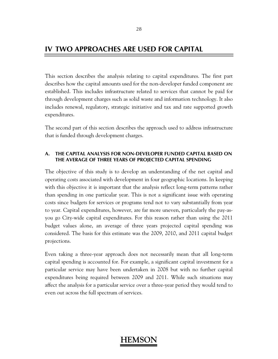### **IV TWO APPROACHES ARE USED FOR CAPITAL**

This section describes the analysis relating to capital expenditures. The first part describes how the capital amounts used for the non-developer funded component are established. This includes infrastructure related to services that cannot be paid for through development charges such as solid waste and information technology. It also includes renewal, regulatory, strategic initiative and tax and rate supported growth expenditures.

The second part of this section describes the approach used to address infrastructure that is funded through development charges.

#### **A. THE CAPITAL ANALYSIS FOR NON-DEVELOPER FUNDED CAPITAL BASED ON THE AVERAGE OF THREE YEARS OF PROJECTED CAPITAL SPENDING**

The objective of this study is to develop an understanding of the net capital and operating costs associated with development in four geographic locations. In keeping with this objective it is important that the analysis reflect long-term patterns rather than spending in one particular year. This is not a significant issue with operating costs since budgets for services or programs tend not to vary substantially from year to year. Capital expenditures, however, are far more uneven, particularly the pay-asyou go City-wide capital expenditures. For this reason rather than using the 2011 budget values alone, an average of three years projected capital spending was considered. The basis for this estimate was the 2009, 2010, and 2011 capital budget projections.

Even taking a three-year approach does not necessarily mean that all long-term capital spending is accounted for. For example, a significant capital investment for a particular service may have been undertaken in 2008 but with no further capital expenditures being required between 2009 and 2011. While such situations may affect the analysis for a particular service over a three-year period they would tend to even out across the full spectrum of services.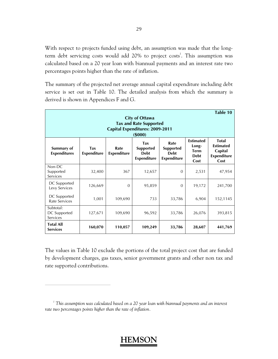With respect to projects funded using debt, an assumption was made that the longterm debt servicing costs would add 20% to project costs<sup>1</sup>. This assumption was calculated based on a 20 year loan with biannual payments and an interest rate two percentages points higher than the rate of inflation.

The summary of the projected net average annual capital expenditure including debt service is set out in Table 10. The detailed analysis from which the summary is derived is shown in Appendices F and G.

| Table 10<br><b>City of Ottawa</b><br><b>Tax and Rate Supported</b><br><b>Capital Expenditures: 2009-2011</b><br>(5000) |                           |                            |                                                                     |                                                               |        |                                                                           |  |  |
|------------------------------------------------------------------------------------------------------------------------|---------------------------|----------------------------|---------------------------------------------------------------------|---------------------------------------------------------------|--------|---------------------------------------------------------------------------|--|--|
| Summary of<br><b>Expenditures</b>                                                                                      | Tax<br><b>Expenditure</b> | Rate<br><b>Expenditure</b> | <b>Tax</b><br><b>Supported</b><br><b>Debt</b><br><b>Expenditure</b> | Rate<br><b>Supported</b><br><b>Debt</b><br><b>Expenditure</b> |        | <b>Total</b><br><b>Estimated</b><br>Capital<br><b>Expenditure</b><br>Cost |  |  |
| Non-DC<br>Supported<br>Services                                                                                        | 32,400                    | 367                        | 12,657                                                              | $\theta$                                                      | 2,531  | 47,954                                                                    |  |  |
| DC Supported<br>Levy Services                                                                                          | 126,669                   | $\Omega$                   | 95,859                                                              | $\mathbf{0}$                                                  | 19,172 | 241,700                                                                   |  |  |
| DC Supported<br><b>Rate Services</b>                                                                                   | 1,001                     | 109,690                    | 733                                                                 | 33,786                                                        | 6,904  | 152,1145                                                                  |  |  |
| Subtotal:<br>DC Supported<br>Services                                                                                  | 127,671                   | 109,690                    | 96,592                                                              | 33,786                                                        | 26,076 | 393,815                                                                   |  |  |
| <b>Total All</b><br><b>Services</b>                                                                                    | 160,070                   | 110,057                    | 109,249                                                             | 33,786                                                        | 28,607 | 441,769                                                                   |  |  |

The values in Table 10 exclude the portions of the total project cost that are funded by development charges, gas taxes, senior government grants and other non tax and rate supported contributions.

 $\overline{a}$ 

<sup>&</sup>lt;sup>1</sup> This assumption was calculated based on a 20 year loan with biannual payments and an interest *rate two percentages points higher than the rate of inflation.*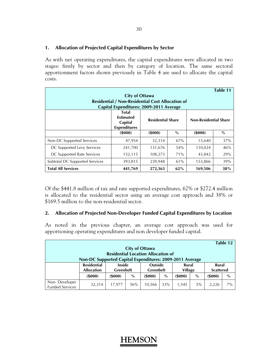### **1. Allocation of Projected Capital Expenditures by Sector**

As with net operating expenditures, the capital expenditures were allocated in two stages: firstly by sector and then by category of location. The same sectoral apportionment factors shown previously in Table 4 are used to allocate the capital costs.

| Table 11                                                |                                                             |                          |      |                              |      |  |  |  |
|---------------------------------------------------------|-------------------------------------------------------------|--------------------------|------|------------------------------|------|--|--|--|
| <b>City of Ottawa</b>                                   |                                                             |                          |      |                              |      |  |  |  |
| <b>Residential / Non-Residential Cost Allocation of</b> |                                                             |                          |      |                              |      |  |  |  |
| Capital Expenditures: 2009-2011 Average                 |                                                             |                          |      |                              |      |  |  |  |
|                                                         | Total<br><b>Estimated</b><br>Capital<br><b>Expenditures</b> | <b>Residential Share</b> |      | <b>Non-Residential Share</b> |      |  |  |  |
|                                                         | $($ \$000 $)$                                               | (5000)                   | $\%$ | (5000)                       | $\%$ |  |  |  |
| Non-DC Supported Services                               | 47,954                                                      | 32,314                   | 67%  | 15,640                       | 37%  |  |  |  |
| DC Supported Levy Services                              | 241,700                                                     | 131,676                  | 54%  | 110,024                      | 46%  |  |  |  |
| DC Supported Rate Services                              | 152,115                                                     | 108,273                  | 71%  | 43,842                       | 29%  |  |  |  |
| Subtotal DC Supported Services                          | 393,815                                                     | 239,948                  | 61%  | 153,866                      | 39%  |  |  |  |
| <b>Total All Services</b>                               | 441,769                                                     | 272,363                  | 62%  | 169,506                      | 38%  |  |  |  |

Of the \$441.8 million of tax and rate supported expenditures, 62% or \$272.4 million is allocated to the residential sector using an average cost approach and 38% or \$169.5 million to the non-residential sector.

### **2. Allocation of Projected Non-Developer Funded Capital Expenditures by Location**

As noted in the previous chapter, an average cost approach was used for apportioning operating expenditures and non developer funded capital.

| Table 12<br><b>City of Ottawa</b><br><b>Residential Location Allocation of</b> |                                         |                                                                                        |      |                                    |      |                         |      |                                  |       |
|--------------------------------------------------------------------------------|-----------------------------------------|----------------------------------------------------------------------------------------|------|------------------------------------|------|-------------------------|------|----------------------------------|-------|
|                                                                                | <b>Residential</b><br><b>Allocation</b> | Non-DC Supported Capital Expenditures: 2009-2011 Average<br><b>Inside</b><br>Greenbelt |      | <b>Outside</b><br><b>Greenbelt</b> |      | Rural<br><b>Village</b> |      | <b>Rural</b><br><b>Scattered</b> |       |
|                                                                                | (5000)                                  | (5000)                                                                                 | $\%$ | (5000)                             | $\%$ | (5000)                  | $\%$ | $($ \$000 $)$                    | $\%$  |
| Non-Developer<br><b>Funded Services</b>                                        | 32,314                                  | 17,977                                                                                 | 56%  | 10,566                             | 33%  | 1.545                   | 5%   | 2,226                            | $7\%$ |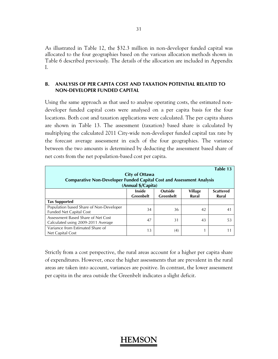As illustrated in Table 12, the \$32.3 million in non-developer funded capital was allocated to the four geographies based on the various allocation methods shown in Table 6 described previously. The details of the allocation are included in Appendix I.

### **B. ANALYSIS OF PER CAPITA COST AND TAXATION POTENTIAL RELATED TO NON-DEVELOPER FUNDED CAPITAL**

Using the same approach as that used to analyse operating costs, the estimated nondeveloper funded capital costs were analysed on a per capita basis for the four locations. Both cost and taxation applications were calculated. The per capita shares are shown in Table 13. The assessment (taxation) based share is calculated by multiplying the calculated 2011 City-wide non-developer funded capital tax rate by the forecast average assessment in each of the four geographies. The variance between the two amounts is determined by deducting the assessment based share of net costs from the net population-based cost per capita.

|                                                                              |                       |                  |                | Table 13         |
|------------------------------------------------------------------------------|-----------------------|------------------|----------------|------------------|
|                                                                              | <b>City of Ottawa</b> |                  |                |                  |
| <b>Comparative Non-Developer Funded Capital Cost and Assessment Analysis</b> |                       |                  |                |                  |
|                                                                              | (Annual \$/Capita)    |                  |                |                  |
|                                                                              | <b>Inside</b>         | <b>Outside</b>   | <b>Village</b> | <b>Scattered</b> |
|                                                                              | <b>Greenbelt</b>      | <b>Greenbelt</b> | Rural          | Rural            |
| <b>Tax Supported</b>                                                         |                       |                  |                |                  |
| Population based Share of Non-Developer                                      | 34                    | 36               | 42             | 41               |
| <b>Funded Net Capital Cost</b>                                               |                       |                  |                |                  |
| Assessment Based Share of Net Cost                                           | 47                    | 31               | 43             | 53               |
| Calculated using 2009-2011 Average                                           |                       |                  |                |                  |
| Variance from Estimated Share of                                             | 13                    | (4)              |                |                  |
| Net Capital Cost                                                             |                       |                  |                |                  |

Strictly from a cost perspective, the rural areas account for a higher per capita share of expenditures. However, once the higher assessments that are prevalent in the rural areas are taken into account, variances are positive. In contrast, the lower assessment per capita in the area outside the Greenbelt indicates a slight deficit.

### 31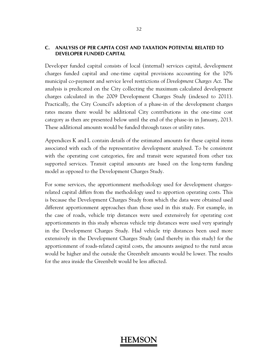### **C. ANALYSIS OF PER CAPITA COST AND TAXATION POTENTAL RELATED TO DEVELOPER FUNDED CAPITAL**

Developer funded capital consists of local (internal) services capital, development charges funded capital and one-time capital provisions accounting for the 10% municipal co-payment and service level restrictions of *Development Charges Act*. The analysis is predicated on the City collecting the maximum calculated development charges calculated in the 2009 Development Charges Study (indexed to 2011). Practically, the City Council's adoption of a phase-in of the development charges rates means there would be additional City contributions in the one-time cost category as then are presented below until the end of the phase-in in January, 2013. These additional amounts would be funded through taxes or utility rates.

Appendices K and L contain details of the estimated amounts for these capital items associated with each of the representative development analysed. To be consistent with the operating cost categories, fire and transit were separated from other tax supported services. Transit capital amounts are based on the long-term funding model as opposed to the Development Charges Study.

For some services, the apportionment methodology used for development chargesrelated capital differs from the methodology used to apportion operating costs. This is because the Development Charges Study from which the data were obtained used different apportionment approaches than those used in this study. For example, in the case of roads, vehicle trip distances were used extensively for operating cost apportionments in this study whereas vehicle trip distances were used very sparingly in the Development Charges Study. Had vehicle trip distances been used more extensively in the Development Charges Study (and thereby in this study) for the apportionment of roads-related capital costs, the amounts assigned to the rural areas would be higher and the outside the Greenbelt amounts would be lower. The results for the area inside the Greenbelt would be less affected.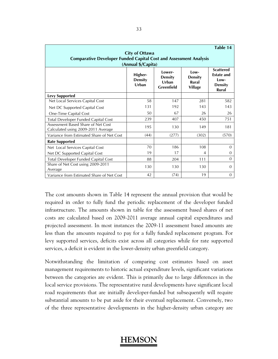|                                                                          |                                             |                                                  |                                                    | Table 14                                                                        |
|--------------------------------------------------------------------------|---------------------------------------------|--------------------------------------------------|----------------------------------------------------|---------------------------------------------------------------------------------|
| <b>Comparative Developer Funded Capital Cost and Assessment Analysis</b> | <b>City of Ottawa</b><br>(Annual \$/Capita) |                                                  |                                                    |                                                                                 |
|                                                                          | Higher-<br><b>Density</b><br>Urban          | l ower-<br><b>Density</b><br>Urhan<br>Greenfield | l ow-<br><b>Density</b><br>Rural<br><b>Village</b> | <b>Scattered</b><br><b>Estate and</b><br>Low-<br><b>Density</b><br><b>Rural</b> |
| <b>Levy Supported</b>                                                    |                                             |                                                  |                                                    |                                                                                 |
| Net Local Services Capital Cost                                          | 58                                          | 147                                              | 281                                                | 582                                                                             |
| Net DC Supported Capital Cost                                            | 131                                         | 192                                              | 143                                                | 143                                                                             |
| One-Time Capital Cost                                                    | 50                                          | 67                                               | 26                                                 | 26                                                                              |
| Total Developer Funded Capital Cost                                      | 239                                         | 407                                              | 450                                                | 751                                                                             |
| Assessment Based Share of Net Cost<br>Calculated using 2009-2011 Average | 195                                         | 130                                              | 149                                                | 181                                                                             |
| Variance from Estimated Share of Net Cost                                | (44)                                        | (277)                                            | (302)                                              | (570)                                                                           |
| <b>Rate Supported</b>                                                    |                                             |                                                  |                                                    |                                                                                 |
| Net Local Services Capital Cost                                          | 70                                          | 186                                              | 108                                                | $\Omega$                                                                        |
| Net DC Supported Capital Cost                                            | 19                                          | 17                                               | 4                                                  | $\Omega$                                                                        |
| Total Developer Funded Capital Cost                                      | 88                                          | 204                                              | 111                                                | $\Omega$                                                                        |
| Share of Net Cost using 2009-2011<br>Average                             | 130                                         | 130                                              | 130                                                | $\Omega$                                                                        |
| Variance from Estimated Share of Net Cost                                | 42                                          | (74)                                             | 19                                                 | 0                                                                               |

The cost amounts shown in Table 14 represent the annual provision that would be required in order to fully fund the periodic replacement of the developer funded infrastructure. The amounts shown in table for the assessment based shares of net costs are calculated based on 2009-2011 average annual capital expenditures and projected assessment. In most instances the 2009-11 assessment based amounts are less than the amounts required to pay for a fully funded replacement program. For levy supported services, deficits exist across all categories while for rate supported services, a deficit is evident in the lower-density urban greenfield category.

Notwithstanding the limitation of comparing cost estimates based on asset management requirements to historic actual expenditure levels, significant variations between the categories are evident. This is primarily due to large differences in the local service provisions. The representative rural developments have significant local road requirements that are initially developer-funded but subsequently will require substantial amounts to be put aside for their eventual replacement. Conversely, two of the three representative developments in the higher-density urban category are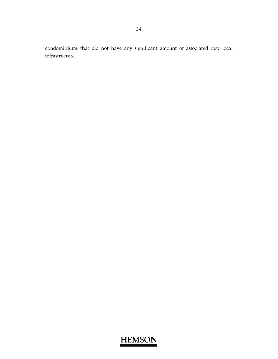condominiums that did not have any significant amount of associated new local infrastructure.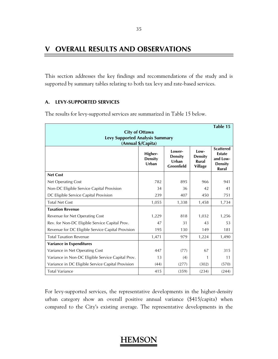## **V OVERALL RESULTS AND OBSERVATIONS**

This section addresses the key findings and recommendations of the study and is supported by summary tables relating to both tax levy and rate-based services.

### **A. LEVY-SUPPORTED SERVICES**

The results for levy-supported services are summarized in Table 15 below.

|                                                   |                                    |                                                         |                                                           | Table 15                                                                        |
|---------------------------------------------------|------------------------------------|---------------------------------------------------------|-----------------------------------------------------------|---------------------------------------------------------------------------------|
|                                                   | <b>City of Ottawa</b>              |                                                         |                                                           |                                                                                 |
| <b>Levy Supported Analysis Summary</b>            | (Annual \$/Capita)                 |                                                         |                                                           |                                                                                 |
|                                                   | Higher-<br><b>Density</b><br>Urban | I ower-<br><b>Density</b><br>Urban<br><b>Greenfield</b> | I ow-<br><b>Density</b><br><b>Rural</b><br><b>Village</b> | <b>Scattered</b><br><b>Estate</b><br>and Low-<br><b>Density</b><br><b>Rural</b> |
| <b>Net Cost</b>                                   |                                    |                                                         |                                                           |                                                                                 |
| Net Operating Cost                                | 782                                | 895                                                     | 966                                                       | 941                                                                             |
| Non-DC Eligible Service Capital Provision         | 34                                 | 36                                                      | 42                                                        | 41                                                                              |
| DC Eligible Service Capital Provision             | 239                                | 407                                                     | 450                                                       | 751                                                                             |
| <b>Total Net Cost</b>                             | 1,055                              | 1,338                                                   | 1,458                                                     | 1,734                                                                           |
| <b>Taxation Revenue</b>                           |                                    |                                                         |                                                           |                                                                                 |
| Revenue for Net Operating Cost                    | 1,229                              | 818                                                     | 1,032                                                     | 1,256                                                                           |
| Rev. for Non-DC Eligible Service Capital Prov.    | 47                                 | 31                                                      | 43                                                        | 53                                                                              |
| Revenue for DC Eligible Service Capital Provision | 195                                | 130                                                     | 149                                                       | 181                                                                             |
| <b>Total Taxation Revenue</b>                     | 1,471                              | 979                                                     | 1,224                                                     | 1,490                                                                           |
| <b>Variance in Expenditures</b>                   |                                    |                                                         |                                                           |                                                                                 |
| Variance in Net Operating Cost                    | 447                                | (77)                                                    | 67                                                        | 315                                                                             |
| Variance in Non-DC Eligible Service Capital Prov. | 13                                 | (4)                                                     | 1                                                         | 11                                                                              |
| Variance in DC Eligible Service Capital Provision | (44)                               | (277)                                                   | (302)                                                     | (570)                                                                           |
| <b>Total Variance</b>                             | 415                                | (359)                                                   | (234)                                                     | (244)                                                                           |

For levy-supported services, the representative developments in the higher-density urban category show an overall positive annual variance (\$415/capita) when compared to the City's existing average. The representative developments in the

### 35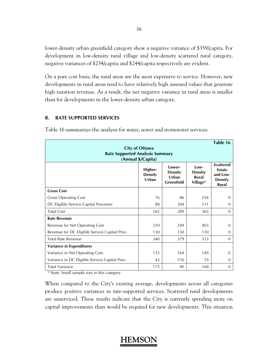lower-density urban greenfield category show a negative variance of \$359/capita. For development in low-density rural village and low-density scattered rural category, negative variances of \$234/capita and \$244/capita respectively are evident.

On a pure cost basis, the rural areas are the most expensive to service. However, new developments in rural areas tend to have relatively high assessed values that generate high taxation revenue. As a result, the net negative variance in rural areas is smaller than for developments in the lower-density urban category.

### **B. RATE SUPPORTED SERVICES**

| <b>Rate Supported Analysis Summary</b>        | <b>City of Ottawa</b><br>(Annual \$/Capita) |                                                 |                                              | Table 16                                                                 |
|-----------------------------------------------|---------------------------------------------|-------------------------------------------------|----------------------------------------------|--------------------------------------------------------------------------|
|                                               | Higher-<br><b>Density</b><br>Urban          | Lower-<br><b>Density</b><br>Urban<br>Greenfield | l ow-<br><b>Density</b><br>Rural<br>Village* | <b>Scattered</b><br><b>Estate</b><br>and Low-<br><b>Density</b><br>Rural |
| <b>Gross Cost</b>                             |                                             |                                                 |                                              |                                                                          |
| <b>Gross Operating Cost</b>                   | 76                                          | 86                                              | 254                                          | $\Omega$                                                                 |
| DC Eligible Service Capital Provision         | 88                                          | 204                                             | 111                                          | 0                                                                        |
| <b>Total Cost</b>                             | 165                                         | 289                                             | 365                                          | $\Omega$                                                                 |
| <b>Rate Revenue</b>                           |                                             |                                                 |                                              |                                                                          |
| Revenue for Net Operating Cost                | 210                                         | 249                                             | 403                                          | $\Omega$                                                                 |
| Revenue for DC Eligible Service Capital Prov. | 130                                         | 130                                             | 130                                          | $\Omega$                                                                 |
| <b>Total Rate Revenue</b>                     | 340                                         | 379                                             | 533                                          | $\Omega$                                                                 |
| <b>Variance in Expenditures</b>               |                                             |                                                 |                                              |                                                                          |
| Variance in Net Operating Cost                | 133                                         | 164                                             | 149                                          | $\Omega$                                                                 |
| Variance in DC Eligible Service Capital Prov. | 42                                          | (74)                                            | 19                                           | $\Omega$                                                                 |
| <b>Total Variance</b>                         | 175                                         | 90                                              | 168                                          | $\Omega$                                                                 |

Table 16 summarizes the analysis for water, sewer and stormwater services.

\* Note: Small sample size in this category

When compared to the City's existing average, developments across all categories produce positive variances in rate-supported services. Scattered rural developments are unserviced. These results indicate that the City is currently spending more on capital improvements than would be required for new developments. This situation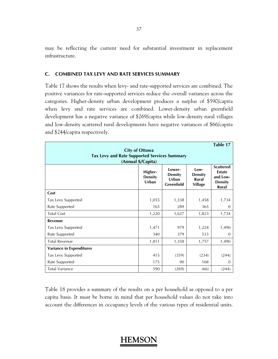may be reflecting the current need for substantial investment in replacement infrastructure.

### **C. COMBINED TAX LEVY AND RATE SERVICES SUMMARY**

Table 17 shows the results when levy- and rate-supported services are combined. The positive variances for rate-supported services reduce the overall variances across the categories. Higher-density urban development produces a surplus of \$590/capita when levy and rate services are combined. Lower-density urban greenfield development has a negative variance of \$269/capita while low-density rural villages and low-density scattered rural developments have negative variances of \$66/capita and \$244/capita respectively.

| <b>Tax Levy and Rate Supported Services Summary</b> | <b>City of Ottawa</b><br>(Annual \$/Capita) |                                                        |                                                   | Table 17                                                                        |
|-----------------------------------------------------|---------------------------------------------|--------------------------------------------------------|---------------------------------------------------|---------------------------------------------------------------------------------|
|                                                     | Higher-<br><b>Density</b><br>Urban          | Lower-<br><b>Density</b><br>Urban<br><b>Greenfield</b> | Low-<br><b>Density</b><br>Rural<br><b>Village</b> | <b>Scattered</b><br><b>Estate</b><br>and Low-<br><b>Density</b><br><b>Rural</b> |
| Cost                                                |                                             |                                                        |                                                   |                                                                                 |
| Tax Levy Supported                                  | 1,055                                       | 1,338                                                  | 1,458                                             | 1,734                                                                           |
| Rate Supported                                      | 165                                         | 289                                                    | 365                                               | 0                                                                               |
| <b>Total Cost</b>                                   | 1,220                                       | 1,627                                                  | 1,823                                             | 1,734                                                                           |
| Revenue                                             |                                             |                                                        |                                                   |                                                                                 |
| Tax Levy Supported                                  | 1,471                                       | 979                                                    | 1,224                                             | 1,490                                                                           |
| Rate Supported                                      | 340                                         | 379                                                    | 533                                               | $\Omega$                                                                        |
| <b>Total Revenue</b>                                | 1,811                                       | 1,358                                                  | 1,757                                             | 1,490                                                                           |
| <b>Variance in Expenditures</b>                     |                                             |                                                        |                                                   |                                                                                 |
| Tax Levy Supported                                  | 415                                         | (359)                                                  | (234)                                             | (244)                                                                           |
| Rate Supported                                      | 175                                         | 90                                                     | 168                                               | $\Omega$                                                                        |
| <b>Total Variance</b>                               | 590                                         | (269)                                                  | (66)                                              | (244)                                                                           |

Table 18 provides a summary of the results on a per household as opposed to a per capita basis. It must be borne in mind that per household values do not take into account the differences in occupancy levels of the various types of residential units.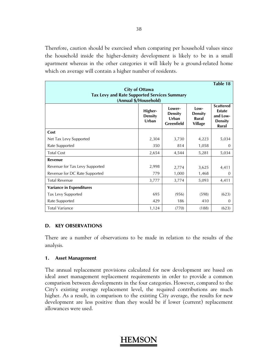Therefore, caution should be exercised when comparing per household values since the household inside the higher-density development is likely to be in a small apartment whereas in the other categories it will likely be a ground-related home which on average will contain a higher number of residents.

|                                                     |                                    |                                                 |                                                   | Table 18                                                                 |
|-----------------------------------------------------|------------------------------------|-------------------------------------------------|---------------------------------------------------|--------------------------------------------------------------------------|
| <b>Tax Levy and Rate Supported Services Summary</b> | <b>City of Ottawa</b>              |                                                 |                                                   |                                                                          |
|                                                     | (Annual \$/Household)              |                                                 |                                                   |                                                                          |
|                                                     | Higher-<br><b>Density</b><br>Urban | Lower-<br><b>Density</b><br>Urban<br>Greenfield | Low-<br><b>Density</b><br>Rural<br><b>Village</b> | <b>Scattered</b><br><b>Estate</b><br>and Low-<br><b>Density</b><br>Rural |
| Cost                                                |                                    |                                                 |                                                   |                                                                          |
| Net Tax Levy Supported                              | 2,304                              | 3,730                                           | 4,223                                             | 5,034                                                                    |
| Rate Supported                                      | 350                                | 814                                             | 1,058                                             | $\Omega$                                                                 |
| <b>Total Cost</b>                                   | 2,654                              | 4,544                                           | 5,281                                             | 5,034                                                                    |
| Revenue                                             |                                    |                                                 |                                                   |                                                                          |
| Revenue for Tax Levy Supported                      | 2,998                              | 2,774                                           | 3,625                                             | 4,411                                                                    |
| Revenue for DC Rate Supported                       | 779                                | 1,000                                           | 1,468                                             | $\Omega$                                                                 |
| <b>Total Revenue</b>                                | 3,777                              | 3,774                                           | 5,093                                             | 4,411                                                                    |
| <b>Variance in Expenditures</b>                     |                                    |                                                 |                                                   |                                                                          |
| Tax Levy Supported                                  | 695                                | (956)                                           | (598)                                             | (623)                                                                    |
| Rate Supported                                      | 429                                | 186                                             | 410                                               | $\Omega$                                                                 |
| <b>Total Variance</b>                               | 1,124                              | (770)                                           | (188)                                             | (623)                                                                    |

### **D. KEY OBSERVATIONS**

There are a number of observations to be made in relation to the results of the analysis.

### **1. Asset Management**

The annual replacement provisions calculated for new development are based on ideal asset management replacement requirements in order to provide a common comparison between developments in the four categories. However, compared to the City's existing average replacement level, the required contributions are much higher. As a result, in comparison to the existing City average, the results for new development are less positive than they would be if lower (current) replacement allowances were used.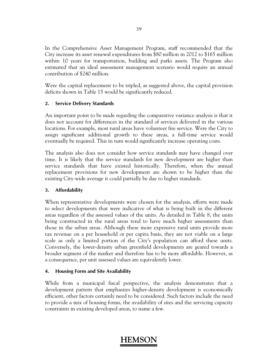In the Comprehensive Asset Management Program, staff recommended that the City increase its asset renewal expenditures from \$80 million in 2012 to \$165 million within 10 years for transportation, building and parks assets. The Program also estimated that an ideal assessment management scenario would require an annual contribution of \$240 million.

Were the capital replacement to be tripled, as suggested above, the capital provision deficits shown in Table 15 would be significantly reduced.

### **2. Service Delivery Standards**

An important point to be made regarding the comparative variance analysis is that it does not account for differences in the standard of services delivered in the various locations. For example, most rural areas have volunteer fire service. Were the City to assign significant additional growth to these areas, a full-time service would eventually be required. This in turn would significantly increase operating costs.

The analysis also does not consider how service standards may have changed over time. It is likely that the service standards for new development are higher than service standards that have existed historically. Therefore, when the annual replacement provisions for new development are shown to be higher than the existing City-wide average it could partially be due to higher standards.

### **3. Affordability**

When representative developments were chosen for the analysis, efforts were made to select developments that were indicative of what is being built in the different areas regardless of the assessed values of the units. As detailed in Table 8, the units being constructed in the rural areas tend to have much higher assessments than those in the urban areas. Although these more expensive rural units provide more tax revenue on a per household or per capita basis, they are not viable on a large scale as only a limited portion of the City's population can afford these units. Conversely, the lower-density urban greenfield developments are geared towards a broader segment of the market and therefore has to be more affordable. However, as a consequence, per unit assessed values are equivalently lower.

### **4. Housing Form and Site Availability**

While from a municipal fiscal perspective, the analysis demonstrates that a development pattern that emphasizes higher-density development is economically efficient, other factors certainly need to be considered. Such factors include the need to provide a mix of housing forms, the availability of sites and the servicing capacity constraints in existing developed areas, to name a few.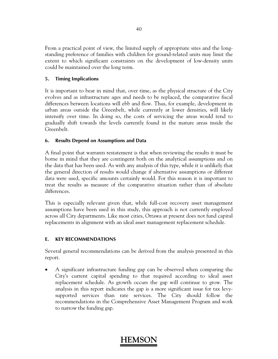From a practical point of view, the limited supply of appropriate sites and the longstanding preference of families with children for ground-related units may limit the extent to which significant constraints on the development of low-density units could be maintained over the long term.

### **5. Timing Implications**

It is important to bear in mind that, over time, as the physical structure of the City evolves and as infrastructure ages and needs to be replaced, the comparative fiscal differences between locations will ebb and flow. Thus, for example, development in urban areas outside the Greenbelt, while currently at lower densities, will likely intensify over time. In doing so, the costs of servicing the areas would tend to gradually shift towards the levels currently found in the mature areas inside the Greenbelt.

### **6. Results Depend on Assumptions and Data**

A final point that warrants restatement is that when reviewing the results it must be borne in mind that they are contingent both on the analytical assumptions and on the data that has been used. As with any analysis of this type, while it is unlikely that the general direction of results would change if alternative assumptions or different data were used, specific amounts certainly would. For this reason it is important to treat the results as measure of the comparative situation rather than of absolute differences.

This is especially relevant given that, while full-cost recovery asset management assumptions have been used in this study, this approach is not currently employed across all City departments. Like most cities, Ottawa at present does not fund capital replacements in alignment with an ideal asset management replacement schedule.

### **E. KEY RECOMMENDATIONS**

Several general recommendations can be derived from the analysis presented in this report.

 A significant infrastructure funding gap can be observed when comparing the City's current capital spending to that required according to ideal asset replacement schedule. As growth occurs the gap will continue to grow. The analysis in this report indicates the gap is a more significant issue for tax levysupported services than rate services. The City should follow the recommendations in the Comprehensive Asset Management Program and work to narrow the funding gap.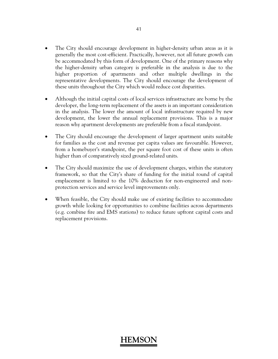- The City should encourage development in higher-density urban areas as it is generally the most cost-efficient. Practically, however, not all future growth can be accommodated by this form of development. One of the primary reasons why the higher-density urban category is preferable in the analysis is due to the higher proportion of apartments and other multiple dwellings in the representative developments. The City should encourage the development of these units throughout the City which would reduce cost disparities.
- Although the initial capital costs of local services infrastructure are borne by the developer, the long-term replacement of the assets is an important consideration in the analysis. The lower the amount of local infrastructure required by new development, the lower the annual replacement provisions. This is a major reason why apartment developments are preferable from a fiscal standpoint.
- The City should encourage the development of larger apartment units suitable for families as the cost and revenue per capita values are favourable. However, from a homebuyer's standpoint, the per square foot cost of these units is often higher than of comparatively sized ground-related units.
- The City should maximize the use of development charges, within the statutory framework, so that the City's share of funding for the initial round of capital emplacement is limited to the 10% deduction for non-engineered and nonprotection services and service level improvements only.
- When feasible, the City should make use of existing facilities to accommodate growth while looking for opportunities to combine facilities across departments (e.g. combine fire and EMS stations) to reduce future upfront capital costs and replacement provisions.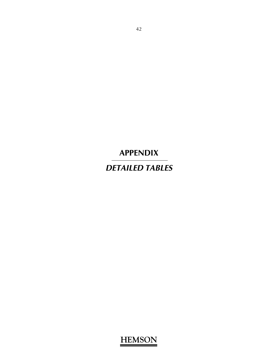**APPENDIX** 

*DETAILED TABLES*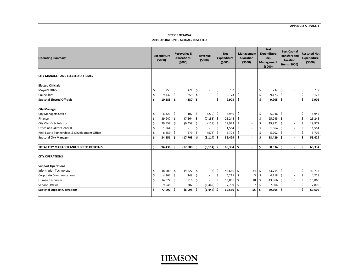#### **CITY OF OTTAWA 2011 OPERATIONS ‐ ACTUALS RESTATED**

| <b>Operating Summary</b>                        |     | <b>Expenditure</b><br>(5000) |         | <b>Recoveries &amp;</b><br><b>Allocations</b><br>(5000) |     | Revenue<br>(5000)        |     | <b>Net</b><br>Expenditure<br>(5000) |     | Management<br><b>Allocation</b><br>(5000) |    | <b>Net</b><br>Expenditure<br>incl.<br>Management<br>(5000) |            | <b>Less Capital</b><br><b>Transfers and</b><br><b>Taxation</b><br>Items (\$000) | <b>Restated Net</b><br>Expenditure<br>(5000) |        |  |
|-------------------------------------------------|-----|------------------------------|---------|---------------------------------------------------------|-----|--------------------------|-----|-------------------------------------|-----|-------------------------------------------|----|------------------------------------------------------------|------------|---------------------------------------------------------------------------------|----------------------------------------------|--------|--|
| <b>CITY MANAGER AND ELECTED OFFICIALS</b>       |     |                              |         |                                                         |     |                          |     |                                     |     |                                           |    |                                                            |            |                                                                                 |                                              |        |  |
| <b>Elected Officials</b>                        |     |                              |         |                                                         |     |                          |     |                                     |     |                                           |    |                                                            |            |                                                                                 |                                              |        |  |
| Mayor's Office                                  | \$  | 753                          | -\$     | (21)                                                    | -\$ | $\overline{\phantom{a}}$ | \$  | 732                                 | \$  | $\overline{\phantom{a}}$                  | \$ | 732                                                        | l \$       |                                                                                 | \$                                           | 732    |  |
| Councillors                                     | \$  | 9,432                        | \$      | $(259)$ \$                                              |     | $\overline{\phantom{a}}$ | \$  | 9,173                               | \$  |                                           | \$ | 9,173                                                      | l\$        |                                                                                 |                                              | 9,173  |  |
| <b>Subtotal Elected Officials</b>               | Ś.  | 10,185                       | -\$     | $(280)$ \$                                              |     |                          | Ŝ.  | 9,905                               | \$. |                                           | \$ | $9,905$ \$                                                 |            |                                                                                 | Ŝ                                            | 9,905  |  |
| <b>City Manager</b>                             |     |                              |         |                                                         |     |                          |     |                                     |     |                                           |    |                                                            |            |                                                                                 |                                              |        |  |
| <b>City Managers Office</b>                     | \$  | $6,323$ \$                   |         | $(107)$ \$                                              |     | $(270)$ \$               |     | 5,946                               | \$  |                                           | \$ | $5,946$ \$                                                 |            |                                                                                 | \$                                           | 5,946  |  |
| Finance                                         | \$  | 39,947                       | \$      | $(7,564)$ \$                                            |     | $(7, 138)$ \$            |     | 25,245                              | \$  | $\overline{\phantom{a}}$                  | \$ | $25,245$ \$                                                |            | ٠                                                                               | $\zeta$                                      | 25,245 |  |
| City Clerk's & Solicitor                        | Ś   | 29,558                       | \$      | $(9,458)$ \$                                            |     | $(128)$ \$               |     | 19,972                              | \$  | $\overline{\phantom{a}}$                  | \$ | 19,972 \$                                                  |            |                                                                                 | \$                                           | 19,972 |  |
| Office of Auditor General                       | \$, | 1,564                        | \$      |                                                         |     |                          | Ŝ.  | 1,564                               | \$  | $\overline{\phantom{a}}$                  | \$ | 1,564                                                      | l \$       |                                                                                 |                                              | 1,564  |  |
| Real Estate Partnerships & Development Office   | \$  | 6,859                        | \$      | $(579)$ \$                                              |     | (578)                    | -\$ | 5,702                               | \$  | $\overline{\phantom{a}}$                  | Ś  | $5,702$ \$                                                 |            | ٠                                                                               |                                              | 5,702  |  |
| <b>Subtotal City Manager</b>                    | \$  | 84,251                       | \$      | $(17,708)$ \$                                           |     | (8, 114)                 | -\$ | 58,429                              | \$. | $\overline{\phantom{a}}$                  | \$ | $58,429$ \$                                                |            |                                                                                 | -\$                                          | 58,429 |  |
| <b>TOTAL CITY MANAGER AND ELECTED OFFICIALS</b> | \$. | 94,436                       | \$.     | $(17,988)$ \$                                           |     | $(8, 114)$ \$            |     | $68,334$ \$                         |     | $\overline{\phantom{a}}$                  | \$ | 68,334                                                     | ls.        |                                                                                 | \$.                                          | 68,334 |  |
| <b>CITY OPERATIONS</b>                          |     |                              |         |                                                         |     |                          |     |                                     |     |                                           |    |                                                            |            |                                                                                 |                                              |        |  |
| <b>Support Operations</b>                       |     |                              |         |                                                         |     |                          |     |                                     |     |                                           |    |                                                            |            |                                                                                 |                                              |        |  |
| <b>Information Technology</b>                   | \$  | 48,509                       | \$      | $(4,827)$ \$                                            |     | (2)                      | \$  | 43,680 \$                           |     | 34                                        | \$ | $43,714$ \$                                                |            | $\overline{\phantom{a}}$                                                        | \$                                           | 43,714 |  |
| <b>Corporate Communications</b>                 | \$  | 4,363                        | $\zeta$ | (148)                                                   | -\$ | $\sim$                   | \$  | 4,215                               | \$  | 3                                         | \$ | 4,218                                                      | $\vert$ \$ | ÷                                                                               | \$                                           | 4,218  |  |
| <b>Human Resources</b>                          | Ś   | 14,672                       | \$      | $(816)$ \$                                              |     |                          | -\$ | $13,856$ \$                         |     | 10 <sup>1</sup>                           | Ŝ. | 13,866 \$                                                  |            |                                                                                 | $\zeta$                                      | 13,866 |  |
| Service Ottawa                                  | Ś   | 9,548                        | Ŝ       | (307)                                                   | -Ś  | (1, 442)                 | -S  | 7,799                               | -Ś  | $\overline{7}$                            | Ś  | 7,806 \$                                                   |            | ٠                                                                               |                                              | 7,806  |  |
| <b>Subtotal Support Operations</b>              | \$. | 77,092                       | \$      | (6,098)                                                 | -Ś  | (1, 444)                 | .\$ | 69,550                              | ۱ś  | 55 l                                      | Ŝ  | 69,605                                                     | l S        |                                                                                 | Ś                                            | 69,605 |  |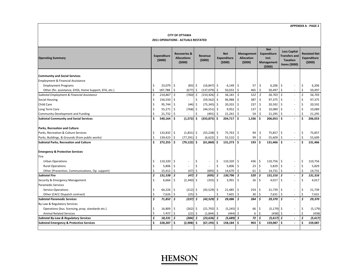#### **CITY OF OTTAWA 2011 OPERATIONS ‐ ACTUALS RESTATED**

| <b>Operating Summary</b>                               | <b>Expenditure</b><br>(5000) |              | <b>Recoveries &amp;</b><br><b>Allocations</b><br>(5000) |                          | Revenue<br>(5000) |                          |    | <b>Net</b><br><b>Expenditure</b><br>(5000) |              | Management<br><b>Allocation</b><br>(5000) |         | <b>Net</b><br><b>Expenditure</b><br>incl.<br>Management<br>(5000) |     | <b>Less Capital</b><br><b>Transfers and</b><br><b>Taxation</b><br>Items (\$000) |     | <b>Restated Net</b><br>Expenditure<br>(5000) |
|--------------------------------------------------------|------------------------------|--------------|---------------------------------------------------------|--------------------------|-------------------|--------------------------|----|--------------------------------------------|--------------|-------------------------------------------|---------|-------------------------------------------------------------------|-----|---------------------------------------------------------------------------------|-----|----------------------------------------------|
| <b>Community and Social Services</b>                   |                              |              |                                                         |                          |                   |                          |    |                                            |              |                                           |         |                                                                   |     |                                                                                 |     |                                              |
| <b>Employment &amp; Financial Assistance</b>           |                              |              |                                                         |                          |                   |                          |    |                                            |              |                                           |         |                                                                   |     |                                                                                 |     |                                              |
| <b>Employment Programs</b>                             | \$.                          | 23,079       | -\$                                                     | $(83)$ \$                |                   | $(16, 847)$ \$           |    | 6,149                                      | \$           | 57                                        | \$      | $6,206$ \$                                                        |     |                                                                                 | \$  | 6,206                                        |
| Other (fin. assistance, EHSS, Home Support, EFA, etc.) | $\zeta$                      | 187,788      | \$                                                      | $(677)$ \$               |                   | $(137,079)$ \$           |    | 50,032                                     | \$           | 465                                       | \$      | $50,497$ \$                                                       |     | $\sim$                                                                          | \$  | 50,497                                       |
| Subtotal Employment & Financial Assistance             | \$                           | 210,867      | - Ś                                                     | (760)                    | \$                | $(153, 926)$ \$          |    | 56,181                                     | \$           | 522                                       | \$      | 56,703 \$                                                         |     |                                                                                 | \$  | 56,703                                       |
| <b>Social Housing</b>                                  | $\mathsf{S}$                 | 156,550      | -\$                                                     |                          | \$                | $(59, 562)$ \$           |    | 96,988                                     | \$           | 387                                       | \$      | 97,375 \$                                                         |     |                                                                                 | \$, | 97,375                                       |
| Child Care                                             | \$                           | 95,744       | \$                                                      | (44)                     | \$                | $(75, 345)$ \$           |    | 20,355                                     | \$           | 237                                       | \$      | 20,592 \$                                                         |     |                                                                                 | \$  | 20,592                                       |
| Long Term Care                                         | \$                           | 55,271       | -\$                                                     | (768)                    | \$                | $(44,551)$ \$            |    | 9,952                                      | \$           | 137                                       | \$      | 10,089                                                            | -\$ | $\overline{\phantom{a}}$                                                        | \$  | 10,089                                       |
| Community Development and Funding                      |                              | 21,732       | Ŝ.                                                      |                          |                   | (491)                    |    | 21,241                                     | Ŝ.           | 54                                        | Ś       | 21,295                                                            | Ŝ   | $\overline{\phantom{a}}$                                                        |     | 21,295                                       |
| <b>Subtotal Community and Social Services</b>          | \$                           | 540,164      | -\$                                                     | (1,572)                  | \$                | $(333,875)$ \$           |    | 204,717                                    | \$.          | 1,336                                     | -\$     | $206,053$ \$                                                      |     |                                                                                 |     | 206,053                                      |
| Parks, Recreation and Culture                          |                              |              |                                                         |                          |                   |                          |    |                                            |              |                                           |         |                                                                   |     |                                                                                 |     |                                              |
| Parks, Recreation & Culture Services                   | \$                           | $132,832$ \$ |                                                         | $(1,831)$ \$             |                   | $(55,238)$ \$            |    | 75,763 \$                                  |              | 94                                        | $\zeta$ | 75,857 \$                                                         |     |                                                                                 | \$  | 75,857                                       |
| Parks, Buildings, & Grounds (from public works)        | Ś                            | 139,423      | -\$                                                     | $(77, 291)$ \$           |                   | $(6,622)$ \$             |    | 55,510                                     | Ŝ.           | 99                                        | Ś       | 55,609                                                            | -Ś  | $\overline{\phantom{a}}$                                                        |     | 55,609                                       |
| <b>Subtotal Parks, Recreation and Culture</b>          | Ś                            | 272,255      | ١ś                                                      | $(79, 122)$ \$           |                   | (61, 860)                | Ś. | 131,273                                    | Ŝ.           | 193                                       | Ŝ       | $131,466$ \$                                                      |     |                                                                                 | \$  | 131,466                                      |
| <b>Emergency &amp; Protective Services</b>             |                              |              |                                                         |                          |                   |                          |    |                                            |              |                                           |         |                                                                   |     |                                                                                 |     |                                              |
| Fire                                                   |                              |              |                                                         |                          |                   |                          |    |                                            |              |                                           |         |                                                                   |     |                                                                                 |     |                                              |
| <b>Urban Operations</b>                                | \$,                          | 110,320      | 5                                                       | $\overline{\phantom{a}}$ | \$                | $\overline{\phantom{a}}$ | \$ | 110,320                                    | \$           | $436 \,$ \$                               |         | $110,756$ \$                                                      |     |                                                                                 | \$  | 110,756                                      |
| <b>Rural Operations</b>                                | \$                           | 5,806        | \$                                                      |                          | \$                |                          | \$ | 5,806                                      | \$           | $23 \quad 5$                              |         | $5,829$ \$                                                        |     |                                                                                 | \$  | 5,829                                        |
| Other (Prevention, Communications, Op. support)        | Ś                            | 15,412       | $\ddot{\mathsf{S}}$                                     | $(47)$ \$                |                   | $(695)$ \$               |    | 14,670                                     | $\mathsf{S}$ | 61                                        | $\zeta$ | $14,731$ \$                                                       |     | $\overline{\phantom{a}}$                                                        |     | 14,731                                       |
| <b>Subtotal Fire</b>                                   | \$                           | 131,538      | \$                                                      | $(47)$ $\overline{5}$    |                   | (695)                    | Ś  | 130,796                                    | Ś            | 520                                       | \$      | $131,316$ \$                                                      |     |                                                                                 | \$  | 131,316                                      |
| Security & Emergency Management                        | Ś                            | 6,666        | \$                                                      | $(2,340)$ \$             |                   | $(335)$ \$               |    | 3,991                                      | \$           | 26                                        | \$      | 4,017                                                             | -\$ |                                                                                 | \$  | 4,017                                        |
| <b>Paramedic Services</b>                              |                              |              |                                                         |                          |                   |                          |    |                                            |              |                                           |         |                                                                   |     |                                                                                 |     |                                              |
| <b>Service Operations</b>                              | \$                           | 64,226       | -\$                                                     | $(212)$ \$               |                   | $(42,529)$ \$            |    | 21,485                                     | Ŝ.           | 254                                       | -\$     | $21,739$ \$                                                       |     |                                                                                 | \$  | 21,739                                       |
| Other (CACC Dispatch contract)                         | Ś                            | 7,626        | -\$                                                     | $(25)$ \$                |                   |                          | Ŝ. | 7,601                                      | Ŝ.           | 30                                        | $\zeta$ | $7,631$ \$                                                        |     | $\overline{\phantom{a}}$                                                        | Ś.  | 7,631                                        |
| <b>Subtotal Paramedic Services</b>                     | Ś                            | 71,852       | ۱s                                                      | $(237)$ \$               |                   | $(42,529)$ \$            |    | 29,086                                     | Ś            | 284                                       | Ŝ.      | $29,370$ \$                                                       |     |                                                                                 | \$  | 29,370                                       |
| By-Law & Regulatory Services                           |                              |              |                                                         |                          |                   |                          |    |                                            |              |                                           |         |                                                                   |     |                                                                                 |     |                                              |
| Operations (bus. licensing, prop. standards etc.)      | Ś                            | 16,809       | \$                                                      | (262)                    | \$                | $(21,792)$ \$            |    | (5, 245)                                   | -\$          | 66                                        | \$      | $(5, 179)$ \$                                                     |     |                                                                                 | \$  | (5, 179)                                     |
| <b>Animal Related Services</b>                         | \$                           | 1,422        | Ŝ.                                                      | (22)                     | \$                | (1,844)                  | \$ | (444)                                      | Ŝ.           | 6                                         | \$      | (438)                                                             | -Ś  |                                                                                 | \$  | (438)                                        |
| <b>Subtotal By-Law &amp; Regulatory Services</b>       | \$                           | 18,231       | Ŝ.                                                      | $(284)$ \$               |                   | $(23, 636)$ \$           |    | (5,689)                                    | Ś            | 72                                        | Ś.      | $(5,617)$ \$                                                      |     | $\overline{a}$                                                                  |     | (5, 617)                                     |
| <b>Subtotal Emergency &amp; Protective Services</b>    | Ś                            | 228,287      | Ŝ.                                                      | (2,908)                  | Ŝ                 | (67,195)  \$             |    | 158,184                                    | Ŝ.           | 903                                       | \$      | 159,087                                                           | Ŝ.  |                                                                                 | Ś.  | 159,087                                      |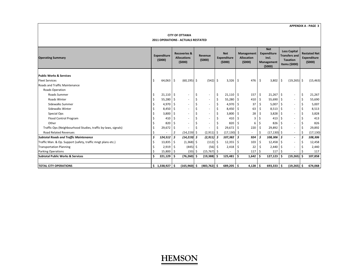#### **CITY OF OTTAWA 2011 OPERATIONS ‐ ACTUALS RESTATED**

| <b>Operating Summary</b>                                      |   | <b>Expenditure</b><br>(5000) |     | <b>Recoveries &amp;</b><br><b>Allocations</b><br>(5000) |    | Revenue<br>(5000)        |     | <b>Net</b><br><b>Expenditure</b><br>(5000) |     | <b>Management</b><br><b>Allocation</b><br>(5000) |      | <b>Net</b><br>Expenditure<br>incl.<br>Management<br>(5000) |      | <b>Less Capital</b><br><b>Transfers and</b><br><b>Taxation</b><br>Items (\$000) |   | <b>Restated Net</b><br><b>Expenditure</b><br>(5000) |
|---------------------------------------------------------------|---|------------------------------|-----|---------------------------------------------------------|----|--------------------------|-----|--------------------------------------------|-----|--------------------------------------------------|------|------------------------------------------------------------|------|---------------------------------------------------------------------------------|---|-----------------------------------------------------|
| <b>Public Works &amp; Services</b>                            |   |                              |     |                                                         |    |                          |     |                                            |     |                                                  |      |                                                            |      |                                                                                 |   |                                                     |
| <b>Fleet Services</b>                                         | Ś | 64,063                       | \$  | $(60, 195)$ \$                                          |    | $(542)$ \$               |     | $3,326$ \$                                 |     | 476 \$                                           |      | 3,802                                                      | l \$ | $(19, 265)$ \$                                                                  |   | (15, 463)                                           |
| <b>Roads and Traffic Maintenance</b>                          |   |                              |     |                                                         |    |                          |     |                                            |     |                                                  |      |                                                            |      |                                                                                 |   |                                                     |
|                                                               |   |                              |     |                                                         |    |                          |     |                                            |     |                                                  |      |                                                            |      |                                                                                 |   |                                                     |
| Roads Operation                                               |   |                              |     |                                                         |    |                          |     |                                            |     |                                                  |      |                                                            |      |                                                                                 |   |                                                     |
| <b>Roads Summer</b>                                           |   | 21,110                       | -\$ |                                                         | \$ | ٠                        | \$. | $21,110$ \$                                |     | 157                                              | - \$ | $21,267$ \$                                                |      | $\overline{\phantom{a}}$                                                        |   | 21,267                                              |
| Roads Winter                                                  |   | 55,280                       | \$  |                                                         | \$ | ٠                        | \$  | 55,280                                     | Ŝ.  | 410                                              | -\$  | $55,690$ \$                                                |      |                                                                                 |   | 55,690                                              |
| <b>Sidewalks Summer</b>                                       |   | 4,970                        | -\$ |                                                         | \$ | $\overline{\phantom{a}}$ | \$  | 4,970                                      | Ŝ.  | 37                                               |      | $5,007$ \$                                                 |      |                                                                                 |   | 5,007                                               |
| <b>Sidewalks Winter</b>                                       |   | 8,450                        | -\$ |                                                         |    | $\overline{\phantom{a}}$ | Ŝ   | 8,450                                      | Ŝ.  | 63                                               | Ŝ.   | $8,513$ \$                                                 |      |                                                                                 |   | 8,513                                               |
| Special Ops                                                   |   | 3,800                        | -\$ |                                                         |    | $\overline{\phantom{a}}$ | Ŝ   | 3,800                                      | Ŝ.  | 28                                               |      | $3,828$ \$                                                 |      |                                                                                 |   | 3,828                                               |
| Flood Control Program                                         |   | 410                          | -S  |                                                         |    | $\overline{\phantom{a}}$ |     | 410                                        | Ŝ.  |                                                  |      | 413                                                        |      |                                                                                 |   | 413                                                 |
| Other                                                         |   | 820                          | -S  |                                                         |    | $\overline{\phantom{a}}$ |     | 820                                        | -S  | 6                                                |      | 826                                                        |      |                                                                                 |   | 826                                                 |
| Traffic Ops (Neighbourhood Studies, traffic by-laws, signals) |   | 29,672                       | -\$ |                                                         |    |                          |     | 29,672                                     | -Ś  | 220                                              | -S   | 29,892 \$                                                  |      |                                                                                 |   | 29,892                                              |
| <b>Road Related Revenues</b>                                  |   |                              | \$  | $(14, 219)$ \$                                          |    | $(2,911)$ \$             |     | (17, 130)                                  | -\$ |                                                  |      | $(17, 130)$ \$                                             |      | $\overline{\phantom{a}}$                                                        |   | (17, 130)                                           |
| <b>Subtotal Roads and Traffic Maintenance</b>                 | Ś | 124,512                      | \$  | $(14, 219)$ \$                                          |    | $(2,911)$ \$             |     | 107,382                                    | Ś   | 924                                              | Ś    | $108,306$ \$                                               |      |                                                                                 | Ŝ | 108,306                                             |
| Traffic Man. & Op. Support (safety, traffic mngt plans etc.)  |   | 13,835                       | -\$ | $(1,368)$ \$                                            |    | (112)                    | -S  | 12,355                                     | Ŝ.  | 103                                              | -S   | $12,458$ \$                                                |      |                                                                                 |   | 12,458                                              |
| <b>Transportation Planning</b>                                |   | 2,919                        | -\$ | $(445)$ \$                                              |    | (56)                     |     | 2,418                                      | -S  | 22                                               |      | $2,440$ \$                                                 |      |                                                                                 |   | 2,440                                               |
| <b>Parking Operations</b>                                     |   | 15,800                       | \$  | $(33)$ \$                                               |    | $(15,767)$ \$            |     |                                            |     | 117                                              | l S  | 117                                                        |      |                                                                                 |   | 117                                                 |
| <b>Subtotal Public Works &amp; Services</b>                   | Ś | 221,129                      | \$. | $(76, 260)$ \$                                          |    | $(19,388)$ \$            |     | 125,481                                    | Ŝ   | 1,642                                            |      | 127,123                                                    |      | $(19,265)$ \$                                                                   |   | 107,858                                             |
|                                                               |   |                              |     |                                                         |    |                          |     |                                            |     |                                                  |      |                                                            |      |                                                                                 |   |                                                     |
| <b>TOTAL CITY OPERATIONS</b>                                  |   | \$1,338,927                  | -S  | $(165, 960)$ \$                                         |    | $(483, 762)$ \$          |     | 689,205                                    | \$. | 4,128                                            | -\$  | $693,333$ \$                                               |      | $(19,265)$ \$                                                                   |   | 674,068                                             |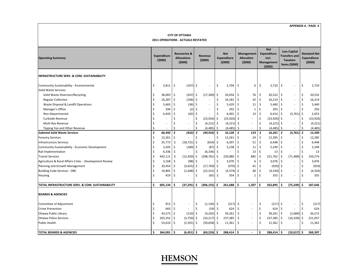#### **CITY OF OTTAWA 2011 OPERATIONS ‐ ACTUALS RESTATED**

| <b>Operating Summary</b>                               | <b>Expenditure</b><br>(5000) |                          | <b>Recoveries &amp;</b><br><b>Allocations</b><br>(5000) |                          | Revenue<br>(5000)   |                          | <b>Net</b><br><b>Expenditure</b><br>(5000) |           |     | <b>Management</b><br><b>Allocation</b><br>(5000) |                    | <b>Net</b><br><b>Expenditure</b><br>incl.<br><b>Management</b><br>(5000) |      | <b>Less Capital</b><br><b>Transfers and</b><br><b>Taxation</b><br>ltems (\$000) |     | <b>Restated Net</b><br><b>Expenditure</b><br>(5000) |
|--------------------------------------------------------|------------------------------|--------------------------|---------------------------------------------------------|--------------------------|---------------------|--------------------------|--------------------------------------------|-----------|-----|--------------------------------------------------|--------------------|--------------------------------------------------------------------------|------|---------------------------------------------------------------------------------|-----|-----------------------------------------------------|
| INFRASTRUCTURE SERV. & COM. SUSTAINABILITY             |                              |                          |                                                         |                          |                     |                          |                                            |           |     |                                                  |                    |                                                                          |      |                                                                                 |     |                                                     |
| Community Sustainability - Environmental               | Ŝ.                           | 2,811                    | -\$                                                     | $(107)$ \$               |                     | $\overline{\phantom{a}}$ | \$                                         | 2,704     | l\$ | 6                                                | \$                 | $2,710$ \$                                                               |      | $\overline{\phantom{a}}$                                                        | S.  | 2,710                                               |
| Solid Waste Services                                   |                              |                          |                                                         |                          |                     |                          |                                            |           |     |                                                  |                    |                                                                          |      |                                                                                 |     |                                                     |
| Solid Waste Diversion/Recycling                        | Ś                            | 38,003                   | \$                                                      | (247)                    | \$                  | (17,300)                 | -\$                                        | 20,456    | -\$ | 76                                               | \$                 | $20,532$ \$                                                              |      | $\overline{\phantom{a}}$                                                        | \$  | 20,532                                              |
| <b>Regular Collection</b>                              | $\zeta$                      | 16,287                   | \$                                                      | (106)                    | $\ddot{\mathsf{S}}$ |                          | \$                                         | 16,181    | Ŝ.  | 32                                               | $\zeta$            | 16,214                                                                   | I\$  | $\overline{\phantom{a}}$                                                        | \$  | 16,214                                              |
| Waste Disposal & Landfil Operations                    | $\zeta$                      | 5,465                    | $\zeta$                                                 | (36)                     | \$                  | $\overline{\phantom{a}}$ | \$                                         | 5,429     | \$  | 11                                               | $\mathsf{\hat{S}}$ | 5,440                                                                    | l \$ |                                                                                 | \$  | 5,440                                               |
| Manager's Office                                       | \$                           | 294                      | \$                                                      | (2)                      | \$                  |                          | \$                                         | 292       | \$  | $\mathbf{1}$                                     | \$                 | 293                                                                      | l \$ |                                                                                 |     | 293                                                 |
| Non-Departmental                                       | \$                           | 6,443                    | \$                                                      | (42)                     | \$                  |                          | \$                                         | 6,401     | \$  | 13                                               | $\zeta$            | 6,414                                                                    | 1 \$ | $(3,761)$ \$                                                                    |     | 2,653                                               |
| Curbside Revenue                                       | Ś                            |                          | Ś                                                       | $\overline{a}$           | \$                  | $(23,926)$ \$            |                                            | (23, 926) | \$  |                                                  | \$                 | $(23,926)$ \$                                                            |      |                                                                                 |     | (23, 926)                                           |
| Multi-Res Revenue                                      | Ś                            |                          | Ś                                                       | ä,                       | -\$                 | (4, 221)                 | \$                                         | (4, 221)  | \$  |                                                  | \$                 | $(4,221)$ \$                                                             |      | $\overline{\phantom{a}}$                                                        | Ŝ.  | (4, 221)                                            |
| Tipping Fee and Other Revenue                          | $\zeta$                      | $\overline{\phantom{a}}$ | Ś                                                       | $\overline{a}$           | \$                  | $(4,485)$ \$             |                                            | (4, 485)  | \$  | $\sim$                                           | \$                 | $(4,485)$ \$                                                             |      | $\overline{\phantom{a}}$                                                        | Ŝ.  | (4, 485)                                            |
| <b>Subtotal Solid Waste Services</b>                   | \$                           | 66,492                   | \$                                                      | (432)                    | \$                  | (49,932) \$              |                                            | 16,128    | \$  | 133                                              | \$                 | 16,261                                                                   | ۱s   | (3,761) \$                                                                      |     | 12,500                                              |
| <b>Forestry Services</b>                               | $\zeta$                      | 12,261                   | \$                                                      | $\overline{a}$           | \$                  | $\overline{\phantom{a}}$ | \$                                         | 12,261    | Ś   | 24                                               | $\zeta$            | 12,285                                                                   | l\$  | $\overline{\phantom{a}}$                                                        | \$  | 12,285                                              |
| Infrastructure Services                                | $\zeta$                      | 25,772                   | \$                                                      | (18, 721)                | \$.                 | (654)                    | -\$                                        | 6,397     | \$  | 51                                               | \$                 | 6,448                                                                    | l \$ | $\overline{\phantom{a}}$                                                        | Ŝ   | 6,448                                               |
| Community Sustainability - Economic Development        | $\zeta$                      | 5,505                    | \$                                                      | $(180)$ \$               |                     | (87)                     | -\$                                        | 5,238     | \$  | 11                                               | $\mathsf{\hat{S}}$ | $5,249$ \$                                                               |      | $\overline{\phantom{a}}$                                                        | -\$ | 5,249                                               |
| Rail Implementation                                    | .\$                          | 6,336                    | \$                                                      |                          | Ŝ.                  | $(6,336)$ \$             |                                            |           | Ś   | 13                                               | \$                 | 13                                                                       | l \$ |                                                                                 | Ŝ.  | 13                                                  |
| <b>Transit Services</b>                                | $\zeta$                      | 442,111                  | $\ddot{\mathsf{S}}$                                     | (12, 450)                | \$                  | (208, 781)               | \$                                         | 220,880   | Ŝ.  | 882                                              | \$                 | 221,762                                                                  | l \$ | $(71, 488)$ \$                                                                  |     | 150,274                                             |
| Agriculture & Rural Affairs Cmte. - Development Review | $\zeta$                      | 3,168                    | $\zeta$                                                 | (98)                     | \$                  |                          | \$                                         | 3,070     | \$  | 6                                                | \$                 | $3,076$ \$                                                               |      |                                                                                 | \$  | 3,076                                               |
| Planning and Growth Management                         | $\zeta$                      | 20,454                   | \$                                                      | (3,655)                  | \$                  | $(17, 769)$ \$           |                                            | (970)     | \$  | 41                                               | $\sf S$            | $(929)$ \$                                                               |      | $\overline{\phantom{a}}$                                                        | Ŝ.  | (929)                                               |
| <b>Building Code Services - OBC</b>                    | $\zeta$                      | 19,805                   | $\zeta$                                                 | (1,648)                  | \$                  | $(22,531)$ \$            |                                            | (4, 374)  | \$  | 40                                               | $\zeta$            | $(4,334)$ \$                                                             |      | $\overline{\phantom{a}}$                                                        | \$  | (4, 334)                                            |
| Housing                                                | $\mathsf{\hat{S}}$           | 419                      | \$                                                      | $\overline{\phantom{a}}$ | \$                  | (65)                     | -\$                                        | 354       | Ś   | $\mathbf{1}$                                     | Ś                  | 355                                                                      | -Ś   |                                                                                 | Ś.  | 355                                                 |
| TOTAL INFRASTRUCTURE SERV. & COM. SUSTAINABILITY       | Ś.                           | 605,134                  | \$                                                      | (37, 291)                | Ŝ                   | $(306, 155)$ \$          |                                            | 261,688   | Ŝ.  | 1,207                                            | Ś                  | 262,895                                                                  | ۱Ś   | $(75, 249)$ \$                                                                  |     | 187,646                                             |
| <b>BOARDS &amp; AGENCIES</b>                           |                              |                          |                                                         |                          |                     |                          |                                            |           |     |                                                  |                    |                                                                          |      |                                                                                 |     |                                                     |
| Committee of Adjustment                                | Ŝ                            | 913                      | \$                                                      | $\overline{\phantom{a}}$ | \$                  | $(1,130)$ \$             |                                            | (217)     | \$  | $\sim$                                           | \$                 | $(217)$ \$                                                               |      | $\overline{\phantom{a}}$                                                        | -\$ | (217)                                               |
| <b>Crime Prevention</b>                                | Ś                            | 643                      | \$                                                      | L,                       | \$                  | (19)                     | -\$                                        | 624       | \$  | $\overline{\phantom{a}}$                         | \$                 | 624                                                                      | l\$  |                                                                                 | \$  | 624                                                 |
| <b>Ottawa Public Library</b>                           | \$                           | 43,573                   | -\$                                                     | (110)                    | -Ŝ                  | $(4,202)$ \$             |                                            | 39,261    | \$  | $\sim$                                           | $\sf S$            | 39,261                                                                   | l \$ | $(2,689)$ \$                                                                    |     | 36,572                                              |
| <b>Ottawa Police Services</b>                          | $\zeta$                      | 265,352                  | \$                                                      | $(3,750)$ \$             |                     | $(24, 217)$ \$           |                                            | 237,385   | \$  |                                                  | \$                 | 237,385                                                                  | l \$ | $(16,328)$ \$                                                                   |     | 221,057                                             |
| <b>Public Health</b>                                   | $\zeta$                      | 53,610                   | \$                                                      | $(2,591)$ \$             |                     | $(39,658)$ \$            |                                            | 11,361    | \$  |                                                  | $\zeta$            | 11,361                                                                   | l \$ |                                                                                 | \$  | 11,361                                              |
| <b>TOTAL BOARDS &amp; AGENCIES</b>                     | Ŝ                            | 364,091                  | \$                                                      | $(6,451)$ \$             |                     | $(69, 226)$ \$           |                                            | 288,414   | ١s  |                                                  | \$                 | 288,414                                                                  | ۱\$  | $(19,017)$ \$                                                                   |     | 269,397                                             |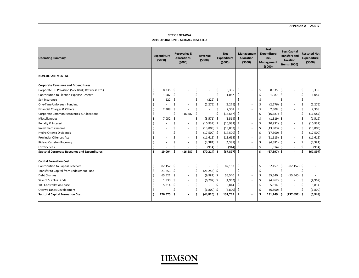#### **CITY OF OTTAWA 2011 OPERATIONS ‐ ACTUALS RESTATED**

| <b>Operating Summary</b>                            |    | <b>Expenditure</b><br>(5000) |     | <b>Recoveries &amp;</b><br><b>Allocations</b><br>(5000) |         | Revenue<br>(5000)        |     | <b>Net</b><br><b>Expenditure</b><br>(5000) |                     | Management<br><b>Allocation</b><br>(5000) |                    | <b>Net</b><br>Expenditure<br>incl.<br>Management<br>(5000) |     | <b>Less Capital</b><br><b>Transfers and</b><br><b>Taxation</b><br>Items (\$000) |     | <b>Restated Net</b><br><b>Expenditure</b><br>(5000) |
|-----------------------------------------------------|----|------------------------------|-----|---------------------------------------------------------|---------|--------------------------|-----|--------------------------------------------|---------------------|-------------------------------------------|--------------------|------------------------------------------------------------|-----|---------------------------------------------------------------------------------|-----|-----------------------------------------------------|
| <b>NON-DEPARTMENTAL</b>                             |    |                              |     |                                                         |         |                          |     |                                            |                     |                                           |                    |                                                            |     |                                                                                 |     |                                                     |
| <b>Corporate Reveunes and Expenditures</b>          |    |                              |     |                                                         |         |                          |     |                                            |                     |                                           |                    |                                                            |     |                                                                                 |     |                                                     |
| Corporate HR Provision (Sick Bank, Retireess etc.)  |    | 8,335                        | \$  |                                                         | \$      | $\overline{\phantom{a}}$ | \$  | 8,335                                      | \$                  | $\sim$                                    | \$                 | $8,335$ \$                                                 |     |                                                                                 | \$  | 8,335                                               |
| Contribution to Election Expense Reserve            |    | 1,087                        | \$  |                                                         | \$      | $\overline{\phantom{a}}$ | Ŝ.  | 1,087                                      | $\ddot{\mathsf{S}}$ |                                           | \$                 | 1,087                                                      | ۱\$ |                                                                                 | -\$ | 1,087                                               |
| Self Insurance                                      |    | 222                          | \$  |                                                         | $\zeta$ | (222)                    | - Ś |                                            | \$                  |                                           | \$                 |                                                            |     |                                                                                 | Ŝ.  |                                                     |
| One-Time Unforseen Funding                          |    | $\overline{\phantom{a}}$     |     |                                                         | \$      | (2, 276)                 | \$. | (2, 276)                                   | $\ddot{\mathsf{S}}$ | $\overline{\phantom{a}}$                  | \$                 | $(2, 276)$ \$                                              |     | $\overline{\phantom{a}}$                                                        |     | (2, 276)                                            |
| Financial Charges & Others                          |    | 2,308                        | \$  |                                                         | \$      | $\overline{\phantom{a}}$ | Ŝ.  | 2,308                                      | Ŝ                   | $\sim$                                    | \$                 | $2,308$ \$                                                 |     |                                                                                 |     | 2,308                                               |
| Corporate Common Recoveries & Allocations           |    |                              | \$  | (16, 687)                                               | -\$     |                          | \$, | $(16,687)$ \$                              |                     |                                           | \$                 | $(16,687)$ \$                                              |     | $\overline{\phantom{a}}$                                                        |     | (16, 687)                                           |
| Miscellaneous                                       |    | 7,052                        | \$  |                                                         | \$      | $(8,571)$ \$             |     | (1, 519)                                   | -\$                 |                                           | \$                 | $(1,519)$ \$                                               |     | $\overline{\phantom{a}}$                                                        |     | (1, 519)                                            |
| Penalty & Interest                                  |    | ٠                            |     | $\overline{a}$                                          | \$      | $(10,932)$ \$            |     | $(10,932)$ \$                              |                     | $\overline{\phantom{a}}$                  | $\zeta$            | $(10,932)$ \$                                              |     | $\overline{\phantom{a}}$                                                        |     | (10, 932)                                           |
| <b>Investments Income</b>                           |    | ٠                            |     | $\overline{\phantom{a}}$                                | \$      | $(13,803)$ \$            |     | (13, 803)                                  | Ŝ.                  | $\overline{\phantom{a}}$                  | \$                 | $(13,803)$ \$                                              |     | $\overline{\phantom{a}}$                                                        | -\$ | (13, 803)                                           |
| Hydro Ottawa Dividends                              |    | ٠                            |     | $\overline{a}$                                          | \$      | $(17,500)$ \$            |     | (17,500)                                   | \$                  |                                           | $\zeta$            | $(17,500)$ \$                                              |     |                                                                                 | -S  | (17,500)                                            |
| <b>Provincial Offences Act</b>                      |    | ٠                            |     | $\overline{a}$                                          | \$      | $(11,615)$ \$            |     | (11, 615)                                  | Ŝ.                  | $\sim$                                    | $\mathsf{\hat{S}}$ | $(11,615)$ \$                                              |     | $\overline{\phantom{a}}$                                                        |     | (11, 615)                                           |
| Rideau Carleton Raceway                             |    | $\lambda$                    |     | $\overline{a}$                                          | \$      | $(4,381)$ \$             |     | (4, 381)                                   | -\$                 | $\overline{\phantom{a}}$                  | \$                 | $(4,381)$ \$                                               |     |                                                                                 |     | (4, 381)                                            |
| <b>Lottery Fees</b>                                 |    |                              | Ŝ   |                                                         | Ŝ       | $(914)$ \$               |     | (914)                                      | -\$                 |                                           | -\$                | $(914)$ \$                                                 |     | $\overline{\phantom{a}}$                                                        |     | (914)                                               |
| <b>Subtotal Corporate Reveunes and Expenditures</b> | Ŝ. | 19,004                       | Ś.  | (16, 687)                                               | Ŝ       | (70, 214)                | Ŝ   | $(67, 897)$ \$                             |                     |                                           | Ś                  | $(67, 897)$ \$                                             |     |                                                                                 |     | (67, 897)                                           |
| <b>Capital Formation Cost</b>                       |    |                              |     |                                                         |         |                          |     |                                            |                     |                                           |                    |                                                            |     |                                                                                 |     |                                                     |
| Contribution to Capital Reserves                    | Ŝ  | $82,157$ \$                  |     | ٠                                                       | \$      | ٠                        | \$  | 82,157                                     | \$                  |                                           | \$                 | 82,157                                                     | 1\$ | $(82, 157)$ \$                                                                  |     |                                                     |
| Transfer to Capital from Endowment Fund             |    | 21,253                       | S.  | ٠                                                       | \$      | $(21, 253)$ \$           |     |                                            | \$                  |                                           | \$                 |                                                            | -Ś  |                                                                                 |     |                                                     |
| <b>Debt Charges</b>                                 |    | 65,521                       | -\$ | ٠                                                       | $\zeta$ | $(9,981)$ \$             |     | 55,540                                     | \$                  | $\overline{\phantom{a}}$                  | \$                 | $55,540$ \$                                                |     | $(55,540)$ \$                                                                   |     |                                                     |
| Sale of Surplus Lands                               |    | 1,830                        | -\$ |                                                         | \$      | $(6,792)$ \$             |     | (4, 962)                                   | \$                  |                                           | \$                 | $(4,962)$ \$                                               |     |                                                                                 |     | (4, 962)                                            |
| 100 Constellation Lease                             |    | 5,814                        | -\$ |                                                         | \$      |                          |     | 5,814                                      | \$                  |                                           | \$                 | $5,814$ \$                                                 |     |                                                                                 |     | 5,814                                               |
| <b>Ottawa Lands Development</b>                     | Ś  |                              | Ś   | $\overline{\phantom{a}}$                                | \$      | $(6,800)$ \$             |     | (6,800)                                    | -\$                 | $\overline{\phantom{a}}$                  | \$                 | $(6,800)$ \$                                               |     |                                                                                 |     | (6,800)                                             |
| <b>Subtotal Capital Formation Cost</b>              | Ś. | 176,575                      | Ś   |                                                         | Ś       | (44, 826)                | Ŝ   | 131,749                                    | Ŝ                   |                                           | Ś                  | 131,749                                                    | . Ś | $(137, 697)$ \$                                                                 |     | (5,948)                                             |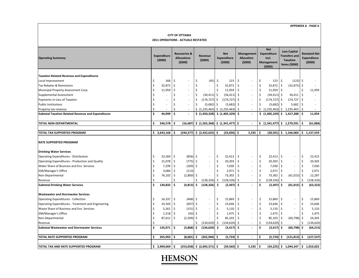#### **CITY OF OTTAWA 2011 OPERATIONS ‐ ACTUALS RESTATED**

| <b>Operating Summary</b>                                  |                     | <b>Expenditure</b><br>(5000) |                    | <b>Recoveries &amp;</b><br><b>Allocations</b><br>(5000) |     | Revenue<br>(5000)                                                                                                                                                                              |    | <b>Net</b><br><b>Expenditure</b><br>(5000) |     | Management<br><b>Allocation</b><br>(5000) |         | <b>Net</b><br><b>Expenditure</b><br>incl.<br>Management<br>(5000) |      | <b>Less Capital</b><br><b>Transfers and</b><br><b>Taxation</b><br>Items (\$000) |      | <b>Restated Net</b><br><b>Expenditure</b><br>(5000) |
|-----------------------------------------------------------|---------------------|------------------------------|--------------------|---------------------------------------------------------|-----|------------------------------------------------------------------------------------------------------------------------------------------------------------------------------------------------|----|--------------------------------------------|-----|-------------------------------------------|---------|-------------------------------------------------------------------|------|---------------------------------------------------------------------------------|------|-----------------------------------------------------|
|                                                           |                     |                              |                    |                                                         |     |                                                                                                                                                                                                |    |                                            |     |                                           |         |                                                                   |      |                                                                                 |      |                                                     |
| <b>Taxation Related Revenue and Expenditures</b>          |                     |                              |                    |                                                         |     |                                                                                                                                                                                                |    |                                            |     |                                           |         |                                                                   |      |                                                                                 |      |                                                     |
| Local Improvement                                         | \$                  | 168                          | \$                 |                                                         | \$  | (45)                                                                                                                                                                                           | \$ | 123                                        | \$  |                                           | \$      | 123                                                               | ∣\$  | $(123)$ \$                                                                      |      |                                                     |
| Tax Rebates & Remissions                                  | $\mathsf{S}$        | 32,872                       | -Ś                 |                                                         | Ś   |                                                                                                                                                                                                | Ś  | 32,872                                     | \$  | $\overline{\phantom{a}}$                  | $\zeta$ | 32,872                                                            | l \$ | $(32,872)$ \$                                                                   |      |                                                     |
| Municipal Property Assessment Corp.                       | $\ddot{\mathsf{S}}$ | 11,959                       | $\mathsf{\hat{S}}$ | L.                                                      | Ś   |                                                                                                                                                                                                | \$ | 11,959                                     | \$  |                                           | $\zeta$ | 11,959                                                            | l \$ |                                                                                 | Ś    | 11,959                                              |
| Supplemental Assessment                                   | $\ddot{\mathsf{S}}$ |                              | Ś                  |                                                         | \$  | $(34, 411)$ \$                                                                                                                                                                                 |    | (34, 411)                                  | \$  |                                           | $\zeta$ | $(34, 411)$ \$                                                    |      | 34,411                                                                          | l \$ |                                                     |
| Payments-in-Lieu of Taxation                              | $\zeta$             | ÷,                           | Ś                  | $\overline{\phantom{a}}$                                | Ś   | $(174, 727)$ \$                                                                                                                                                                                |    | (174, 727)                                 | \$  |                                           | \$      | $(174, 727)$ \$                                                   |      | 174,727                                                                         |      |                                                     |
| <b>Public Institutions</b>                                | $\ddot{\mathsf{S}}$ | $\overline{\phantom{a}}$     | Ś                  |                                                         | Ś   | $(5,682)$ \$                                                                                                                                                                                   |    | (5,682)                                    | \$  |                                           | \$      | $(5,682)$ \$                                                      |      | 5,682                                                                           | -Ś   |                                                     |
| Property tax revenue                                      | Ś                   |                              | $\zeta$            | $\overline{\phantom{a}}$                                |     | $\left  \begin{array}{cc} \xi & (1,235,463) \end{array} \right $ \, $\left  \begin{array}{cc} \xi & (1,235,463) \end{array} \right $                                                           |    |                                            | Ŝ.  | $\overline{\phantom{a}}$                  | \$      | (1, 235, 463)                                                     |      | \$1,235,463                                                                     | Ŝ.   |                                                     |
| <b>Subtotal Taxation Related Revenue and Expenditures</b> | $\mathsf{\hat{S}}$  | 44,999                       | \$                 |                                                         |     | $\frac{1}{2}$ (1,450,328) $\frac{1}{2}$ (1,405,329)                                                                                                                                            |    |                                            | \$  |                                           |         | \$(1,405,329)                                                     | S.   | 1,417,288                                                                       | ۱\$  | 11,959                                              |
| TOTAL NON-DEPARTMENTAL                                    | \$                  | 240,578                      | \$.                | (16, 687)                                               |     | $\left  \begin{array}{cc} \xi & (1,565,368) \end{array} \right  \left  \begin{array}{cc} \xi & (1,341,477) \end{array} \right  \left  \begin{array}{cc} \xi & (1,565,368) \end{array} \right $ |    |                                            |     | $\overline{\phantom{a}}$                  | \$      | $(1,341,477)$ \$ 1,279,591                                        |      |                                                                                 | Ŝ    | (61, 886)                                           |
|                                                           |                     |                              |                    |                                                         |     |                                                                                                                                                                                                |    |                                            |     |                                           |         |                                                                   |      |                                                                                 |      |                                                     |
| <b>TOTAL TAX SUPPORTED PROGRAM</b>                        |                     | \$2,643,166                  | Ŝ.                 |                                                         |     | $(244,377)$ \$ $(2,432,625)$ \$                                                                                                                                                                |    | $(33,836)$ \$                              |     | 5,335                                     | Ś       |                                                                   |      | $(28,501)$ \$ 1,166,060                                                         |      | \$1,137,559                                         |
| <b>RATE SUPPORTED PROGRAM</b>                             |                     |                              |                    |                                                         |     |                                                                                                                                                                                                |    |                                            |     |                                           |         |                                                                   |      |                                                                                 |      |                                                     |
| <b>Drinking Water Services</b>                            |                     |                              |                    |                                                         |     |                                                                                                                                                                                                |    |                                            |     |                                           |         |                                                                   |      |                                                                                 |      |                                                     |
| Operating Expenditures - Distribution                     | \$                  | 23,269                       | S.                 | $(856)$ \$                                              |     | $\overline{\phantom{a}}$                                                                                                                                                                       | \$ | 22,413                                     | \$  |                                           | \$      | 22,413                                                            | ۱\$  |                                                                                 | \$   | 22,413                                              |
| Operating Expenditures - Production and Quality           | $\mathsf{S}$        | 21,078                       | S.                 | (775)                                                   | \$  | $\overline{\phantom{a}}$                                                                                                                                                                       | \$ | 20,303                                     | \$  |                                           | \$      | 20,303                                                            | l \$ | $\overline{\phantom{a}}$                                                        | \$   | 20,303                                              |
| Water Share of Business and Env. Services                 | $\mathsf{S}$        | 7,299                        | S.                 | (269)                                                   | \$  | $\overline{a}$                                                                                                                                                                                 | \$ | 7,030                                      | \$  |                                           | \$      | 7,030                                                             | l \$ | $\overline{\phantom{a}}$                                                        | \$   | 7,030                                               |
| GM/Manager's Office                                       | $\mathsf{S}$        | 3,084                        | -Ś                 | (113)                                                   |     |                                                                                                                                                                                                |    | 2,971                                      | \$  |                                           | $\zeta$ | 2,971                                                             | l \$ |                                                                                 |      | 2,971                                               |
| Non-Departmental                                          | $\ddot{\mathsf{S}}$ | 76,102                       | $\mathsf{\hat{S}}$ | (2,800)                                                 | \$. |                                                                                                                                                                                                |    | 73,302                                     | \$  |                                           | $\zeta$ | 73,302                                                            | l \$ | $(61,015)$ \$                                                                   |      | 12,287                                              |
| Revenue                                                   | \$                  |                              | Ś                  |                                                         |     | (128, 326)                                                                                                                                                                                     | Ŝ  | (128, 326)                                 | Ś   | $\sim$                                    | \$      | (128,326) \$                                                      |      |                                                                                 |      | (128, 326)                                          |
| <b>Subtotal Drinking Water Services</b>                   | \$                  | 130,832                      | \$.                | (4, 813)                                                | \$  | (128, 326)                                                                                                                                                                                     | \$ | (2, 307)                                   | \$. |                                           | \$      | $(2,307)$ \$                                                      |      | $(61,015)$ \$                                                                   |      | (63, 322)                                           |
| <b>Wastewater and Stormwater Services</b>                 |                     |                              |                    |                                                         |     |                                                                                                                                                                                                |    |                                            |     |                                           |         |                                                                   |      |                                                                                 |      |                                                     |
| <b>Operating Expenditures - Collection</b>                | $\zeta$             | $16,337$ \$                  |                    | $(468)$ \$                                              |     | $\overline{a}$                                                                                                                                                                                 | \$ | 15,869                                     | \$  |                                           | \$      | 15,869                                                            | l \$ | $\overline{\phantom{a}}$                                                        | \$   | 15,869                                              |
| Operating Expenditures - Treatment and Engineering        | $\varsigma$         | 24,343                       | -\$                | $(697)$ \$                                              |     | $\overline{\phantom{a}}$                                                                                                                                                                       | \$ | 23,646                                     | \$  |                                           | \$      | $23,646$ \$                                                       |      | $\overline{\phantom{a}}$                                                        | \$   | 23,646                                              |
| Waste Share of Business and Env. Services                 | $\zeta$             | $5,261$ \$                   |                    | $(151)$ \$                                              |     | $\overline{\phantom{a}}$                                                                                                                                                                       | Ś  | 5,110                                      | \$  |                                           | $\zeta$ | $5,110$   \$                                                      |      | $\overline{\phantom{a}}$                                                        | -\$  | 5,110                                               |
| GM/Manager's Office                                       | Ś                   | 1,518                        | -Ś                 | (43)                                                    | -Ŝ  | L,                                                                                                                                                                                             | Ś  | 1,475                                      | \$  |                                           | \$      | $1,475$   \$                                                      |      |                                                                                 |      | 1,475                                               |
| Non-Departmental                                          | $\ddot{\mathsf{S}}$ | 87,612 \$                    |                    | (2,509)                                                 | Ŝ.  |                                                                                                                                                                                                | Ś  | 85,103                                     | \$  |                                           | $\zeta$ | 85,103                                                            | l \$ | $(60, 798)$ \$                                                                  |      | 24,305                                              |
| Revenue                                                   | Ś                   |                              |                    |                                                         |     | (134, 620)                                                                                                                                                                                     | \$ | (134, 620)                                 | \$  |                                           | \$      | $(134, 620)$ \$                                                   |      |                                                                                 |      | (134, 620)                                          |
| <b>Subtotal Wastewater and Stormwater Services</b>        | \$                  | $135,071$ \$                 |                    | (3,868)                                                 | \$  | (134, 620)                                                                                                                                                                                     | \$ | (3, 417)                                   | \$. |                                           | \$      | $(3,417)$ \$                                                      |      | $(60, 798)$ \$                                                                  |      | (64, 215)                                           |
| TOTAL RATE SUPPORTED PROGRAM                              | \$                  | 265,903                      | \$                 | (8,681)                                                 | \$  | $(262, 946)$ \$                                                                                                                                                                                |    | $(5,724)$ \$                               |     | $\blacksquare$                            | \$      | $(5,724)$ \$                                                      |      | (121, 813)                                                                      | \$.  | (127, 537)                                          |
|                                                           |                     |                              |                    |                                                         |     |                                                                                                                                                                                                |    |                                            |     |                                           |         |                                                                   |      |                                                                                 |      |                                                     |
| TOTAL TAX AND RATE SUPPORTED PROGRAM                      | \$                  | 2,909,069                    | \$,                |                                                         |     | $(253,058)$ \$ $(2,695,571)$ \$                                                                                                                                                                |    | (39,560) \$                                |     | 5,335                                     | \$.     | $(34, 225)$ \$                                                    |      | 1,044,247                                                                       | \$   | 1,010,022                                           |

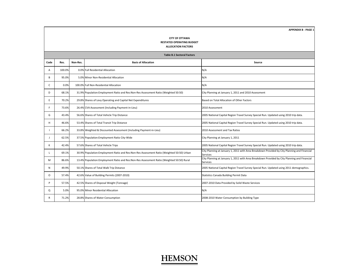#### **CITY OF OTTAWA RESTATED OPERATING BUDGET ALLOCATION FACTORS**

|      | <b>Table B.1 Sectoral Factors</b> |          |                                                                                             |                                                                                                                 |  |  |  |  |  |  |  |  |  |  |
|------|-----------------------------------|----------|---------------------------------------------------------------------------------------------|-----------------------------------------------------------------------------------------------------------------|--|--|--|--|--|--|--|--|--|--|
| Code | Res.                              | Non-Res. | <b>Basis of Allocation</b>                                                                  | Source                                                                                                          |  |  |  |  |  |  |  |  |  |  |
| A    | 100.0%                            |          | 0.0% Full Residential Allocation                                                            | N/A                                                                                                             |  |  |  |  |  |  |  |  |  |  |
| B    | 95.0%                             |          | 5.0% Minor Non-Residential Allocation                                                       | N/A                                                                                                             |  |  |  |  |  |  |  |  |  |  |
| C.   | 0.0%                              |          | 100.0% Full Non-Residential Allocation                                                      | N/A                                                                                                             |  |  |  |  |  |  |  |  |  |  |
| D    | 68.1%                             |          | 31.9% Population: Employment Ratio and Res: Non-Res Assessment Ratio (Weighted 50:50)       | City Planning at January 1, 2011 and 2010 Assessment                                                            |  |  |  |  |  |  |  |  |  |  |
| E.   | 70.2%                             |          | 29.8% Shares of Levy Operating and Capital Net Expenditures                                 | Based on Total Allocation of Other Factors                                                                      |  |  |  |  |  |  |  |  |  |  |
| F    | 73.6%                             |          | 26.4% CVA Assessment (Including Payment-in-Lieu)                                            | 2010 Assessment                                                                                                 |  |  |  |  |  |  |  |  |  |  |
| G    | 43.4%                             |          | 56.6% Shares of Total Vehicle Trip Distance                                                 | 2005 National Capital Region Travel Survey Special Run. Updated using 2010 trip data.                           |  |  |  |  |  |  |  |  |  |  |
| н    | 46.6%                             |          | 53.4% Shares of Total Transit Trip Distance                                                 | 2005 National Capital Region Travel Survey Special Run. Updated using 2010 trip data.                           |  |  |  |  |  |  |  |  |  |  |
|      | 66.2%                             |          | 33.8% Weighted & Discounted Assessment (Including Payment-in-Lieu)                          | 2010 Assessment and Tax Ratios                                                                                  |  |  |  |  |  |  |  |  |  |  |
| J    | 62.5%                             |          | 37.5% Population: Employment Ratio City-Wide                                                | City Planning at January 1, 2011                                                                                |  |  |  |  |  |  |  |  |  |  |
|      | 42.4%                             |          | 57.6% Shares of Total Vehicle Trips                                                         | 2005 National Capital Region Travel Survey Special Run. Updated using 2010 trip data.                           |  |  |  |  |  |  |  |  |  |  |
|      | 69.1%                             |          | 30.9% Population: Employment Ratio and Res: Non-Res Assessment Ratio (Weighted 50:50) Urban | City Planning at January 1, 2011 with Area Breakdown Provided by City Planning and Financial<br><b>Services</b> |  |  |  |  |  |  |  |  |  |  |
| M    | 86.6%                             |          | 13.4% Population: Employment Ratio and Res: Non-Res Assessment Ratio (Weighted 50:50) Rural | City Planning at January 1, 2011 with Area Breakdown Provided by City Planning and Financial<br>Services        |  |  |  |  |  |  |  |  |  |  |
| N    | 49.9%                             |          | 50.1% Shares of Total Walk Trip Distance                                                    | 2005 National Capital Region Travel Survey Special Run. Updated using 2011 demographics.                        |  |  |  |  |  |  |  |  |  |  |
| O    | 57.4%                             |          | 42.6% Value of Building Permits (2007-2010)                                                 | Statistics Canada Building Permit Data                                                                          |  |  |  |  |  |  |  |  |  |  |
| P    | 57.5%                             |          | 42.5% Shares of Disposal Weight (Tonnage)                                                   | 2007-2010 Data Provided by Solid Waste Services                                                                 |  |  |  |  |  |  |  |  |  |  |
| Q    | 5.0%                              |          | 95.0% Minor Residential Allocation                                                          | N/A                                                                                                             |  |  |  |  |  |  |  |  |  |  |
| R    | 71.2%                             |          | 28.8% Shares of Water Consumption                                                           | 2008-2010 Water Consumption by Building Type                                                                    |  |  |  |  |  |  |  |  |  |  |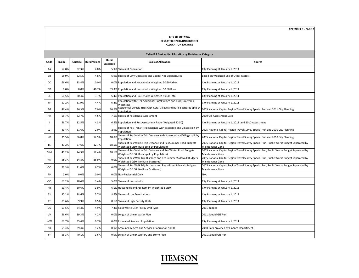#### **CITY OF OTTAWA**

#### **RESTATED OPERATING BUDGET ALLOCATION FACTORS**

|           |                                                              |         |                      |                                  | Table B.2 Residential Allocation by Residential Category                                                       |                                                                                                              |
|-----------|--------------------------------------------------------------|---------|----------------------|----------------------------------|----------------------------------------------------------------------------------------------------------------|--------------------------------------------------------------------------------------------------------------|
| Code      | Inside                                                       | Outside | <b>Rural Village</b> | Rural<br><b>Scattered</b>        | <b>Basis of Allocation</b>                                                                                     | Source                                                                                                       |
| AA        | 57.8%                                                        | 32.3%   | 4.0%                 |                                  | 5.9% Shares of Population                                                                                      | City Planning at January 1, 2011                                                                             |
| BB        | 55.9%                                                        | 32.5%   | 4.8%                 |                                  | 6.9% Shares of Levy Operating and Capital Net Expenditures                                                     | Based on Weighted Mix of Other Factors                                                                       |
| CC        | 66.6%                                                        | 33.4%   | 0.0%                 |                                  | 0.0% Population and Households Weighted 50:50 Urban                                                            | City Planning at January 1, 2011                                                                             |
| DD        | 0.0%                                                         | 0.0%    | 40.7%                |                                  | 59.3% Population and Households Weighted 50:50 Rural                                                           | City Planning at January 1, 2011                                                                             |
| EE        | 60.5%                                                        | 30.4%   | 3.7%                 |                                  | 5.4% Population and Households Weighted 50:50 Total                                                            | City Planning at January 1, 2011                                                                             |
| FF        | 57.2%                                                        | 31.9%   | 4.4%                 | 6.4%                             | Population with 10% Additional Rural Village and Rural Scattered<br>Weighting                                  | City Planning at January 1, 2011                                                                             |
| GG        | 46.4%                                                        | 36.3%   | 7.0%                 | 10.2%                            | Residential Vehicle Trips with Rural Village and Rural Scattered split by<br>Population                        | 2005 National Capital Region Travel Survey Special Run and 2011 City Planning                                |
| HH        | 55.7%                                                        | 32.7%   | 4.5%                 |                                  | 7.1% Shares of Residential Assessment                                                                          | 2010 GIS Assessment Data                                                                                     |
| Ш         | 56.7%                                                        | 32.5%   | 4.3%                 |                                  | 6.5% Population and Res Assessment Ratio (Weighted 50:50)                                                      | City Planning at January 1, 2011 and 2010 Assessment                                                         |
| IJ        | 43.4%                                                        | 51.6%   | 2.0%                 | 2.9%                             | Shares of Res Transit Trip Distance with Scattered and Village split by<br>Population                          | 2005 National Capital Region Travel Survey Special Run and 2010 City Planning                                |
| КK        | 31.5%                                                        | 36.8%   | 12.9%                | 18.8%                            | Shares of Res Vehicle Trip Distance with Scattered and Village split by<br>Population                          | 2005 National Capital Region Travel Survey Special Run and 2010 City Planning                                |
| LL        | 41.2%                                                        | 27.6%   | 12.7%                | 18.5%                            | Shares of Res Vehicle Trip Distance and Res Summer Road Budgets                                                | 2005 National Capital Region Travel Survey Special Run, Public Works Budget Separated by<br>Maintenance Zone |
| MМ        | 45.2%                                                        | 24.3%   | 12.4%                | 18.1%                            | Weighted 50:50 (Rural split by Population)<br>Shares of Res Vehicle Trip Distance and Res Winter Road Budgets  | 2005 National Capital Region Travel Survey Special Run, Public Works Budget Separated by                     |
|           |                                                              |         |                      |                                  | Weighted 50:50 (Rural split by Population)<br>Shares of Res Walk Trip Distance and Res Summer Sidewalk Budgets | Maintenance Zone<br>2005 National Capital Region Travel Survey Special Run, Public Works Budget Separated by |
| <b>NN</b> | 58.3%                                                        | 14.8%   | 26.9%                | 0.0%                             | Weighted 50:50 (No Rural Scattered)                                                                            | Maintenance Zone                                                                                             |
| oo        | 72.3%                                                        | 21.0%   | 6.7%                 | 0.0%                             | Shares of Res Walk Trip Distance and Res Winter Sidewalk Budgets                                               | 2005 National Capital Region Travel Survey Special Run, Public Works Budget Separated by                     |
|           |                                                              |         |                      |                                  | Weighted 50:50 (No Rural Scattered)                                                                            | Maintenance Zone                                                                                             |
| PP        | 0.0%                                                         | 0.0%    | 0.0%                 |                                  | 0.0% Non-Residential Only                                                                                      | N/A                                                                                                          |
| QQ        | 63.2%                                                        | 28.4%   | 3.4%                 |                                  | 5.0% Shares of Households                                                                                      | City Planning at January 1, 2011                                                                             |
| <b>RR</b> | 59.4%                                                        | 30.6%   | 3.9%                 |                                  | 6.1% Households and Assessment Weighted 50:50                                                                  | City Planning at January 1, 2011                                                                             |
| SS        | 47.2%                                                        | 38.6%   | 5.7%                 |                                  | 8.6% Shares of Low Density Units                                                                               | City Planning at January 1, 2011                                                                             |
| <b>TT</b> | 89.6%                                                        | 9.9%    | 0.5%                 |                                  | 0.1% Shares of High Density Units                                                                              | City Planning at January 1, 2011                                                                             |
| UU        | 53.5%                                                        | 34.3%   | 4.9%                 |                                  | 7.3% Solid Waste User Fee by Unit Type                                                                         | 2011 Budget                                                                                                  |
| <b>VV</b> | 56.6%                                                        | 39.3%   | 4.2%                 |                                  | 0.0% Length of Linear Water Pipe                                                                               | 2011 Special GIS Run                                                                                         |
| <b>WW</b> | 63.7%<br>35.6%<br>0.7%<br>0.0% Estimated Serviced Population |         |                      | City Planning at January 1, 2011 |                                                                                                                |                                                                                                              |
| XX        | 59.4%                                                        | 39.4%   | 1.2%                 |                                  | 0.0% Accounts by Area and Serviced Population 50:50                                                            | 2010 Data provided by Finance Department                                                                     |
| YY        | 56.3%                                                        | 40.1%   | 3.6%                 |                                  | 0.0% Length of Linear Sanitary and Storm Pipe                                                                  | 2011 Special GIS Run                                                                                         |

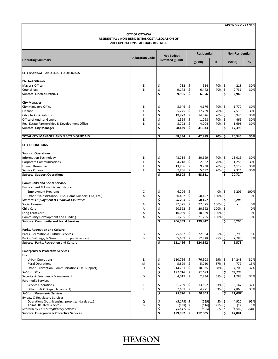| <b>APPENDIX C - PAGE 1</b> |  |
|----------------------------|--|
|----------------------------|--|

#### **2011 OPERATIONS ‐ ACTUALS RESTATED CITY OF OTTAWA RESIDENTIAL / NON‐RESIDENTIAL COST ALLOCATION OF**

|                                                                            | <b>Allocation Code</b> | <b>Net Budget</b>                  |         | <b>Residential</b> |            | <b>Non-Residential</b> |                 |            |  |
|----------------------------------------------------------------------------|------------------------|------------------------------------|---------|--------------------|------------|------------------------|-----------------|------------|--|
| <b>Operating Summary</b>                                                   |                        | Restated (\$000)                   |         | (5000)             | %          |                        | (5000)          | %          |  |
| <b>CITY MANAGER AND ELECTED OFFICIALS</b>                                  |                        |                                    |         |                    |            |                        |                 |            |  |
| <b>Elected Officials</b>                                                   |                        |                                    |         |                    |            |                        |                 |            |  |
| Mayor's Office                                                             | Ε                      | \$<br>732                          | \$.     | 514                | 70%\$      |                        | 218             | 30%        |  |
| Councillors                                                                | E                      | \$<br>9,173                        | \$      | 6,442              | 70%        | \$                     | 2,731           | 30%        |  |
| <b>Subtotal Elected Officials</b>                                          |                        | \$<br>9,905                        | \$.     | 6,956              |            | \$                     | 2,949           |            |  |
| <b>City Manager</b>                                                        |                        |                                    |         |                    |            |                        |                 |            |  |
| <b>City Managers Office</b>                                                | Ε                      | \$<br>5,946                        | -\$     | 4,176              | 70%        | \$                     | 1,770           | 30%        |  |
| Finance                                                                    | E                      | \$<br>25,245                       | 5       | 17,729             | 70%        | \$                     | 7,516           | 30%        |  |
| City Clerk's & Solicitor                                                   | E                      | \$<br>19,972                       | \$      | 14,026             | 70%        | $\zeta$                | 5,946           | 30%        |  |
| Office of Auditor General                                                  | E                      | \$<br>1,564                        | \$      | 1,098              | 70%        | \$                     | 466             | 30%        |  |
| Real Estate Partnerships & Development Office                              | E                      | \$<br>5,702                        | \$      | 4,004              | 70%        | \$                     | 1,698           | 30%        |  |
| <b>Subtotal City Manager</b>                                               |                        | \$<br>58,429                       | \$      | 41,033             |            | \$                     | 17,396          |            |  |
| TOTAL CITY MANAGER AND ELECTED OFFICIALS                                   |                        | \$<br>68,334                       | \$      | 47,989             | 70%        | \$                     | 20,345          | 30%        |  |
| <b>CITY OPERATIONS</b>                                                     |                        |                                    |         |                    |            |                        |                 |            |  |
| <b>Support Operations</b>                                                  |                        |                                    |         |                    |            |                        |                 |            |  |
| <b>Information Technology</b>                                              | Ε                      | \$<br>43,714                       | \$      | 30,699             | 70%\$      |                        | 13,015          | 30%        |  |
| <b>Corporate Communications</b>                                            | E                      | \$<br>4,218                        | \$      | 2,962              | 70%        | $\zeta$                | 1,256           | 30%        |  |
| <b>Human Resources</b>                                                     | E                      | \$<br>13,866                       | \$      | 9,738              | 70%        | $\ddot{\mathsf{S}}$    | 4,129           | 30%        |  |
| Service Ottawa                                                             | E                      | \$<br>7,806                        | \$      | 5,482              | 70%        | \$                     | 2,324           | 30%        |  |
| <b>Subtotal Support Operations</b>                                         |                        | $\overline{\mathsf{s}}$<br>69,605  | \$.     | 48,881             |            | \$                     | 20,724          |            |  |
| <b>Community and Social Services</b>                                       |                        |                                    |         |                    |            |                        |                 |            |  |
| Employment & Financial Assistance                                          |                        |                                    |         |                    |            |                        |                 |            |  |
| <b>Employment Programs</b>                                                 | С                      | \$<br>6,206                        | \$      |                    | 0%         | \$                     | 6,206           | 100%       |  |
| Other (fin. assistance, EHSS, Home Support, EFA, etc.)                     | A                      | \$<br>50,497                       | \$      | 50,497             | 100%       | \$                     |                 | 0%         |  |
| <b>Subtotal Employment &amp; Financial Assistance</b>                      |                        | \$<br>56,703                       | \$      | 50,497             |            | \$                     | 6,206           |            |  |
| <b>Social Housing</b>                                                      | Α                      | \$<br>97,375                       | \$      | 97,375             | 100%       | \$                     |                 | 0%         |  |
| Child Care                                                                 | Α                      | \$<br>20,592                       | \$      | 20,592             | 100%       | \$                     | $\sim$          | 0%         |  |
| Long Term Care                                                             | Α                      | \$<br>10,089                       | \$      | 10,089             | 100%       | \$                     |                 | 0%         |  |
| Community Development and Funding                                          | А                      | \$<br>21,295                       | \$      | 21,295             | 100%       | \$                     |                 | 0%         |  |
| <b>Subtotal Community and Social Services</b>                              |                        | $\overline{\mathsf{s}}$<br>206,053 | \$      | 199,847            |            | \$                     | 6,206           |            |  |
| Parks, Recreation and Culture                                              |                        |                                    |         |                    |            |                        |                 |            |  |
| Parks, Recreation & Culture Services                                       | В                      | \$<br>75,857                       | \$      | 72,064             | 95%        | \$                     | 3,793           | 5%         |  |
| Parks, Buildings, & Grounds (from public works)                            | B                      | \$<br>55,609                       | \$      | 52,828             | 95%        | \$                     | 2,780           | 5%         |  |
| <b>Subtotal Parks, Recreation and Culture</b>                              |                        | \$<br>131,466                      | \$.     | 124,892            |            | \$                     | 6,573           |            |  |
| <b>Emergency &amp; Protective Services</b>                                 |                        |                                    |         |                    |            |                        |                 |            |  |
| Fire                                                                       |                        |                                    |         |                    |            |                        |                 |            |  |
| <b>Urban Operations</b>                                                    | Г                      | \$<br>110,756                      | -\$     | 76,508             | 69%\$      |                        | 34,248          | 31%        |  |
| <b>Rural Operations</b><br>Other (Prevention, Communications, Op. support) | М<br>D                 | \$<br>5,829<br>\$                  | -\$     | 5,050              | 87%<br>68% | \$                     | 779             | 13%<br>32% |  |
| <b>Subtotal Fire</b>                                                       |                        | 14,731<br>\$<br>131,316            | \$<br>5 | 10,025<br>91,583   |            | \$<br>\$               | 4,706<br>39,733 |            |  |
| Security & Emergency Management                                            | D                      | \$<br>4,017                        | \$      | 2,734              | 68%        | \$                     | 1,283           | 32%        |  |
| Paramedic Services                                                         |                        |                                    |         |                    |            |                        |                 |            |  |
| <b>Service Operations</b>                                                  | J                      | \$<br>21,739                       | \$      | 13,592             | 63%        | \$                     | 8,147           | 37%        |  |
| Other (CACC Dispatch contract)                                             | <sup>1</sup>           | \$<br>7,631                        | \$.     | 4,771              | 63%        | \$                     | 2,860           | 37%        |  |
| <b>Subtotal Paramedic Services</b>                                         |                        | \$<br>$29,370$ \$                  |         | 18,363             |            | \$                     | 11,007          |            |  |
| By-Law & Regulatory Services                                               |                        |                                    |         |                    |            |                        |                 |            |  |
| Operations (bus. licensing, prop. standards etc.)                          | Q                      | \$<br>$(5, 179)$ \$                |         | (259)              | 5%         | \$                     | (4,920)         | 95%        |  |
| <b>Animal Related Services</b>                                             | B                      | خ<br>\$<br>(438)                   |         | (416)              | 95%        | \$                     | (22)            | 5%         |  |
| Subtotal By-Law & Regulatory Services                                      |                        | (5,617)                            | \$      | (675)              | 12%        | \$                     | (4, 942)        | 88%        |  |
| <b>Subtotal Emergency &amp; Protective Services</b>                        |                        | \$<br>159,087                      | \$.     | 112,005            |            | \$                     | 47,081          |            |  |

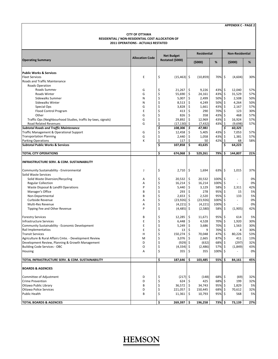#### **CITY OF OTTAWA RESIDENTIAL / NON‐RESIDENTIAL COST ALLOCATION OF 2011 OPERATIONS ‐ ACTUALS RESTATED**

|                                                               |                        |    | <b>Net Budget</b> |                     | <b>Residential</b> |            | <b>Non-Residential</b> |         |     |  |
|---------------------------------------------------------------|------------------------|----|-------------------|---------------------|--------------------|------------|------------------------|---------|-----|--|
| <b>Operating Summary</b>                                      | <b>Allocation Code</b> |    | Restated (\$000)  |                     | (5000)             | $\%$       |                        | (5000)  | %   |  |
| <b>Public Works &amp; Services</b>                            |                        |    |                   |                     |                    |            |                        |         |     |  |
| <b>Fleet Services</b>                                         | E                      | \$ | $(15, 463)$ \$    |                     | (10, 859)          | 70% \$     |                        | (4,604) | 30% |  |
| Roads and Traffic Maintenance                                 |                        |    |                   |                     |                    |            |                        |         |     |  |
| Roads Operation                                               |                        |    |                   |                     |                    |            |                        |         |     |  |
| Roads Summer                                                  | G                      | \$ | 21,267            | \$                  | 9,226              | 43%        | \$                     | 12,040  | 57% |  |
| Roads Winter                                                  | G                      | \$ | 55,690            | \$                  | 24,161             | 43%        | \$                     | 31,529  | 57% |  |
| Sidewalks Summer                                              | N                      | \$ | 5,007             | $\zeta$             | 2,499              | 50%        | $\zeta$                | 2,508   | 50% |  |
| <b>Sidewalks Winter</b>                                       | N                      | \$ | 8,513             | \$                  | 4,249              | 50%        | \$                     | 4,264   | 50% |  |
| Special Ops                                                   | G                      | \$ | 3,828             | \$                  | 1,661              | 43%        | $\zeta$                | 2,167   | 57% |  |
| Flood Control Program                                         | E                      | \$ | 413               | \$                  | 290                | 70%        | \$                     | 123     | 30% |  |
| Other                                                         | G                      | \$ | 826               | \$                  | 358                | 43%        | \$                     | 468     | 57% |  |
| Traffic Ops (Neighbourhood Studies, traffic by-laws, signals) | G                      | \$ | 29,892            | \$                  | 12,969             | 43%        | \$                     | 16,924  | 57% |  |
| Road Related Revenues                                         | G                      | \$ | $(17, 130)$ \$    |                     | (7, 432)           | 43%        | \$                     | (9,698) | 57% |  |
| <b>Subtotal Roads and Traffic Maintenance</b>                 |                        | \$ | 108,306           | \$                  | 47,981             |            | \$                     | 60,325  |     |  |
| Traffic Management & Operational Support                      | G                      | \$ | 12,458            | \$                  | 5,405              | 43%        | \$                     | 7,053   | 57% |  |
| <b>Transportation Planning</b>                                | G                      | \$ | 2,440             | \$                  | 1,058              | 43%        | \$                     | 1,381   | 57% |  |
| <b>Parking Operations</b>                                     | К                      | \$ | 117               | \$                  | 50                 | 42%        | \$                     | 68      | 58% |  |
| <b>Subtotal Public Works &amp; Services</b>                   |                        | \$ | 107,858           | \$                  | 43.635             |            | \$                     | 64,223  |     |  |
| <b>TOTAL CITY OPERATIONS</b>                                  |                        | \$ | 674,068           | \$                  | 529,261            | 79%        | Ś                      | 144,807 | 21% |  |
| <b>INFRASTRUCTURE SERV. &amp; COM. SUSTAINABILITY</b>         |                        |    |                   |                     |                    |            |                        |         |     |  |
| Community Sustainability - Environmental                      | J                      | \$ | 2,710             | \$                  | 1,694              | 63% \$     |                        | 1,015   | 37% |  |
| Solid Waste Services                                          |                        |    |                   |                     |                    |            |                        |         |     |  |
| Solid Waste Diversion/Recycling                               | Α                      | \$ | 20,532            | \$                  | 20,532             | 100%       | \$                     | ×.      | 0%  |  |
| <b>Regular Collection</b>                                     | Α                      | \$ | 16,214            | $\sqrt{5}$          | 16,214             | 100%       | \$                     |         | 0%  |  |
| Waste Disposal & Landfil Operations                           | P                      | \$ | 5,440             | $\ddot{\mathsf{S}}$ | 3,129              | 58%        | \$                     | 2,311   | 42% |  |
| Manager's Office                                              | B                      | \$ | 293               | \$                  | 278                | 95%        | \$                     | 15      | 5%  |  |
| Non-Departmental                                              | B                      | \$ | 2,653             | -\$                 | 2,520              | 95%        | \$                     | 133     | 5%  |  |
| Curbside Revenue                                              | Α                      | \$ | $(23,926)$ \$     |                     | (23, 926)          | 100%       | \$                     | ×.      | 0%  |  |
| Multi-Res Revenue                                             | Α                      | \$ | $(4,221)$ \$      |                     | (4, 221)           | 100%       | \$                     |         | 0%  |  |
| Tipping Fee and Other Revenue                                 | P                      | \$ | $(4,485)$ \$      |                     | (2,580)            | 58%        | \$                     | (1,905) | 42% |  |
| <b>Forestry Services</b>                                      | B                      | \$ | 12,285            | \$                  | 11,671             | 95%        | \$                     | 614     | 5%  |  |
| <b>Infrastructure Services</b>                                | E                      | \$ | 6,448             | $\ddot{\mathsf{S}}$ | 4,528              | 70%        | \$                     | 1,920   | 30% |  |
| Community Sustainability - Economic Development               | E                      | \$ | 5,249             | $\ddot{\mathsf{S}}$ | 3,686              | 70%        | \$                     | 1,563   | 30% |  |
| Rail Implementation                                           | E                      | \$ | 13                | \$                  | 9                  | 70%        | \$                     | 4       | 30% |  |
| <b>Transit Services</b>                                       | Н                      | \$ | 150,274           | \$                  | 70,048             | 47%        | \$                     | 80,226  | 53% |  |
| Agriculture & Rural Affairs Cmte. - Development Review        | м                      | \$ | 3,076             | \$                  | 2,665              | 87%        | \$                     | 411     | 13% |  |
| Development Review, Planning & Growth Management              | D                      | \$ | $(929)$ \$        |                     | (632)              | 68%        | \$                     | (297)   | 32% |  |
| <b>Building Code Services - OBC</b>                           | O                      | \$ | $(4,334)$ \$      |                     | (2,486)            | 57%        | \$                     | (1,849) | 43% |  |
| Housing                                                       | A                      | Ş  | 355 I Ş           |                     | 355                | $100\%$ \$ |                        |         | 0%  |  |
| TOTAL INFRASTRUCTURE SERV. & COM. SUSTAINABILITY              |                        | \$ | 187,646           | \$.                 | 103,485            | 55%        | Ŝ.                     | 84,161  | 45% |  |
| <b>BOARDS &amp; AGENCIES</b>                                  |                        |    |                   |                     |                    |            |                        |         |     |  |
|                                                               |                        |    |                   |                     |                    |            |                        |         |     |  |
| Committee of Adjustment                                       | D                      | \$ | $(217)$ \$        |                     | (148)              | 68% \$     |                        | (69)    | 32% |  |
| <b>Crime Prevention</b>                                       | D                      | \$ | $624$ \$          |                     | 425                | 68%        | -\$                    | 199     | 32% |  |
| Ottawa Public Library                                         | B                      | \$ | $36,572$ \$       |                     | 34,743             | 95%\$      |                        | 1,829   | 5%  |  |
| <b>Ottawa Police Services</b>                                 | D                      | \$ | 221,057 \$        |                     | 150,445            | 68%        | \$                     | 70,612  | 32% |  |
| Public Health                                                 | B                      | \$ | 11,361            | l\$                 | 10,793             | 95%\$      |                        | 568     | 5%  |  |
| <b>TOTAL BOARDS &amp; AGENCIES</b>                            |                        | \$ | 269,397 \$        |                     | 196,258            | 73% \$     |                        | 73,139  | 27% |  |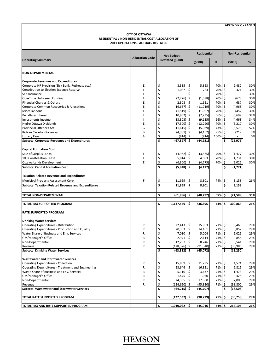#### **CITY OF OTTAWA RESIDENTIAL / NON‐RESIDENTIAL COST ALLOCATION OF 2011 OPERATIONS ‐ ACTUALS RESTATED**

|                                                           |                        |          |                                       |                     | <b>Residential</b><br>(5000)<br>% |            |                     | <b>Non-Residential</b> |            |
|-----------------------------------------------------------|------------------------|----------|---------------------------------------|---------------------|-----------------------------------|------------|---------------------|------------------------|------------|
| <b>Operating Summary</b>                                  | <b>Allocation Code</b> |          | <b>Net Budget</b><br>Restated (\$000) |                     |                                   |            |                     | (5000)                 | %          |
| <b>NON-DEPARTMENTAL</b>                                   |                        |          |                                       |                     |                                   |            |                     |                        |            |
| <b>Corporate Reveunes and Expenditures</b>                |                        |          |                                       |                     |                                   |            |                     |                        |            |
| Corporate HR Provision (Sick Bank, Retireess etc.)        | E                      | \$       | 8,335                                 | -\$                 | 5,853                             | 70%        | \$                  | 2,482                  | 30%        |
| Contribution to Election Expense Reserve                  | Ė                      | \$       | 1,087                                 | -\$                 | 763                               | 70%        | \$                  | 324                    | 30%        |
| Self Insurance                                            | E                      | \$       |                                       | Ś                   |                                   | 70%        | \$                  | ×.                     | 30%        |
| One-Time Unforseen Funding                                | E                      | \$       | $(2,276)$ \$                          |                     | (1, 598)                          | 70%        | \$                  | (678)                  | 30%        |
| Financial Charges & Others                                | E                      | \$       | 2,308                                 | -\$                 | 1,621                             | 70%        | \$                  | 687                    | 30%        |
| Corporate Common Recoveries & Allocations                 | E                      | \$       | $(16,687)$ \$                         |                     | (11, 719)                         | 70%        | \$                  | (4,968)                | 30%        |
| Miscellaneous                                             | E                      | \$       | $(1,519)$ \$                          |                     | (1,067)                           | 70%        | \$                  | (452)                  | 30%        |
| Penalty & Interest                                        |                        | \$       | $(10,932)$ \$                         |                     | (7, 235)                          | 66%        | \$                  | (3,697)                | 34%        |
| Investments Income                                        |                        | \$       | $(13,803)$ \$                         |                     | (9, 135)                          | 66%        | \$                  | (4,668)                | 34%        |
| Hydro Ottawa Dividends                                    | E                      | \$       | $(17,500)$ \$                         |                     | (12, 290)                         | 70%        | \$                  | (5, 210)               | 30%        |
| <b>Provincial Offences Act</b>                            | G                      | \$       | $(11,615)$ \$                         |                     | (5,039)                           | 43%        | \$                  | (6, 576)               | 57%        |
| Rideau Carleton Raceway                                   | B                      | \$       | $(4,381)$ \$                          |                     | (4, 162)                          | 95%        | $\ddot{\mathsf{S}}$ | (219)                  | 5%         |
| <b>Lottery Fees</b>                                       | A                      | \$       | (914)  \$                             |                     | (914)                             | 100%       | \$                  |                        | 0%         |
| <b>Subtotal Corporate Reveunes and Expenditures</b>       |                        | \$       | $(67, 897)$ \$                        |                     | (44,921)                          |            | \$                  | (22, 976)              |            |
| <b>Capital Formation Cost</b>                             |                        |          |                                       |                     |                                   |            |                     |                        |            |
| Sale of Surplus Lands                                     | Ε                      | \$       | $(4,962)$ \$                          |                     | (3,485)                           | 70%        | \$                  | (1, 477)               | 30%        |
| 100 Constellation Lease                                   | E                      | \$       | 5,814                                 | -\$                 | 4,083                             | 70%        | \$                  | 1,731                  | 30%        |
| Ottawa Lands Development                                  | E                      | \$       | $(6,800)$ \$                          |                     | (4, 775)                          | 70%        | $\sqrt{5}$          | (2,025)                | 30%        |
| <b>Subtotal Capital Formation Cost</b>                    |                        | \$       | $(5,948)$ \$                          |                     | (4, 177)                          |            | \$                  | (1,771)                |            |
| <b>Taxation Related Revenue and Expenditures</b>          |                        |          |                                       |                     |                                   |            |                     |                        |            |
| Municipal Property Assessment Corp.                       | F                      | \$       | 11,959                                | \$                  | 8,801                             | 74%        | \$                  | 3,158                  | 26%        |
| <b>Subtotal Taxation Related Revenue and Expenditures</b> |                        | \$       | 11,959                                | \$                  | 8,801                             |            | \$                  | 3,158                  |            |
| TOTAL NON-DEPARTMENTAL                                    |                        | \$       | $(61,886)$ \$                         |                     | (40, 297)                         | 65%        | \$                  | (21, 589)              | 35%        |
| TOTAL TAX SUPPORTED PROGRAM                               |                        | \$       | 1,137,559                             | Ś                   | 836,695                           | 74%        | \$                  | 300,864                | 26%        |
| <b>RATE SUPPORTED PROGRAM</b>                             |                        |          |                                       |                     |                                   |            |                     |                        |            |
|                                                           |                        |          |                                       |                     |                                   |            |                     |                        |            |
| <b>Drinking Water Services</b>                            |                        |          |                                       |                     |                                   |            |                     |                        |            |
| <b>Operating Expenditures - Distribution</b>              | R                      | \$       | 22,413                                | ∣\$                 | 15,953                            | 71% \$     |                     | 6,460                  | 29%        |
| Operating Expenditures - Production and Quality           | R                      | \$       | 20,303                                | $\ddot{\mathsf{S}}$ | 14,451                            | 71%        | \$                  | 5,852                  | 29%        |
| Water Share of Business and Env. Services                 | R                      | \$       | 7,030                                 | 5                   | 5,004                             | 71%        | \$                  | 2,026                  | 29%        |
| GM/Manager's Office                                       | R                      | \$<br>\$ | 2,971                                 | -\$                 | 2,114                             | 71%        | \$                  | 856                    | 29%        |
| Non-Departmental<br>Revenue                               | R<br>R                 | \$       | 12,287<br>$(128, 326)$ \$             | -\$                 | 8,746<br>(91, 340)                | 71%<br>71% | \$<br>\$            | 3,541<br>(36, 986)     | 29%<br>29% |
| <b>Subtotal Drinking Water Services</b>                   |                        | \$       | $(63,322)$ \$                         |                     | (45, 072)                         |            | \$                  | (18, 250)              |            |
| <b>Wastewater and Stormwater Services</b>                 |                        |          |                                       |                     |                                   |            |                     |                        |            |
| <b>Operating Expenditures - Collection</b>                | R                      | \$       | 15,869                                | -\$                 | 11,295                            | 71% \$     |                     | 4,574                  | 29%        |
| Operating Expenditures - Treatment and Engineering        | R                      | \$       | $23,646$ \$                           |                     | 16,831                            | 71% \$     |                     | 6,815                  | 29%        |
| Waste Share of Business and Env. Services                 | R                      | \$       | $5,110$ $\frac{1}{5}$                 |                     | 3,637                             | 71% \$     |                     | 1,473                  | 29%        |
| GM/Manager's Office                                       | R                      | \$       | $1,475$ \$                            |                     | 1,050                             | 71%        | \$                  | 425                    | 29%        |
| Non-Departmental                                          | R                      | \$       | 24,305                                |                     | 17,300                            | 71%        | \$                  | 7,005                  | 29%        |
| Revenue                                                   | R                      | \$       | $(134, 620)$ \$                       |                     | (95, 820)                         | 71%        | \$                  | (38, 800)              | 29%        |
| <b>Subtotal Wastewater and Stormwater Services</b>        |                        | \$       | $(64, 215)$ \$                        |                     | (45, 707)                         |            | \$                  | (18,508)               |            |
| TOTAL RATE SUPPORTED PROGRAM                              |                        | \$       | (127,537) \$                          |                     | (90, 779)                         | 71%        | \$                  | (36, 758)              | 29%        |
|                                                           |                        |          |                                       |                     |                                   |            |                     |                        |            |
| TOTAL TAX AND RATE SUPPORTED PROGRAM                      |                        | \$       | 1,010,022                             | l \$                | 745,916                           | 74%        | Ŝ.                  | 264.106                | 26%        |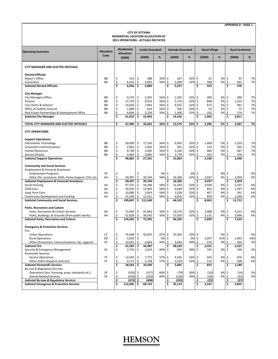| <b>CITY OF OTTAWA</b><br>RESIDENTIAL LOCATION ALLOCATION OF<br>2011 OPERATIONS - ACTUALS RESTATED<br>Residential<br><b>Inside Greenbelt</b><br><b>Outside Greenbelt</b><br><b>Rural Village</b><br><b>Rural Scattered</b> |                        |                   |                    |           |                     |            |          |                 |               |          |              |              |          |                 |           |
|---------------------------------------------------------------------------------------------------------------------------------------------------------------------------------------------------------------------------|------------------------|-------------------|--------------------|-----------|---------------------|------------|----------|-----------------|---------------|----------|--------------|--------------|----------|-----------------|-----------|
| <b>Operating Summary</b>                                                                                                                                                                                                  | <b>Allocation</b>      | <b>Allocation</b> |                    |           |                     |            |          |                 |               |          |              |              |          |                 |           |
|                                                                                                                                                                                                                           | Code                   |                   | (5000)             |           | (5000)              | %          |          | (5000)          | %             | (\$000)  |              | %            | (5000)   |                 | %         |
| CITY MANAGER AND ELECTED OFFICIALS                                                                                                                                                                                        |                        |                   |                    |           |                     |            |          |                 |               |          |              |              |          |                 |           |
| <b>Elected Officials</b>                                                                                                                                                                                                  |                        |                   |                    |           |                     |            |          |                 |               |          |              |              |          |                 |           |
| Mayor's Office                                                                                                                                                                                                            | BB                     | \$                | 514                | \$        | 288                 | 56% \$     |          | 167             | 32% \$        |          | 25           | 5% \$        |          | 35              | 7%        |
| Councillors<br><b>Subtotal Elected Officials</b>                                                                                                                                                                          | <b>BB</b>              | \$<br>Ś           | 6,442<br>6,956     | \$<br>\$. | 3,602<br>3,889      | 56%        | \$<br>\$ | 2,090<br>2,257  | 32% \$        | \$       | 308<br>333   | 5%           | \$<br>Ś  | 441<br>476      | 7%        |
|                                                                                                                                                                                                                           |                        |                   |                    |           |                     |            |          |                 |               |          |              |              |          |                 |           |
| <b>City Manager</b>                                                                                                                                                                                                       |                        |                   |                    |           |                     |            |          |                 |               |          |              |              |          |                 |           |
| <b>City Managers Office</b>                                                                                                                                                                                               | BB                     | \$                | 4,176              | \$        | 2,335               | 56%        | \$       | 1,355           | 32%           | \$       | 200          | 5%           | \$       | 286             | 7%        |
| Finance                                                                                                                                                                                                                   | <b>BB</b>              | \$                | 17,729             | \$        | 9,913               | 56%        | \$       | 5,753           | 32%           | \$       | 848          | 5%           | -\$      | 1,214           | 7%        |
| City Clerk's & Solicitor                                                                                                                                                                                                  | BB                     | \$                | 14,026             | \$        | 7,842               | 56%        | \$       | 4,552           | 32%           | \$       | 671          | 5%           | \$       | 961             | 7%        |
| Office of Auditor General                                                                                                                                                                                                 | <b>BB</b><br><b>BB</b> | \$<br>\$          | 1,098              | \$<br>\$  | 614                 | 56%<br>56% | \$<br>\$ | 356<br>1,300    | 32%           | \$<br>\$ | 53<br>192    | 5%<br>5%     | \$<br>\$ | 75<br>274       | 7%<br>7%  |
| Real Estate Partnerships & Development Office<br><b>Subtotal City Manager</b>                                                                                                                                             |                        | \$                | 4,004<br>41,033    | \$        | 2,239<br>22,943     |            | \$       | 13,316          | 32%           | \$       | 1,963        |              | \$       | 2,811           |           |
|                                                                                                                                                                                                                           |                        |                   |                    |           |                     |            |          |                 |               |          |              |              |          |                 |           |
| TOTAL CITY MANAGER AND ELECTED OFFICIALS                                                                                                                                                                                  |                        | \$                | 47,989             | \$        | 26,832              | 56%        | \$       | 15,574          | 32%           | \$       | 2,296        | 5%           | Ŝ.       | 3,287           | 7%        |
| <b>CITY OPERATIONS</b>                                                                                                                                                                                                    |                        |                   |                    |           |                     |            |          |                 |               |          |              |              |          |                 |           |
| <b>Support Operations</b>                                                                                                                                                                                                 |                        |                   |                    |           |                     |            |          |                 |               |          |              |              |          |                 |           |
| Information Technology                                                                                                                                                                                                    | BB                     | \$                | 30,699             | \$        | 17,165              | 56%        | \$       | 9,963           | 32%           | \$       | 1,469        | 5%           | \$       | 2,103           | 7%        |
| <b>Corporate Communications</b>                                                                                                                                                                                           | <b>BB</b>              | \$                | 2,962              | \$        | 1,656               | 56%        | \$       | 961             | 32%           | \$       | 142          | 5%           | \$       | 203             | 7%        |
| Human Resources                                                                                                                                                                                                           | BB                     | \$                | 9,738              | \$<br>\$  | 5,445               | 56%        | \$<br>\$ | 3,160           | 32%<br>32% \$ | \$       | 466          | 5%           | -\$      | 667             | 7%        |
| Service Ottawa<br><b>Subtotal Support Operations</b>                                                                                                                                                                      | BB                     | \$<br>Ś           | 5,482<br>48,881    | \$        | 3,065<br>27,331     | 56%        | Ś        | 1,779<br>15,863 |               | Ś        | 262<br>2,338 | 5%           | \$<br>Ś  | 376<br>3,348    | 7%        |
| <b>Community and Social Services</b><br>Employment & Financial Assistance                                                                                                                                                 |                        |                   |                    |           |                     |            |          |                 |               |          |              |              |          |                 |           |
| <b>Employment Programs</b>                                                                                                                                                                                                | PP                     | \$                |                    | \$        |                     | 0%         | \$       |                 | 0%            | \$       |              | 0%           | -\$      |                 | 0%        |
| Other (fin. assistance, EHSS, Home Support, EFA, etc.                                                                                                                                                                     | AA                     | \$                | 50,497             | \$        | 29,194              | 58% \$     |          | 16,306          | 32% \$        |          | 2,037        | 4%           | \$       | 2,959           | 6%        |
| <b>Subtotal Employment &amp; Financial Assistance</b>                                                                                                                                                                     |                        | \$                | 50,497             | \$        | 29,194              |            | \$       | 16,306          |               | \$       | 2,037        |              | \$       | 2,959           |           |
| Social Housing                                                                                                                                                                                                            | AA                     | \$                | 97,375             | \$        | 56,296              | 58%        | \$       | 31,443          | 32%           | \$       | 3,929        | 4%           | -\$      | 5,707           | 6%        |
| Child Care                                                                                                                                                                                                                | AA                     | \$                | 20,592             | \$        | 11,905              | 58%        | \$       | 6,649           | 32%           | \$       | 831          | 4%           | -\$      | 1,207           | 6%        |
| Long Term Care                                                                                                                                                                                                            | AA                     | \$                | 10,089             | \$        | 5,833               | 58%        | \$       | 3,258           | 32%           | \$       | 407          | 4%           | -\$      | 591             | 6%        |
| Community Development and Funding                                                                                                                                                                                         | AA                     | \$<br>Ś           | 21,295<br>199,847  | \$        | 12,311<br>\$115,540 | 58%        | \$<br>\$ | 6,876           | 32% \$        | Ś        | 859<br>8,063 | 4%           | Ŝ.<br>Ś  | 1,248<br>11,712 | 6%        |
| <b>Subtotal Community and Social Services</b>                                                                                                                                                                             |                        |                   |                    |           |                     |            |          | 64,532          |               |          |              |              |          |                 |           |
| <b>Parks, Recreation and Culture</b>                                                                                                                                                                                      |                        |                   |                    |           |                     |            |          |                 |               |          |              |              |          |                 |           |
| Parks, Recreation & Culture Services                                                                                                                                                                                      | AA                     | \$                | 72,064             | \$        | 41,663              | 58%        | \$       | 23,270          | 32% \$        |          | 2,908        | 4%           | \$       | 4,223           | 6%        |
| Parks, Buildings, & Grounds (from public works)                                                                                                                                                                           | AA                     | \$<br>Ś           | 52,828             | \$<br>\$  | 30,542              | 58%        | \$<br>\$ | 17,059          | 32% \$        | Ś        | 2,131        | 4%           | \$       | 3,096           | 6%        |
| <b>Subtotal Parks, Recreation and Culture</b>                                                                                                                                                                             |                        |                   | 124,892            |           | 72,205              |            |          | 40,329          |               |          | 5,039        |              |          | 7,319           |           |
| <b>Emergency &amp; Protective Services</b>                                                                                                                                                                                |                        |                   |                    |           |                     |            |          |                 |               |          |              |              |          |                 |           |
| Fire                                                                                                                                                                                                                      |                        |                   |                    |           |                     |            |          |                 |               |          |              |              |          |                 |           |
| <b>Urban Operations</b><br><b>Rural Operations</b>                                                                                                                                                                        | cс<br>DD               | \$                | 76,508 \$<br>5,050 | \$        | 50,923              | 67% <br>0% | Ş<br>\$  | 25,585          | 33% Ş<br>0%   | \$       | 2,057        | 0% \$<br>41% | \$       | 2,993           | 0%<br>59% |
| Other (Prevention, Communications, Op. support)                                                                                                                                                                           | EE                     | \$                | 10,025             | \$        | 6,064               | 60% \$     |          | 3,044           | 30% \$        |          | 374          | 4% \$        |          | 544             | 5%        |
| <b>Subtotal Fire</b>                                                                                                                                                                                                      |                        | \$                | 91,583             | \$        | 56,987              |            | \$       | 28,629          |               | \$       | 2,431        |              | \$       | 3,537           |           |
| Security & Emergency Management                                                                                                                                                                                           | EE                     | \$                | 2,734              | \$        | 1,654               | 60% \$     |          | 830             | 30%           | \$       | 102          | 4%           | -\$      | 148             | 5%        |
| <b>Paramedic Services</b>                                                                                                                                                                                                 |                        |                   |                    |           |                     |            |          |                 |               |          |              |              |          |                 |           |
| <b>Service Operations</b>                                                                                                                                                                                                 | FF                     | \$                | 13,592             | \$        | 7,772               | 57%        | \$       | 4,341           | 32%           | \$       | 603          | 4%           | -\$      | 876             | 6%        |
| Other (CACC Dispatch contract)                                                                                                                                                                                            | FF                     | \$                | 4,771              | \$        | 2,728               | 57%        | \$       | 1,524           | 32% \$        |          | 212          | 4% \$        |          | 308             | 6%        |
| <b>Subtotal Paramedic Services</b><br>By-Law & Regulatory Services                                                                                                                                                        |                        | \$                | 18,363             | \$        | 10,500              |            | \$       | 5,865           |               | \$       | 815          |              |          | 1,184           |           |
| Operations (bus. licensing, prop. standards etc.)                                                                                                                                                                         | EE                     | \$                | $(259)$ \$         |           | (157)               | 60% \$     |          | (79)            | 30% \$        |          | (10)         | 4%           | -S       | (14)            | 5%        |
| <b>Animal Related Services</b>                                                                                                                                                                                            | EE                     | \$                | $(416)$ \$         |           | (252)               | 60%        | \$       | (126)           | 30%           | \$       | (16)         | 4%           | \$       | (23)            | 5%        |
| <b>Subtotal By-Law &amp; Regulatory Services</b>                                                                                                                                                                          |                        | \$                | $(675)$ \$         |           | (408)               |            | \$       | (205)           |               | \$       | (25)         |              | \$       | (37)            |           |
| <b>Subtotal Emergency &amp; Protective Services</b>                                                                                                                                                                       |                        | \$                | 112,005 \$         |           | 68,732              |            | \$       | 35,119          |               | \$       | 3,323        |              |          | 4,832           |           |
|                                                                                                                                                                                                                           |                        |                   |                    |           |                     |            |          |                 |               |          |              |              |          |                 |           |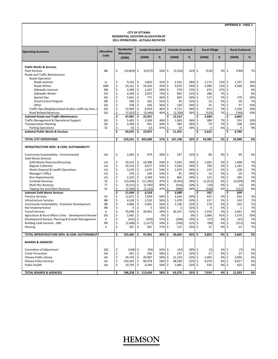#### **CITY OF OTTAWA RESIDENTIAL LOCATION ALLOCATION OF 2011 OPERATIONS ‐ ACTUALS RESTATED**

| <b>Allocation</b><br>Code<br>(5000)<br>$\%$<br>(5000)<br>$\%$<br>(5000)<br>%<br>(5000)<br>$\%$<br>(5000)<br><b>Public Works &amp; Services</b><br>\$<br>\$<br>\$<br>\$<br><b>Fleet Services</b><br>BB<br>(10, 859)<br>\$<br>(6,072)<br>56%<br>(3,524)<br>32%<br>(519)<br>5%<br>(744)<br>7%<br>Roads and Traffic Maintenance<br><b>Roads Operation</b><br>\$<br>9,226<br>\$<br>\$<br>28% \$<br>13%<br>\$<br>1,707<br>19%<br>LL<br>3,802<br>41%<br>2,542<br>1,175<br>Roads Summer<br>\$<br>\$<br>24,161<br>\$<br>10,920<br>\$<br>5,870<br>12%<br>45%<br>24%<br>\$<br>3,006<br>4,366<br>18%<br>Roads Winter<br>MM<br>\$<br>\$<br>\$<br>\$<br>0%<br>2,499<br>1,457<br>58%<br>370<br>15%<br>\$<br>672<br>27%<br>Sidewalks Summer<br><b>NN</b><br>\$<br>4,249<br>\$<br>3,072<br>72%<br>\$<br>892<br>\$<br>286<br>7%<br>\$<br>0%<br>Sidewalks Winter<br>OO<br>21%<br>\$<br>\$<br>771<br>\$<br>603<br>\$<br>117<br>7%<br>\$<br>170<br>10%<br>Special Ops<br>GG<br>1,661<br>46%<br>36%<br>\$<br>\$<br>\$<br>Flood Control Program<br><b>BB</b><br>290<br>162<br>56%<br>\$<br>94<br>32%<br>\$<br>14<br>5%<br>20<br>7%<br>\$<br>\$<br>GG<br>358<br>\$<br>46%<br>\$<br>130<br>36%<br>\$<br>25<br>7%<br>37<br>10%<br>Other<br>166<br>\$<br>\$<br>12,969<br>\$<br>6,019<br>46%<br>\$<br>36%<br>\$<br>913<br>7%<br>1,326<br>10%<br>Traffic Ops (Neighbourhood Studies, traffic by-laws, s<br>GG<br>4,711<br>\$<br>\$<br>\$<br>Road Related Revenues<br>GG<br>(7, 432)<br>(3, 449)<br>46%<br>-\$<br>(2,700)<br>36% \$<br>(523)<br>7%<br>(760)<br>10%<br>\$<br>Ś<br>\$<br>Ś<br>Ś<br><b>Subtotal Roads and Traffic Maintenance</b><br>47,981<br>22,921<br>12,513<br>5,684<br>6,865<br>\$<br>\$<br>\$<br>Traffic Management & Operational Support<br>GG<br>5,405<br>2,509<br>46%<br>\$.<br>1,963<br>36%<br>\$<br>380<br>7%<br>553<br>10%<br>\$<br>\$<br>Ś<br>\$<br>GG<br>36%<br>Ś.<br>7%<br><b>Transportation Planning</b><br>1,058<br>491<br>46%<br>384<br>74<br>108<br>10%<br>\$<br>SS<br>\$<br>$\zeta$<br>\$<br>9%<br>50<br>47%<br>\$<br>19<br>39%<br>6%<br><b>Parking Operations</b><br>23<br>3<br>4<br>\$<br>\$<br>19,872<br>\$<br>11,355<br>\$<br>5,622<br>\$<br>6,786<br><b>Subtotal Public Works &amp; Services</b><br>43,635<br>\$<br><b>TOTAL CITY OPERATIONS</b><br>529,261<br>\$<br>303,680<br>57%<br>\$<br>167,198<br>32%<br>24,385<br>5%<br>33,998<br>6%<br>\$<br>\$<br>INFRASTRUCTURE SERV. & COM. SUSTAINABILITY<br>4% \$<br>Community Sustainability - Environmental<br>\$<br>1,694<br>\$<br>979<br>58% \$<br>547<br>32% \$<br>68<br>99<br>6%<br>AA<br>Solid Waste Services<br>\$<br>\$<br>Solid Waste Diversion/Recycling<br>UU<br>20,532<br>\$<br>10,988<br>54%<br>Ŝ.<br>7,045<br>34%<br>-\$<br>1.001<br>5%<br>1.498<br>7%<br>\$<br>\$<br>\$<br><b>Regular Collection</b><br>UU<br>16,214<br>8,677<br>54%<br>Ś<br>5,563<br>34%<br>Ŝ.<br>790<br>5%<br>1,183<br>7%<br>\$<br>\$<br>\$<br>3,129<br>\$<br>1,074<br>\$<br>7%<br>Waste Disposal & Landfil Operations<br>UU<br>1,675<br>54%<br>34%<br>153<br>5%<br>228<br>\$<br>\$<br>\$<br>\$<br>\$<br>5%<br>7%<br>Manager's Office<br>UU<br>278<br>149<br>54%<br>95<br>34%<br>14<br>20<br>\$<br>\$<br>\$<br>\$<br>7%<br>2,520<br>1,349<br>54%<br>Ś<br>865<br>34%<br>123<br>5%<br>Non-Departmental<br>UU<br>184<br>\$<br>\$<br>\$<br>9%<br>SS<br>(23, 926)<br>47%<br>\$<br>39%<br>\$<br>6%<br>(2,050)<br>Curbside Revenue<br>(11, 282)<br>(9, 242)<br>(1, 353)<br>\$<br>\$<br>\$<br>\$<br><b>TT</b><br>(4, 221)<br>90%<br>\$<br>0%<br>0%<br>Multi-Res Revenue<br>(3,782)<br>(416)<br>10%<br>(19)<br>(3)<br>\$<br>\$<br>SS<br>(2,580)<br>\$<br>(1, 216)<br>47%<br>\$<br>(996)<br>39% \$<br>6%<br>9%<br>Tipping Fee and Other Revenue<br>(146)<br>(221)<br>\$<br>11,946<br>\$<br>\$<br>Ś<br>\$<br><b>Subtotal Soild Waste Services</b><br>6,558<br>3,988<br>562<br>839<br>\$<br>\$<br>EE<br>\$<br>7,059<br>60%<br>\$<br>30%<br>\$<br>435<br>4%<br>633<br>5%<br><b>Forestry Services</b><br>11,671<br>3,544<br>$\dot{\boldsymbol{\varsigma}}$<br>\$<br>\$<br>\$<br>1,470<br>\$<br>5%<br>7%<br>Infrastructure Services<br>BB<br>4,528<br>2,532<br>56%<br>32%<br>217<br>310<br>\$<br>\$<br>3,686<br>\$<br>\$<br>7%<br>Community Sustainability - Economic Development<br><b>BB</b><br>2,061<br>56%<br>1,196<br>32%<br>-\$<br>176<br>5%<br>253<br>\$<br>\$<br><b>BB</b><br>\$<br>56%<br>\$<br>32%<br>\$<br>5%<br>7%<br>Rail Implementation<br>9<br>5<br>3<br>0<br>$\mathbf{1}$<br>\$<br>\$<br>\$<br>70,048<br>30,402<br>\$<br>\$<br>1,419<br>2%<br>2,061<br>3%<br><b>Transit Services</b><br>IJ<br>43%<br>36,167<br>52%<br>\$<br>\$<br>Ś.<br>Ś<br>Agriculture & Rural Affairs Cmte. - Development Review<br><b>DD</b><br>2,665<br>0%<br>0%<br>Ŝ<br>1,086<br>41%<br>1,579<br>59%<br>\$<br>\$<br>\$<br>Development Review, Planning & Growth Management<br>$\mathbf{II}$<br>57%<br>\$<br>\$<br>7%<br>(632)<br>(359)<br>(206)<br>33%<br>(27)<br>4%<br>(41)<br>\$<br>\$<br>\$<br>\$<br>59%<br>\$<br>(98)<br>4%<br>6%<br><b>Building Code Services - OBC</b><br><b>RR</b><br>(2,486)<br>(1, 477)<br>(760)<br>31%<br>(151)<br>\$<br>\$<br>\$<br>355<br>\$<br>\$<br>7%<br>Ш<br>201<br>57%<br>115<br>33%<br>4%<br>23<br>Housing<br>15<br>\$<br>\$<br>TOTAL INFRASTRUCTURE SERV. & COM. SUSTAINABILITY<br>103,485<br>47,962<br>46%<br>Ś<br>46,064<br>45%<br>\$<br>3,853<br>4%<br>\$<br>5,605<br>5%<br><b>BOARDS &amp; AGENCIES</b><br>\$<br>Committee of Adjustment<br>QQ<br>\$<br>(148)<br>\$<br>(93)<br>63%<br>\$<br>(42)<br>28% \$<br>(5)<br>3%<br>(7)<br>5%<br>\$<br>\$<br>\$<br>137<br>4%<br>6%<br><b>Crime Prevention</b><br>AA<br>425<br>\$<br>246<br>58%<br>32%<br>-\$<br>17<br>25<br>\$<br>\$<br>Ottawa Public Library<br>34,743<br>\$<br>20,087<br>58%<br>\$<br>11,219<br>32%<br>\$<br>1,402<br>4%<br>2,036<br>6%<br>AA<br>\$<br>\$<br>\$<br><b>Ottawa Police Services</b><br>150,445<br>86,978<br>58%<br>-\$<br>48,580<br>32% \$<br>6,070<br>4%<br>8,817<br>6%<br>AA<br>\$<br>\$<br>\$<br>\$<br><b>Public Health</b><br>AA<br>10,793<br>6,240<br>58%<br>3,485<br>32%<br>\$<br>435<br>4%<br>633<br>6%<br>Ś<br>\$.<br>113,456<br>58% \$<br>32% \$<br>4%<br>\$<br>11,503<br>6%<br><b>TOTAL BOARDS &amp; AGENCIES</b><br>196,258<br>63,379<br>7,919 | <b>Operating Summary</b> | <b>Allocation</b> | <b>Residential</b> |  |  | <b>Inside Greenbelt</b> |  | <b>Outside Greenbelt</b> | <b>Rural Village</b> |  |  |  | <b>Rural Scattered</b> |  |  |
|--------------------------------------------------------------------------------------------------------------------------------------------------------------------------------------------------------------------------------------------------------------------------------------------------------------------------------------------------------------------------------------------------------------------------------------------------------------------------------------------------------------------------------------------------------------------------------------------------------------------------------------------------------------------------------------------------------------------------------------------------------------------------------------------------------------------------------------------------------------------------------------------------------------------------------------------------------------------------------------------------------------------------------------------------------------------------------------------------------------------------------------------------------------------------------------------------------------------------------------------------------------------------------------------------------------------------------------------------------------------------------------------------------------------------------------------------------------------------------------------------------------------------------------------------------------------------------------------------------------------------------------------------------------------------------------------------------------------------------------------------------------------------------------------------------------------------------------------------------------------------------------------------------------------------------------------------------------------------------------------------------------------------------------------------------------------------------------------------------------------------------------------------------------------------------------------------------------------------------------------------------------------------------------------------------------------------------------------------------------------------------------------------------------------------------------------------------------------------------------------------------------------------------------------------------------------------------------------------------------------------------------------------------------------------------------------------------------------------------------------------------------------------------------------------------------------------------------------------------------------------------------------------------------------------------------------------------------------------------------------------------------------------------------------------------------------------------------------------------------------------------------------------------------------------------------------------------------------------------------------------------------------------------------------------------------------------------------------------------------------------------------------------------------------------------------------------------------------------------------------------------------------------------------------------------------------------------------------------------------------------------------------------------------------------------------------------------------------------------------------------------------------------------------------------------------------------------------------------------------------------------------------------------------------------------------------------------------------------------------------------------------------------------------------------------------------------------------------------------------------------------------------------------------------------------------------------------------------------------------------------------------------------------------------------------------------------------------------------------------------------------------------------------------------------------------------------------------------------------------------------------------------------------------------------------------------------------------------------------------------------------------------------------------------------------------------------------------------------------------------------------------------------------------------------------------------------------------------------------------------------------------------------------------------------------------------------------------------------------------------------------------------------------------------------------------------------------------------------------------------------------------------------------------------------------------------------------------------------------------------------------------------------------------------------------------------------------------------------------------------------------------------------------------------------------------------------------------------------------------------------------------------------------------------------------------------------------------------------------------------------------------------------------------------------------------------------------------------------------------------------------------------------------------------------------------------------------------------------------------------------------------------------------------------------------------------------------------------------------------------------------------------------------------------------------------------------------------------------------------------------------------------------------------------------------------|--------------------------|-------------------|--------------------|--|--|-------------------------|--|--------------------------|----------------------|--|--|--|------------------------|--|--|
|                                                                                                                                                                                                                                                                                                                                                                                                                                                                                                                                                                                                                                                                                                                                                                                                                                                                                                                                                                                                                                                                                                                                                                                                                                                                                                                                                                                                                                                                                                                                                                                                                                                                                                                                                                                                                                                                                                                                                                                                                                                                                                                                                                                                                                                                                                                                                                                                                                                                                                                                                                                                                                                                                                                                                                                                                                                                                                                                                                                                                                                                                                                                                                                                                                                                                                                                                                                                                                                                                                                                                                                                                                                                                                                                                                                                                                                                                                                                                                                                                                                                                                                                                                                                                                                                                                                                                                                                                                                                                                                                                                                                                                                                                                                                                                                                                                                                                                                                                                                                                                                                                                                                                                                                                                                                                                                                                                                                                                                                                                                                                                                                                                                                                                                                                                                                                                                                                                                                                                                                                                                                                                                                                                                      |                          |                   |                    |  |  |                         |  |                          |                      |  |  |  |                        |  |  |
|                                                                                                                                                                                                                                                                                                                                                                                                                                                                                                                                                                                                                                                                                                                                                                                                                                                                                                                                                                                                                                                                                                                                                                                                                                                                                                                                                                                                                                                                                                                                                                                                                                                                                                                                                                                                                                                                                                                                                                                                                                                                                                                                                                                                                                                                                                                                                                                                                                                                                                                                                                                                                                                                                                                                                                                                                                                                                                                                                                                                                                                                                                                                                                                                                                                                                                                                                                                                                                                                                                                                                                                                                                                                                                                                                                                                                                                                                                                                                                                                                                                                                                                                                                                                                                                                                                                                                                                                                                                                                                                                                                                                                                                                                                                                                                                                                                                                                                                                                                                                                                                                                                                                                                                                                                                                                                                                                                                                                                                                                                                                                                                                                                                                                                                                                                                                                                                                                                                                                                                                                                                                                                                                                                                      |                          |                   |                    |  |  |                         |  |                          |                      |  |  |  |                        |  |  |
|                                                                                                                                                                                                                                                                                                                                                                                                                                                                                                                                                                                                                                                                                                                                                                                                                                                                                                                                                                                                                                                                                                                                                                                                                                                                                                                                                                                                                                                                                                                                                                                                                                                                                                                                                                                                                                                                                                                                                                                                                                                                                                                                                                                                                                                                                                                                                                                                                                                                                                                                                                                                                                                                                                                                                                                                                                                                                                                                                                                                                                                                                                                                                                                                                                                                                                                                                                                                                                                                                                                                                                                                                                                                                                                                                                                                                                                                                                                                                                                                                                                                                                                                                                                                                                                                                                                                                                                                                                                                                                                                                                                                                                                                                                                                                                                                                                                                                                                                                                                                                                                                                                                                                                                                                                                                                                                                                                                                                                                                                                                                                                                                                                                                                                                                                                                                                                                                                                                                                                                                                                                                                                                                                                                      |                          |                   |                    |  |  |                         |  |                          |                      |  |  |  |                        |  |  |
|                                                                                                                                                                                                                                                                                                                                                                                                                                                                                                                                                                                                                                                                                                                                                                                                                                                                                                                                                                                                                                                                                                                                                                                                                                                                                                                                                                                                                                                                                                                                                                                                                                                                                                                                                                                                                                                                                                                                                                                                                                                                                                                                                                                                                                                                                                                                                                                                                                                                                                                                                                                                                                                                                                                                                                                                                                                                                                                                                                                                                                                                                                                                                                                                                                                                                                                                                                                                                                                                                                                                                                                                                                                                                                                                                                                                                                                                                                                                                                                                                                                                                                                                                                                                                                                                                                                                                                                                                                                                                                                                                                                                                                                                                                                                                                                                                                                                                                                                                                                                                                                                                                                                                                                                                                                                                                                                                                                                                                                                                                                                                                                                                                                                                                                                                                                                                                                                                                                                                                                                                                                                                                                                                                                      |                          |                   |                    |  |  |                         |  |                          |                      |  |  |  |                        |  |  |
|                                                                                                                                                                                                                                                                                                                                                                                                                                                                                                                                                                                                                                                                                                                                                                                                                                                                                                                                                                                                                                                                                                                                                                                                                                                                                                                                                                                                                                                                                                                                                                                                                                                                                                                                                                                                                                                                                                                                                                                                                                                                                                                                                                                                                                                                                                                                                                                                                                                                                                                                                                                                                                                                                                                                                                                                                                                                                                                                                                                                                                                                                                                                                                                                                                                                                                                                                                                                                                                                                                                                                                                                                                                                                                                                                                                                                                                                                                                                                                                                                                                                                                                                                                                                                                                                                                                                                                                                                                                                                                                                                                                                                                                                                                                                                                                                                                                                                                                                                                                                                                                                                                                                                                                                                                                                                                                                                                                                                                                                                                                                                                                                                                                                                                                                                                                                                                                                                                                                                                                                                                                                                                                                                                                      |                          |                   |                    |  |  |                         |  |                          |                      |  |  |  |                        |  |  |
|                                                                                                                                                                                                                                                                                                                                                                                                                                                                                                                                                                                                                                                                                                                                                                                                                                                                                                                                                                                                                                                                                                                                                                                                                                                                                                                                                                                                                                                                                                                                                                                                                                                                                                                                                                                                                                                                                                                                                                                                                                                                                                                                                                                                                                                                                                                                                                                                                                                                                                                                                                                                                                                                                                                                                                                                                                                                                                                                                                                                                                                                                                                                                                                                                                                                                                                                                                                                                                                                                                                                                                                                                                                                                                                                                                                                                                                                                                                                                                                                                                                                                                                                                                                                                                                                                                                                                                                                                                                                                                                                                                                                                                                                                                                                                                                                                                                                                                                                                                                                                                                                                                                                                                                                                                                                                                                                                                                                                                                                                                                                                                                                                                                                                                                                                                                                                                                                                                                                                                                                                                                                                                                                                                                      |                          |                   |                    |  |  |                         |  |                          |                      |  |  |  |                        |  |  |
|                                                                                                                                                                                                                                                                                                                                                                                                                                                                                                                                                                                                                                                                                                                                                                                                                                                                                                                                                                                                                                                                                                                                                                                                                                                                                                                                                                                                                                                                                                                                                                                                                                                                                                                                                                                                                                                                                                                                                                                                                                                                                                                                                                                                                                                                                                                                                                                                                                                                                                                                                                                                                                                                                                                                                                                                                                                                                                                                                                                                                                                                                                                                                                                                                                                                                                                                                                                                                                                                                                                                                                                                                                                                                                                                                                                                                                                                                                                                                                                                                                                                                                                                                                                                                                                                                                                                                                                                                                                                                                                                                                                                                                                                                                                                                                                                                                                                                                                                                                                                                                                                                                                                                                                                                                                                                                                                                                                                                                                                                                                                                                                                                                                                                                                                                                                                                                                                                                                                                                                                                                                                                                                                                                                      |                          |                   |                    |  |  |                         |  |                          |                      |  |  |  |                        |  |  |
|                                                                                                                                                                                                                                                                                                                                                                                                                                                                                                                                                                                                                                                                                                                                                                                                                                                                                                                                                                                                                                                                                                                                                                                                                                                                                                                                                                                                                                                                                                                                                                                                                                                                                                                                                                                                                                                                                                                                                                                                                                                                                                                                                                                                                                                                                                                                                                                                                                                                                                                                                                                                                                                                                                                                                                                                                                                                                                                                                                                                                                                                                                                                                                                                                                                                                                                                                                                                                                                                                                                                                                                                                                                                                                                                                                                                                                                                                                                                                                                                                                                                                                                                                                                                                                                                                                                                                                                                                                                                                                                                                                                                                                                                                                                                                                                                                                                                                                                                                                                                                                                                                                                                                                                                                                                                                                                                                                                                                                                                                                                                                                                                                                                                                                                                                                                                                                                                                                                                                                                                                                                                                                                                                                                      |                          |                   |                    |  |  |                         |  |                          |                      |  |  |  |                        |  |  |
|                                                                                                                                                                                                                                                                                                                                                                                                                                                                                                                                                                                                                                                                                                                                                                                                                                                                                                                                                                                                                                                                                                                                                                                                                                                                                                                                                                                                                                                                                                                                                                                                                                                                                                                                                                                                                                                                                                                                                                                                                                                                                                                                                                                                                                                                                                                                                                                                                                                                                                                                                                                                                                                                                                                                                                                                                                                                                                                                                                                                                                                                                                                                                                                                                                                                                                                                                                                                                                                                                                                                                                                                                                                                                                                                                                                                                                                                                                                                                                                                                                                                                                                                                                                                                                                                                                                                                                                                                                                                                                                                                                                                                                                                                                                                                                                                                                                                                                                                                                                                                                                                                                                                                                                                                                                                                                                                                                                                                                                                                                                                                                                                                                                                                                                                                                                                                                                                                                                                                                                                                                                                                                                                                                                      |                          |                   |                    |  |  |                         |  |                          |                      |  |  |  |                        |  |  |
|                                                                                                                                                                                                                                                                                                                                                                                                                                                                                                                                                                                                                                                                                                                                                                                                                                                                                                                                                                                                                                                                                                                                                                                                                                                                                                                                                                                                                                                                                                                                                                                                                                                                                                                                                                                                                                                                                                                                                                                                                                                                                                                                                                                                                                                                                                                                                                                                                                                                                                                                                                                                                                                                                                                                                                                                                                                                                                                                                                                                                                                                                                                                                                                                                                                                                                                                                                                                                                                                                                                                                                                                                                                                                                                                                                                                                                                                                                                                                                                                                                                                                                                                                                                                                                                                                                                                                                                                                                                                                                                                                                                                                                                                                                                                                                                                                                                                                                                                                                                                                                                                                                                                                                                                                                                                                                                                                                                                                                                                                                                                                                                                                                                                                                                                                                                                                                                                                                                                                                                                                                                                                                                                                                                      |                          |                   |                    |  |  |                         |  |                          |                      |  |  |  |                        |  |  |
|                                                                                                                                                                                                                                                                                                                                                                                                                                                                                                                                                                                                                                                                                                                                                                                                                                                                                                                                                                                                                                                                                                                                                                                                                                                                                                                                                                                                                                                                                                                                                                                                                                                                                                                                                                                                                                                                                                                                                                                                                                                                                                                                                                                                                                                                                                                                                                                                                                                                                                                                                                                                                                                                                                                                                                                                                                                                                                                                                                                                                                                                                                                                                                                                                                                                                                                                                                                                                                                                                                                                                                                                                                                                                                                                                                                                                                                                                                                                                                                                                                                                                                                                                                                                                                                                                                                                                                                                                                                                                                                                                                                                                                                                                                                                                                                                                                                                                                                                                                                                                                                                                                                                                                                                                                                                                                                                                                                                                                                                                                                                                                                                                                                                                                                                                                                                                                                                                                                                                                                                                                                                                                                                                                                      |                          |                   |                    |  |  |                         |  |                          |                      |  |  |  |                        |  |  |
|                                                                                                                                                                                                                                                                                                                                                                                                                                                                                                                                                                                                                                                                                                                                                                                                                                                                                                                                                                                                                                                                                                                                                                                                                                                                                                                                                                                                                                                                                                                                                                                                                                                                                                                                                                                                                                                                                                                                                                                                                                                                                                                                                                                                                                                                                                                                                                                                                                                                                                                                                                                                                                                                                                                                                                                                                                                                                                                                                                                                                                                                                                                                                                                                                                                                                                                                                                                                                                                                                                                                                                                                                                                                                                                                                                                                                                                                                                                                                                                                                                                                                                                                                                                                                                                                                                                                                                                                                                                                                                                                                                                                                                                                                                                                                                                                                                                                                                                                                                                                                                                                                                                                                                                                                                                                                                                                                                                                                                                                                                                                                                                                                                                                                                                                                                                                                                                                                                                                                                                                                                                                                                                                                                                      |                          |                   |                    |  |  |                         |  |                          |                      |  |  |  |                        |  |  |
|                                                                                                                                                                                                                                                                                                                                                                                                                                                                                                                                                                                                                                                                                                                                                                                                                                                                                                                                                                                                                                                                                                                                                                                                                                                                                                                                                                                                                                                                                                                                                                                                                                                                                                                                                                                                                                                                                                                                                                                                                                                                                                                                                                                                                                                                                                                                                                                                                                                                                                                                                                                                                                                                                                                                                                                                                                                                                                                                                                                                                                                                                                                                                                                                                                                                                                                                                                                                                                                                                                                                                                                                                                                                                                                                                                                                                                                                                                                                                                                                                                                                                                                                                                                                                                                                                                                                                                                                                                                                                                                                                                                                                                                                                                                                                                                                                                                                                                                                                                                                                                                                                                                                                                                                                                                                                                                                                                                                                                                                                                                                                                                                                                                                                                                                                                                                                                                                                                                                                                                                                                                                                                                                                                                      |                          |                   |                    |  |  |                         |  |                          |                      |  |  |  |                        |  |  |
|                                                                                                                                                                                                                                                                                                                                                                                                                                                                                                                                                                                                                                                                                                                                                                                                                                                                                                                                                                                                                                                                                                                                                                                                                                                                                                                                                                                                                                                                                                                                                                                                                                                                                                                                                                                                                                                                                                                                                                                                                                                                                                                                                                                                                                                                                                                                                                                                                                                                                                                                                                                                                                                                                                                                                                                                                                                                                                                                                                                                                                                                                                                                                                                                                                                                                                                                                                                                                                                                                                                                                                                                                                                                                                                                                                                                                                                                                                                                                                                                                                                                                                                                                                                                                                                                                                                                                                                                                                                                                                                                                                                                                                                                                                                                                                                                                                                                                                                                                                                                                                                                                                                                                                                                                                                                                                                                                                                                                                                                                                                                                                                                                                                                                                                                                                                                                                                                                                                                                                                                                                                                                                                                                                                      |                          |                   |                    |  |  |                         |  |                          |                      |  |  |  |                        |  |  |
|                                                                                                                                                                                                                                                                                                                                                                                                                                                                                                                                                                                                                                                                                                                                                                                                                                                                                                                                                                                                                                                                                                                                                                                                                                                                                                                                                                                                                                                                                                                                                                                                                                                                                                                                                                                                                                                                                                                                                                                                                                                                                                                                                                                                                                                                                                                                                                                                                                                                                                                                                                                                                                                                                                                                                                                                                                                                                                                                                                                                                                                                                                                                                                                                                                                                                                                                                                                                                                                                                                                                                                                                                                                                                                                                                                                                                                                                                                                                                                                                                                                                                                                                                                                                                                                                                                                                                                                                                                                                                                                                                                                                                                                                                                                                                                                                                                                                                                                                                                                                                                                                                                                                                                                                                                                                                                                                                                                                                                                                                                                                                                                                                                                                                                                                                                                                                                                                                                                                                                                                                                                                                                                                                                                      |                          |                   |                    |  |  |                         |  |                          |                      |  |  |  |                        |  |  |
|                                                                                                                                                                                                                                                                                                                                                                                                                                                                                                                                                                                                                                                                                                                                                                                                                                                                                                                                                                                                                                                                                                                                                                                                                                                                                                                                                                                                                                                                                                                                                                                                                                                                                                                                                                                                                                                                                                                                                                                                                                                                                                                                                                                                                                                                                                                                                                                                                                                                                                                                                                                                                                                                                                                                                                                                                                                                                                                                                                                                                                                                                                                                                                                                                                                                                                                                                                                                                                                                                                                                                                                                                                                                                                                                                                                                                                                                                                                                                                                                                                                                                                                                                                                                                                                                                                                                                                                                                                                                                                                                                                                                                                                                                                                                                                                                                                                                                                                                                                                                                                                                                                                                                                                                                                                                                                                                                                                                                                                                                                                                                                                                                                                                                                                                                                                                                                                                                                                                                                                                                                                                                                                                                                                      |                          |                   |                    |  |  |                         |  |                          |                      |  |  |  |                        |  |  |
|                                                                                                                                                                                                                                                                                                                                                                                                                                                                                                                                                                                                                                                                                                                                                                                                                                                                                                                                                                                                                                                                                                                                                                                                                                                                                                                                                                                                                                                                                                                                                                                                                                                                                                                                                                                                                                                                                                                                                                                                                                                                                                                                                                                                                                                                                                                                                                                                                                                                                                                                                                                                                                                                                                                                                                                                                                                                                                                                                                                                                                                                                                                                                                                                                                                                                                                                                                                                                                                                                                                                                                                                                                                                                                                                                                                                                                                                                                                                                                                                                                                                                                                                                                                                                                                                                                                                                                                                                                                                                                                                                                                                                                                                                                                                                                                                                                                                                                                                                                                                                                                                                                                                                                                                                                                                                                                                                                                                                                                                                                                                                                                                                                                                                                                                                                                                                                                                                                                                                                                                                                                                                                                                                                                      |                          |                   |                    |  |  |                         |  |                          |                      |  |  |  |                        |  |  |
|                                                                                                                                                                                                                                                                                                                                                                                                                                                                                                                                                                                                                                                                                                                                                                                                                                                                                                                                                                                                                                                                                                                                                                                                                                                                                                                                                                                                                                                                                                                                                                                                                                                                                                                                                                                                                                                                                                                                                                                                                                                                                                                                                                                                                                                                                                                                                                                                                                                                                                                                                                                                                                                                                                                                                                                                                                                                                                                                                                                                                                                                                                                                                                                                                                                                                                                                                                                                                                                                                                                                                                                                                                                                                                                                                                                                                                                                                                                                                                                                                                                                                                                                                                                                                                                                                                                                                                                                                                                                                                                                                                                                                                                                                                                                                                                                                                                                                                                                                                                                                                                                                                                                                                                                                                                                                                                                                                                                                                                                                                                                                                                                                                                                                                                                                                                                                                                                                                                                                                                                                                                                                                                                                                                      |                          |                   |                    |  |  |                         |  |                          |                      |  |  |  |                        |  |  |
|                                                                                                                                                                                                                                                                                                                                                                                                                                                                                                                                                                                                                                                                                                                                                                                                                                                                                                                                                                                                                                                                                                                                                                                                                                                                                                                                                                                                                                                                                                                                                                                                                                                                                                                                                                                                                                                                                                                                                                                                                                                                                                                                                                                                                                                                                                                                                                                                                                                                                                                                                                                                                                                                                                                                                                                                                                                                                                                                                                                                                                                                                                                                                                                                                                                                                                                                                                                                                                                                                                                                                                                                                                                                                                                                                                                                                                                                                                                                                                                                                                                                                                                                                                                                                                                                                                                                                                                                                                                                                                                                                                                                                                                                                                                                                                                                                                                                                                                                                                                                                                                                                                                                                                                                                                                                                                                                                                                                                                                                                                                                                                                                                                                                                                                                                                                                                                                                                                                                                                                                                                                                                                                                                                                      |                          |                   |                    |  |  |                         |  |                          |                      |  |  |  |                        |  |  |
|                                                                                                                                                                                                                                                                                                                                                                                                                                                                                                                                                                                                                                                                                                                                                                                                                                                                                                                                                                                                                                                                                                                                                                                                                                                                                                                                                                                                                                                                                                                                                                                                                                                                                                                                                                                                                                                                                                                                                                                                                                                                                                                                                                                                                                                                                                                                                                                                                                                                                                                                                                                                                                                                                                                                                                                                                                                                                                                                                                                                                                                                                                                                                                                                                                                                                                                                                                                                                                                                                                                                                                                                                                                                                                                                                                                                                                                                                                                                                                                                                                                                                                                                                                                                                                                                                                                                                                                                                                                                                                                                                                                                                                                                                                                                                                                                                                                                                                                                                                                                                                                                                                                                                                                                                                                                                                                                                                                                                                                                                                                                                                                                                                                                                                                                                                                                                                                                                                                                                                                                                                                                                                                                                                                      |                          |                   |                    |  |  |                         |  |                          |                      |  |  |  |                        |  |  |
|                                                                                                                                                                                                                                                                                                                                                                                                                                                                                                                                                                                                                                                                                                                                                                                                                                                                                                                                                                                                                                                                                                                                                                                                                                                                                                                                                                                                                                                                                                                                                                                                                                                                                                                                                                                                                                                                                                                                                                                                                                                                                                                                                                                                                                                                                                                                                                                                                                                                                                                                                                                                                                                                                                                                                                                                                                                                                                                                                                                                                                                                                                                                                                                                                                                                                                                                                                                                                                                                                                                                                                                                                                                                                                                                                                                                                                                                                                                                                                                                                                                                                                                                                                                                                                                                                                                                                                                                                                                                                                                                                                                                                                                                                                                                                                                                                                                                                                                                                                                                                                                                                                                                                                                                                                                                                                                                                                                                                                                                                                                                                                                                                                                                                                                                                                                                                                                                                                                                                                                                                                                                                                                                                                                      |                          |                   |                    |  |  |                         |  |                          |                      |  |  |  |                        |  |  |
|                                                                                                                                                                                                                                                                                                                                                                                                                                                                                                                                                                                                                                                                                                                                                                                                                                                                                                                                                                                                                                                                                                                                                                                                                                                                                                                                                                                                                                                                                                                                                                                                                                                                                                                                                                                                                                                                                                                                                                                                                                                                                                                                                                                                                                                                                                                                                                                                                                                                                                                                                                                                                                                                                                                                                                                                                                                                                                                                                                                                                                                                                                                                                                                                                                                                                                                                                                                                                                                                                                                                                                                                                                                                                                                                                                                                                                                                                                                                                                                                                                                                                                                                                                                                                                                                                                                                                                                                                                                                                                                                                                                                                                                                                                                                                                                                                                                                                                                                                                                                                                                                                                                                                                                                                                                                                                                                                                                                                                                                                                                                                                                                                                                                                                                                                                                                                                                                                                                                                                                                                                                                                                                                                                                      |                          |                   |                    |  |  |                         |  |                          |                      |  |  |  |                        |  |  |
|                                                                                                                                                                                                                                                                                                                                                                                                                                                                                                                                                                                                                                                                                                                                                                                                                                                                                                                                                                                                                                                                                                                                                                                                                                                                                                                                                                                                                                                                                                                                                                                                                                                                                                                                                                                                                                                                                                                                                                                                                                                                                                                                                                                                                                                                                                                                                                                                                                                                                                                                                                                                                                                                                                                                                                                                                                                                                                                                                                                                                                                                                                                                                                                                                                                                                                                                                                                                                                                                                                                                                                                                                                                                                                                                                                                                                                                                                                                                                                                                                                                                                                                                                                                                                                                                                                                                                                                                                                                                                                                                                                                                                                                                                                                                                                                                                                                                                                                                                                                                                                                                                                                                                                                                                                                                                                                                                                                                                                                                                                                                                                                                                                                                                                                                                                                                                                                                                                                                                                                                                                                                                                                                                                                      |                          |                   |                    |  |  |                         |  |                          |                      |  |  |  |                        |  |  |
|                                                                                                                                                                                                                                                                                                                                                                                                                                                                                                                                                                                                                                                                                                                                                                                                                                                                                                                                                                                                                                                                                                                                                                                                                                                                                                                                                                                                                                                                                                                                                                                                                                                                                                                                                                                                                                                                                                                                                                                                                                                                                                                                                                                                                                                                                                                                                                                                                                                                                                                                                                                                                                                                                                                                                                                                                                                                                                                                                                                                                                                                                                                                                                                                                                                                                                                                                                                                                                                                                                                                                                                                                                                                                                                                                                                                                                                                                                                                                                                                                                                                                                                                                                                                                                                                                                                                                                                                                                                                                                                                                                                                                                                                                                                                                                                                                                                                                                                                                                                                                                                                                                                                                                                                                                                                                                                                                                                                                                                                                                                                                                                                                                                                                                                                                                                                                                                                                                                                                                                                                                                                                                                                                                                      |                          |                   |                    |  |  |                         |  |                          |                      |  |  |  |                        |  |  |
|                                                                                                                                                                                                                                                                                                                                                                                                                                                                                                                                                                                                                                                                                                                                                                                                                                                                                                                                                                                                                                                                                                                                                                                                                                                                                                                                                                                                                                                                                                                                                                                                                                                                                                                                                                                                                                                                                                                                                                                                                                                                                                                                                                                                                                                                                                                                                                                                                                                                                                                                                                                                                                                                                                                                                                                                                                                                                                                                                                                                                                                                                                                                                                                                                                                                                                                                                                                                                                                                                                                                                                                                                                                                                                                                                                                                                                                                                                                                                                                                                                                                                                                                                                                                                                                                                                                                                                                                                                                                                                                                                                                                                                                                                                                                                                                                                                                                                                                                                                                                                                                                                                                                                                                                                                                                                                                                                                                                                                                                                                                                                                                                                                                                                                                                                                                                                                                                                                                                                                                                                                                                                                                                                                                      |                          |                   |                    |  |  |                         |  |                          |                      |  |  |  |                        |  |  |
|                                                                                                                                                                                                                                                                                                                                                                                                                                                                                                                                                                                                                                                                                                                                                                                                                                                                                                                                                                                                                                                                                                                                                                                                                                                                                                                                                                                                                                                                                                                                                                                                                                                                                                                                                                                                                                                                                                                                                                                                                                                                                                                                                                                                                                                                                                                                                                                                                                                                                                                                                                                                                                                                                                                                                                                                                                                                                                                                                                                                                                                                                                                                                                                                                                                                                                                                                                                                                                                                                                                                                                                                                                                                                                                                                                                                                                                                                                                                                                                                                                                                                                                                                                                                                                                                                                                                                                                                                                                                                                                                                                                                                                                                                                                                                                                                                                                                                                                                                                                                                                                                                                                                                                                                                                                                                                                                                                                                                                                                                                                                                                                                                                                                                                                                                                                                                                                                                                                                                                                                                                                                                                                                                                                      |                          |                   |                    |  |  |                         |  |                          |                      |  |  |  |                        |  |  |
|                                                                                                                                                                                                                                                                                                                                                                                                                                                                                                                                                                                                                                                                                                                                                                                                                                                                                                                                                                                                                                                                                                                                                                                                                                                                                                                                                                                                                                                                                                                                                                                                                                                                                                                                                                                                                                                                                                                                                                                                                                                                                                                                                                                                                                                                                                                                                                                                                                                                                                                                                                                                                                                                                                                                                                                                                                                                                                                                                                                                                                                                                                                                                                                                                                                                                                                                                                                                                                                                                                                                                                                                                                                                                                                                                                                                                                                                                                                                                                                                                                                                                                                                                                                                                                                                                                                                                                                                                                                                                                                                                                                                                                                                                                                                                                                                                                                                                                                                                                                                                                                                                                                                                                                                                                                                                                                                                                                                                                                                                                                                                                                                                                                                                                                                                                                                                                                                                                                                                                                                                                                                                                                                                                                      |                          |                   |                    |  |  |                         |  |                          |                      |  |  |  |                        |  |  |
|                                                                                                                                                                                                                                                                                                                                                                                                                                                                                                                                                                                                                                                                                                                                                                                                                                                                                                                                                                                                                                                                                                                                                                                                                                                                                                                                                                                                                                                                                                                                                                                                                                                                                                                                                                                                                                                                                                                                                                                                                                                                                                                                                                                                                                                                                                                                                                                                                                                                                                                                                                                                                                                                                                                                                                                                                                                                                                                                                                                                                                                                                                                                                                                                                                                                                                                                                                                                                                                                                                                                                                                                                                                                                                                                                                                                                                                                                                                                                                                                                                                                                                                                                                                                                                                                                                                                                                                                                                                                                                                                                                                                                                                                                                                                                                                                                                                                                                                                                                                                                                                                                                                                                                                                                                                                                                                                                                                                                                                                                                                                                                                                                                                                                                                                                                                                                                                                                                                                                                                                                                                                                                                                                                                      |                          |                   |                    |  |  |                         |  |                          |                      |  |  |  |                        |  |  |
|                                                                                                                                                                                                                                                                                                                                                                                                                                                                                                                                                                                                                                                                                                                                                                                                                                                                                                                                                                                                                                                                                                                                                                                                                                                                                                                                                                                                                                                                                                                                                                                                                                                                                                                                                                                                                                                                                                                                                                                                                                                                                                                                                                                                                                                                                                                                                                                                                                                                                                                                                                                                                                                                                                                                                                                                                                                                                                                                                                                                                                                                                                                                                                                                                                                                                                                                                                                                                                                                                                                                                                                                                                                                                                                                                                                                                                                                                                                                                                                                                                                                                                                                                                                                                                                                                                                                                                                                                                                                                                                                                                                                                                                                                                                                                                                                                                                                                                                                                                                                                                                                                                                                                                                                                                                                                                                                                                                                                                                                                                                                                                                                                                                                                                                                                                                                                                                                                                                                                                                                                                                                                                                                                                                      |                          |                   |                    |  |  |                         |  |                          |                      |  |  |  |                        |  |  |
|                                                                                                                                                                                                                                                                                                                                                                                                                                                                                                                                                                                                                                                                                                                                                                                                                                                                                                                                                                                                                                                                                                                                                                                                                                                                                                                                                                                                                                                                                                                                                                                                                                                                                                                                                                                                                                                                                                                                                                                                                                                                                                                                                                                                                                                                                                                                                                                                                                                                                                                                                                                                                                                                                                                                                                                                                                                                                                                                                                                                                                                                                                                                                                                                                                                                                                                                                                                                                                                                                                                                                                                                                                                                                                                                                                                                                                                                                                                                                                                                                                                                                                                                                                                                                                                                                                                                                                                                                                                                                                                                                                                                                                                                                                                                                                                                                                                                                                                                                                                                                                                                                                                                                                                                                                                                                                                                                                                                                                                                                                                                                                                                                                                                                                                                                                                                                                                                                                                                                                                                                                                                                                                                                                                      |                          |                   |                    |  |  |                         |  |                          |                      |  |  |  |                        |  |  |
|                                                                                                                                                                                                                                                                                                                                                                                                                                                                                                                                                                                                                                                                                                                                                                                                                                                                                                                                                                                                                                                                                                                                                                                                                                                                                                                                                                                                                                                                                                                                                                                                                                                                                                                                                                                                                                                                                                                                                                                                                                                                                                                                                                                                                                                                                                                                                                                                                                                                                                                                                                                                                                                                                                                                                                                                                                                                                                                                                                                                                                                                                                                                                                                                                                                                                                                                                                                                                                                                                                                                                                                                                                                                                                                                                                                                                                                                                                                                                                                                                                                                                                                                                                                                                                                                                                                                                                                                                                                                                                                                                                                                                                                                                                                                                                                                                                                                                                                                                                                                                                                                                                                                                                                                                                                                                                                                                                                                                                                                                                                                                                                                                                                                                                                                                                                                                                                                                                                                                                                                                                                                                                                                                                                      |                          |                   |                    |  |  |                         |  |                          |                      |  |  |  |                        |  |  |
|                                                                                                                                                                                                                                                                                                                                                                                                                                                                                                                                                                                                                                                                                                                                                                                                                                                                                                                                                                                                                                                                                                                                                                                                                                                                                                                                                                                                                                                                                                                                                                                                                                                                                                                                                                                                                                                                                                                                                                                                                                                                                                                                                                                                                                                                                                                                                                                                                                                                                                                                                                                                                                                                                                                                                                                                                                                                                                                                                                                                                                                                                                                                                                                                                                                                                                                                                                                                                                                                                                                                                                                                                                                                                                                                                                                                                                                                                                                                                                                                                                                                                                                                                                                                                                                                                                                                                                                                                                                                                                                                                                                                                                                                                                                                                                                                                                                                                                                                                                                                                                                                                                                                                                                                                                                                                                                                                                                                                                                                                                                                                                                                                                                                                                                                                                                                                                                                                                                                                                                                                                                                                                                                                                                      |                          |                   |                    |  |  |                         |  |                          |                      |  |  |  |                        |  |  |
|                                                                                                                                                                                                                                                                                                                                                                                                                                                                                                                                                                                                                                                                                                                                                                                                                                                                                                                                                                                                                                                                                                                                                                                                                                                                                                                                                                                                                                                                                                                                                                                                                                                                                                                                                                                                                                                                                                                                                                                                                                                                                                                                                                                                                                                                                                                                                                                                                                                                                                                                                                                                                                                                                                                                                                                                                                                                                                                                                                                                                                                                                                                                                                                                                                                                                                                                                                                                                                                                                                                                                                                                                                                                                                                                                                                                                                                                                                                                                                                                                                                                                                                                                                                                                                                                                                                                                                                                                                                                                                                                                                                                                                                                                                                                                                                                                                                                                                                                                                                                                                                                                                                                                                                                                                                                                                                                                                                                                                                                                                                                                                                                                                                                                                                                                                                                                                                                                                                                                                                                                                                                                                                                                                                      |                          |                   |                    |  |  |                         |  |                          |                      |  |  |  |                        |  |  |
|                                                                                                                                                                                                                                                                                                                                                                                                                                                                                                                                                                                                                                                                                                                                                                                                                                                                                                                                                                                                                                                                                                                                                                                                                                                                                                                                                                                                                                                                                                                                                                                                                                                                                                                                                                                                                                                                                                                                                                                                                                                                                                                                                                                                                                                                                                                                                                                                                                                                                                                                                                                                                                                                                                                                                                                                                                                                                                                                                                                                                                                                                                                                                                                                                                                                                                                                                                                                                                                                                                                                                                                                                                                                                                                                                                                                                                                                                                                                                                                                                                                                                                                                                                                                                                                                                                                                                                                                                                                                                                                                                                                                                                                                                                                                                                                                                                                                                                                                                                                                                                                                                                                                                                                                                                                                                                                                                                                                                                                                                                                                                                                                                                                                                                                                                                                                                                                                                                                                                                                                                                                                                                                                                                                      |                          |                   |                    |  |  |                         |  |                          |                      |  |  |  |                        |  |  |
|                                                                                                                                                                                                                                                                                                                                                                                                                                                                                                                                                                                                                                                                                                                                                                                                                                                                                                                                                                                                                                                                                                                                                                                                                                                                                                                                                                                                                                                                                                                                                                                                                                                                                                                                                                                                                                                                                                                                                                                                                                                                                                                                                                                                                                                                                                                                                                                                                                                                                                                                                                                                                                                                                                                                                                                                                                                                                                                                                                                                                                                                                                                                                                                                                                                                                                                                                                                                                                                                                                                                                                                                                                                                                                                                                                                                                                                                                                                                                                                                                                                                                                                                                                                                                                                                                                                                                                                                                                                                                                                                                                                                                                                                                                                                                                                                                                                                                                                                                                                                                                                                                                                                                                                                                                                                                                                                                                                                                                                                                                                                                                                                                                                                                                                                                                                                                                                                                                                                                                                                                                                                                                                                                                                      |                          |                   |                    |  |  |                         |  |                          |                      |  |  |  |                        |  |  |
|                                                                                                                                                                                                                                                                                                                                                                                                                                                                                                                                                                                                                                                                                                                                                                                                                                                                                                                                                                                                                                                                                                                                                                                                                                                                                                                                                                                                                                                                                                                                                                                                                                                                                                                                                                                                                                                                                                                                                                                                                                                                                                                                                                                                                                                                                                                                                                                                                                                                                                                                                                                                                                                                                                                                                                                                                                                                                                                                                                                                                                                                                                                                                                                                                                                                                                                                                                                                                                                                                                                                                                                                                                                                                                                                                                                                                                                                                                                                                                                                                                                                                                                                                                                                                                                                                                                                                                                                                                                                                                                                                                                                                                                                                                                                                                                                                                                                                                                                                                                                                                                                                                                                                                                                                                                                                                                                                                                                                                                                                                                                                                                                                                                                                                                                                                                                                                                                                                                                                                                                                                                                                                                                                                                      |                          |                   |                    |  |  |                         |  |                          |                      |  |  |  |                        |  |  |
|                                                                                                                                                                                                                                                                                                                                                                                                                                                                                                                                                                                                                                                                                                                                                                                                                                                                                                                                                                                                                                                                                                                                                                                                                                                                                                                                                                                                                                                                                                                                                                                                                                                                                                                                                                                                                                                                                                                                                                                                                                                                                                                                                                                                                                                                                                                                                                                                                                                                                                                                                                                                                                                                                                                                                                                                                                                                                                                                                                                                                                                                                                                                                                                                                                                                                                                                                                                                                                                                                                                                                                                                                                                                                                                                                                                                                                                                                                                                                                                                                                                                                                                                                                                                                                                                                                                                                                                                                                                                                                                                                                                                                                                                                                                                                                                                                                                                                                                                                                                                                                                                                                                                                                                                                                                                                                                                                                                                                                                                                                                                                                                                                                                                                                                                                                                                                                                                                                                                                                                                                                                                                                                                                                                      |                          |                   |                    |  |  |                         |  |                          |                      |  |  |  |                        |  |  |
|                                                                                                                                                                                                                                                                                                                                                                                                                                                                                                                                                                                                                                                                                                                                                                                                                                                                                                                                                                                                                                                                                                                                                                                                                                                                                                                                                                                                                                                                                                                                                                                                                                                                                                                                                                                                                                                                                                                                                                                                                                                                                                                                                                                                                                                                                                                                                                                                                                                                                                                                                                                                                                                                                                                                                                                                                                                                                                                                                                                                                                                                                                                                                                                                                                                                                                                                                                                                                                                                                                                                                                                                                                                                                                                                                                                                                                                                                                                                                                                                                                                                                                                                                                                                                                                                                                                                                                                                                                                                                                                                                                                                                                                                                                                                                                                                                                                                                                                                                                                                                                                                                                                                                                                                                                                                                                                                                                                                                                                                                                                                                                                                                                                                                                                                                                                                                                                                                                                                                                                                                                                                                                                                                                                      |                          |                   |                    |  |  |                         |  |                          |                      |  |  |  |                        |  |  |
|                                                                                                                                                                                                                                                                                                                                                                                                                                                                                                                                                                                                                                                                                                                                                                                                                                                                                                                                                                                                                                                                                                                                                                                                                                                                                                                                                                                                                                                                                                                                                                                                                                                                                                                                                                                                                                                                                                                                                                                                                                                                                                                                                                                                                                                                                                                                                                                                                                                                                                                                                                                                                                                                                                                                                                                                                                                                                                                                                                                                                                                                                                                                                                                                                                                                                                                                                                                                                                                                                                                                                                                                                                                                                                                                                                                                                                                                                                                                                                                                                                                                                                                                                                                                                                                                                                                                                                                                                                                                                                                                                                                                                                                                                                                                                                                                                                                                                                                                                                                                                                                                                                                                                                                                                                                                                                                                                                                                                                                                                                                                                                                                                                                                                                                                                                                                                                                                                                                                                                                                                                                                                                                                                                                      |                          |                   |                    |  |  |                         |  |                          |                      |  |  |  |                        |  |  |
|                                                                                                                                                                                                                                                                                                                                                                                                                                                                                                                                                                                                                                                                                                                                                                                                                                                                                                                                                                                                                                                                                                                                                                                                                                                                                                                                                                                                                                                                                                                                                                                                                                                                                                                                                                                                                                                                                                                                                                                                                                                                                                                                                                                                                                                                                                                                                                                                                                                                                                                                                                                                                                                                                                                                                                                                                                                                                                                                                                                                                                                                                                                                                                                                                                                                                                                                                                                                                                                                                                                                                                                                                                                                                                                                                                                                                                                                                                                                                                                                                                                                                                                                                                                                                                                                                                                                                                                                                                                                                                                                                                                                                                                                                                                                                                                                                                                                                                                                                                                                                                                                                                                                                                                                                                                                                                                                                                                                                                                                                                                                                                                                                                                                                                                                                                                                                                                                                                                                                                                                                                                                                                                                                                                      |                          |                   |                    |  |  |                         |  |                          |                      |  |  |  |                        |  |  |
|                                                                                                                                                                                                                                                                                                                                                                                                                                                                                                                                                                                                                                                                                                                                                                                                                                                                                                                                                                                                                                                                                                                                                                                                                                                                                                                                                                                                                                                                                                                                                                                                                                                                                                                                                                                                                                                                                                                                                                                                                                                                                                                                                                                                                                                                                                                                                                                                                                                                                                                                                                                                                                                                                                                                                                                                                                                                                                                                                                                                                                                                                                                                                                                                                                                                                                                                                                                                                                                                                                                                                                                                                                                                                                                                                                                                                                                                                                                                                                                                                                                                                                                                                                                                                                                                                                                                                                                                                                                                                                                                                                                                                                                                                                                                                                                                                                                                                                                                                                                                                                                                                                                                                                                                                                                                                                                                                                                                                                                                                                                                                                                                                                                                                                                                                                                                                                                                                                                                                                                                                                                                                                                                                                                      |                          |                   |                    |  |  |                         |  |                          |                      |  |  |  |                        |  |  |
|                                                                                                                                                                                                                                                                                                                                                                                                                                                                                                                                                                                                                                                                                                                                                                                                                                                                                                                                                                                                                                                                                                                                                                                                                                                                                                                                                                                                                                                                                                                                                                                                                                                                                                                                                                                                                                                                                                                                                                                                                                                                                                                                                                                                                                                                                                                                                                                                                                                                                                                                                                                                                                                                                                                                                                                                                                                                                                                                                                                                                                                                                                                                                                                                                                                                                                                                                                                                                                                                                                                                                                                                                                                                                                                                                                                                                                                                                                                                                                                                                                                                                                                                                                                                                                                                                                                                                                                                                                                                                                                                                                                                                                                                                                                                                                                                                                                                                                                                                                                                                                                                                                                                                                                                                                                                                                                                                                                                                                                                                                                                                                                                                                                                                                                                                                                                                                                                                                                                                                                                                                                                                                                                                                                      |                          |                   |                    |  |  |                         |  |                          |                      |  |  |  |                        |  |  |
|                                                                                                                                                                                                                                                                                                                                                                                                                                                                                                                                                                                                                                                                                                                                                                                                                                                                                                                                                                                                                                                                                                                                                                                                                                                                                                                                                                                                                                                                                                                                                                                                                                                                                                                                                                                                                                                                                                                                                                                                                                                                                                                                                                                                                                                                                                                                                                                                                                                                                                                                                                                                                                                                                                                                                                                                                                                                                                                                                                                                                                                                                                                                                                                                                                                                                                                                                                                                                                                                                                                                                                                                                                                                                                                                                                                                                                                                                                                                                                                                                                                                                                                                                                                                                                                                                                                                                                                                                                                                                                                                                                                                                                                                                                                                                                                                                                                                                                                                                                                                                                                                                                                                                                                                                                                                                                                                                                                                                                                                                                                                                                                                                                                                                                                                                                                                                                                                                                                                                                                                                                                                                                                                                                                      |                          |                   |                    |  |  |                         |  |                          |                      |  |  |  |                        |  |  |
|                                                                                                                                                                                                                                                                                                                                                                                                                                                                                                                                                                                                                                                                                                                                                                                                                                                                                                                                                                                                                                                                                                                                                                                                                                                                                                                                                                                                                                                                                                                                                                                                                                                                                                                                                                                                                                                                                                                                                                                                                                                                                                                                                                                                                                                                                                                                                                                                                                                                                                                                                                                                                                                                                                                                                                                                                                                                                                                                                                                                                                                                                                                                                                                                                                                                                                                                                                                                                                                                                                                                                                                                                                                                                                                                                                                                                                                                                                                                                                                                                                                                                                                                                                                                                                                                                                                                                                                                                                                                                                                                                                                                                                                                                                                                                                                                                                                                                                                                                                                                                                                                                                                                                                                                                                                                                                                                                                                                                                                                                                                                                                                                                                                                                                                                                                                                                                                                                                                                                                                                                                                                                                                                                                                      |                          |                   |                    |  |  |                         |  |                          |                      |  |  |  |                        |  |  |
|                                                                                                                                                                                                                                                                                                                                                                                                                                                                                                                                                                                                                                                                                                                                                                                                                                                                                                                                                                                                                                                                                                                                                                                                                                                                                                                                                                                                                                                                                                                                                                                                                                                                                                                                                                                                                                                                                                                                                                                                                                                                                                                                                                                                                                                                                                                                                                                                                                                                                                                                                                                                                                                                                                                                                                                                                                                                                                                                                                                                                                                                                                                                                                                                                                                                                                                                                                                                                                                                                                                                                                                                                                                                                                                                                                                                                                                                                                                                                                                                                                                                                                                                                                                                                                                                                                                                                                                                                                                                                                                                                                                                                                                                                                                                                                                                                                                                                                                                                                                                                                                                                                                                                                                                                                                                                                                                                                                                                                                                                                                                                                                                                                                                                                                                                                                                                                                                                                                                                                                                                                                                                                                                                                                      |                          |                   |                    |  |  |                         |  |                          |                      |  |  |  |                        |  |  |
|                                                                                                                                                                                                                                                                                                                                                                                                                                                                                                                                                                                                                                                                                                                                                                                                                                                                                                                                                                                                                                                                                                                                                                                                                                                                                                                                                                                                                                                                                                                                                                                                                                                                                                                                                                                                                                                                                                                                                                                                                                                                                                                                                                                                                                                                                                                                                                                                                                                                                                                                                                                                                                                                                                                                                                                                                                                                                                                                                                                                                                                                                                                                                                                                                                                                                                                                                                                                                                                                                                                                                                                                                                                                                                                                                                                                                                                                                                                                                                                                                                                                                                                                                                                                                                                                                                                                                                                                                                                                                                                                                                                                                                                                                                                                                                                                                                                                                                                                                                                                                                                                                                                                                                                                                                                                                                                                                                                                                                                                                                                                                                                                                                                                                                                                                                                                                                                                                                                                                                                                                                                                                                                                                                                      |                          |                   |                    |  |  |                         |  |                          |                      |  |  |  |                        |  |  |
|                                                                                                                                                                                                                                                                                                                                                                                                                                                                                                                                                                                                                                                                                                                                                                                                                                                                                                                                                                                                                                                                                                                                                                                                                                                                                                                                                                                                                                                                                                                                                                                                                                                                                                                                                                                                                                                                                                                                                                                                                                                                                                                                                                                                                                                                                                                                                                                                                                                                                                                                                                                                                                                                                                                                                                                                                                                                                                                                                                                                                                                                                                                                                                                                                                                                                                                                                                                                                                                                                                                                                                                                                                                                                                                                                                                                                                                                                                                                                                                                                                                                                                                                                                                                                                                                                                                                                                                                                                                                                                                                                                                                                                                                                                                                                                                                                                                                                                                                                                                                                                                                                                                                                                                                                                                                                                                                                                                                                                                                                                                                                                                                                                                                                                                                                                                                                                                                                                                                                                                                                                                                                                                                                                                      |                          |                   |                    |  |  |                         |  |                          |                      |  |  |  |                        |  |  |
|                                                                                                                                                                                                                                                                                                                                                                                                                                                                                                                                                                                                                                                                                                                                                                                                                                                                                                                                                                                                                                                                                                                                                                                                                                                                                                                                                                                                                                                                                                                                                                                                                                                                                                                                                                                                                                                                                                                                                                                                                                                                                                                                                                                                                                                                                                                                                                                                                                                                                                                                                                                                                                                                                                                                                                                                                                                                                                                                                                                                                                                                                                                                                                                                                                                                                                                                                                                                                                                                                                                                                                                                                                                                                                                                                                                                                                                                                                                                                                                                                                                                                                                                                                                                                                                                                                                                                                                                                                                                                                                                                                                                                                                                                                                                                                                                                                                                                                                                                                                                                                                                                                                                                                                                                                                                                                                                                                                                                                                                                                                                                                                                                                                                                                                                                                                                                                                                                                                                                                                                                                                                                                                                                                                      |                          |                   |                    |  |  |                         |  |                          |                      |  |  |  |                        |  |  |
|                                                                                                                                                                                                                                                                                                                                                                                                                                                                                                                                                                                                                                                                                                                                                                                                                                                                                                                                                                                                                                                                                                                                                                                                                                                                                                                                                                                                                                                                                                                                                                                                                                                                                                                                                                                                                                                                                                                                                                                                                                                                                                                                                                                                                                                                                                                                                                                                                                                                                                                                                                                                                                                                                                                                                                                                                                                                                                                                                                                                                                                                                                                                                                                                                                                                                                                                                                                                                                                                                                                                                                                                                                                                                                                                                                                                                                                                                                                                                                                                                                                                                                                                                                                                                                                                                                                                                                                                                                                                                                                                                                                                                                                                                                                                                                                                                                                                                                                                                                                                                                                                                                                                                                                                                                                                                                                                                                                                                                                                                                                                                                                                                                                                                                                                                                                                                                                                                                                                                                                                                                                                                                                                                                                      |                          |                   |                    |  |  |                         |  |                          |                      |  |  |  |                        |  |  |
|                                                                                                                                                                                                                                                                                                                                                                                                                                                                                                                                                                                                                                                                                                                                                                                                                                                                                                                                                                                                                                                                                                                                                                                                                                                                                                                                                                                                                                                                                                                                                                                                                                                                                                                                                                                                                                                                                                                                                                                                                                                                                                                                                                                                                                                                                                                                                                                                                                                                                                                                                                                                                                                                                                                                                                                                                                                                                                                                                                                                                                                                                                                                                                                                                                                                                                                                                                                                                                                                                                                                                                                                                                                                                                                                                                                                                                                                                                                                                                                                                                                                                                                                                                                                                                                                                                                                                                                                                                                                                                                                                                                                                                                                                                                                                                                                                                                                                                                                                                                                                                                                                                                                                                                                                                                                                                                                                                                                                                                                                                                                                                                                                                                                                                                                                                                                                                                                                                                                                                                                                                                                                                                                                                                      |                          |                   |                    |  |  |                         |  |                          |                      |  |  |  |                        |  |  |
|                                                                                                                                                                                                                                                                                                                                                                                                                                                                                                                                                                                                                                                                                                                                                                                                                                                                                                                                                                                                                                                                                                                                                                                                                                                                                                                                                                                                                                                                                                                                                                                                                                                                                                                                                                                                                                                                                                                                                                                                                                                                                                                                                                                                                                                                                                                                                                                                                                                                                                                                                                                                                                                                                                                                                                                                                                                                                                                                                                                                                                                                                                                                                                                                                                                                                                                                                                                                                                                                                                                                                                                                                                                                                                                                                                                                                                                                                                                                                                                                                                                                                                                                                                                                                                                                                                                                                                                                                                                                                                                                                                                                                                                                                                                                                                                                                                                                                                                                                                                                                                                                                                                                                                                                                                                                                                                                                                                                                                                                                                                                                                                                                                                                                                                                                                                                                                                                                                                                                                                                                                                                                                                                                                                      |                          |                   |                    |  |  |                         |  |                          |                      |  |  |  |                        |  |  |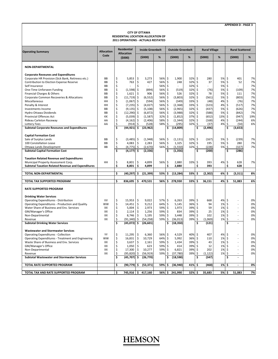#### **CITY OF OTTAWA RESIDENTIAL LOCATION ALLOCATION OF 2011 OPERATIONS ‐ ACTUALS RESTATED**

| <b>Operating Summary</b>                                            | <b>Allocation</b> |          | <b>Residential</b><br><b>Allocation</b> |          | <b>Inside Greenbelt</b> |            |          | <b>Outside Greenbelt</b> |            |                    | <b>Rural Village</b> |           |                         | <b>Rural Scattered</b>                     |          |
|---------------------------------------------------------------------|-------------------|----------|-----------------------------------------|----------|-------------------------|------------|----------|--------------------------|------------|--------------------|----------------------|-----------|-------------------------|--------------------------------------------|----------|
|                                                                     | Code              |          | (5000)                                  |          | (5000)                  | %          |          | (5000)                   | %          |                    | (5000)               | %         |                         | (5000)                                     | $\%$     |
| NON-DEPARTMENTAL                                                    |                   |          |                                         |          |                         |            |          |                          |            |                    |                      |           |                         |                                            |          |
| <b>Corporate Reveunes and Expenditures</b>                          |                   |          |                                         |          |                         |            |          |                          |            |                    |                      |           |                         |                                            |          |
| Corporate HR Provision (Sick Bank, Retireess etc.)                  | <b>BB</b>         | \$       | 5,853                                   | \$       | 3,273                   | 56%        | \$       | 1,900                    | 32%        | \$                 | 280                  | 5%        | \$                      | 401                                        | 7%       |
| Contribution to Election Expense Reserve                            | <b>BB</b>         | \$       | 763                                     | \$       | 427                     | 56%        | \$       | 248                      | 32%        | \$                 | 37                   | 5%        | \$                      | 52                                         | 7%       |
| Self Insurance                                                      | <b>BB</b>         | \$       |                                         | Ś        |                         | 56%        | \$       |                          | 32%        | \$                 |                      | 5%        | \$                      |                                            | 7%       |
| One-Time Unforseen Funding                                          | <b>BB</b>         | \$       | $(1,598)$ \$                            |          | (894)                   | 56%        | \$       | (519)                    | 32%        | \$                 | (76)                 | 5%        | \$                      | (109)                                      | 7%       |
| Financial Charges & Others                                          | BB                | \$       | 1,621                                   | \$       | 906                     | 56%        | \$       | 526                      | 32%        | \$                 | 78                   | 5%        | \$                      | 111                                        | 7%       |
| Corporate Common Recoveries & Allocations                           | BB                | \$       | $(11,719)$ \$                           |          | (6, 552)                | 56%        | \$       | (3,803)                  | 32%        | \$                 | (561)                | 5%        | \$                      | (803)                                      | 7%       |
| Miscellaneous                                                       | HH                | \$       | (1,067)                                 | \$       | (594)                   | 56%        | \$       | (349)                    | 33%        | \$                 | (48)                 | 4%        | \$                      | (76)                                       | 7%       |
| Penalty & Interest                                                  | HH                | \$       | $(7,235)$ \$                            |          | (4,027)                 | 56%        | \$       | (2, 368)                 | 33%        | \$                 | (323)                | 4%        | \$                      | (517)                                      | 7%       |
| Investments Income                                                  | BB                | \$       | $(9, 135)$ \$                           |          | (5, 108)                | 56%        | \$       | (2,965)                  | 32%        | \$                 | (437)                | 5%        | \$                      | (626)                                      | 7%       |
| Hydro Ottawa Dividends                                              | BB                | \$       | $(12,290)$ \$                           |          | (6, 872)                | 56%        | \$       | (3,988)                  | 32%        | \$                 | (588)                | 5%        | \$                      | (842)                                      | 7%       |
| Provincial Offences Act                                             | KK                | \$<br>\$ | $(5,039)$ \$                            |          | (1, 587)                | 32%<br>58% | \$<br>\$ | (1,852)                  | 37%        | \$<br>\$           | (652)                | 13%<br>4% | \$<br>\$                | (947)                                      | 19%      |
| Rideau Carleton Raceway                                             | AA<br>AA          | \$       | (4, 162)<br>$(914)$ \$                  | \$       | (2,406)<br>(528)        | 58%        | \$       | (1, 344)<br>(295)        | 32%<br>32% | $\mathsf{\hat{S}}$ | (168)<br>(37)        | 4%        | $\zeta$                 | (244)                                      | 6%<br>6% |
| Lottery Fees<br><b>Subtotal Corporate Reveunes and Expenditures</b> |                   | Ś        | $(44, 921)$ \$                          |          | (23, 962)               |            | \$       | (14, 809)                |            | Ś                  | (2, 496)             |           | \$                      | (54)<br>(3, 653)                           |          |
|                                                                     |                   |          |                                         |          |                         |            |          |                          |            |                    |                      |           |                         |                                            |          |
| <b>Capital Formation Cost</b>                                       |                   |          |                                         |          |                         |            |          |                          |            |                    |                      |           |                         |                                            |          |
| Sale of Surplus Lands                                               | BB                | \$       | $(3,485)$ \$                            |          | (1,948)                 | 56%        | \$       | (1, 131)                 | 32%        | \$                 | (167)                | 5%        | \$                      | (239)                                      | 7%       |
| 100 Constellation Lease                                             | <b>BB</b>         | \$       | $4,083$ \$                              |          | 2,283                   | 56%        | \$       | 1,325                    | 32%        | \$                 | 195                  | 5%        | \$                      | 280                                        | 7%       |
| Ottawa Lands Development                                            | BB                | Ś        | $(4,775)$ \$                            |          | (2,670)                 | 56%        | \$       | (1, 550)                 | 32%        | \$                 | (228)                | 5%        | \$                      | (327)                                      | 7%       |
| <b>Subtotal Capital Formation Cost</b>                              |                   | \$       | $(4, 177)$ \$                           |          | (2, 336)                |            | Ś        | (1, 356)                 |            | Ś                  | (200)                |           | $\overline{\mathsf{s}}$ | (286)                                      |          |
|                                                                     |                   |          |                                         |          |                         |            |          |                          |            |                    |                      |           |                         |                                            |          |
| <b>Taxation Related Revenue and Expenditures</b>                    |                   |          |                                         |          |                         |            |          |                          |            |                    |                      |           |                         |                                            |          |
| Municipal Property Assessment Corp.                                 | HH                | \$       | 8,801                                   | \$       | 4,899                   | 56%        | \$       | 2,880                    | 33% \$     |                    | 393                  | 4%        | \$                      | 628                                        | 7%       |
| <b>Subtotal Taxation Related Revenue and Expenditures</b>           |                   | \$       | 8,801                                   | \$       | 4,899                   |            | \$       | 2,880                    |            | \$                 | 393                  |           | \$                      | 628                                        |          |
| TOTAL NON-DEPARTMENTAL                                              |                   | Ś        | (40,297) \$                             |          | (21, 399)               | 53%        | \$       | (13, 284)                | 33%        | \$                 | (2, 302)             | 6%        | Ś                       | (3,311)                                    | 8%       |
|                                                                     |                   |          |                                         |          |                         |            |          |                          |            |                    |                      |           |                         |                                            |          |
| TOTAL TAX SUPPORTED PROGRAM                                         |                   | \$       | 836,695                                 | \$       | 470,531                 | 56%        | \$       | 278,930                  | 33%        | \$                 | 36,151               | 4%        | \$                      | 51,083                                     | 6%       |
| <b>RATE SUPPORTED PROGRAM</b>                                       |                   |          |                                         |          |                         |            |          |                          |            |                    |                      |           |                         |                                            |          |
|                                                                     |                   |          |                                         |          |                         |            |          |                          |            |                    |                      |           |                         |                                            |          |
| <b>Drinking Water Services</b>                                      |                   |          |                                         |          |                         |            |          |                          |            |                    |                      |           |                         |                                            |          |
| <b>Operating Expenditures - Distribution</b>                        | <b>VV</b>         | \$       | 15,953                                  | \$       | 9,022                   | 57%        | \$       | 6,263                    | 39% \$     |                    | 668                  | 4%        | \$                      | $\overline{\phantom{a}}$<br>$\overline{a}$ | 0%       |
| Operating Expenditures - Production and Quality                     | <b>WW</b><br>XX   | \$<br>\$ | 14,451<br>5,004                         | \$<br>\$ | 9,212                   | 64%<br>59% | \$<br>\$ | 5,145                    | 36%<br>39% | $\zeta$<br>\$      | 94<br>59             | 1%<br>1%  | \$<br>\$                | $\overline{\phantom{a}}$                   | 0%<br>0% |
| Water Share of Business and Env. Services<br>GM/Manager's Office    | XX                | \$       | 2,114                                   | \$       | 2,973<br>1,256          | 59%        | \$       | 1,973<br>834             | 39%        | \$                 | 25                   | 1%        | \$                      | $\overline{\phantom{a}}$                   | 0%       |
| Non-Departmental                                                    | XX                | Ś        | 8,746                                   | \$       | 5,195                   | 59%        | \$       | 3,448                    | 39%        | \$                 | 102                  | 1%        | \$                      |                                            | 0%       |
| Revenue                                                             | XX                | \$       | (91, 340)                               | \$       | (54, 258)               | 59%        | \$       | (36, 013)                | 39%        | \$                 | (1,069)              | 1%        | \$                      |                                            | 0%       |
| <b>Subtotal Drinking Water Services</b>                             |                   | \$       | $(45,072)$ \$                           |          | (26, 601)               |            | \$       | (18, 350)                |            | \$                 | (121)                |           | $\overline{\mathsf{s}}$ |                                            |          |
|                                                                     |                   |          |                                         |          |                         |            |          |                          |            |                    |                      |           |                         |                                            |          |
| <b>Wastewater and Stormwater Services</b>                           |                   |          |                                         |          |                         |            |          |                          |            |                    |                      |           |                         |                                            |          |
| <b>Operating Expenditures - Collection</b>                          | YY                | \$       | 11,295                                  | \$       | 6,360                   | 56%        | \$       | 4,529                    | 40%        | -\$                | 407                  | 4%        | \$                      |                                            | 0%       |
| Operating Expenditures - Treatment and Engineering                  | <b>WW</b>         | \$       | 16,831                                  | \$       | 10,729                  | 64%        | \$       | 5,992                    | 36%        | \$                 | 110                  | 1%        | \$                      | $\overline{a}$                             | 0%       |
| Waste Share of Business and Env. Services                           | XX                | \$       | 3,637                                   | \$       | 2,161                   | 59%        | \$       | 1,434                    | 39%        | \$                 | 43                   | 1%        | \$                      | $\overline{a}$                             | 0%       |
| GM/Manager's Office                                                 | XX                | \$       | 1,050                                   | \$       | 623                     | 59%        | \$       | 414                      | 39%        | \$                 | 12                   | 1%        | \$                      | $\overline{a}$                             | 0%       |
| Non-Departmental                                                    | XX                | Ś        | 17,300                                  | \$       | 10,277                  | 59%        | \$       | 6,821                    | 39%        | \$                 | 202                  | 1%        | \$                      | $\overline{\phantom{a}}$                   | 0%       |
| Revenue                                                             | XX                | \$       | (95, 820)                               | \$       | (56, 919)               | 59%        | \$       | (37, 780)                | 39%        | \$                 | (1, 122)             | 1%        | $\zeta$<br>Ś            |                                            | 0%       |
| <b>Subtotal Wastewater and Stormwater Services</b>                  |                   | \$       | $(45,707)$ \$                           |          | (26, 770)               |            | \$       | (18,590)                 |            | \$                 | (347)                |           |                         |                                            |          |
| <b>TOTAL RATE SUPPORTED PROGRAM</b>                                 |                   | \$       | $(90, 779)$ \$                          |          | (53, 371)               | 59%        | \$       | (36,940)                 | 41%        | s                  | (468)                | 1%        | \$                      |                                            | 0%       |
|                                                                     |                   | \$       |                                         |          |                         |            |          |                          |            |                    |                      |           |                         |                                            |          |
| TOTAL TAX AND RATE SUPPORTED PROGRAM                                |                   |          | 745,916 \$                              |          | 417,160                 | 56%        | \$       | 241,990                  | 32%        | \$.                | 35,683               | 5%        | \$                      | 51,083                                     | 7%       |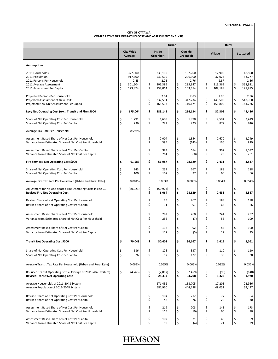#### **CITY OF OTTAWA COMPARATIVE NET OPERATING COST AND ASSESSMENT ANALYSIS**

|                                                                                                                           |          |                                                  | Urban |                            |                                                  |  |          |                                                  | Rural          |                                                |  |          |                                                |
|---------------------------------------------------------------------------------------------------------------------------|----------|--------------------------------------------------|-------|----------------------------|--------------------------------------------------|--|----------|--------------------------------------------------|----------------|------------------------------------------------|--|----------|------------------------------------------------|
|                                                                                                                           |          | <b>City Wide</b><br>Average                      |       | Inside<br><b>Greenbelt</b> |                                                  |  |          | <b>Outside</b><br><b>Greenbelt</b>               | <b>Village</b> |                                                |  |          | <b>Scattered</b>                               |
| <b>Assumptions</b>                                                                                                        |          |                                                  |       |                            |                                                  |  |          |                                                  |                |                                                |  |          |                                                |
| 2011 Households<br>2011 Population<br>2011 Persons Per Household<br>2011 Average Assessment<br>2011 Assessment Per Capita | \$<br>Ś  | 377,000<br>917,600<br>2.43<br>301,504<br>123,874 |       | \$<br>\$                   | 238,100<br>530,500<br>2.23<br>305,386<br>137,064 |  | \$<br>\$ | 107,200<br>296,300<br>2.76<br>285,947<br>103,454 | \$<br>\$       | 12,900<br>37,023<br>2.87<br>313,369<br>109,188 |  | \$<br>\$ | 18,800<br>53,777<br>2.86<br>368,931<br>128,975 |
| Projected Persons Per Household<br>Projected Assessment of New Units<br>Projected New Unit Assessment Per Capita          |          |                                                  |       | \$<br>\$                   | 2.04<br>337,511<br>165,533                       |  | \$<br>\$ | 2.83<br>312.234<br>110,174                       | \$<br>\$       | 2.96<br>449,500<br>151,800                     |  | \$<br>\$ | 2.96<br>547,000<br>184,726                     |
| Levy Net Operating Cost (excl. Transit and Fire) \$000                                                                    | \$       | 675,064                                          |       | \$                         | 383,143                                          |  | \$       | 214,134                                          | \$             | 32,302                                         |  | \$       | 45,486                                         |
| Share of Net Operating Cost Per Household<br>Share of Net Operating Cost Per Capita                                       | \$<br>\$ | 1,791<br>736                                     |       | \$<br>\$                   | 1,609<br>722                                     |  | \$<br>\$ | 1,998<br>723                                     | \$<br>\$       | 2,504<br>872                                   |  | \$<br>\$ | 2,419<br>846                                   |
| Average Tax Rate Per Household                                                                                            |          | 0.594%                                           |       |                            |                                                  |  |          |                                                  |                |                                                |  |          |                                                |
| Assessment Based Share of Net Cost Per Household<br>Variance from Estimated Share of Net Cost Per Household               |          |                                                  |       | \$<br>\$                   | 2,004<br>395                                     |  | \$<br>\$ | 1,854<br>(143)                                   | \$<br>\$       | 2,670<br>166                                   |  | \$<br>\$ | 3,249<br>829                                   |
| Assessment Based Share of Net Cost Per Capita<br>Variance from Estimated Share of Net Cost Per Capita                     |          |                                                  |       | \$<br>\$                   | 983<br>261                                       |  | \$<br>\$ | 654<br>(68)                                      | \$<br>Ś        | 902<br>29                                      |  | \$<br>\$ | 1,097<br>251                                   |
| Fire Services Net Operating Cost \$000                                                                                    | \$       | 91,583                                           |       | \$                         | 56,987                                           |  | \$       | 28,629                                           | \$             | 2,431                                          |  | \$       | 3,537                                          |
| Share of Net Operating Cost Per Household<br>Share of Net Operating Cost Per Capita                                       | \$<br>\$ | 243<br>100                                       |       | \$<br>\$                   | 239<br>107                                       |  | \$<br>\$ | 267<br>97                                        | \$<br>Ś        | 188<br>66                                      |  | \$<br>\$ | 188<br>66                                      |
| Average Fire Tax Rate Per Household (Urban and Rural Rate)                                                                |          | 0.081%                                           |       |                            | 0.083%                                           |  |          | 0.083%                                           |                | 0.054%                                         |  |          | 0.054%                                         |
| Adjustment for No Anticipated Fire Operating Costs Inside GB<br><b>Revised Fire Net Operating Cost</b>                    | \$       | (50, 923)                                        |       | \$<br>\$                   | (50, 923)<br>6,064                               |  | \$<br>\$ | 28,629                                           | \$             | 2,431                                          |  | Ś<br>\$  | 3,537                                          |
| Revised Share of Net Operating Cost Per Household<br>Revised Share of Net Operating Cost Per Capita                       |          |                                                  |       | \$<br>\$                   | 25<br>11                                         |  | \$<br>\$ | 267<br>97                                        | \$<br>\$       | 188<br>66                                      |  | \$<br>\$ | 188<br>66                                      |
| Assessment Based Share of Net Cost Per Household<br>Variance from Estimated Share of Net Cost Per Household               |          |                                                  |       | \$<br>\$                   | 282<br>256                                       |  | \$<br>\$ | 260<br>(7)                                       | \$<br>Ś        | 244<br>56                                      |  | \$<br>\$ | 297<br>109                                     |
| Assessment Based Share of Net Cost Per Capita<br>Variance from Estimated Share of Net Cost Per Capita                     |          |                                                  |       | \$<br>\$                   | 138<br>127                                       |  | \$<br>\$ | 92<br>(5)                                        | \$<br>Ś        | 83<br>17                                       |  | \$<br>\$ | 100<br>35                                      |
| <b>Transit Net Operating Cost \$000</b>                                                                                   | \$       | 70,048                                           |       | \$                         | 30,402                                           |  | \$       | 36,167                                           | \$             | 1,419                                          |  | \$       | 2,061                                          |
| Share of Net Operating Cost Per Household<br>Share of Net Operating Cost Per Capita                                       | \$<br>\$ | 186<br>76                                        |       | \$<br>\$                   | 128<br>57                                        |  | \$<br>\$ | 337<br>122                                       | \$<br>\$       | 110<br>38                                      |  | \$<br>\$ | 110<br>38                                      |
| Average Transit Tax Rate Per Household (Urban and Rural Rate)                                                             |          | 0.062%                                           |       |                            | 0.065%                                           |  |          | 0.065%                                           |                | 0.032%                                         |  |          | 0.032%                                         |
| Reduced Transit Operating Costs (Average of 2011-2048 system)<br><b>Revised Transit Net Operating Cost</b>                | \$       | (4, 763)                                         |       | \$<br>\$                   | (2,067)<br>28,334                                |  | \$<br>\$ | (2,459)<br>33,708                                | \$<br>\$       | (96)<br>1,322                                  |  | \$<br>\$ | (140)<br>1,920                                 |
| Average Households of 2011-2048 System<br>Average Population of 2011-2048 System                                          |          |                                                  |       |                            | 271,452<br>587,960                               |  |          | 158,705<br>444,238                               |                | 17,205<br>48,051                               |  |          | 22,986<br>64,427                               |
| Revised Share of Net Operating Cost Per Household<br>Revised Share of Net Operating Cost Per Capita                       |          |                                                  |       | \$<br>\$                   | 104<br>48                                        |  | \$<br>\$ | 212<br>76                                        | \$<br>\$       | 77<br>28                                       |  | \$<br>\$ | 84<br>30                                       |
| Assessment Based Share of Net Cost Per Household<br>Variance from Estimated Share of Net Cost Per Household               |          |                                                  |       | \$<br>\$                   | 219<br>115                                       |  | \$<br>\$ | 203<br>(10)                                      | \$<br>\$       | 143<br>66                                      |  | \$<br>\$ | 173<br>90                                      |
| Assessment Based Share of Net Cost Per Capita<br>Variance from Estimated Share of Net Cost Per Capita                     |          |                                                  |       | \$<br>\$                   | 107<br>59                                        |  | \$<br>\$ | 71<br>(4)                                        | \$<br>\$       | 48<br>21                                       |  | \$<br>\$ | 59<br>29                                       |

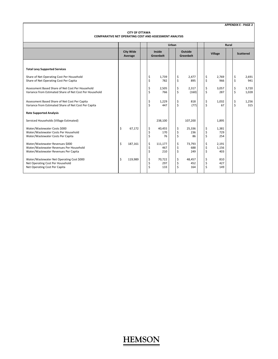| <b>CITY OF OTTAWA</b>                                  |  |
|--------------------------------------------------------|--|
| COMPARATIVE NET OPERATING COST AND ASSESSMENT ANALYSIS |  |

|                                                                                                                    |                             |                |                       | <b>Urban</b> |                |                             |                |                       | Rural |               |                  |
|--------------------------------------------------------------------------------------------------------------------|-----------------------------|----------------|-----------------------|--------------|----------------|-----------------------------|----------------|-----------------------|-------|---------------|------------------|
|                                                                                                                    | <b>City Wide</b><br>Average |                | Inside<br>Greenbelt   |              |                | <b>Outside</b><br>Greenbelt |                | <b>Village</b>        |       |               | <b>Scattered</b> |
|                                                                                                                    |                             |                |                       |              |                |                             |                |                       |       |               |                  |
| <b>Total Levy Supported Services</b>                                                                               |                             |                |                       |              |                |                             |                |                       |       |               |                  |
| Share of Net Operating Cost Per Household<br>Share of Net Operating Cost Per Capita                                |                             | \$<br>\$       | 1,739<br>782          |              | \$<br>\$       | 2,477<br>895                | \$<br>\$       | 2,769<br>966          |       | \$<br>Ś       | 2,691<br>941     |
| Assessment Based Share of Net Cost Per Household<br>Variance from Estimated Share of Net Cost Per Household        |                             | \$<br>\$       | 2,505<br>766          |              | \$<br>\$       | 2,317<br>(160)              | \$<br>\$       | 3.057<br>287          |       | \$<br>$\zeta$ | 3,720<br>1,028   |
| Assessment Based Share of Net Cost Per Capita<br>Variance from Estimated Share of Net Cost Per Capita              |                             | \$<br>Ś        | 1,229<br>447          |              | \$<br>\$       | 818<br>(77)                 | \$<br>\$       | 1,032<br>67           |       | \$<br>Ś       | 1,256<br>315     |
| <b>Rate Supported Analysis</b>                                                                                     |                             |                |                       |              |                |                             |                |                       |       |               |                  |
| Serviced Households (Village Estimated)                                                                            |                             |                | 238,100               |              |                | 107,200                     |                | 1,895                 |       |               |                  |
| Water/Wastewater Costs \$000<br>Water/Wastewater Costs Per Household<br>Water/Wastewater Costs Per Capita          | \$<br>67,172                | \$<br>\$<br>\$ | 40,455<br>170<br>76   |              | \$<br>\$<br>\$ | 25,336<br>236<br>86         | \$<br>\$<br>\$ | 1,381<br>729<br>254   |       |               |                  |
| Water/Wastewater Revenues \$000<br>Water/Wastewater Revenues Per Household<br>Water/Wastewater Revenues Per Capita | \$<br>187,161               | \$<br>\$<br>\$ | 111,177<br>467<br>210 |              | \$<br>\$<br>\$ | 73.793<br>688<br>249        | \$<br>\$<br>\$ | 2,191<br>1,156<br>403 |       |               |                  |
| Water/Wastewater Net Operating Cost \$000<br>Net Operating Cost Per Household<br>Net Operating Cost Per Capita     | \$<br>119,989               | \$<br>\$<br>Ś  | 70,722<br>297<br>133  |              | \$<br>\$<br>\$ | 48,457<br>452<br>164        | \$<br>\$<br>\$ | 810<br>427<br>149     |       |               |                  |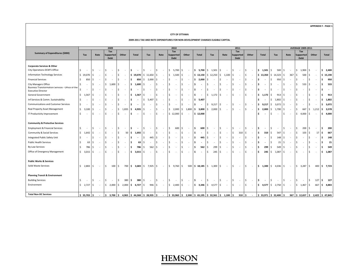#### **CITY OF OTTAWA**

#### **2009‐2011 TAX AND RATE EXPENDITURES FOR NON‐DEVELOPMENT CHARGES ELIGIBLE CAPITAL**

|                                                                               |                         |      |        | 2009                           |                                 |                                 |                                  |                                 | 2010         |                                |                                |                                          |                                  | 2011                           |                                |                                  |                                         |                  | <b>AVERAGE 2009-2011</b> |                          |                 |
|-------------------------------------------------------------------------------|-------------------------|------|--------|--------------------------------|---------------------------------|---------------------------------|----------------------------------|---------------------------------|--------------|--------------------------------|--------------------------------|------------------------------------------|----------------------------------|--------------------------------|--------------------------------|----------------------------------|-----------------------------------------|------------------|--------------------------|--------------------------|-----------------|
| Summary of Expenditures (\$000)                                               |                         |      |        | Tax                            |                                 |                                 |                                  |                                 | Tax          |                                |                                |                                          |                                  | Tax                            |                                |                                  |                                         |                  | Tax                      |                          |                 |
|                                                                               | Tax                     | Rate |        | Supported                      | Other                           | <b>Total</b>                    | Tax                              | Rate                            | Supported    | Other                          | <b>Total</b>                   | Tax                                      | Rate                             | Supported                      | Other                          | <b>Total</b>                     | Tax                                     | Rate             | <b>Supported</b>         | Other                    | <b>Total</b>    |
|                                                                               |                         |      |        | <b>Debt</b>                    |                                 |                                 |                                  |                                 | <b>Debt</b>  |                                |                                |                                          |                                  | <b>Debt</b>                    |                                |                                  |                                         |                  | <b>Debt</b>              |                          |                 |
| <b>Corporate Services &amp; Other</b>                                         |                         |      |        |                                |                                 |                                 |                                  |                                 |              |                                |                                |                                          |                                  |                                |                                |                                  |                                         |                  |                          |                          |                 |
| City Operations DCM'S Office                                                  | -S                      | I S  |        | Ŝ.                             | Ŝ.                              | s.                              | \$<br>$\sim$                     | l \$<br>$\sim$                  | $5,700$ $5$  | $\sim$                         |                                | $$5,700$ $$1,501$ $$$                    | $\sim$                           | $\mathsf{S}$                   | S.                             | \$1,501                          | Ŝ.<br>500                               | l \$<br>$\sim$   | l \$<br>$1,900$ \$       | $\sim$                   | \$2,400         |
| <b>Information Technology Services</b>                                        | $$19,070$ \$            |      |        | Ś.<br>$\overline{\phantom{a}}$ | Ŝ<br>$\overline{a}$             | \$19,070                        | $$11,650$ \$                     | $\sim$                          | $$1,500$ \$  | $\sim$                         |                                | $$13,150 \t{5} 12,250 \t{5} 1,100 \t{5}$ |                                  | $\sim$                         | \$<br>$\sim$                   | \$13,350                         | $$14,323$ \$                            | 367 <sup>5</sup> | $500 \quad$ \$           | $\sim$                   | \$15,190        |
| <b>Financial Services</b>                                                     | Ŝ.<br>$850$ \$          |      |        | \$<br>$\overline{\phantom{a}}$ | \$.<br>$\overline{\phantom{a}}$ | 850<br>\$                       | $$2,000$ $$$                     | $\sim$                          | \$<br>$\sim$ | $\sim$                         | \$2,000                        | Ŝ.                                       | -Ś                               | Ŝ.<br>$\overline{\phantom{a}}$ | Ŝ.<br>$\overline{\phantom{a}}$ | \$                               | 950<br>Š.                               | -Ś<br>$\sim$     | Ś<br>$\sim$              | $\overline{\phantom{a}}$ | 950<br>Ś        |
| <b>City Managers Office</b>                                                   |                         | I \$ |        | 1,600<br>\$                    | Ŝ.<br>$\sim$                    | 1,600<br>l\$                    | \$<br>$\sim$                     | l \$                            | Ŝ.<br>$\sim$ | -Ś<br>$\overline{\phantom{a}}$ | \$                             | Ŝ.<br>$\overline{\phantom{a}}$           | S.                               | -Ś<br>$\overline{\phantom{a}}$ | Š.<br>$\overline{\phantom{a}}$ | l \$<br>$\overline{\phantom{a}}$ | Š.                                      | -Ś               | Ŝ.<br>533                | IS.<br>$\sim$            | 533<br>Ŝ        |
| Business Transformation Services - Office of the<br><b>Executive Director</b> |                         | l \$ |        | \$<br>$\overline{\phantom{a}}$ | \$.<br>$\overline{\phantom{a}}$ | Ŝ.<br>$\overline{\phantom{a}}$  | Ŝ.<br>$\sim$                     | l \$<br>$\sim$                  | Ŝ.<br>$\sim$ | $\sim$                         | Ŝ.<br>$\overline{\phantom{a}}$ | Ŝ.<br>$\overline{\phantom{a}}$           | -Ś<br>$\overline{a}$             | Ŝ.<br>$\overline{a}$           | Ŝ.<br>$\overline{\phantom{a}}$ | Ŝ.<br>$\overline{\phantom{a}}$   | Š.<br>$\sim$                            | -Ś<br>$\sim$     | Ŝ<br>$\sim$              | $\sim$                   | Ŝ<br>$\sim$     |
| General Government                                                            | \$<br>$1,567$ \$        |      | $\sim$ | Ŝ.<br>$\overline{\phantom{a}}$ | Ŝ.<br>$\sim$                    | 1,567<br>I\$                    | \$<br>$\sim$                     | $\mathsf{S}$<br>$\sim$          | Ŝ.<br>$\sim$ | l \$<br>$\sim$                 | \$<br>$\overline{\phantom{a}}$ | $$1,172$ \$                              | $\sim$                           | Ŝ.<br>$\sim$                   | Ŝ.<br>$\sim$                   | \$1,172                          | \$<br>9135                              | $\sim$           | Ŝ.<br>$\sim$             | l \$<br>$\sim$           | Ŝ<br>913        |
| Inf Services & Comm. Sustainability                                           | Ś,                      | l \$ |        | Ś.                             | \$.<br>$\overline{\phantom{a}}$ | \$.<br>$\overline{\phantom{a}}$ | \$<br>5,407                      | l \$<br>$\sim$                  | Ŝ.<br>$\sim$ | Š.<br>$\sim$                   | \$5,407                        |                                          |                                  |                                |                                | l\$<br>$\overline{\phantom{a}}$  | $1,802$ \$<br>Ś.                        | $\sim$           | Ś<br>$\sim$              | S.<br>$\sim$             | 1,802<br>Ŝ      |
| <b>Communications and Customer Services</b>                                   | Ŝ.                      | -Ś   |        |                                | \$.                             | \$                              | Ś                                | -S                              | Ŝ.<br>$\sim$ | $\overline{\phantom{a}}$       | \$                             | $$9,217$ \$                              | $\overline{\phantom{a}}$         | \$<br>$\overline{\phantom{a}}$ | \$<br>$\overline{\phantom{a}}$ | l \$<br>9,217                    | \$<br>3,072                             | l \$<br>$\sim$   | Ś                        | $\overline{\phantom{a}}$ | 3,072<br>Ś      |
| Real Property Asset Management                                                | Ŝ.<br>3,100             | I S  |        | Ś.<br>$\overline{\phantom{a}}$ | Ś.<br>1,835                     | 4,935<br>s.                     | \$<br>$\sim$                     | l\$<br>$\sim$                   | $$2,000$ $$$ | 1,800                          | \$3,800                        | \$2,000                                  | l \$<br>$\sim$                   | Ŝ.<br>$\sim$                   | Ŝ.<br>$\sim$                   | 2,000<br>۱\$.                    | Ŝ.<br>1,700                             | -Ś<br>$\sim$     | l \$<br>667              | \$1,212                  | 3,578<br>s.     |
| IT Productivity Improvement                                                   | Ŝ.                      | I S  |        | Ś.                             | Š.<br>$\overline{\phantom{a}}$  | Ŝ.<br>$\overline{\phantom{a}}$  | \$<br>$\sim$                     | S.<br>$\overline{\phantom{a}}$  | $$12,000$ \$ | $\sim$                         | \$12,000                       |                                          |                                  |                                |                                | \$                               | Ŝ.<br>$\sim$                            | -Ś<br>÷          | $4,000$ \$<br>\$         |                          | 4,000<br>s.     |
|                                                                               |                         |      |        |                                |                                 |                                 |                                  |                                 |              |                                |                                |                                          |                                  |                                |                                |                                  |                                         |                  |                          |                          |                 |
| <b>Community &amp; Protective Services</b>                                    |                         |      |        |                                |                                 |                                 |                                  |                                 |              |                                |                                |                                          |                                  |                                |                                |                                  |                                         |                  |                          |                          |                 |
| <b>Employment &amp; Financial Services</b>                                    | -S                      | I S  |        | Ŝ.                             | Ŝ.                              | s.<br>$\overline{\phantom{a}}$  | \$<br>$\sim$                     | l \$<br>$\sim$                  | 600<br>S.    | Ŝ.<br>$\sim$                   | \$<br>600                      | S.<br>$\overline{\phantom{a}}$           | -S                               | \$<br>$\overline{\phantom{a}}$ | \$                             | l\$<br>$\overline{\phantom{a}}$  | Ŝ.<br>$\sim$                            | -S<br>$\sim$     | $200 \,$ $\circ$<br>.\$  | $\sim$                   | 200<br>- S      |
| Community & Social Services                                                   | Ŝ.<br>1,642             | I S  |        |                                | 50<br>\$.                       | s.<br>1,692                     | S.<br>$\sim$                     | l \$                            |              |                                | \$.                            | Ŝ.                                       | <sup>\$</sup>                    | Ŝ.<br>310                      | Ś.                             | ۱\$<br>310                       | 547<br>Ŝ.                               | -Ś<br>$\sim$     | Ś<br>103                 | 17                       | 667<br>Ŝ        |
| Integrated Public Safety Unit                                                 | Ŝ.                      | l \$ |        | Ś.<br>$\overline{\phantom{a}}$ | Ŝ.                              | Ŝ.<br>$\overline{\phantom{a}}$  | \$<br>445                        | l s<br>$\sim$                   | Ŝ.<br>$\sim$ | Ŝ<br>$\sim$                    | \$<br>445                      | S.<br>$\overline{\phantom{a}}$           | S.<br>$\overline{\phantom{a}}$   | Ŝ.<br>$\sim$                   | Ŝ<br>$\sim$                    | ۱\$<br>$\overline{\phantom{a}}$  | Ŝ.<br>148                               | l \$<br>$\sim$   | Ś<br>$\sim$              | $\overline{\phantom{a}}$ | 148<br>Ŝ        |
| <b>Public Health Services</b>                                                 | 63                      | I S  |        | \$                             | \$.                             | Ŝ.<br>63                        | \$<br>$\sim$                     | l\$<br>$\overline{\phantom{a}}$ | Ŝ.<br>$\sim$ | Š.<br>$\overline{\phantom{a}}$ | \$<br>$\overline{\phantom{a}}$ | Ŝ.<br>$\overline{\phantom{a}}$           | S.<br>$\overline{\phantom{a}}$   | Ŝ.<br>$\overline{\phantom{a}}$ | Ś<br>$\overline{\phantom{a}}$  | l \$<br>$\overline{\phantom{a}}$ | Š.<br>21                                | l\$<br>$\sim$    |                          |                          | 21              |
| <b>By-Law Services</b>                                                        | Ŝ.<br>786               | I S  |        | \$.                            | \$.<br>$\overline{a}$           | 786<br>Ŝ.                       | Ŝ.<br>562                        | l s<br>$\sim$                   | Ŝ.<br>$\sim$ | $\overline{a}$                 | \$<br>562                      | 299<br>Ŝ.                                | -Ś<br>$\overline{a}$             | .s<br>$\overline{a}$           | Ŝ.<br>$\overline{\phantom{a}}$ | l \$<br>299                      | Š.<br>549                               | l \$<br>$\sim$   | S                        | $\overline{\phantom{a}}$ | 549             |
| Office of Emergency Management                                                | $$3,015$ $$$            |      |        | Ś.<br>$\overline{\phantom{a}}$ | Š.<br>$\overline{\phantom{a}}$  | Ŝ.<br>3.015                     | S.<br>$\sim$                     | S.<br>$\overline{\phantom{a}}$  | Ŝ.<br>$\sim$ | Ŝ.<br>$\sim$                   | \$<br>$\overline{\phantom{a}}$ | Ŝ.<br>245                                | l \$<br>$\overline{\phantom{a}}$ | Ŝ.<br>$\sim$                   | Ŝ.<br>$\sim$                   | ۱\$.<br>245                      | 1,087<br>Ŝ.                             | S.<br>$\sim$     | Š.<br>$\sim$             | $\sim$                   | 1,087<br>۰\$    |
|                                                                               |                         |      |        |                                |                                 |                                 |                                  |                                 |              |                                |                                |                                          |                                  |                                |                                |                                  |                                         |                  |                          |                          |                 |
| <b>Public Works &amp; Services</b>                                            |                         |      |        |                                |                                 |                                 |                                  |                                 |              |                                |                                |                                          |                                  |                                |                                |                                  |                                         |                  |                          |                          |                 |
| Solid Waste Services                                                          | $5$ 2,883 $\frac{1}{5}$ |      |        | S.<br>$100 \pm 5$              |                                 | 700 \$ 3,683 \$ 7,925 \$        |                                  | $\sim$                          | $$9,760$ \$  |                                | 500 \$ 18,185 \$ 1,300 \$      |                                          | $\sim$ $-$                       | l \$<br>$\sim$                 | IS.<br>$\sim$                  |                                  | $\frac{1}{2}$ 1,300 \$ 4,036 \$         | $\sim$           | $$3,287$ \$              | 400                      | $5$ 7,723       |
|                                                                               |                         |      |        |                                |                                 |                                 |                                  |                                 |              |                                |                                |                                          |                                  |                                |                                |                                  |                                         |                  |                          |                          |                 |
| <b>Planning Transit &amp; Environment</b>                                     |                         |      |        |                                |                                 |                                 |                                  |                                 |              |                                |                                |                                          |                                  |                                |                                |                                  |                                         |                  |                          |                          |                 |
| <b>Building Services</b>                                                      | -S                      | l \$ |        | S.                             | $\mathsf{S}$<br>380S            | 380                             | l \$<br>$\sim$                   | <b>S</b><br>$\sim$              | Ŝ.<br>$\sim$ | l \$<br>$\sim$                 | l\$                            | \$<br>$\sim$                             | $\mathsf{S}$<br>$\sim$           | $\mathsf{S}$<br>$\sim$         | l \$<br>$\sim$                 | l \$<br>$\sim$                   | Ŝ.<br>$\sim$                            | S.<br>$\sim$     | $\mathsf{S}$<br>$\sim$   | 127<br>l \$              | 127<br>۱s       |
| Environment                                                                   | $5$ 2,727 \$            |      |        | \$2,000                        |                                 | $$2,000$ \$ 6,727               | $\mathsf{S}$<br>946 <sup>5</sup> | $\sim$                          | $5$ 2,400 \$ | $\sim$                         |                                | $$3,346$ $$4,577$ \$                     | $\overline{a}$                   | \$<br>$\sim$                   | \$<br>$\sim$                   |                                  | $\frac{1}{2}$ 4,577 $\frac{1}{2}$ 2,750 | l \$<br>$\sim$   | $$1,467$ $$$             | 667                      | l S<br>4,883    |
|                                                                               |                         |      |        |                                |                                 |                                 |                                  |                                 |              |                                |                                |                                          |                                  |                                |                                |                                  |                                         |                  |                          |                          |                 |
| <b>Total Non-DC Services</b>                                                  | $$35.703$ S             |      |        | $\sim$ 5<br>3.700              | Ś.<br>4.965                     | \$44.368                        | $$28,935$ \$                     | $\sim$                          | $$33,960$ \$ |                                | 2,300 \$ 65,195                | $\frac{1}{2}$ \$ 32,561 \$ 1,100 \$      |                                  | 310 <sub>5</sub>               | $\overline{\phantom{a}}$       | 533.971                          | \$32.400                                | l \$             | $367$ S 12.657 S         |                          | 2.422 \$ 47.845 |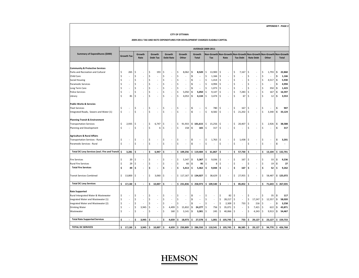#### **CITY OF OTTAWA**

#### **2009‐2011 TAX AND RATE EXPENDITURES FOR DEVELOPMENT CHARGES ELIGIBLE CAPITAL**

|                                                    |     |                   |     |                          |    |                           |     |                            |                    |                          |    | <b>AVERAGE 2009-2011</b> |     |                          |     |                          |     |                                      |                    |                          |                    |                                           |     |              |
|----------------------------------------------------|-----|-------------------|-----|--------------------------|----|---------------------------|-----|----------------------------|--------------------|--------------------------|----|--------------------------|-----|--------------------------|-----|--------------------------|-----|--------------------------------------|--------------------|--------------------------|--------------------|-------------------------------------------|-----|--------------|
| Summary of Expenditures (\$000)                    |     | <b>Growth Tax</b> |     | Growth<br>Rate           |    | Growth<br><b>Debt Tax</b> |     | Growth<br><b>Debt Rate</b> |                    | Growth<br>Other          |    | Growth<br><b>Total</b>   |     | Non-Growth<br>Tax        |     | Non-Growth<br>Rate       |     | <b>Non-Growth</b><br><b>Tax Debt</b> |                    | <b>Rate Debt</b>         |                    | Non-Growth Non-Growth Non-Growth<br>Other |     | <b>Total</b> |
|                                                    |     |                   |     |                          |    |                           |     |                            |                    |                          |    |                          |     |                          |     |                          |     |                                      |                    |                          |                    |                                           |     |              |
| <b>Community &amp; Protective Services</b>         |     |                   |     |                          |    |                           |     |                            |                    |                          |    |                          |     |                          |     |                          |     |                                      |                    |                          |                    |                                           |     |              |
| Parks and Recreation and Cultural                  | Ś   | 265               | \$  |                          | \$ | 193                       | \$  |                            | \$                 | 8,062                    | \$ | 8,520                    | \$  | 13,900                   | \$  |                          | \$  | 7,167                                | \$                 | $\overline{a}$           | \$                 | 1,793                                     | \$  | 22,860       |
| Child Care                                         |     | J.                | Ś   |                          | Ś  |                           | Ś   | ÷,                         | \$                 | $\overline{a}$           | \$ | $\overline{\phantom{a}}$ | \$  | 1,166                    | \$  |                          | Ś   | ÷,                                   | \$                 | ÷,                       | \$                 | ÷                                         | Ŝ   | 1,166        |
| Social Housing                                     |     |                   | Ś   |                          | \$ |                           | \$  |                            | \$                 | ٠                        | \$ | $\overline{\phantom{a}}$ | \$  | 1,414                    | \$  |                          | \$  | $\overline{a}$                       | \$                 | ÷                        | $\ddot{\varsigma}$ | 4,517                                     | \$  | 5,930        |
| <b>Paramedic Services</b>                          |     |                   | Ś   | ٠                        | \$ |                           | \$  |                            | $\mathsf{\hat{S}}$ | ÷                        | Ś  | $\overline{\phantom{a}}$ |     | 4,994                    | \$  |                          | \$  | $\overline{a}$                       | \$                 | J.                       | \$                 | ٠                                         | \$  | 4,994        |
| Long Term Care                                     |     | J.                | \$  | $\overline{\phantom{a}}$ | \$ |                           | \$  | ÷                          | \$                 | $\overline{a}$           | Ś  | $\overline{\phantom{a}}$ | Ŝ   | 1,073                    | \$  |                          | Ś   | $\overline{a}$                       | \$                 | L,                       | Ŝ.                 | 350                                       | \$  | 1,423        |
| <b>Police Services</b>                             | Ś   |                   | \$  |                          | \$ |                           | \$  | $\overline{\phantom{a}}$   | \$                 | 5,050                    | \$ | 5,050                    | \$. | 9,147                    | \$  |                          | \$  | 7,283                                | $\zeta$            |                          | \$                 | 167                                       | ۱\$ | 16,597       |
| Library                                            | Ś   | 81                | Ś   |                          | \$ |                           | \$  |                            | $\mathsf{\hat{S}}$ | 4,053                    | \$ | 4,134                    |     | 3,474                    | \$  |                          | Ś   | 67                                   | $\mathsf{S}$       |                          |                    | 12                                        | .s  | 3,553        |
| <b>Public Works &amp; Servcies</b>                 |     |                   |     |                          |    |                           |     |                            |                    |                          |    |                          |     |                          |     |                          |     |                                      |                    |                          |                    |                                           |     |              |
| <b>Fleet Services</b>                              | Ś   | J.                | Ŝ   |                          | \$ |                           | \$  | ÷,                         | \$                 | $\overline{\phantom{a}}$ | \$ | $\overline{\phantom{a}}$ | \$  | 780                      | \$  | ÷                        | \$  | 167                                  | \$                 | ÷,                       | Ŝ.                 | $\frac{1}{2}$                             | Ŝ   | 947          |
| Integrated Roads, Sewers and Water (1)             | Ś   |                   | \$  |                          | \$ |                           | \$  |                            | Ś                  | J.                       | \$ | $\overline{\phantom{a}}$ | \$  | 8,582                    | \$  |                          | \$  | 21,202                               | $\mathsf{\hat{S}}$ | J.                       | $\sf S$            | 3,340                                     | \$  | 33,124       |
| <b>Planning Transit &amp; Environment</b>          |     |                   |     |                          |    |                           |     |                            |                    |                          |    |                          |     |                          |     |                          |     |                                      |                    |                          |                    |                                           |     |              |
| <b>Transportation Services</b>                     | Ś   | 2,935             | -\$ |                          | \$ | 6,747                     | \$  |                            | \$                 | 91,933                   |    | \$101,615                | -\$ | 15,256                   | \$  |                          | \$  | 20,407                               | \$                 | ÷                        | \$                 | 2,926                                     | \$  | 38,588       |
| Planning and Development                           | Ś   |                   | Ś   |                          | \$ | 6                         | \$  |                            | \$                 | 158                      | \$ | 165                      | \$  | 317                      | \$  |                          | \$  |                                      | $\zeta$            |                          | Ś                  |                                           | Ś   | 317          |
| <b>Agriculture &amp; Rural Affairs</b>             |     |                   |     |                          |    |                           |     |                            |                    |                          |    |                          |     |                          |     |                          |     |                                      |                    |                          |                    |                                           |     |              |
| Transportation Services - Rural                    | \$  | ÷                 | \$  | $\overline{a}$           | \$ |                           | \$  | ÷                          | \$                 | $\overline{\phantom{a}}$ | \$ | $\overline{\phantom{a}}$ | \$  | 1,763                    | \$  | ÷                        | \$  | 1,438                                | \$                 | $\overline{\phantom{a}}$ | \$                 | $\overline{\phantom{a}}$                  | \$  | 3,201        |
| Paramedic Services - Rural                         | Ś   | J.                | \$  |                          | \$ |                           | \$  | ÷.                         | \$                 | $\overline{a}$           | \$ | $\overline{a}$           | \$  |                          | \$  |                          | \$  | L.                                   | $\zeta$            | J.                       | $\mathsf{\hat{S}}$ | J.                                        | \$  |              |
| Total DC Levy Services (excl. Fire and Transit) \$ |     | 3,281             | Ś   | $\blacksquare$           | \$ | 6,947                     | \$. | $\overline{\phantom{a}}$   |                    | \$109,256                |    | \$119,484                | Ś   | 61,867                   | \$  | $\overline{\phantom{a}}$ | \$  | 57,730                               | \$                 | $\blacksquare$           | Ś                  | 13,104                                    |     | \$132,701    |
|                                                    |     |                   |     |                          |    |                           |     |                            |                    |                          |    |                          |     |                          |     |                          |     |                                      |                    |                          |                    |                                           |     |              |
| <b>Fire Services</b>                               |     | 20                | \$  |                          | \$ |                           | \$  | $\overline{a}$             | \$                 | 5,347                    | \$ | 5,367                    | \$. | 9,036                    | \$  |                          | \$  | 167                                  | \$                 | $\overline{a}$           | \$                 | 33                                        | \$  | 9,236        |
| <b>Rural Fire Services</b>                         |     | 29                | \$  |                          | \$ |                           | \$  | $\overline{a}$             | \$                 | 66                       | \$ | 95                       | -\$ | 8                        | \$  |                          | Ś   | $\overline{a}$                       | $\zeta$            |                          | Ŝ.                 | 19                                        | -\$ | 27           |
| <b>Total Fire Services</b>                         | \$  | 49                | \$  | $\overline{\phantom{a}}$ | \$ | $\overline{\phantom{a}}$  | \$  | $\overline{\phantom{a}}$   | \$                 | 5,413                    | \$ | 5,462                    | \$  | 9,044                    | \$  | $\overline{\phantom{a}}$ | \$  | 167                                  | \$                 | $\overline{a}$           | \$                 | 52                                        | \$  | 9,262        |
| <b>Transit Services Combined</b>                   | \$  | 13,800            | \$. |                          | \$ | 3,060                     | S.  |                            |                    | \$117,167                |    | \$134,027                | \$  | 38,629                   | \$  |                          | \$  | 27,955                               | \$                 | ÷,                       | \$                 | 58,487                                    |     | \$125,072    |
| <b>Total DC Levy Services</b>                      | \$. | 17,130            | Ś   |                          | \$ | 10,007                    | \$. | $\overline{\phantom{a}}$   |                    | \$231,836                |    | \$258,973                |     | \$109,540                | \$. |                          | Ś.  | 85,852                               | \$                 |                          | Ś                  | 71,643                                    |     | \$267,035    |
|                                                    |     |                   |     |                          |    |                           |     |                            |                    |                          |    |                          |     |                          |     |                          |     |                                      |                    |                          |                    |                                           |     |              |
| <b>Rate Supported</b>                              |     |                   |     |                          |    |                           |     |                            |                    |                          |    |                          |     |                          |     |                          |     |                                      |                    |                          |                    |                                           |     |              |
| Rural Intergrated Water & Wastewater               | Ś   |                   | Ś   |                          | \$ |                           | \$  |                            | \$                 | ÷                        | \$ | $\centerdot$             |     |                          | \$  | 82                       | S.  | ÷                                    | \$                 | J.                       | \$                 | 35                                        | .s  | 117          |
| Inegrated Water and Wastewater (1)                 | Ś   | J.                | Ś   | ٠                        | \$ |                           | \$  | $\overline{\phantom{a}}$   | \$                 | $\overline{a}$           | \$ | $\overline{\phantom{a}}$ | Ŝ.  | $\overline{\phantom{a}}$ | \$  | 28,217                   | \$  | ÷                                    | \$                 | 17,247                   | $\ddot{\varsigma}$ | 12,557                                    | \$. | 58,020       |
| Inegrated Water and Wastewater (2)                 | Ś   | $\overline{a}$    | Ś   | ٠                        | \$ |                           | \$  | $\overline{\phantom{a}}$   | \$                 |                          | \$ | $\overline{a}$           |     | $\overline{\phantom{a}}$ | \$  | 2,309                    | \$  | 733                                  | \$                 | 216                      | \$                 | ٠                                         | \$  | 3,258        |
| Drinking Water                                     | Ś   | ÷                 | \$  | 3,945                    | \$ |                           | \$  | 4,499                      | $\zeta$            | 15,832                   | \$ | 24,277                   | \$  | 756                      | \$  | 35,071                   | \$  | $\overline{a}$                       | $\zeta$            | 7,421                    | \$                 | 622                                       | .s  | 43,871       |
| Wastewater                                         | Ś   | J.                | \$  | ٠                        | Ś  |                           | \$  | 160                        | \$                 | 3,141                    | \$ | 3,301                    | \$. | 245                      | \$  | 40,066                   | \$  | $\overline{a}$                       | Ś                  | 4,243                    | \$                 | 9,913                                     | \$. | 54,467       |
| <b>Total Rate Supported Services</b>               | Ś   | $\overline{a}$    | Ś   | 3,945                    | \$ | $\sim$                    | \$. | 4,659                      | \$.                | 18,973                   | \$ | 27,578                   | Ś   | 1,001                    |     | \$105,745                | \$. | 733                                  | \$                 | 29,127                   | \$                 | 23,127                                    |     | \$159,733    |
| <b>TOTAL DC SERVICES</b>                           | \$  | 17,130            | Ŝ   | 3,945                    | \$ | 10,007                    | \$  | 4,659                      | \$                 | 250,809                  | \$ | 286,550                  |     | \$110,541                | \$  | 105,745                  | \$  | 86,585                               | \$                 | 29,127                   | \$                 | 94,770                                    | \$  | 426,768      |
|                                                    |     |                   |     |                          |    |                           |     |                            |                    |                          |    |                          |     |                          |     |                          |     |                                      |                    |                          |                    |                                           |     |              |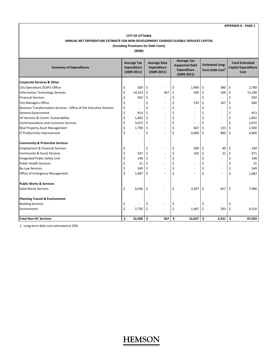### **CITY OF OTTAWA ANNUAL NET EXPENDITURE ESTIMATE FOR NON‐DEVELOPMENT CHARGES ELIGIBLE SERVICES CAPITAL**

#### **(Including Provisions for Debt Costs)**

**(\$000)**

| <b>Summary of Expenditures</b>                                      | <b>Average Tax</b><br><b>Expenditure</b><br>$(2009 - 2011)$ | <b>Average Rate</b><br><b>Expenditure</b><br>$(2009 - 2011)$ | <b>Average Tax</b><br><b>Supported Debt</b><br><b>Expenditure</b><br>$(2009 - 2011)$ |         | <b>Estimated Long-</b><br>Term Debt Cost <sup>1</sup> |     | <b>Total Estimated</b><br><b>Capital Expenditure</b><br>Cost |
|---------------------------------------------------------------------|-------------------------------------------------------------|--------------------------------------------------------------|--------------------------------------------------------------------------------------|---------|-------------------------------------------------------|-----|--------------------------------------------------------------|
| Corporate Services & Other                                          |                                                             |                                                              |                                                                                      |         |                                                       |     |                                                              |
| City Operations DCM'S Office                                        | \$<br>500                                                   | \$<br>$\overline{\phantom{a}}$                               | \$<br>1,900                                                                          | \$      | 380                                                   | \$  | 2,780                                                        |
| Information Technology Services                                     | \$<br>14,323                                                | \$<br>367                                                    | \$<br>500                                                                            | \$      | 100                                                   | \$  | 15,290                                                       |
| <b>Financial Services</b>                                           | \$<br>950                                                   | \$                                                           | \$                                                                                   | \$      | $\overline{\phantom{a}}$                              | \$  | 950                                                          |
| <b>City Managers Office</b>                                         | \$<br>ä,                                                    | \$                                                           | \$<br>533                                                                            | \$      | 107                                                   | \$  | 640                                                          |
| Business Transformation Services - Office of the Executive Director | \$<br>÷.                                                    | \$<br>$\overline{\phantom{a}}$                               | \$                                                                                   | \$      | $\overline{\phantom{a}}$                              | \$  |                                                              |
| <b>General Government</b>                                           | \$<br>913                                                   | \$                                                           | \$                                                                                   | \$      | $\overline{\phantom{a}}$                              | \$  | 913                                                          |
| Inf Services & Comm. Sustainability                                 | \$<br>1,802                                                 | \$                                                           | \$                                                                                   | \$      | $\overline{\phantom{a}}$                              | \$  | 1,802                                                        |
| <b>Communications and Customer Services</b>                         | \$<br>3,072                                                 | \$                                                           | \$                                                                                   | \$      | $\overline{\phantom{a}}$                              | \$  | 3,072                                                        |
| Real Property Asset Management                                      | \$<br>1,700                                                 | \$<br>$\overline{\phantom{a}}$                               | \$<br>667                                                                            | $\zeta$ | 133                                                   | \$  | 2,500                                                        |
| IT Productivity Improvement                                         | \$                                                          | \$                                                           | \$<br>4,000                                                                          | $\zeta$ | 800                                                   | \$  | 4,800                                                        |
| <b>Community &amp; Protective Services</b>                          |                                                             |                                                              |                                                                                      |         |                                                       |     |                                                              |
| <b>Employment &amp; Financial Services</b>                          | \$<br>÷,                                                    | \$<br>$\sim$                                                 | \$<br>200                                                                            | Ŝ.      | 40                                                    | \$  | 240                                                          |
| Community & Social Services                                         | \$<br>547                                                   | \$                                                           | \$<br>103                                                                            | \$      | 21                                                    | \$  | 671                                                          |
| Integrated Public Safety Unit                                       | \$<br>148                                                   | \$                                                           | \$                                                                                   | \$      | ٠                                                     | \$  | 148                                                          |
| <b>Public Health Services</b>                                       | \$<br>21                                                    | \$<br>$\overline{\phantom{a}}$                               | \$                                                                                   | \$      | $\overline{\phantom{a}}$                              | \$  | 21                                                           |
| <b>By-Law Services</b>                                              | \$<br>549                                                   | \$                                                           | \$                                                                                   | \$      | $\sim$                                                | \$  | 549                                                          |
| Office of Emergency Management                                      | \$<br>1,087                                                 | \$                                                           | \$                                                                                   | \$      | ä,                                                    | \$  | 1,087                                                        |
| <b>Public Works &amp; Services</b>                                  |                                                             |                                                              |                                                                                      |         |                                                       |     |                                                              |
| Solid Waste Services                                                | \$<br>4,036                                                 | \$<br>$\sim$                                                 | \$<br>3,287                                                                          | \$      | 657                                                   | \$  | 7,980                                                        |
| <b>Planning Transit &amp; Environment</b>                           |                                                             |                                                              |                                                                                      |         |                                                       |     |                                                              |
| <b>Building Services</b>                                            | \$                                                          | \$                                                           | \$                                                                                   | \$      | ä,                                                    | \$  |                                                              |
| Environment                                                         | \$<br>2,750                                                 | \$                                                           | \$<br>1,467                                                                          | \$      | 293                                                   | \$  | 4,510                                                        |
| <b>Total Non-DC Services</b>                                        | \$<br>32,400                                                | \$<br>367                                                    | \$<br>12,657                                                                         | \$      | 2,531                                                 | \$. | 47,954                                                       |

1. Long‐term debt cost estimated at 20%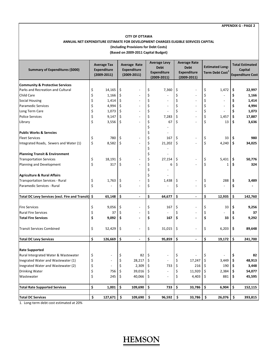### **CITY OF OTTAWA ANNUAL NET EXPENDITURE ESTIMATE FOR DEVELOPMENT CHARGES ELIGIBLE SERVICES CAPITAL (Including Provisions for Debt Costs)**

**(Based on 2009‐2011 Capital Budget)**

| Summary of Expenditures (\$000)                        | <b>Average Tax</b><br><b>Expenditure</b><br>$(2009 - 2011)$ | <b>Average Rate</b><br><b>Expenditure</b><br>$(2009 - 2011)$ |          | <b>Average Levy</b><br><b>Debt</b><br><b>Expenditure</b><br>$(2009 - 2011)$ | <b>Average Rate</b><br><b>Debt</b><br><b>Expenditure</b><br>$(2009 - 2011)$ | <b>Estimated Long-</b><br>Term Debt Cost $^{\rm 1}$ |     | <b>Total Estimated</b><br>Capital<br><b>Expenditure Cost</b> |
|--------------------------------------------------------|-------------------------------------------------------------|--------------------------------------------------------------|----------|-----------------------------------------------------------------------------|-----------------------------------------------------------------------------|-----------------------------------------------------|-----|--------------------------------------------------------------|
| <b>Community &amp; Protective Services</b>             |                                                             |                                                              |          |                                                                             |                                                                             |                                                     |     |                                                              |
| Parks and Recreation and Cultural                      | \$<br>14,165                                                | \$                                                           | \$       | 7,360                                                                       | \$                                                                          | \$<br>1,472                                         | \$  | 22,997                                                       |
| Child Care                                             | \$<br>1,166                                                 | \$                                                           | \$       |                                                                             | \$                                                                          | \$                                                  | \$  | 1,166                                                        |
| <b>Social Housing</b>                                  | \$<br>1,414                                                 | \$                                                           | \$       |                                                                             | \$                                                                          | \$<br>$\overline{a}$                                | \$  | 1,414                                                        |
| <b>Paramedic Services</b>                              | \$<br>4,994                                                 | \$                                                           | \$       |                                                                             | \$                                                                          | \$                                                  | \$  | 4,994                                                        |
| Long Term Care                                         | \$<br>1,073                                                 | \$                                                           | \$       |                                                                             | \$                                                                          | \$                                                  | \$  | 1,073                                                        |
| <b>Police Services</b>                                 | \$<br>9,147                                                 | \$                                                           | \$       | 7,283                                                                       | \$                                                                          | \$<br>1,457                                         | \$  | 17,887                                                       |
| Library                                                | \$<br>3,556                                                 | \$                                                           | \$<br>\$ | 67                                                                          | \$                                                                          | \$<br>13                                            | \$  | 3,636                                                        |
| <b>Public Works &amp; Servcies</b>                     |                                                             |                                                              | \$       |                                                                             |                                                                             |                                                     |     |                                                              |
| <b>Fleet Services</b>                                  | \$<br>780                                                   | \$                                                           | \$       | 167                                                                         | \$                                                                          | \$<br>33                                            | \$. | 980                                                          |
| Integrated Roads, Sewers and Water (1)                 | \$<br>8,582                                                 | \$                                                           | \$<br>\$ | 21,202                                                                      | \$                                                                          | \$<br>4,240                                         | \$  | 34,025                                                       |
| <b>Planning Transit &amp; Environment</b>              |                                                             |                                                              | \$       |                                                                             |                                                                             |                                                     |     |                                                              |
| <b>Transportation Services</b>                         | \$<br>18,191                                                | \$                                                           | \$       | 27,154                                                                      | \$                                                                          | \$<br>5,431                                         | \$  | 50,776                                                       |
| Planning and Development                               | \$<br>317                                                   | \$                                                           | \$<br>\$ | 6                                                                           | \$                                                                          | \$<br>1                                             | \$  | 324                                                          |
| <b>Agriculture &amp; Rural Affairs</b>                 |                                                             |                                                              | \$       |                                                                             |                                                                             |                                                     |     |                                                              |
| <b>Transportation Services - Rural</b>                 | \$<br>1,763                                                 | \$                                                           | \$       | 1,438                                                                       | \$                                                                          | \$<br>288                                           | \$  | 3,489                                                        |
| Paramedic Services - Rural                             | \$                                                          | \$                                                           | \$       |                                                                             | \$                                                                          | \$                                                  | \$  |                                                              |
| <b>Total DC Levy Services (excl. Fire and Transit)</b> | \$<br>65,148                                                | \$<br>÷,                                                     | \$       | 64,677                                                                      | \$<br>$\overline{a}$                                                        | \$<br>12,935                                        | \$  | 142,760                                                      |
| <b>Fire Services</b>                                   | \$<br>9,056                                                 | \$                                                           | \$       | 167                                                                         | \$                                                                          | \$<br>33                                            | \$  | 9,256                                                        |
| <b>Rural Fire Services</b>                             | \$<br>37                                                    | \$                                                           | \$       |                                                                             | \$                                                                          | \$                                                  | \$  | 37                                                           |
| <b>Total Fire Services</b>                             | \$<br>9,092                                                 | \$                                                           | \$       | 167                                                                         | \$                                                                          | \$<br>33                                            | \$  | 9,292                                                        |
| <b>Transit Services Combined</b>                       | \$<br>52,429                                                | \$                                                           | \$       | 31,015                                                                      | \$                                                                          | \$<br>6,203                                         | \$  | 89,648                                                       |
| <b>Total DC Levy Services</b>                          | \$<br>126,669                                               | \$<br>$\blacksquare$                                         | \$       | 95,859                                                                      | \$<br>$\blacksquare$                                                        | \$<br>19,172                                        | \$  | 241,700                                                      |
| <b>Rate Supported</b>                                  |                                                             |                                                              |          |                                                                             |                                                                             |                                                     |     |                                                              |
| Rural Intergrated Water & Wastewater                   | \$                                                          | 82<br>\$                                                     | Ş        |                                                                             | Ş                                                                           |                                                     | Ş   | 82                                                           |
| Inegrated Water and Wastewater (1)                     | Ś                                                           | Ś<br>28,217                                                  | Ś        |                                                                             | Ś<br>17,247                                                                 | \$<br>3,449                                         | \$  | 48,913                                                       |
| Inegrated Water and Wastewater (2)                     | \$                                                          | \$<br>2,309                                                  | \$       | 733                                                                         | \$<br>216                                                                   | \$<br>$190 \mid$ \$                                 |     | 3,448                                                        |
| <b>Drinking Water</b>                                  | \$<br>756                                                   | 39,016<br>\$                                                 | -\$      |                                                                             | 11,920<br>\$                                                                | $2,384$ \$<br>\$                                    |     | 54,077                                                       |
| Wastewater                                             | \$<br>245                                                   | 40,066<br>\$                                                 | \$       | $\overline{a}$                                                              | \$<br>4,403                                                                 | $881 \;$ \$<br>\$.                                  |     | 45,595                                                       |
| <b>Total Rate Supported Services</b>                   | \$<br>1,001                                                 | \$<br>109,690                                                | \$       | 733                                                                         | \$<br>33,786                                                                | \$<br>6,904                                         | \$  | 152,115                                                      |
| <b>Total DC Services</b>                               | \$<br>127,671                                               | \$<br>109,690                                                | \$       | 96,592                                                                      | \$<br>33,786                                                                | \$<br>26,076                                        | -\$ | 393,815                                                      |

1. Long‐term debt cost estimated at 20%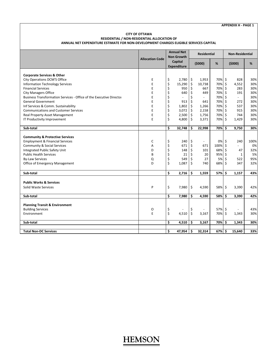#### **CITY OF OTTAWA RESIDENTIAL / NON‐RESIDENTIAL ALLOCATION OF ANNUAL NET EXPENDITURE ESTIMATE FOR NON‐DEVELOPMENT CHARGES ELIGIBLE SERVICES CAPITAL**

|                                                                     |                        | <b>Annual Net</b>    |                    | <b>Residential</b> |          | <b>Non-Residential</b> |      |
|---------------------------------------------------------------------|------------------------|----------------------|--------------------|--------------------|----------|------------------------|------|
|                                                                     | <b>Allocation Code</b> | <b>Non Growth</b>    |                    |                    |          |                        |      |
|                                                                     |                        | Capital              |                    | (5000)             | %        | (5000)                 | %    |
|                                                                     |                        | <b>Expenditure</b>   |                    |                    |          |                        |      |
|                                                                     |                        |                      |                    |                    |          |                        |      |
| <b>Corporate Services &amp; Other</b>                               |                        |                      |                    |                    |          |                        |      |
| City Operations DCM'S Office                                        | Ε                      | \$<br>2,780          | \$                 | 1,953              | 70% \$   | 828                    | 30%  |
| <b>Information Technology Services</b>                              | E                      | \$<br>15,290         | \$                 | 10,738             | 70% \$   | 4,552                  | 30%  |
| <b>Financial Services</b>                                           | E                      | \$<br>950            | \$                 | 667                | 70% \$   | 283                    | 30%  |
| <b>City Managers Office</b>                                         | E<br>E                 | \$<br>640            | \$                 | 449                | 70% \$   | 191<br>$\mathbf{r}$    | 30%  |
| Business Transformation Services - Office of the Executive Director |                        | \$<br>$\blacksquare$ | \$                 | $\sim$             | 70% \$   |                        | 30%  |
| <b>General Government</b>                                           | E                      | \$<br>913            | \$                 | 641                | 70% \$   | 272                    | 30%  |
| Inf Services & Comm. Sustainability                                 | E                      | \$<br>1,802          | \$<br>$\zeta$      | 1,266              | 70% \$   | 537                    | 30%  |
| <b>Communications and Customer Services</b>                         | E                      | \$<br>3,072          |                    | 2,158              | 70% \$   | 915                    | 30%  |
| <b>Real Property Asset Management</b>                               | E                      | \$<br>2,500          | \$                 | 1,756              | 70% \$   | 744                    | 30%  |
| IT Productivity Improvement                                         | E                      | \$<br>4,800          | \$                 | 3,371              | 70% \$   | 1,429                  | 30%  |
| Sub-total                                                           |                        | \$<br>32,748         | \$                 | 22,998             | 70% \$   | 9,750                  | 30%  |
|                                                                     |                        |                      |                    |                    |          |                        |      |
| <b>Community &amp; Protective Services</b>                          |                        |                      |                    |                    |          |                        |      |
| <b>Employment &amp; Financial Services</b>                          | C                      | \$<br>240            | \$                 | $\blacksquare$     | $0\%$ \$ | 240                    | 100% |
| <b>Community &amp; Social Services</b>                              | A                      | \$<br>671            | \$                 | 671                | 100% \$  | $\blacksquare$         | 0%   |
| Integrated Public Safety Unit                                       | D                      | \$<br>148            | \$                 | 101                | 68% \$   | 47                     | 32%  |
| <b>Public Health Services</b>                                       | B                      | \$<br>21             | \$                 | 20                 | 95% \$   | 1                      | 5%   |
| <b>By-Law Services</b>                                              | Q                      | \$<br>549            | \$                 | 27                 | 5% \$    | 522                    | 95%  |
| Office of Emergency Management                                      | D                      | \$<br>1,087          | \$                 | 740                | 68% \$   | 347                    | 32%  |
|                                                                     |                        |                      |                    |                    |          |                        |      |
| Sub-total                                                           |                        | \$<br>2,716          | Ŝ.                 | 1,559              | 57%      | \$.<br>1,157           | 43%  |
|                                                                     |                        |                      |                    |                    |          |                        |      |
| <b>Public Works &amp; Services</b>                                  |                        |                      |                    |                    |          |                        |      |
| Solid Waste Services                                                | P                      | \$<br>7,980          | $\ddot{\varsigma}$ | 4,590              | 58% \$   | 3,390                  | 42%  |
| Sub-total                                                           |                        | \$<br>7,980          | \$                 | 4,590              | 58% \$   | 3,390                  | 42%  |
|                                                                     |                        |                      |                    |                    |          |                        |      |
| <b>Planning Transit &amp; Environment</b>                           |                        |                      |                    |                    |          |                        |      |
| <b>Building Services</b>                                            | 0                      | \$                   | \$                 |                    | 57% \$   |                        | 43%  |
| Environment                                                         | E                      | \$<br>4,510          | \$                 | 3,167              | 70%\$    | 1,343                  | 30%  |
|                                                                     |                        | \$<br>4,510          | \$                 | 3,167              | 70% \$   | 1,343                  | 30%  |
| Sub-total                                                           |                        |                      |                    |                    |          |                        |      |
| <b>Total Non-DC Services</b>                                        |                        | \$<br>47,954         | \$.                | 32,314             | 67% \$   | 15,640                 | 33%  |
|                                                                     |                        |                      |                    |                    |          |                        |      |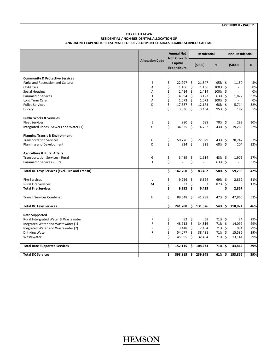#### **CITY OF OTTAWA RESIDENTIAL / NON‐RESIDENTIAL ALLOCATION OF ANNUAL NET EXPENDITURE ESTIMATE FOR DEVELOPMENT CHARGES ELIGIBLE SERVICES CAPITAL**

|                                                        |                        | <b>Annual Net</b>             | <b>Residential</b> |         | <b>Non-Residential</b>   |      |
|--------------------------------------------------------|------------------------|-------------------------------|--------------------|---------|--------------------------|------|
|                                                        | <b>Allocation Code</b> | <b>Non Growth</b>             |                    |         |                          |      |
|                                                        |                        | Capital<br><b>Expenditure</b> | (5000)             | %       | (5000)                   | $\%$ |
| <b>Community &amp; Protective Services</b>             |                        |                               |                    |         |                          |      |
| Parks and Recreation and Cultural                      | B                      | \$<br>22,997                  | \$<br>21,847       | 95% \$  | 1,150                    | 5%   |
| Child Care                                             | A                      | \$<br>1,166                   | \$<br>1,166        | 100% \$ | $\overline{\phantom{a}}$ | 0%   |
| <b>Social Housing</b>                                  | Α                      | \$<br>1,414                   | \$<br>1,414        | 100% \$ | $\blacksquare$           | 0%   |
| <b>Paramedic Services</b>                              | J                      | \$<br>4,994                   | \$<br>3,123        | 63%     | \$<br>1,872              | 37%  |
| Long Term Care                                         | Α                      | \$<br>1,073                   | \$<br>1,073        | 100%    | \$<br>$\blacksquare$     | 0%   |
| <b>Police Services</b>                                 | D                      | \$<br>17,887                  | \$<br>12,173       | 68%     | \$<br>5,714              | 32%  |
| Library                                                | B                      | \$<br>3,636                   | \$<br>3,454        | 95% \$  | 182                      | 5%   |
| <b>Public Works &amp; Servcies</b>                     |                        |                               |                    |         |                          |      |
| <b>Fleet Services</b>                                  | E                      | \$<br>980                     | \$<br>688          | 70% \$  | 292                      | 30%  |
| Integrated Roads, Sewers and Water (1)                 | G                      | \$<br>34,025                  | \$<br>14,762       | 43% \$  | 19,263                   | 57%  |
| <b>Planning Transit &amp; Environment</b>              |                        |                               |                    |         |                          |      |
| <b>Transportation Services</b>                         | G                      | \$<br>50,776                  | \$<br>22,029       | 43%     | \$<br>28,747             | 57%  |
| Planning and Development                               | D                      | \$<br>324                     | \$<br>221          | 68% \$  | 104                      | 32%  |
| <b>Agriculture &amp; Rural Affairs</b>                 |                        |                               |                    |         |                          |      |
| <b>Transportation Services - Rural</b>                 | G                      | \$<br>3,489                   | \$<br>1,514        | 43% \$  | 1,975                    | 57%  |
| Paramedic Services - Rural                             | $\mathbf{I}$           | \$                            | \$                 | 63%     | \$                       | 37%  |
| <b>Total DC Levy Services (excl. Fire and Transit)</b> |                        | \$<br>142,760                 | \$<br>83,462       | 58%     | \$<br>59,298             | 42%  |
| <b>Fire Services</b>                                   | $\mathsf{L}$           | \$<br>9,256                   | \$<br>6,394        | 69% \$  | 2,862                    | 31%  |
| <b>Rural Fire Services</b>                             | M                      | \$<br>37                      | \$<br>32           | 87%     | \$<br>5                  | 13%  |
| <b>Total Fire Services</b>                             |                        | \$<br>9,292                   | \$<br>6,425        |         | \$<br>2,867              |      |
| <b>Transit Services Combined</b>                       | н                      | \$<br>89,648                  | \$<br>41,788       | 47%     | \$<br>47,860             | 53%  |
| <b>Total DC Levy Services</b>                          |                        | \$<br>241,700                 | \$<br>131,676      | 54%     | \$<br>110,024            | 46%  |
| <b>Rate Supported</b>                                  |                        |                               |                    |         |                          |      |
| Rural Intergrated Water & Wastewater                   | R                      | \$<br>82                      | \$<br>58           | 71% \$  | 24                       | 29%  |
| Inegrated Water and Wastewater (1)                     | ${\sf R}$              | \$<br>48,913                  | \$<br>34,816       | 71% \$  | 14,097                   | 29%  |
| Inegrated Water and Wastewater (2)                     | R                      | \$<br>3,448                   | \$<br>2,454        | 71% \$  | 994                      | 29%  |
| <b>Drinking Water</b>                                  | R                      | \$<br>54,077                  | \$<br>38,491       | 71% \$  | 15,586                   | 29%  |
| Wastewater                                             | R                      | \$<br>45,595                  | \$<br>32,454       | 71%     | \$<br>13,141             | 29%  |
| <b>Total Rate Supported Services</b>                   |                        | \$<br>152,115                 | \$<br>108,273      | 71% \$  | 43,842                   | 29%  |
|                                                        |                        |                               |                    |         |                          |      |
| <b>Total DC Services</b>                               |                        | \$<br>393,815                 | \$<br>239,948      | 61% \$  | 153,866                  | 39%  |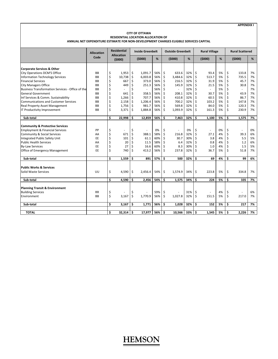**APPENDIX I**

#### **CITY OF OTTAWA RESIDENTIAL LOCATION ALLOCATION OF ANNUAL NET EXPENDITURE ESTIMATE FOR NON‐DEVELOPMENT CHARGES ELIGIBLE SERVICES CAPITAL**

|                                                  | <b>Allocation</b> | <b>Residential</b><br><b>Allocation</b> |         | <b>Inside Greenbelt</b>  | %   |         | <b>Outside Greenbelt</b> |     |    | <b>Rural Village</b>     |    |    | <b>Rural Scattered</b>   |    |
|--------------------------------------------------|-------------------|-----------------------------------------|---------|--------------------------|-----|---------|--------------------------|-----|----|--------------------------|----|----|--------------------------|----|
|                                                  | Code              | (5000)                                  |         | (5000)                   |     |         | (5000)                   | %   |    | (5000)                   | %  |    | (5000)                   | %  |
| <b>Corporate Services &amp; Other</b>            |                   |                                         |         |                          |     |         |                          |     |    |                          |    |    |                          |    |
| <b>City Operations DCM'S Office</b>              | <b>BB</b>         | \$<br>1,953                             | \$      | 1,091.7                  | 56% | \$      | 633.6                    | 32% | \$ | 93.4                     | 5% | \$ | 133.8                    | 7% |
| Information Technology Services                  | BB                | \$<br>10,738                            | $\zeta$ | 6,003.8                  | 56% | \$      | 3,484.6                  | 32% | \$ | 513.7                    | 5% | \$ | 735.5                    | 7% |
| <b>Financial Services</b>                        | <b>BB</b>         | \$<br>667                               | \$      | 373.0                    | 56% | \$      | 216.5                    | 32% | \$ | 31.9                     | 5% | \$ | 45.7                     | 7% |
| <b>City Managers Office</b>                      | <b>BB</b>         | \$<br>449                               | \$      | 251.3                    | 56% | \$      | 145.9                    | 32% | \$ | 21.5                     | 5% | \$ | 30.8                     | 7% |
| Business Transformation Services - Office of the | <b>BB</b>         | \$                                      | Ś       |                          | 56% | \$      | $\sim$                   | 32% | \$ |                          | 5% | \$ |                          | 7% |
| <b>General Government</b>                        | <b>BB</b>         | \$<br>641                               | \$      | 358.5                    | 56% | \$      | 208.1                    | 32% | Ś  | 30.7                     | 5% | \$ | 43.9                     | 7% |
| Inf Services & Comm. Sustainability              | <b>BB</b>         | \$<br>1,266                             | \$      | 707.7                    | 56% | $\zeta$ | 410.8                    | 32% | \$ | 60.5                     | 5% | \$ | 86.7                     | 7% |
| <b>Communications and Customer Services</b>      | BB                | \$<br>2,158                             | $\zeta$ | 1,206.4                  | 56% | \$      | 700.2                    | 32% | \$ | 103.2                    | 5% | \$ | 147.8                    | 7% |
| <b>Real Property Asset Management</b>            | <b>BB</b>         | \$<br>1,756                             | \$      | 981.7                    | 56% | \$      | 569.8                    | 32% | \$ | 84.0                     | 5% | \$ | 120.3                    | 7% |
| IT Productivity Improvement                      | <b>BB</b>         | \$<br>3,371                             | Ś       | 1,884.8                  | 56% | \$      | 1,093.9                  | 32% | \$ | 161.3                    | 5% | \$ | 230.9                    | 7% |
| Sub-total                                        |                   | \$<br>22,998                            | Ś.      | 12,859                   | 56% | \$      | 7,463                    | 32% | Ś  | 1,100                    | 5% | \$ | 1,575                    | 7% |
|                                                  |                   |                                         |         |                          |     |         |                          |     |    |                          |    |    |                          |    |
| <b>Community &amp; Protective Services</b>       |                   |                                         |         |                          |     |         |                          |     |    |                          |    |    |                          |    |
| <b>Employment &amp; Financial Services</b>       | PP                | \$                                      | \$      | $\overline{\phantom{a}}$ | 0%  | \$      | ä,                       | 0%  | \$ | $\overline{\phantom{a}}$ | 0% | \$ | $\overline{\phantom{a}}$ | 0% |
| Community & Social Services                      | AA                | \$<br>671                               | \$      | 388.1                    | 58% | \$      | 216.8                    | 32% | \$ | 27.1                     | 4% | \$ | 39.3                     | 6% |
| Integrated Public Safety Unit                    | EE                | \$<br>101                               | \$      | 61.1                     | 60% | \$      | 30.7                     | 30% | \$ | 3.8                      | 4% | \$ | 5.5                      | 5% |
| <b>Public Health Services</b>                    | AA                | \$<br>20                                | \$      | 11.5                     | 58% | \$      | 6.4                      | 32% | \$ | 0.8                      | 4% | \$ | 1.2                      | 6% |
| <b>By-Law Services</b>                           | EE                | \$<br>27                                | \$      | 16.6                     | 60% | \$      | 8.3                      | 30% | \$ | 1.0                      | 4% | \$ | 1.5                      | 5% |
| Office of Emergency Management                   | EE                | \$<br>740                               | Ś       | 413.2                    | 56% | \$      | 237.8                    | 32% | Ś  | 36.7                     | 5% | Ś  | 51.8                     | 7% |
| Sub-total                                        |                   | \$<br>1,559                             | Ś.      | 891                      | 57% | \$      | 500                      | 32% | \$ | 69                       | 4% | \$ | 99                       | 6% |
|                                                  |                   |                                         |         |                          |     |         |                          |     |    |                          |    |    |                          |    |
| <b>Public Works &amp; Services</b>               |                   |                                         |         |                          |     |         |                          |     |    |                          |    |    |                          |    |
| Solid Waste Services                             | UU                | \$<br>4,590                             | \$      | 2,456.4                  | 54% | \$      | 1,574.9                  | 34% | \$ | 223.8                    | 5% | \$ | 334.8                    | 7% |
| Sub-total                                        |                   | \$<br>4,590                             | Ś       | 2.456                    | 54% | \$      | 1,575                    | 34% | \$ | 224                      | 5% | \$ | 335                      | 7% |
|                                                  |                   |                                         |         |                          |     |         |                          |     |    |                          |    |    |                          |    |
| <b>Planning Transit &amp; Environment</b>        |                   |                                         |         |                          |     |         |                          |     |    |                          |    |    |                          |    |
| <b>Building Services</b>                         | <b>RR</b>         | \$                                      | \$      |                          | 59% | \$      | ٠                        | 31% | \$ | ÷.                       | 4% | \$ | ÷                        | 6% |
| Environment                                      | <b>BB</b>         | \$<br>3,167                             | \$      | 1,770.9                  | 56% | \$      | 1,027.8                  | 32% | \$ | 151.5                    | 5% | \$ | 217.0                    | 7% |
| Sub-total                                        |                   | \$<br>3,167                             | \$      | 1,771                    | 56% | \$      | 1,028                    | 32% | \$ | 152                      | 5% | \$ | 217                      | 7% |
|                                                  |                   |                                         |         |                          |     |         |                          |     |    |                          |    |    |                          |    |
| <b>TOTAL</b>                                     |                   | \$<br>32,314                            | Ŝ.      | 17,977                   | 56% | Ŝ.      | 10,566                   | 33% | \$ | 1,545                    | 5% | \$ | 2,226                    | 7% |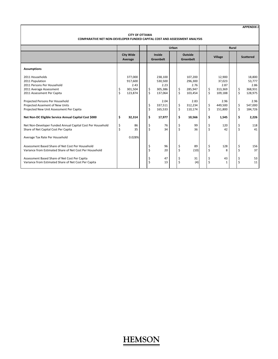**APPENDIX J**

#### **CITY OF OTTAWA COMPARATIVE NET NON‐DEVELOPER FUNDED CAPITAL COST AND ASSESSMENT ANALYSIS**

|                                                                                                                           |                                 |                                                  |                        |                                                  | Urban |         |                                                  |          |                                                | <b>Rural</b> |          |                                                |
|---------------------------------------------------------------------------------------------------------------------------|---------------------------------|--------------------------------------------------|------------------------|--------------------------------------------------|-------|---------|--------------------------------------------------|----------|------------------------------------------------|--------------|----------|------------------------------------------------|
|                                                                                                                           |                                 | <b>City Wide</b><br>Average                      |                        | Inside<br>Greenbelt                              |       |         | Outside<br>Greenbelt                             |          | Village                                        |              |          | <b>Scattered</b>                               |
| <b>Assumptions</b>                                                                                                        |                                 |                                                  |                        |                                                  |       |         |                                                  |          |                                                |              |          |                                                |
| 2011 Households<br>2011 Population<br>2011 Persons Per Household<br>2011 Average Assessment<br>2011 Assessment Per Capita | \$<br>$\boldsymbol{\mathsf{S}}$ | 377,000<br>917,600<br>2.43<br>301,504<br>123,874 | \$<br>$\zeta$          | 238,100<br>530,500<br>2.23<br>305,386<br>137,064 |       | \$<br>Ś | 107,200<br>296,300<br>2.76<br>285,947<br>103,454 | \$<br>\$ | 12,900<br>37,023<br>2.87<br>313,369<br>109,188 |              | \$<br>\$ | 18,800<br>53,777<br>2.86<br>368,931<br>128,975 |
| Projected Persons Per Household<br>Projected Assement of New Units<br>Projected New Unit Assessment Per Capita            |                                 |                                                  | \$<br>$\overline{\xi}$ | 2.04<br>337,511<br>165,533                       |       | Ś<br>Ś  | 2.83<br>312,234<br>110,174                       | \$<br>\$ | 2.96<br>449.500<br>151,800                     |              | \$<br>\$ | 2.96<br>547.000<br>184,726                     |
| Net Non-DC Eligible Service Annual Capital Cost \$000                                                                     | \$                              | 32,314                                           | \$                     | 17,977                                           |       | Ś       | 10,566                                           | \$       | 1,545                                          |              | \$       | 2,226                                          |
| Net Non-Developer Funded Annual Capital Cost Per Household<br>Share of Net Capital Cost Per Capita                        | \$<br>\$                        | 86<br>35                                         | \$<br>\$               | 76<br>34                                         |       | Ś<br>Ś  | 99<br>36                                         | \$<br>\$ | 120<br>42                                      |              | \$<br>\$ | 118<br>41                                      |
| Average Tax Rate Per Household                                                                                            |                                 | 0.028%                                           |                        |                                                  |       |         |                                                  |          |                                                |              |          |                                                |
| Assessment Based Share of Net Cost Per Household<br>Variance from Estimated Share of Net Cost Per Household               |                                 |                                                  | \$<br>\$               | 96<br>20                                         |       | \$      | 89<br>(10)                                       | \$<br>\$ | 128<br>8                                       |              | \$<br>\$ | 156<br>37                                      |
| Assessment Based Share of Net Cost Per Capita<br>Variance from Estimated Share of Net Cost Per Capita                     |                                 |                                                  | \$<br>\$               | 47<br>13                                         |       | \$<br>Ś | 31<br>(4)                                        | \$<br>\$ | 43<br>1                                        |              | \$<br>\$ | 53<br>11                                       |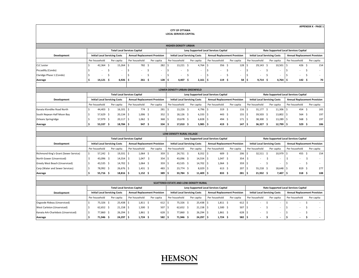**CITY OF OTTAWA LOCAL SERVICES CAPITAL** **APPENDIX K ‐ PAGE 1**

|                          |                                      |                                     |               |        |                                     | <b>HIGHER-DENSITY URBAN</b>          |            |                                       |                               |                                      |                                              |                          |                                     |
|--------------------------|--------------------------------------|-------------------------------------|---------------|--------|-------------------------------------|--------------------------------------|------------|---------------------------------------|-------------------------------|--------------------------------------|----------------------------------------------|--------------------------|-------------------------------------|
|                          |                                      | <b>Total Local Services Capital</b> |               |        |                                     |                                      |            | Levy Supported Local Services Capital |                               |                                      | <b>Rate Supported Local Services Capital</b> |                          |                                     |
| Development              | <b>Initial Local Servicing Costs</b> |                                     |               |        | <b>Annual Replacement Provision</b> | <b>Initial Local Servicing Costs</b> |            | <b>Annual Replacement Provision</b>   |                               | <b>Initial Local Servicing Costs</b> |                                              |                          | <b>Annual Replacement Provision</b> |
|                          | Per household                        | Per capita                          | Per household |        | Per capita                          | Per household                        | Per capita | Per household                         | Per capita                    | Per household                        | Per capita                                   | Per household            | Per capita                          |
| <b>CLC</b> Lester        | 42,364 \$                            | $15,264$ \$                         |               | 782 \$ | 282                                 | $13,221$ \$                          | 4.764      | 356 <sup>5</sup>                      | 128 l                         | $29,143$ \$                          | $10,501$ \$                                  | 426                      | 154                                 |
| Piccadilly (Condo)       | $\sim$                               | $\overline{\phantom{a}}$            |               | $\sim$ |                                     | $\sim$                               |            | $\sim$                                | $\overline{\phantom{a}}$      | $\sim$                               | $\sim$                                       | $\overline{\phantom{a}}$ | $\sim$                              |
| Claridge Phase 1 (Condo) | $\overline{a}$                       | $\overline{\phantom{a}}$            |               | $\sim$ |                                     | $\sim$                               |            | $\sim$                                | $\overline{\phantom{a}}$      | $\sim$                               | $\overline{\phantom{a}}$                     | $\overline{\phantom{a}}$ | $\sim$                              |
| Average                  | $14,121$ \$                          | $6,926$ \$                          |               | 261S   | 128                                 | 4,407                                | $2.161$ S  | 119 <sup>5</sup>                      | $58$ $\overline{\phantom{1}}$ | $9,714$ \$                           | $4,764$ \$                                   | 142                      | 70                                  |
|                          |                                      |                                     |               |        |                                     |                                      |            |                                       |                               |                                      |                                              |                          |                                     |

|                            |                                      |                                     |                  |                                     |                  | <b>LOWER-DENSITY URBAN GREENFIELD</b> |                   |                                       |                  |     |                                      |                                              |               |    |                                     |
|----------------------------|--------------------------------------|-------------------------------------|------------------|-------------------------------------|------------------|---------------------------------------|-------------------|---------------------------------------|------------------|-----|--------------------------------------|----------------------------------------------|---------------|----|-------------------------------------|
|                            |                                      | <b>Total Local Services Capital</b> |                  |                                     |                  |                                       |                   | Levy Supported Local Services Capital |                  |     |                                      | <b>Rate Supported Local Services Capital</b> |               |    |                                     |
| <b>Development</b>         | <b>Initial Local Servicing Costs</b> |                                     |                  | <b>Annual Replacement Provision</b> |                  | <b>Initial Local Servicing Costs</b>  |                   | <b>Annual Replacement Provision</b>   |                  |     | <b>Initial Local Servicing Costs</b> |                                              |               |    | <b>Annual Replacement Provision</b> |
|                            | Per household                        | Per capita                          | Per household    | Per capita                          |                  | Per household                         | Per capita        | Per household                         | Per capita       |     | Per household                        | Per capita                                   | Per household |    | Per capita                          |
| Kanata Klondike Road North | 44,403 \$                            | 16,101                              | 774 \$           |                                     | 281              | 13,226 \$                             | $4.796$ S         | 319 <sup>5</sup>                      | 116 <sup>5</sup> |     | 31,177                               | $11,306$ \$                                  | 454           | -5 | 165                                 |
| South Nepean Half Moon Bay | 57,629 \$                            | $20,134$ \$                         | $1,006$ \$       |                                     | 352 <sub>5</sub> | $18,126$ \$                           | $6,333$ $\mid$ \$ | $443 \quad $5$                        | 155              | ιs  | 39,503 \$                            | 13,802 \$                                    | 564           | 5  | 197                                 |
| Orleans Springridge        | 57,979 \$                            | $20,117$ \$                         | $1,062 \quad$ \$ |                                     | 368 <sup>5</sup> | 19,678 \$                             | $6,828$ \$        | 494 \$                                | 171              |     | 38,300 \$                            | $13,289$ \$                                  | 568           | 5  | 197                                 |
| Average                    | 53,337 \$                            | $18,784$ \$                         | 947 \$           |                                     | 334              | 17,010 \$                             | $5,985$ \$        | 419 <sup>5</sup>                      | 147              | - 5 | $36,327$ \$                          | $12,799$ \$                                  | 529           |    | 186                                 |
|                            |                                      |                                     |                  |                                     |                  |                                       |                   |                                       |                  |     |                                      |                                              |               |    |                                     |

|                                       |                                      |                                     |               |                  |                                     | <b>LOW-DENSITY RURAL VILLAGE</b>     |             |                                       |                                |                                      |                                              |                                     |            |
|---------------------------------------|--------------------------------------|-------------------------------------|---------------|------------------|-------------------------------------|--------------------------------------|-------------|---------------------------------------|--------------------------------|--------------------------------------|----------------------------------------------|-------------------------------------|------------|
|                                       |                                      | <b>Total Local Services Capital</b> |               |                  |                                     |                                      |             | Levy Supported Local Services Capital |                                |                                      | <b>Rate Supported Local Services Capital</b> |                                     |            |
| Development                           | <b>Initial Local Servicing Costs</b> |                                     |               |                  | <b>Annual Replacement Provision</b> | <b>Initial Local Servicing Costs</b> |             | <b>Annual Replacement Provision</b>   |                                | <b>Initial Local Servicing Costs</b> |                                              | <b>Annual Replacement Provision</b> |            |
|                                       | Per household                        | Per capita                          | Per household |                  | Per capita                          | Per household                        | Per capita  | Per household                         | Per capita                     | Per household                        | Per capita                                   | Per household                       | Per capita |
| Richmond King's Grant (Sewer Service) | 57,242 \$                            | 19,331                              |               | $1,064$ \$       | 359                                 | 24,731 \$                            | $8,352$ \$  | 609 \$                                | $206$ $\overline{\phantom{0}}$ | 32,511 \$                            | $10.979$ \$                                  | 455                                 | 154        |
| North Gower (Unserviced)              | 43,096 \$                            | $14,554$ \$                         |               | $1,047$ \$       | 354                                 | 43,096 \$                            | $14,554$ \$ | $1,047$ \$                            | 354 <sup>5</sup>               | $\sim$                               |                                              | $\overline{a}$                      |            |
| Greely West Beach (Unserviced)        | 43,535 \$                            | 14,702                              |               | $1,064$ \$       | 359                                 | 43,535 \$                            | 14.702 \$   | $1,064$ \$                            | 359 <sup>5</sup>               | $\sim$                               |                                              | $\overline{a}$                      |            |
| Carp (Water and Sewer Services)       | 78,992 \$                            | 26,676                              |               | $1,431 \quad $5$ | 483                                 | 23,774 \$                            | $8,029$ \$  | $613 \quad $5$                        | 207 <sub>5</sub>               | 55,218 \$                            | 18,648                                       | 819                                 | 277        |
| Average                               | 55,716 \$                            | $18,816$ \$                         |               | $1,152$ \$       | $389$ $\frac{6}{3}$                 | 33,784 \$                            | $11,409$ \$ | $833 \quad S$                         | 281S                           | $21,932$ \$                          | 7,407                                        | 318 <sup>5</sup>                    | 108        |
|                                       |                                      |                                     |               |                  |                                     |                                      |             |                                       |                                |                                      |                                              |                                     |            |

|                                    |                                      |             |                                     |                                     | <b>SCATTERED ESTATE AND LOW-DENSITY RURAL</b> |                                       |               |            |                                     |               |        |                                      |                                              |            |
|------------------------------------|--------------------------------------|-------------|-------------------------------------|-------------------------------------|-----------------------------------------------|---------------------------------------|---------------|------------|-------------------------------------|---------------|--------|--------------------------------------|----------------------------------------------|------------|
|                                    |                                      |             | <b>Total Local Services Capital</b> |                                     |                                               | Levy Supported Local Services Capital |               |            |                                     |               |        |                                      | <b>Rate Supported Local Services Capital</b> |            |
| Development                        | <b>Initial Local Servicing Costs</b> |             |                                     | <b>Annual Replacement Provision</b> | <b>Initial Local Servicing Costs</b>          |                                       |               |            | <b>Annual Replacement Provision</b> |               |        | <b>Initial Local Servicing Costs</b> | <b>Annual Replacement Provision</b>          |            |
|                                    | Per household                        | Per capita  | Per household                       | Per capita                          | Per household                                 | Per capita                            | Per household |            | Per capita                          | Per household |        | Per capita                           | Per household                                | Per capita |
| Osgoode Rideau (Unserviced)        | 75.326 S                             | $25,438$ \$ | $1,811$ \$                          | 612                                 | 75,326 \$                                     | $25,438$ \$                           |               | $1,811$ \$ | 612S                                |               | $\sim$ |                                      | $\overline{\phantom{a}}$                     |            |
| West Carleton (Unserviced)         | 62.652 \$                            | $21,158$ \$ | $1,500$ \$                          | 507 l                               | $62,652$ \$<br>- 2                            | $21,158$ \$                           |               | $1,500$ \$ | 507 <sub>5</sub>                    |               | $\sim$ |                                      |                                              |            |
| Kanata Ark-Charlebois (Unserviced) | 77.860 \$                            | $26,294$ \$ | $1,861$ \$                          | 628                                 | 77,860 \$                                     | $26,294$ \$                           |               | $1,861$ \$ | 628 <sup>5</sup>                    |               |        |                                      |                                              |            |
| Average                            | 71.946 \$                            | $24,297$ \$ | $1,724$ \$                          | 582 \$                              | 71,946 \$                                     | $24,297$ \$                           |               | $1,724$ \$ | $582 \quad$ \$                      |               |        |                                      | $\sim$                                       |            |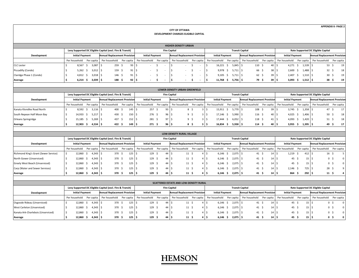**APPENDIX K‐ PAGE 2**

#### **CITY OF OTTAWA DEVELOPMENT CHARGES ELIGIBLE CAPITAL**

|                          |                        |            |                                                           |                  |                        |            | <b>HIGHER-DENSITY URBAN</b>         |            |                        |              |                                     |                             |                                     |
|--------------------------|------------------------|------------|-----------------------------------------------------------|------------------|------------------------|------------|-------------------------------------|------------|------------------------|--------------|-------------------------------------|-----------------------------|-------------------------------------|
|                          |                        |            | Levy Supported DC Eligible Capital (excl. Fire & Transit) |                  |                        |            | <b>Fire Capital</b>                 |            |                        |              | <b>Transit Capital</b>              |                             | Rate Supported DC Eligible Capital  |
| Development              | <b>Initial Payment</b> |            | <b>Annual Replacement Provision</b>                       |                  | <b>Initial Payment</b> |            | <b>Annual Replacement Provision</b> |            | <b>Initial Payment</b> |              | <b>Annual Replacement Provision</b> | <b>Initial Payment</b>      | <b>Annual Replacement Provision</b> |
|                          | Per household          | Per capita | Per household                                             | Per capita       | Per household          | Per capita | Per household                       | Per capita | Per household          | Per capita   | Per household<br>Per capita         | Per household<br>Per capita | Per household<br>Per capita         |
| <b>CLC Lester</b>        | 8.567                  | $3,087$ \$ | 259 <sup>5</sup>                                          | 93 <sup>15</sup> |                        |            |                                     |            | 16,221                 | 5,845        | 110<br>40 \$                        | 4.271<br>1,539<br>- 5       | 53<br>19                            |
| Piccadilly (Condo)       | 5.262                  | $3,012$ \$ | 159 <sup>5</sup>                                          | 91S              |                        |            |                                     |            | 9,978                  | $5,711$ \$   | 66 <sup>5</sup><br>38 <sup>°</sup>  | 2,600<br>$1,488$ \$         | 32<br>18                            |
| Claridge Phase 1 (Condo) | 4,812                  | 3,018      | 146 <sup>5</sup>                                          | 91S              |                        |            |                                     |            | 9,105                  | $5,711$   \$ | 62 <sup>5</sup><br>39 <sup>5</sup>  | 2,407<br>$1,510$ \$         | 30<br>19                            |
| Average                  | 6,214                  | $3,039$ \$ | 188 <sup>5</sup>                                          | $92 \quad S$     |                        |            |                                     |            | 11,768                 | $5,756$ \$   | 39 <sup>5</sup><br>79\$             | $3,093$ \$<br>$1,512$ \$    | 38 <sup>5</sup><br>19               |
|                          |                        |            |                                                           |                  |                        |            |                                     |            |                        |              |                                     |                             |                                     |

|                            |                        |            |                                                           |                   |                                   |                        |                 | <b>LOWER-DENSITY URBAN GREENFIELD</b> |            |                        |                       |                                        |            |                        |            |                                     |            |                 |
|----------------------------|------------------------|------------|-----------------------------------------------------------|-------------------|-----------------------------------|------------------------|-----------------|---------------------------------------|------------|------------------------|-----------------------|----------------------------------------|------------|------------------------|------------|-------------------------------------|------------|-----------------|
|                            |                        |            | Levy Supported DC Eligible Capital (excl. Fire & Transit) |                   |                                   |                        |                 | <b>Fire Capital</b>                   |            |                        |                       | <b>Transit Capital</b>                 |            |                        |            | Rate Supported DC Eligible Capital  |            |                 |
| Development                | <b>Initial Payment</b> |            | <b>Annual Replacement Provision</b>                       |                   |                                   | <b>Initial Payment</b> |                 | <b>Annual Replacement Provision</b>   |            | <b>Initial Payment</b> |                       | <b>Annual Replacement Provision</b>    |            | <b>Initial Payment</b> |            | <b>Annual Replacement Provision</b> |            |                 |
|                            | Per household          |            | Per capita Per household                                  |                   | Per capita I                      | Per household          |                 | Per capita Per household              | Per capita |                        |                       | Per household Per capita Per household | Per capita | Per household          | Per capita | Per household                       | Per capita |                 |
| Kanata Klondike Road North | 8.592                  | $3,116$ \$ |                                                           | 400 <sup>5</sup>  | $145$ $\overline{\phantom{1}}$ \$ | 257                    | 93 <sub>1</sub> |                                       |            | 15,911                 | $5.770$ S             | 108                                    | 39 I       | 3.745                  | 1,358      | 47                                  |            |                 |
| South Nepean Half Moon Bay | 14.933                 | 5,217      |                                                           | 430 $\frac{1}{2}$ | 150                               | 276                    | 96              |                                       |            | 17,146                 | $5,990$ \$            | 116                                    | 40 l       | 4,025                  | 1,406      | 50                                  |            | 18 <sup>1</sup> |
| Orleans Springridge        | 15,185                 | $5,269$ \$ |                                                           | 437               | 152                               | 281                    | 97              | $\circ$                               |            | 17.444                 | $6,052$ $\frac{1}{2}$ | 118                                    |            | 4,093                  | 1,420      | 51                                  |            | 18 <sup>1</sup> |
| Average                    | 12.903                 | $4.534$ S  |                                                           | 422 <sub>5</sub>  | $149$ S                           | 271S                   | 96              | 8\$                                   |            | 16,834                 | 5,938                 | 114                                    | 40 5       | 3,955                  | 1,395      |                                     | 49 S       | 17              |

 $\overline{\phantom{a}}$ 

|                                       |               |                        |            |                                                           |            |                  |                        |                     | <b>LOW-DENSITY RURAL VILLAGE</b>    |            |                        |       |                                     |            |                        |            |                 |                                     |     |            |
|---------------------------------------|---------------|------------------------|------------|-----------------------------------------------------------|------------|------------------|------------------------|---------------------|-------------------------------------|------------|------------------------|-------|-------------------------------------|------------|------------------------|------------|-----------------|-------------------------------------|-----|------------|
|                                       |               |                        |            | Levy Supported DC Eligible Capital (excl. Fire & Transit) |            |                  |                        | <b>Fire Capital</b> |                                     |            |                        |       | <b>Transit Capital</b>              |            |                        |            |                 | Rate Supported DC Eligible Capital  |     |            |
| Development                           |               | <b>Initial Payment</b> |            | <b>Annual Replacement Provision</b>                       |            |                  | <b>Initial Payment</b> |                     | <b>Annual Replacement Provision</b> |            | <b>Initial Payment</b> |       | <b>Annual Replacement Provision</b> |            | <b>Initial Payment</b> |            |                 | <b>Annual Replacement Provision</b> |     |            |
|                                       | Per household |                        | Per capita | Per household                                             | Per capita |                  | Per household          | Per capita          | Per household                       | Per capita | Per household          |       | Per capita Per household            | Per capita | Per household          | Per capita |                 | Per household                       |     | Per capita |
| Richmond King's Grant (Sewer Service) |               | 12,860<br>-5           | $4,343$ \$ | 370                                                       |            | 125              | 129 <sup>5</sup>       | 44                  | 11                                  | - 2        | 6.146                  | 2,075 | 41                                  |            | 1.219                  |            | 412             | 16 <sup>5</sup>                     |     |            |
| North Gower (Unserviced)              |               | 12,860                 | $4,343$ \$ | 370                                                       |            | 125              | 129                    | 44                  | 11                                  | - 5        | 6.146                  | 2,075 | 41 S                                |            | 45 <sup>5</sup>        |            | 15 <sup>1</sup> |                                     | - Ś |            |
| Greely West Beach (Unserviced)        |               | 12,860                 | $4,343$ \$ | 370                                                       |            | 125              | 129                    | 44                  | 11 <sup>5</sup>                     |            | 6.146                  | 2,075 | 41 S                                |            | 45 <sup>5</sup>        |            | 15 <sup>1</sup> |                                     | - S |            |
| Carp (Water and Sewer Services)       |               | 12,860                 | $4,343$ \$ | 370                                                       | 125        |                  | 129 <sup>5</sup>       | 44                  | 11 <sup>5</sup>                     |            | 6.146                  | 2,075 | 41 \$                               |            | 2,146                  |            | 725             | 28 <sup>5</sup>                     |     |            |
| Average                               |               | 12,860 \$              | $4,343$ \$ | 370                                                       |            | 125 <sub>1</sub> | 129 <sup>5</sup>       | 44 S                | 11 <sup>5</sup>                     |            | 6.146                  | 2,075 | 41 \$                               | 14 I       | 864                    |            | 292             | 11 <sub>5</sub>                     |     |            |
|                                       |               |                        |            |                                                           |            |                  |                        |                     |                                     |            |                        |       |                                     |            |                        |            |                 |                                     |     |            |

|                                    |                        |                 |                                                           |            |                        |            | <b>SCATTERED ESTATE AND LOW-DENSITY RURAL</b> |                 |                          |           |                                     |    |                          |                 |                                     |            |
|------------------------------------|------------------------|-----------------|-----------------------------------------------------------|------------|------------------------|------------|-----------------------------------------------|-----------------|--------------------------|-----------|-------------------------------------|----|--------------------------|-----------------|-------------------------------------|------------|
|                                    |                        |                 | Levy Supported DC Eligible Capital (excl. Fire & Transit) |            |                        |            | <b>Fire Capital</b>                           |                 |                          |           | <b>Transit Capital</b>              |    |                          |                 | Rate Supported DC Eligible Capital  |            |
| Development                        | <b>Initial Payment</b> |                 | <b>Annual Replacement Provision</b>                       |            | <b>Initial Payment</b> |            | <b>Annual Replacement Provision</b>           |                 | <b>Initial Payment</b>   |           | <b>Annual Replacement Provision</b> |    | <b>Initial Payment</b>   |                 | <b>Annual Replacement Provision</b> |            |
|                                    | Per household          |                 | Per capita Per household                                  | Per capita | Per household          | Per capita | Per household                                 |                 | Per capita Per household |           | Per capita Per household            |    | Per capita Per household |                 | Per capita Per household            | Per capita |
| Osgoode Rideau (Unserviced)        | 12.860                 | $4.343$ S       | 370 S                                                     | 125        | 129                    | 44         |                                               | 11 <sup>5</sup> | 6.146                    | 2.075     | 41 <sup>5</sup>                     | 14 | 45 <sup>5</sup>          | 15 <sup>1</sup> |                                     |            |
| West Carleton (Unserviced)         | 12.860                 | $4.343 \quad S$ | 370 S                                                     | 125 I      | 129 \$                 | 44         |                                               | 11 <sup>5</sup> | 6.146                    | 2.075     | 41                                  | 14 | 45                       | 15 <sub>1</sub> |                                     |            |
| Kanata Ark-Charlebois (Unserviced) | 12.860                 | $4.343 \quad S$ | 370 S                                                     | 125        | 129 <sup>5</sup>       | 44         |                                               | 11 <sup>5</sup> | 6.146                    | 2,075     | $41 \frac{6}{5}$                    | 14 | 45 <sup>5</sup>          | 15 <sub>1</sub> |                                     | - S        |
| Average                            | 12.860                 | $4.343$ S       | 370 S                                                     | 125        | 129S                   | 44         |                                               | 11 S            | 6.146                    | $2.075$ S | 41 \$                               | 14 | 45 \$                    | 15 I            |                                     |            |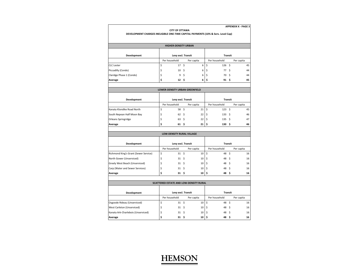| <b>APPENDIX K - PAGE 3</b> |  |  |  |  |  |  |  |
|----------------------------|--|--|--|--|--|--|--|
|----------------------------|--|--|--|--|--|--|--|

#### **CITY OF OTTAWA**

**DEVELOPMENT CHARGES INELIGIBLE ONE‐TIME CAPITAL PAYMENTS (10% & Serv. Level Cap)**

|                          | <b>HIGHER-DENSITY URBAN</b> |            |   |                        |      |            |
|--------------------------|-----------------------------|------------|---|------------------------|------|------------|
| Development              | Levy excl. Transit          |            |   | <b>Transit</b>         |      |            |
|                          | Per household               | Per capita |   | Per household          |      | Per capita |
| <b>CLC Lester</b>        | \$<br>17S                   |            | 6 | \$<br>126 <sup>5</sup> |      | 45         |
| Piccadilly (Condo)       | \$<br>10 <sup>5</sup>       |            | 6 | \$<br>77 \$            |      | 44         |
| Claridge Phase 1 (Condo) | \$<br>9                     | \$         | 6 | \$<br>70               | - \$ | 44         |
| Average                  | \$<br>$12 \quad$            |            | 6 | \$<br>91               | - S  | 45         |

|                            |                    |      | <b>LOWER-DENSITY URBAN GREENFIELD</b> |    |                  |            |
|----------------------------|--------------------|------|---------------------------------------|----|------------------|------------|
|                            |                    |      |                                       |    |                  |            |
| Development                | Levy excl. Transit |      |                                       |    | <b>Transit</b>   |            |
|                            | Per household      |      | Per capita                            |    | Per household    | Per capita |
| Kanata Klondike Road North | 58                 | - \$ | 21                                    |    | 123 <sup>5</sup> | 45         |
| South Nepean Half Moon Bay | 62 <sup>5</sup>    |      | 22                                    |    | $133 \quad $5$   | 46         |
| Orleans Springridge        | \$<br>63           | -\$  | 22                                    | ΙS | $135 \quad$ \$   | 47         |
| Average                    | 61                 | - \$ | 21                                    |    | $130 \quad $$    | 46         |

|                                       | <b>LOW-DENSITY RURAL VILLAGE</b> |                 |    |                |      |            |    |
|---------------------------------------|----------------------------------|-----------------|----|----------------|------|------------|----|
| Development                           | Levy excl. Transit               |                 |    | <b>Transit</b> |      |            |    |
|                                       | Per household                    | Per capita      |    | Per household  |      | Per capita |    |
| Richmond King's Grant (Sewer Service) | \$<br>31 <sup>5</sup>            | 10 <sup>1</sup> | -Ś | 48 \$          |      |            | 16 |
| North Gower (Unserviced)              | 31 <sup>5</sup>                  | 10              | S  | 48 \$          |      |            | 16 |
| Greely West Beach (Unserviced)        | 31 <sup>5</sup>                  | $10 \mid \zeta$ |    | 48 \$          |      |            | 16 |
| Carp (Water and Sewer Services)       | \$<br>31 <sup>5</sup>            | 10              | S. | 48             | - \$ |            | 16 |
| Average                               | 31 <sub>5</sub>                  | $10 \mid \xi$   |    | 48 \$          |      |            | 16 |

| <b>SCATTERED ESTATE AND LOW-DENSITY RURAL</b> |                |                    |  |            |     |               |     |            |  |  |  |  |  |
|-----------------------------------------------|----------------|--------------------|--|------------|-----|---------------|-----|------------|--|--|--|--|--|
| Development                                   | <b>Transit</b> |                    |  |            |     |               |     |            |  |  |  |  |  |
|                                               |                | Levy excl. Transit |  |            |     |               |     |            |  |  |  |  |  |
|                                               |                | Per household      |  | Per capita |     | Per household |     | Per capita |  |  |  |  |  |
| Osgoode Rideau (Unserviced)                   |                | 31 <sup>5</sup>    |  | 10         |     | 48 \$         |     | 16         |  |  |  |  |  |
| West Carleton (Unserviced)                    |                | $31 \quad$         |  | 10         | l S | 48 \$         |     | 16         |  |  |  |  |  |
| Kanata Ark-Charlebois (Unserviced)            |                | $31 \quad$         |  | 10         | ١S  | 48 \$         |     | 16         |  |  |  |  |  |
| Average                                       |                | 31 <sup>5</sup>    |  | 10         |     | 48            | - S | 16         |  |  |  |  |  |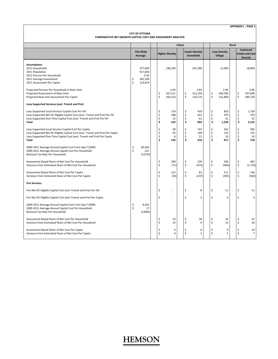| COMPARATIVE NET GROWTH CAPITAL COST AND ASSESSMENT ANALYSIS                                                                                                                                                                                                                                                                                                                                                                                                                                                                                                                                                                                                                                                                                                                                                                                                                          |          | <b>CITY OF OTTAWA</b>                            |  |                                                                      |                                                                               |       |                                                                  |                                                                                   |                                                      |                                                                                      |       |                                                                     |                                                                                           |  |  |  |                       |                                    |  |  |                                      |  |  |                                                              |  |
|--------------------------------------------------------------------------------------------------------------------------------------------------------------------------------------------------------------------------------------------------------------------------------------------------------------------------------------------------------------------------------------------------------------------------------------------------------------------------------------------------------------------------------------------------------------------------------------------------------------------------------------------------------------------------------------------------------------------------------------------------------------------------------------------------------------------------------------------------------------------------------------|----------|--------------------------------------------------|--|----------------------------------------------------------------------|-------------------------------------------------------------------------------|-------|------------------------------------------------------------------|-----------------------------------------------------------------------------------|------------------------------------------------------|--------------------------------------------------------------------------------------|-------|---------------------------------------------------------------------|-------------------------------------------------------------------------------------------|--|--|--|-----------------------|------------------------------------|--|--|--------------------------------------|--|--|--------------------------------------------------------------|--|
|                                                                                                                                                                                                                                                                                                                                                                                                                                                                                                                                                                                                                                                                                                                                                                                                                                                                                      |          |                                                  |  |                                                                      |                                                                               | Urban |                                                                  |                                                                                   |                                                      |                                                                                      | Rural |                                                                     |                                                                                           |  |  |  |                       |                                    |  |  |                                      |  |  |                                                              |  |
|                                                                                                                                                                                                                                                                                                                                                                                                                                                                                                                                                                                                                                                                                                                                                                                                                                                                                      |          | <b>City Wide</b><br>Average                      |  |                                                                      |                                                                               |       |                                                                  |                                                                                   |                                                      |                                                                                      |       |                                                                     |                                                                                           |  |  |  | <b>Higher-Density</b> | <b>Lower-Density</b><br>Greenfield |  |  | <b>Low-Density</b><br><b>Village</b> |  |  | <b>Scattered</b><br><b>Estate and Low-</b><br><b>Density</b> |  |
| <b>Assumptions</b><br>2011 Households<br>2011 Population<br>2011 Persons Per Household<br>2011 Average Assessment<br>2011 Assessment Per Capita                                                                                                                                                                                                                                                                                                                                                                                                                                                                                                                                                                                                                                                                                                                                      | \$<br>\$ | 377,000<br>917,600<br>2.43<br>301,504<br>123,874 |  |                                                                      | 238,100                                                                       |       |                                                                  | 107,200                                                                           |                                                      | 12,900                                                                               |       |                                                                     | 18,800                                                                                    |  |  |  |                       |                                    |  |  |                                      |  |  |                                                              |  |
| Projected Persons Per Household in New Units<br>Projected Assessment of New Units<br>Projected New Unit Assessment Per Capita                                                                                                                                                                                                                                                                                                                                                                                                                                                                                                                                                                                                                                                                                                                                                        |          |                                                  |  | \$<br>\$                                                             | 2.04<br>337,511<br>165,533                                                    |       | \$<br>\$                                                         | 2.83<br>312,234<br>110,174                                                        | Ś<br>\$                                              | 2.96<br>449,500<br>151,800                                                           |       | \$<br>\$                                                            | 2.96<br>547,000<br>184,726                                                                |  |  |  |                       |                                    |  |  |                                      |  |  |                                                              |  |
| Levy Supported Services (excl. Transit and Fire)<br>Levy Supported Local Services Capital Cost Per HH<br>Levy Supported Net DC Eligible Capital Cost (excl. Transit and Fire) Per HH<br>Levy Supported One-Time Capital Cost (excl. Transit and Fire) Per HH<br>Total<br>Levy Supported Local Services Capital Cost Per Capita<br>Levy Supported Net DC Eligible Capital Cost (excl. Transit and Fire) Per Capita<br>Levy Supported One-Time Capital Cost (excl. Transit and Fire) Per Capita<br>Total<br>2009-2011 Average Annual Capital Cost From Apx F (\$000)<br>2009-2011 Average Annual Capital Cost Per Household<br>Notional Tax Rate Per Household<br>Assessment Based Share of Net Cost Per Household<br>Variance from Estimated Share of Net Cost Per Household<br>Assessment Based Share of Net Cost Per Capita<br>Variance from Estimated Share of Net Cost Per Capita | Ś        | 83,462<br>221<br>0.073%                          |  | \$<br>\$<br>\$<br>\$<br>\$<br>\$<br>\$<br>\$<br>\$<br>\$<br>\$<br>\$ | 119<br>188<br>12<br>319<br>58<br>92<br>6<br>156<br>248<br>(71)<br>122<br>(34) |       | \$<br>\$<br>Ś<br>\$<br>Ś<br>\$<br>\$<br>Ś<br>\$<br>Ś<br>\$<br>\$ | 419<br>422<br>61<br>902<br>147<br>149<br>21<br>318<br>229<br>(672)<br>81<br>(237) | Ś<br>Ś<br>Ś<br>\$<br>Ś<br>Ś<br>Ś<br>Ś<br>Ś<br>Ś<br>Ś | 833<br>370<br>31<br>1,234<br>281<br>125<br>10<br>417<br>330<br>(904)<br>111<br>(305) |       | \$<br>\$<br>\$<br>\$<br>\$<br>\$<br>\$<br>\$<br>\$<br>\$<br>\$<br>Ś | 1,724<br>370<br>31<br>2,125<br>582<br>125<br>10<br>718<br>402<br>(1, 723)<br>136<br>(582) |  |  |  |                       |                                    |  |  |                                      |  |  |                                                              |  |
| <b>Fire Services</b><br>Fire Net DC Eligible Capital Cost (w/o Transit and Fire) Per HH<br>Fire Net DC Eligible Capital Cost (w/o Transit and Fire) Per Capita                                                                                                                                                                                                                                                                                                                                                                                                                                                                                                                                                                                                                                                                                                                       |          |                                                  |  | \$<br>\$                                                             |                                                                               |       | \$<br>\$                                                         | 8<br>3                                                                            | Ś<br>Ś                                               | 11<br>4                                                                              |       | \$<br>\$                                                            | 11<br>4                                                                                   |  |  |  |                       |                                    |  |  |                                      |  |  |                                                              |  |
| 2009-2011 Average Annual Capital Cost From Apx F (\$000)<br>2009-2011 Average Annual Capital Cost Per Household<br>Notional Tax Rate Per Household                                                                                                                                                                                                                                                                                                                                                                                                                                                                                                                                                                                                                                                                                                                                   | \$<br>\$ | 6,425<br>17<br>0.006%                            |  |                                                                      |                                                                               |       |                                                                  |                                                                                   |                                                      |                                                                                      |       |                                                                     |                                                                                           |  |  |  |                       |                                    |  |  |                                      |  |  |                                                              |  |
| Assessment Based Share of Net Cost Per Household<br>Variance from Estimated Share of Net Cost Per Household<br>Assessment Based Share of Net Cost Per Capita                                                                                                                                                                                                                                                                                                                                                                                                                                                                                                                                                                                                                                                                                                                         |          |                                                  |  | \$<br>\$<br>\$                                                       | 19<br>19<br>9                                                                 |       | Ś<br>Ś<br>\$                                                     | 18<br>9<br>6                                                                      | Ś<br>\$                                              | 25<br>15<br>9                                                                        |       | \$<br>\$<br>\$                                                      | 31<br>20<br>10                                                                            |  |  |  |                       |                                    |  |  |                                      |  |  |                                                              |  |
| Variance from Estimated Share of Net Cost Per Capita                                                                                                                                                                                                                                                                                                                                                                                                                                                                                                                                                                                                                                                                                                                                                                                                                                 |          |                                                  |  | Ś                                                                    | 9                                                                             |       | \$                                                               | 3                                                                                 | Ś                                                    | 5                                                                                    |       | \$                                                                  | $\overline{7}$                                                                            |  |  |  |                       |                                    |  |  |                                      |  |  |                                                              |  |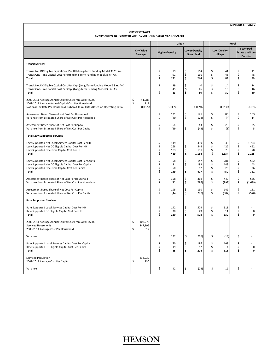| <b>APPENDIX L - PAGE 21</b> |  |
|-----------------------------|--|
|                             |  |

|                                                                                                                                                                                                   | <b>CITY OF OTTAWA</b><br><b>COMPARATIVE NET GROWTH CAPITAL COST AND ASSESSMENT ANALYSIS</b> |                           |  |                      |                          |       |                      |                                    |  |                                             |                |  |                      |                                                              |
|---------------------------------------------------------------------------------------------------------------------------------------------------------------------------------------------------|---------------------------------------------------------------------------------------------|---------------------------|--|----------------------|--------------------------|-------|----------------------|------------------------------------|--|---------------------------------------------|----------------|--|----------------------|--------------------------------------------------------------|
|                                                                                                                                                                                                   |                                                                                             |                           |  |                      |                          | Urban |                      |                                    |  |                                             | Rural          |  |                      |                                                              |
|                                                                                                                                                                                                   | <b>City Wide</b><br>Average                                                                 |                           |  |                      | <b>Higher-Density</b>    |       |                      | <b>Lower-Density</b><br>Greenfield |  | <b>Low-Density</b><br><b>Village</b>        |                |  |                      | <b>Scattered</b><br><b>Estate and Low-</b><br><b>Density</b> |
| <b>Transit Services</b>                                                                                                                                                                           |                                                                                             |                           |  |                      |                          |       |                      |                                    |  |                                             |                |  |                      |                                                              |
| Transit Net DC Eligible Capital Cost Per HH (Long-Term Funding Model 38 Yr. Av.)<br>Transit One-Time Capital Cost Per HH (Long-Term Funding Model 38 Yr. Av.)<br>Total                            |                                                                                             |                           |  | \$<br>\$<br>\$       | 79<br>91<br>171          |       | \$<br>\$<br>\$       | 114<br>130<br>244                  |  | \$<br>\$<br>\$                              | 41<br>48<br>89 |  | \$<br>\$<br>\$       | 41<br>48<br>89                                               |
| Transit Net DC Eligible Capital Cost Per Cap. (Long-Term Funding Model 38 Yr. Av.)<br>Transit One-Time Capital Cost Per Cap. (Long-Term Funding Model 38 Yr. Av.)<br>Total                        |                                                                                             |                           |  | \$<br>\$<br>\$       | 39<br>45<br>83           |       | \$<br>\$<br>Ś        | 40<br>46<br>86                     |  | \$<br>\$<br>Ś                               | 14<br>16<br>30 |  | \$<br>\$<br>Ś        | 14<br>16<br>30                                               |
| 2009-2011 Average Annual Capital Cost From Apx F (\$000)<br>2009-2011 Average Annual Capital Cost Per Household<br>Notional Tax Rate Per Household (Urban & Rural Rates Based on Operating Ratio) | \$<br>Ś                                                                                     | 41,788<br>111<br>0.037%   |  |                      | 0.039%                   |       |                      | 0.039%                             |  | 0.019%                                      |                |  |                      | 0.019%                                                       |
| Assessment Based Share of Net Cost Per Household<br>Variance from Estimated Share of Net Cost Per Household                                                                                       |                                                                                             |                           |  | \$<br>\$             | 131<br>(40)              |       | \$<br>\$             | 121<br>(123)                       |  | \$<br>\$                                    | 85<br>(4)      |  | \$<br>\$             | 103<br>14                                                    |
| Assessment Based Share of Net Cost Per Capita<br>Variance from Estimated Share of Net Cost Per Capita                                                                                             |                                                                                             |                           |  | \$<br>Ś              | 64<br>(19)               |       | \$<br>\$             | 43<br>(43)                         |  | \$<br>\$                                    | 29<br>(1)      |  | \$<br>\$             | 35<br>5                                                      |
| <b>Total Levy Supported Services</b>                                                                                                                                                              |                                                                                             |                           |  |                      |                          |       |                      |                                    |  |                                             |                |  |                      |                                                              |
| Levy Supported Net Local Services Capital Cost Per HH<br>Levy Supported Net DC Eligible Capital Cost Per HH<br>Levy Supported One-Time Capital Cost Per HH<br>Total                               |                                                                                             |                           |  | \$<br>\$<br>\$<br>\$ | 119<br>268<br>103<br>489 |       | \$<br>\$<br>\$<br>\$ | 419<br>544<br>191<br>1,154         |  | \$<br>833<br>\$<br>422<br>\$<br>\$<br>1,334 | 78             |  | \$<br>\$<br>\$<br>\$ | 1,724<br>422<br>78<br>2,225                                  |
| Levy Supported Net Local Services Capital Cost Per Capita<br>Levy Supported Net DC Eligible Capital Cost Per Capita<br>Levy Supported One-Time Capital Cost Per Capita<br>Total                   |                                                                                             |                           |  | \$<br>\$<br>\$<br>\$ | 58<br>131<br>50<br>239   |       | \$<br>\$<br>\$<br>\$ | 147<br>192<br>67<br>407            |  | \$<br>281<br>\$<br>143<br>\$<br>\$<br>450   | 26             |  | \$<br>\$<br>\$<br>\$ | 582<br>143<br>26<br>751                                      |
| Assessment Based Share of Net Cost Per Household<br>Variance from Estimated Share of Net Cost Per Household                                                                                       |                                                                                             |                           |  | \$<br>\$             | 398<br>(92)              |       | \$<br>\$             | 368<br>(786)                       |  | \$<br>440<br>\$<br>(893)                    |                |  | \$<br>\$             | 536<br>(1,689)                                               |
| Assessment Based Share of Net Cost Per Capita<br>Variance from Estimated Share of Net Cost Per Capita                                                                                             |                                                                                             |                           |  | \$<br>\$             | 195<br>(44)              |       | \$<br>\$             | 130<br>(277)                       |  | \$<br>149<br>\$<br>(302)                    |                |  | \$<br>\$             | 181<br>(570)                                                 |
| <b>Rate Supported Services</b>                                                                                                                                                                    |                                                                                             |                           |  |                      |                          |       |                      |                                    |  |                                             |                |  |                      |                                                              |
| Rate Supported Local Services Capital Cost Per HH<br>Rate Supported DC Eligible Capital Cost Per HH<br>Total                                                                                      |                                                                                             |                           |  | \$<br>\$<br>Ś        | 142<br>38<br>180         |       | \$<br>\$<br>\$       | 529<br>49<br>578                   |  | \$<br>318<br>\$<br>Ś<br>330                 | 11             |  | \$<br>\$<br>\$       | 0<br>0                                                       |
| 2009-2011 Average Annual Capital Cost From Apx F (\$000)<br>Serviced Households<br>2009-2011 Average Cost Per Household                                                                           | \$<br>Ś                                                                                     | 108,273<br>347,195<br>312 |  |                      |                          |       |                      |                                    |  |                                             |                |  |                      |                                                              |
| Variance                                                                                                                                                                                          |                                                                                             |                           |  | \$                   | 132                      |       | \$                   | (266)                              |  | \$                                          | (18)           |  | \$                   |                                                              |
| Rate Supported Local Services Capital Cost Per Capita<br>Rate Supported DC Eligible Capital Cost Per Capita<br>Total                                                                              |                                                                                             |                           |  | \$<br>\$<br>\$       | 70<br>19<br>88           |       | \$<br>\$<br>\$       | 186<br>17<br>204                   |  | \$<br>108<br>\$<br>Ś<br>111                 | 4              |  | \$<br>\$<br>\$       | 0<br>0                                                       |
| Serviced Population<br>2009-2011 Average Cost Per Capita                                                                                                                                          | \$                                                                                          | 832,239<br>130            |  |                      |                          |       |                      |                                    |  |                                             |                |  |                      |                                                              |
| Variance                                                                                                                                                                                          |                                                                                             |                           |  | \$                   | 42                       |       | \$                   | (74)                               |  | \$                                          | 19             |  | \$                   |                                                              |

 $\overline{\phantom{a}}$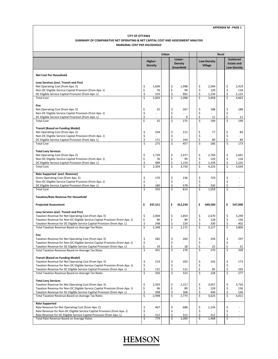### **CITY OF OTTAWA SUMMARY OF COMPARATIVE NET OPERATING & NET CAPITAL COST AND ASSESSMENT ANALYSIS**

| <b>MARGINAL COST PER HOUSEHOLD</b>                                                                                                                       |                               |                           |       |                               |                                        |          |                                      |              |          |                                                             |
|----------------------------------------------------------------------------------------------------------------------------------------------------------|-------------------------------|---------------------------|-------|-------------------------------|----------------------------------------|----------|--------------------------------------|--------------|----------|-------------------------------------------------------------|
|                                                                                                                                                          |                               |                           | Urban |                               |                                        |          |                                      | <b>Rural</b> |          |                                                             |
|                                                                                                                                                          |                               | Higher-<br><b>Density</b> |       |                               | Lower-<br><b>Density</b><br>Greenfield |          | <b>Low-Density</b><br><b>Village</b> |              |          | <b>Scattered</b><br><b>Estate and</b><br><b>Low-Density</b> |
| <b>Net Cost Per Household</b>                                                                                                                            |                               |                           |       |                               |                                        |          |                                      |              |          |                                                             |
| Levy Services (excl. Transit and Fire)                                                                                                                   |                               |                           |       |                               |                                        |          |                                      |              |          |                                                             |
| Net Operating Cost (from Apx. E)                                                                                                                         | \$                            | 1,609                     |       | \$                            | 1,998                                  | \$       | 2,504                                |              | \$       | 2,419                                                       |
| Non-DC Eligible Service Capital Provision (from Apx. J)                                                                                                  | \$                            | 76                        |       | \$                            | 99<br>902                              | \$       | 120                                  |              | \$       | 118                                                         |
| DC Eligible Service Capital Provision (from Apx. L)<br><b>Total Cost</b>                                                                                 | \$<br>$\overline{\mathsf{s}}$ | 319<br>2,003              |       | \$<br>\$                      | 2,998                                  | \$<br>\$ | 1,234<br>3,858                       |              | \$<br>\$ | 2,125<br>4,663                                              |
|                                                                                                                                                          |                               |                           |       |                               |                                        |          |                                      |              |          |                                                             |
| Fire                                                                                                                                                     |                               |                           |       |                               |                                        |          |                                      |              |          |                                                             |
| Net Operating Cost (from Apx. E)<br>Non-DC Eligible Service Capital Provision (from Apx. J)                                                              | \$                            | 25                        |       | \$<br>\$                      | 267                                    | \$<br>\$ | 188                                  |              | \$<br>\$ | 188                                                         |
| DC Eligible Service Capital Provision (from Apx. L)                                                                                                      | \$<br>\$                      |                           |       | \$                            | 8                                      | \$       | 11                                   |              | \$       | 11                                                          |
| <b>Total Cost</b>                                                                                                                                        | Ś                             | 25                        |       | \$                            | 275                                    | \$       | 199                                  |              | \$       | 199                                                         |
| <b>Transit (Based on Funding Model)</b>                                                                                                                  |                               |                           |       |                               |                                        |          |                                      |              |          |                                                             |
| Net Operating Cost (from Apx. E)                                                                                                                         | \$                            | 104                       |       | \$                            | 212                                    | \$       | 77                                   |              | \$       | 84                                                          |
| Non-DC Eligible Service Capital Provision (from Apx. J)                                                                                                  | \$                            |                           |       | \$                            |                                        | \$       |                                      |              | \$       |                                                             |
| DC Eligible Service Capital Provision (from Apx. L)<br><b>Total Cost</b>                                                                                 | \$<br>\$                      | 171<br>275                |       | \$<br>$\overline{\mathsf{s}}$ | 244<br>457                             | \$<br>\$ | 89<br>166                            |              | \$<br>\$ | 89<br>173                                                   |
|                                                                                                                                                          |                               |                           |       |                               |                                        |          |                                      |              |          |                                                             |
| <b>Total Levy Services</b>                                                                                                                               |                               |                           |       |                               |                                        |          |                                      |              |          |                                                             |
| Net Operating Cost (from Apx. E)<br>Non-DC Eligible Service Capital Provision (from Apx. J)                                                              | \$                            | 1,739<br>76               |       | \$<br>\$                      | 2,477<br>99                            | \$<br>\$ | 2,769<br>120                         |              | \$<br>\$ | 2,691                                                       |
| DC Eligible Service Capital Provision (from Apx. L)                                                                                                      | \$<br>\$                      | 489                       |       | \$                            | 1,154                                  | \$       | 1,334                                |              | \$       | 118<br>2,225                                                |
| <b>Total Cost</b>                                                                                                                                        | \$                            | 2,304                     |       | \$                            | 3,730                                  | \$       | 4,223                                |              | \$       | 5,034                                                       |
| Rate Supported (excl. Revenue)                                                                                                                           |                               |                           |       |                               |                                        |          |                                      |              |          |                                                             |
| Gross Operating Cost (from Apx. E)                                                                                                                       | \$                            | 170                       |       | \$                            | 236                                    | \$       | 729                                  |              | \$       |                                                             |
| Non-DC Eligible Service Capital Provision (from Apx. J)                                                                                                  | \$                            |                           |       | \$                            |                                        | \$       |                                      |              | \$       |                                                             |
| DC Eligible Service Capital Provision (from Apx. L)                                                                                                      | \$                            | 180                       |       | \$                            | 578                                    | \$       | 330                                  |              | \$       |                                                             |
| <b>Total Cost</b>                                                                                                                                        |                               | 350                       |       | Ś                             | 814                                    | \$       | 1,058                                |              | \$       |                                                             |
| <b>Taxation/Rate Revenue Per Household</b>                                                                                                               |                               |                           |       |                               |                                        |          |                                      |              |          |                                                             |
| <b>Projected Assessment</b>                                                                                                                              | \$                            | 337,511                   |       | \$                            | 312,234                                | \$       | 449,500                              |              | \$       | 547,000                                                     |
| Levy Services (excl. Transit and Fire)                                                                                                                   |                               |                           |       |                               |                                        |          |                                      |              |          |                                                             |
| Taxation Revenue for Net Operating Cost (from Apx. E)                                                                                                    | \$                            | 2,004                     |       | \$                            | 1,854                                  | \$       | 2,670                                |              | \$       | 3,249                                                       |
| Taxation Revenue for Non-DC Eligible Service Capital Provision (from Apx. J)<br>Taxation Revenue for DC Eligible Service Capital Provision (from Apx. L) | \$<br>\$                      | 96<br>248                 |       | \$<br>\$                      | 89<br>229                              | \$<br>\$ | 128<br>330                           |              | \$<br>\$ | 156<br>402                                                  |
| Total Taxation Revenue Based on Average Tax Rates                                                                                                        | \$                            | 2,348                     |       | \$                            | 2,172                                  | \$       | 3,127                                |              | \$       | 3,806                                                       |
|                                                                                                                                                          |                               |                           |       |                               |                                        |          |                                      |              |          |                                                             |
| Fire<br>Taxation Revenue for Net Operating Cost (from Apx. E)                                                                                            | \$                            | 282                       |       | \$                            | 260                                    | \$       | 244                                  |              | \$       | 297                                                         |
| Taxation Revenue for Non-DC Eligible Service Capital Provision (from Apx. J)                                                                             | \$                            |                           |       | \$                            |                                        | \$       |                                      |              | \$       |                                                             |
| Taxation Revenue for DC Eligible Service Capital Provision (from Apx. L)                                                                                 |                               | 19                        |       |                               | 18                                     |          | 25                                   |              |          | 31                                                          |
| Total Taxation Revenue Based on Average Tax Rates                                                                                                        | $\overline{\mathsf{S}}$       | 301                       |       | \$                            | 278                                    | \$       | 270                                  |              | \$       | 328                                                         |
| <b>Transit (Based on Funding Model)</b>                                                                                                                  |                               |                           |       |                               |                                        |          |                                      |              |          |                                                             |
| Taxation Revenue for Net Operating Cost (from Apx. E)                                                                                                    |                               | 219                       |       | \$                            | 203                                    | \$       | 143                                  |              | \$       | 173                                                         |
| Taxation Revenue for Non-DC Eligible Service Capital Provision (from Apx. J)                                                                             | \$\$\$                        |                           |       | \$<br>\$                      |                                        | \$<br>\$ |                                      |              | \$<br>\$ |                                                             |
| Taxation Revenue for DC Eligible Service Capital Provision (from Apx. L)<br>Total Taxation Revenue Based on Average Tax Rates                            | \$                            | 131<br>350                |       | \$                            | 121<br>323                             | \$       | 85<br>228                            |              | \$       | 103<br>277                                                  |
|                                                                                                                                                          |                               |                           |       |                               |                                        |          |                                      |              |          |                                                             |
| <b>Total Levy Services</b>                                                                                                                               |                               |                           |       |                               |                                        |          |                                      |              |          |                                                             |
| Taxation Revenue for Net Operating Cost (from Apx. E)<br>Taxation Revenue for Non-DC Eligible Service Capital Provision (from Apx. J)                    | \$<br>\$                      | 2,505<br>96               |       | \$<br>\$                      | 2,317<br>89                            | \$<br>\$ | 3,057<br>128                         |              | \$<br>\$ | 3,720<br>156                                                |
| Taxation Revenue for DC Eligible Service Capital Provision (from Apx. L)                                                                                 | \$                            | 398                       |       | \$                            | 368                                    | \$       | 440                                  |              | \$       | 536                                                         |
| Total Taxation Revenue Based on Average Tax Rates                                                                                                        | \$                            | 2,998                     |       | \$                            | 2,774                                  | \$       | 3,625                                |              | \$       | 4,411                                                       |
| <b>Rate Supported</b>                                                                                                                                    |                               |                           |       |                               |                                        |          |                                      |              |          |                                                             |
| Rate Revenue for Net Operating Cost (from Apx. E)                                                                                                        | \$                            | 467                       |       | \$                            | 688                                    | \$       | 1,156                                |              | \$       |                                                             |
| Rate Revenue for Non-DC Eligible Service Capital Provision (from Apx. J)<br>Rate Revenue for DC Eligible Service Capital Provision (from Apx. L)         | \$<br>\$                      | 312                       |       | \$<br>\$                      | 312                                    | \$<br>\$ | 312                                  |              | \$<br>\$ | $\sim$                                                      |
| Total Rate Revenue Based on Average Rates                                                                                                                | \$                            | 779                       |       | \$                            | 1,000                                  | \$       | 1,468                                |              | \$       | $\blacksquare$                                              |
|                                                                                                                                                          |                               |                           |       |                               |                                        |          |                                      |              |          |                                                             |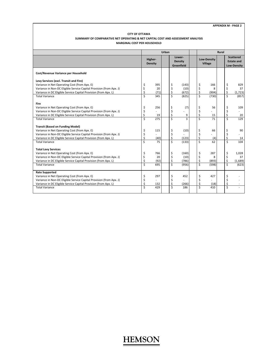#### **APPENDIX M ‐ PAGE 2**

#### **CITY OF OTTAWA SUMMARY OF COMPARATIVE NET OPERATING & NET CAPITAL COST AND ASSESSMENT ANALYSIS MARGINAL COST PER HOUSEHOLD**

|                                                                     |    |                           | Urban |                                 |                |                                      |       | Rural |    |                                                             |  |
|---------------------------------------------------------------------|----|---------------------------|-------|---------------------------------|----------------|--------------------------------------|-------|-------|----|-------------------------------------------------------------|--|
|                                                                     |    | Higher-<br><b>Density</b> |       | Lower-<br>Density<br>Greenfield |                | <b>Low-Density</b><br><b>Village</b> |       |       |    | <b>Scattered</b><br><b>Estate and</b><br><b>Low-Density</b> |  |
| Cost/Revenue Variance per Household                                 |    |                           |       |                                 |                |                                      |       |       |    |                                                             |  |
| Levy Services (excl. Transit and Fire)                              |    |                           |       |                                 |                |                                      |       |       |    |                                                             |  |
| Variance in Net Operating Cost (from Apx. E)                        | \$ | 395                       |       | \$                              | (143)          | \$                                   | 166   |       | \$ | 829                                                         |  |
| Variance in Non-DC Eligible Service Capital Provision (from Apx. J) | \$ | 20                        |       | \$                              | (10)           | \$                                   | 8     |       | \$ | 37                                                          |  |
| Variance in DC Eligible Service Capital Provision (from Apx. L)     | Ś  | (71)                      |       | \$                              | (672)          | \$                                   | (904) |       | \$ | (1, 723)                                                    |  |
| <b>Total Variance</b>                                               | Ś  | 345                       |       | Ś                               | (825)          | Ś                                    | (730) |       | \$ | (857)                                                       |  |
| Fire                                                                |    |                           |       |                                 |                |                                      |       |       |    |                                                             |  |
| Variance in Net Operating Cost (from Apx. E)                        | \$ | 256                       |       | \$                              | (7)            | \$                                   | 56    |       | \$ | 109                                                         |  |
| Variance in Non-DC Eligible Service Capital Provision (from Apx. J) | \$ |                           |       | \$                              |                | \$                                   |       |       | \$ |                                                             |  |
| Variance in DC Eligible Service Capital Provision (from Apx. L)     | Ś  | 19                        |       | \$                              | 9              | \$                                   | 15    |       | \$ | 20                                                          |  |
| <b>Total Variance</b>                                               | Ś  | 275                       |       | Ś                               | $\overline{3}$ | Ś                                    | 71    |       | Ś  | 129                                                         |  |
| <b>Transit (Based on Funding Model)</b>                             |    |                           |       |                                 |                |                                      |       |       |    |                                                             |  |
| Variance in Net Operating Cost (from Apx. E)                        | \$ | 115                       |       | \$                              | (10)           | \$                                   | 66    |       | \$ | 90                                                          |  |
| Variance in Non-DC Eligible Service Capital Provision (from Apx. J) | \$ |                           |       | \$                              |                | \$                                   |       |       | \$ |                                                             |  |
| Variance in DC Eligible Service Capital Provision (from Apx. L)     | Ś  | (40)                      |       | \$                              | (123)          | \$                                   | (4)   |       | \$ | 14                                                          |  |
| <b>Total Variance</b>                                               | \$ | 75                        |       | \$                              | (133)          | Ś                                    | 62    |       | \$ | 104                                                         |  |
| <b>Total Levy Services</b>                                          |    |                           |       |                                 |                |                                      |       |       |    |                                                             |  |
| Variance in Net Operating Cost (from Apx. E)                        | \$ | 766                       |       | \$                              | (160)          | \$                                   | 287   |       | \$ | 1,028                                                       |  |
| Variance in Non-DC Eligible Service Capital Provision (from Apx. J) | \$ | 20                        |       | \$                              | (10)           | \$                                   | 8     |       | \$ | 37                                                          |  |
| Variance in DC Eligible Service Capital Provision (from Apx. L)     | \$ | (92)                      |       | Ś                               | (786)          | \$                                   | (893) |       | \$ | (1,689)                                                     |  |
| <b>Total Variance</b>                                               | Ś  | 695                       |       | Ś                               | (956)          | Ś                                    | (598) |       | Ś  | (623)                                                       |  |
| <b>Rate Supported</b>                                               |    |                           |       |                                 |                |                                      |       |       |    |                                                             |  |
| Variance in Net Operating Cost (from Apx. E)                        | \$ | 297                       |       | \$                              | 452            | \$                                   | 427   |       | \$ |                                                             |  |
| Variance in Non-DC Eligible Service Capital Provision (from Apx. J) | \$ |                           |       | \$                              |                | \$                                   |       |       | \$ |                                                             |  |
| Variance in DC Eligible Service Capital Provision (from Apx. L)     | Ś  | 132                       |       | Ś                               | (266)          | \$                                   | (18)  |       | \$ |                                                             |  |
| <b>Total Variance</b>                                               | Ś  | 429                       |       | Ś                               | 186            | Ś                                    | 410   |       | Ś  |                                                             |  |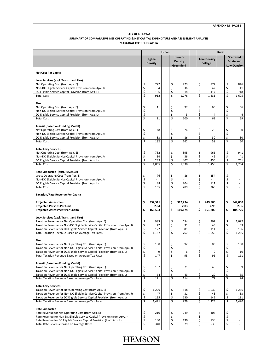#### **APPENDIX M ‐ PAGE 3**

#### **CITY OF OTTAWA**

#### **MARGINAL COST PER CAPITA SUMMARY OF COMPARATIVE NET OPERATING & NET CAPITAL EXPENDITURE AND ASSESSMENT ANALYSIS**

|                                                                                                                                       |          |                           | Urban |                               |                          | Rural<br><b>Scattered</b> |                                      |  |                   |                             |  |  |  |
|---------------------------------------------------------------------------------------------------------------------------------------|----------|---------------------------|-------|-------------------------------|--------------------------|---------------------------|--------------------------------------|--|-------------------|-----------------------------|--|--|--|
|                                                                                                                                       |          | Higher-<br><b>Density</b> |       |                               | Lower-<br><b>Density</b> |                           | <b>Low-Density</b><br><b>Village</b> |  | <b>Estate and</b> |                             |  |  |  |
|                                                                                                                                       |          |                           |       |                               | Greenfield               |                           |                                      |  |                   | <b>Low-Density</b>          |  |  |  |
| <b>Net Cost Per Capita</b>                                                                                                            |          |                           |       |                               |                          |                           |                                      |  |                   |                             |  |  |  |
| Levy Services (excl. Transit and Fire)                                                                                                |          |                           |       |                               |                          |                           |                                      |  |                   |                             |  |  |  |
| Net Operating Cost (from Apx. E)                                                                                                      | \$       | 722                       |       | \$                            | 723                      | \$                        | 872                                  |  | \$                | 846                         |  |  |  |
| Non-DC Eligible Service Capital Provision (from Apx. J)                                                                               | \$       | 34                        |       | \$                            | 36                       | \$                        | 42                                   |  | \$                | 41                          |  |  |  |
| DC Eligible Service Capital Provision (from Apx. L)                                                                                   | \$       | 156                       |       | \$                            | 318                      | \$                        | 417                                  |  | \$                | 718                         |  |  |  |
| <b>Total Cost</b>                                                                                                                     | Ś        | 912                       |       | Ś                             | 1,076                    | Ś                         | 1,331                                |  | Ś                 | 1,605                       |  |  |  |
| Fire                                                                                                                                  |          |                           |       |                               |                          |                           |                                      |  |                   |                             |  |  |  |
| Net Operating Cost (from Apx. E)                                                                                                      | \$       | 11                        |       | \$                            | 97                       | \$                        | 66                                   |  | \$                | 66                          |  |  |  |
| Non-DC Eligible Service Capital Provision (from Apx. J)                                                                               | \$       |                           |       | \$                            |                          | \$                        |                                      |  | \$                |                             |  |  |  |
| DC Eligible Service Capital Provision (from Apx. L)                                                                                   | \$       |                           |       | \$                            | 3                        | \$                        | 4                                    |  | \$                | 4                           |  |  |  |
| <b>Total Cost</b>                                                                                                                     | Ś        | 11                        |       | \$                            | 100                      | \$                        | 69                                   |  | \$                | 69                          |  |  |  |
|                                                                                                                                       |          |                           |       |                               |                          |                           |                                      |  |                   |                             |  |  |  |
| <b>Transit (Based on Funding Model)</b><br>Net Operating Cost (from Apx. E)                                                           | \$       | 48                        |       | \$                            | 76                       | \$                        | 28                                   |  | \$                | 30                          |  |  |  |
| Non-DC Eligible Service Capital Provision (from Apx. J)                                                                               | \$       |                           |       | \$                            |                          | \$                        |                                      |  | \$                |                             |  |  |  |
| DC Eligible Service Capital Provision (from Apx. L)                                                                                   | \$       | 83                        |       | \$                            | 86                       | \$                        | 30                                   |  | \$                | 30                          |  |  |  |
| <b>Total Cost</b>                                                                                                                     | Ś        | 132                       |       | Ś                             | 162                      | \$                        | 58                                   |  | Ś                 | 60                          |  |  |  |
|                                                                                                                                       |          |                           |       |                               |                          |                           |                                      |  |                   |                             |  |  |  |
| <b>Total Levy Services</b>                                                                                                            |          |                           |       |                               |                          |                           |                                      |  |                   |                             |  |  |  |
| Net Operating Cost (from Apx. E)                                                                                                      | \$       | 782                       |       | \$                            | 895                      | \$                        | 966                                  |  | \$                | 941                         |  |  |  |
| Non-DC Eligible Service Capital Provision (from Apx. J)<br>DC Eligible Service Capital Provision (from Apx. L)                        | \$<br>\$ | 34<br>239                 |       | \$<br>\$                      | 36<br>407                | \$<br>\$                  | 42<br>450                            |  | \$<br>\$          | 41<br>751                   |  |  |  |
| <b>Total Cost</b>                                                                                                                     | Ś        | 1,055                     |       | \$                            | 1,338                    | \$                        | 1,458                                |  | \$                | 1,734                       |  |  |  |
|                                                                                                                                       |          |                           |       |                               |                          |                           |                                      |  |                   |                             |  |  |  |
| Rate Supported (excl. Revenue)                                                                                                        |          |                           |       |                               |                          |                           |                                      |  |                   |                             |  |  |  |
| Gross Operating Cost (from Apx. E)                                                                                                    | \$       | 76                        |       | \$                            | 86                       | \$                        | 254                                  |  | \$                |                             |  |  |  |
| Non-DC Eligible Service Capital Provision (from Apx. J)                                                                               | \$       |                           |       | \$                            |                          | \$                        |                                      |  | \$                | $\overline{a}$              |  |  |  |
| DC Eligible Service Capital Provision (from Apx. L)<br><b>Total Cost</b>                                                              | \$<br>Ś  | 88<br>165                 |       | \$<br>\$                      | 204<br>289               | \$<br>\$                  | 111<br>365                           |  | \$<br>\$          | $\overline{a}$              |  |  |  |
|                                                                                                                                       |          |                           |       |                               |                          |                           |                                      |  |                   |                             |  |  |  |
| <b>Taxation/Rate Revenue Per Capita</b>                                                                                               |          |                           |       |                               |                          |                           |                                      |  |                   |                             |  |  |  |
| <b>Projected Assessment</b>                                                                                                           | \$       | 337,511                   |       | \$                            | 312,234                  | \$                        | 449,500                              |  | \$                | 547,000                     |  |  |  |
| <b>Projected Persons Per Unit</b>                                                                                                     |          | 2.04                      |       |                               | 2.83                     |                           | 2.96                                 |  |                   | 2.96                        |  |  |  |
| <b>Projected Assessment Per Capita</b>                                                                                                | \$       | 165,533                   |       | \$                            | 110,174                  | \$                        | 151,800                              |  | \$                | 184,726                     |  |  |  |
|                                                                                                                                       |          |                           |       |                               |                          |                           |                                      |  |                   |                             |  |  |  |
| Levy Services (excl. Transit and Fire)                                                                                                |          |                           |       |                               |                          |                           |                                      |  |                   |                             |  |  |  |
| Taxation Revenue for Net Operating Cost (from Apx. E)<br>Taxation Revenue for Non-DC Eligible Service Capital Provision (from Apx. J) | \$       | 983<br>47                 |       | \$<br>\$                      | 654<br>31                | \$<br>\$                  | 902<br>43                            |  | \$<br>\$          | 1,097<br>53                 |  |  |  |
| Taxation Revenue for DC Eligible Service Capital Provision (from Apx. L)                                                              | \$<br>\$ | 122                       |       | \$                            | 81                       | \$                        | 111                                  |  | \$                | 136                         |  |  |  |
| Total Taxation Revenue Based on Average Tax Rates                                                                                     | \$       | 1,152                     |       | \$                            | 767                      | \$                        | 1,056                                |  | \$                | 1,285                       |  |  |  |
|                                                                                                                                       |          |                           |       |                               |                          |                           |                                      |  |                   |                             |  |  |  |
| Fire                                                                                                                                  |          |                           |       |                               |                          |                           |                                      |  |                   |                             |  |  |  |
| Taxation Revenue for Net Operating Cost (from Apx. E)                                                                                 | \$       | 138                       |       | \$                            | 92                       | \$                        | 83                                   |  | \$                | 100                         |  |  |  |
| Taxation Revenue for Non-DC Eligible Service Capital Provision (from Apx. J)                                                          |          | 9                         |       |                               |                          |                           |                                      |  |                   |                             |  |  |  |
| Taxation Revenue for DC Eligible Service Capital Provision (from Apx. L)<br>Total Taxation Revenue Based on Average Tax Rates         | \$<br>Ś  | 147                       |       | \$<br>$\overline{\mathsf{s}}$ | 6<br>98                  | \$<br>\$                  | 9<br>91                              |  | \$<br>\$          | 10<br>111                   |  |  |  |
|                                                                                                                                       |          |                           |       |                               |                          |                           |                                      |  |                   |                             |  |  |  |
| <b>Transit (Based on Funding Model)</b>                                                                                               |          |                           |       |                               |                          |                           |                                      |  |                   |                             |  |  |  |
| Taxation Revenue for Net Operating Cost (from Apx. E)                                                                                 | \$       | 107                       |       | \$                            | 71                       | \$                        | 48                                   |  | \$                | 59                          |  |  |  |
| Taxation Revenue for Non-DC Eligible Service Capital Provision (from Apx. J)                                                          | \$       |                           |       | \$                            |                          | \$                        |                                      |  | \$                |                             |  |  |  |
| Taxation Revenue for DC Eligible Service Capital Provision (from Apx. L)                                                              | \$<br>\$ | 64                        |       | \$<br>\$                      | 43                       | \$<br>\$                  | 29<br>77                             |  | \$                | 35<br>94                    |  |  |  |
| Total Taxation Revenue Based on Average Tax Rates                                                                                     |          | 171                       |       |                               | 114                      |                           |                                      |  | \$                |                             |  |  |  |
| <b>Total Levy Services</b>                                                                                                            |          |                           |       |                               |                          |                           |                                      |  |                   |                             |  |  |  |
| Taxation Revenue for Net Operating Cost (from Apx. E)                                                                                 | \$       | 1,229                     |       | \$                            | 818                      | \$                        | 1,032                                |  | \$                | 1,256                       |  |  |  |
| Taxation Revenue for Non-DC Eligible Service Capital Provision (from Apx. J)                                                          | \$       | 47                        |       | \$                            | 31                       | \$                        | 43                                   |  | \$                | 53                          |  |  |  |
| Taxation Revenue for DC Eligible Service Capital Provision (from Apx. L)                                                              | \$       | 195                       |       | \$                            | 130                      | \$                        | 149                                  |  | \$                | 181                         |  |  |  |
| Total Taxation Revenue Based on Average Tax Rates                                                                                     | \$       | 1,471                     |       | \$                            | 979                      | \$                        | 1,224                                |  | \$                | 1,490                       |  |  |  |
| <b>Rate Supported</b>                                                                                                                 |          |                           |       |                               |                          |                           |                                      |  |                   |                             |  |  |  |
| Rate Revenue for Net Operating Cost (from Apx. E)                                                                                     | \$       | 210                       |       | \$                            | 249                      | \$                        | 403                                  |  | \$                |                             |  |  |  |
| Rate Revenue for Non-DC Eligible Service Capital Provision (from Apx. J)                                                              | \$       |                           |       | \$                            |                          | \$                        |                                      |  | \$                |                             |  |  |  |
| Rate Revenue for DC Eligible Service Capital Provision (from Apx. L)                                                                  | \$       | 130                       |       | \$                            | 130                      | \$                        | 130                                  |  | \$                |                             |  |  |  |
| Total Rate Revenue Based on Average Rates                                                                                             | Ś        | 340                       |       | \$                            | 379                      | \$                        | 533                                  |  | \$                | $\mathcal{L}_{\mathcal{A}}$ |  |  |  |
|                                                                                                                                       |          |                           |       |                               |                          |                           |                                      |  |                   |                             |  |  |  |